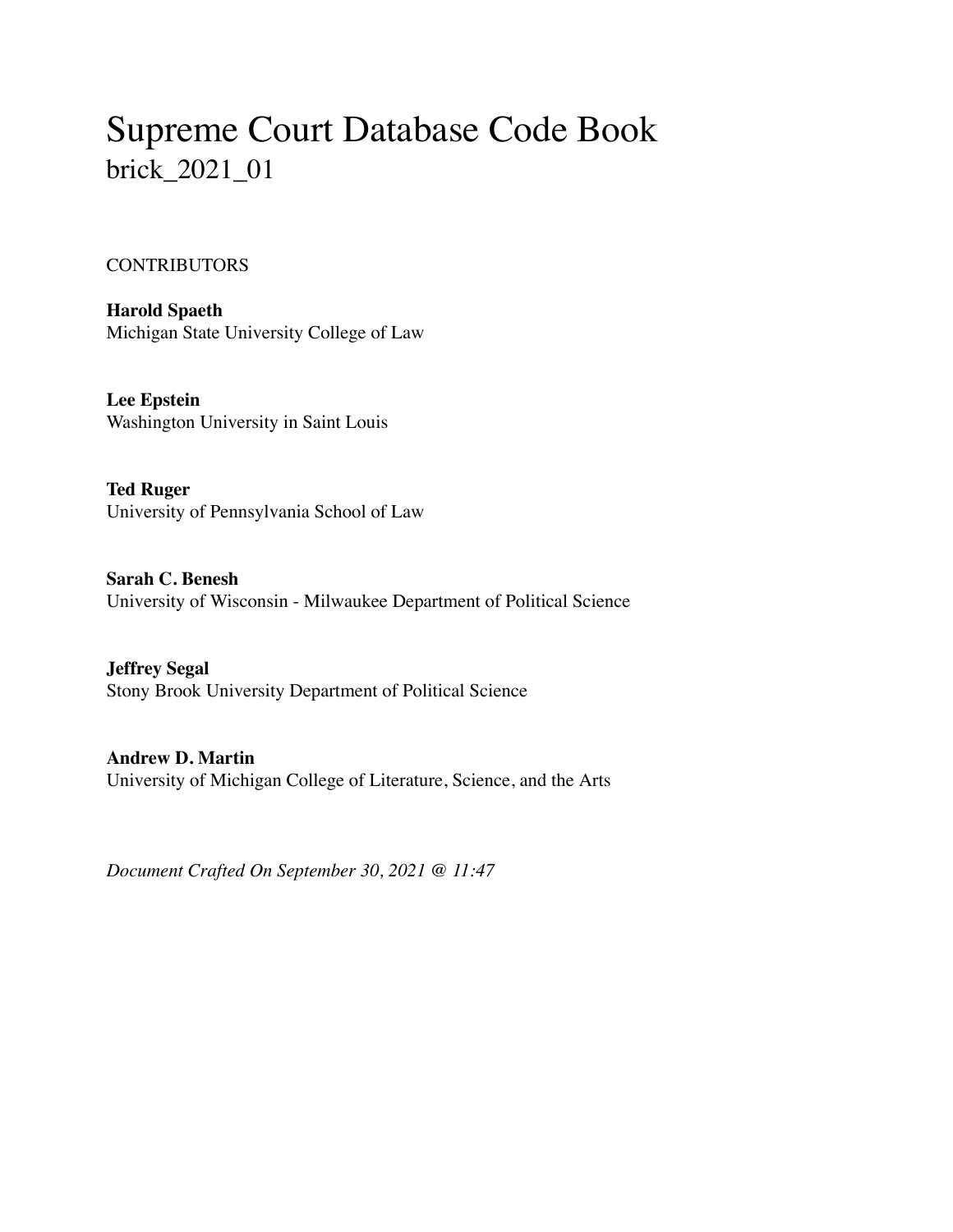# Supreme Court Database Code Book brick\_2021\_01

#### **CONTRIBUTORS**

**Harold Spaeth** Michigan State University College of Law

**Lee Epstein** Washington University in Saint Louis

**Ted Ruger** University of Pennsylvania School of Law

**Sarah C. Benesh** University of Wisconsin - Milwaukee Department of Political Science

**Jeffrey Segal** Stony Brook University Department of Political Science

**Andrew D. Martin** University of Michigan College of Literature, Science, and the Arts

*Document Crafted On September 30, 2021 @ 11:47*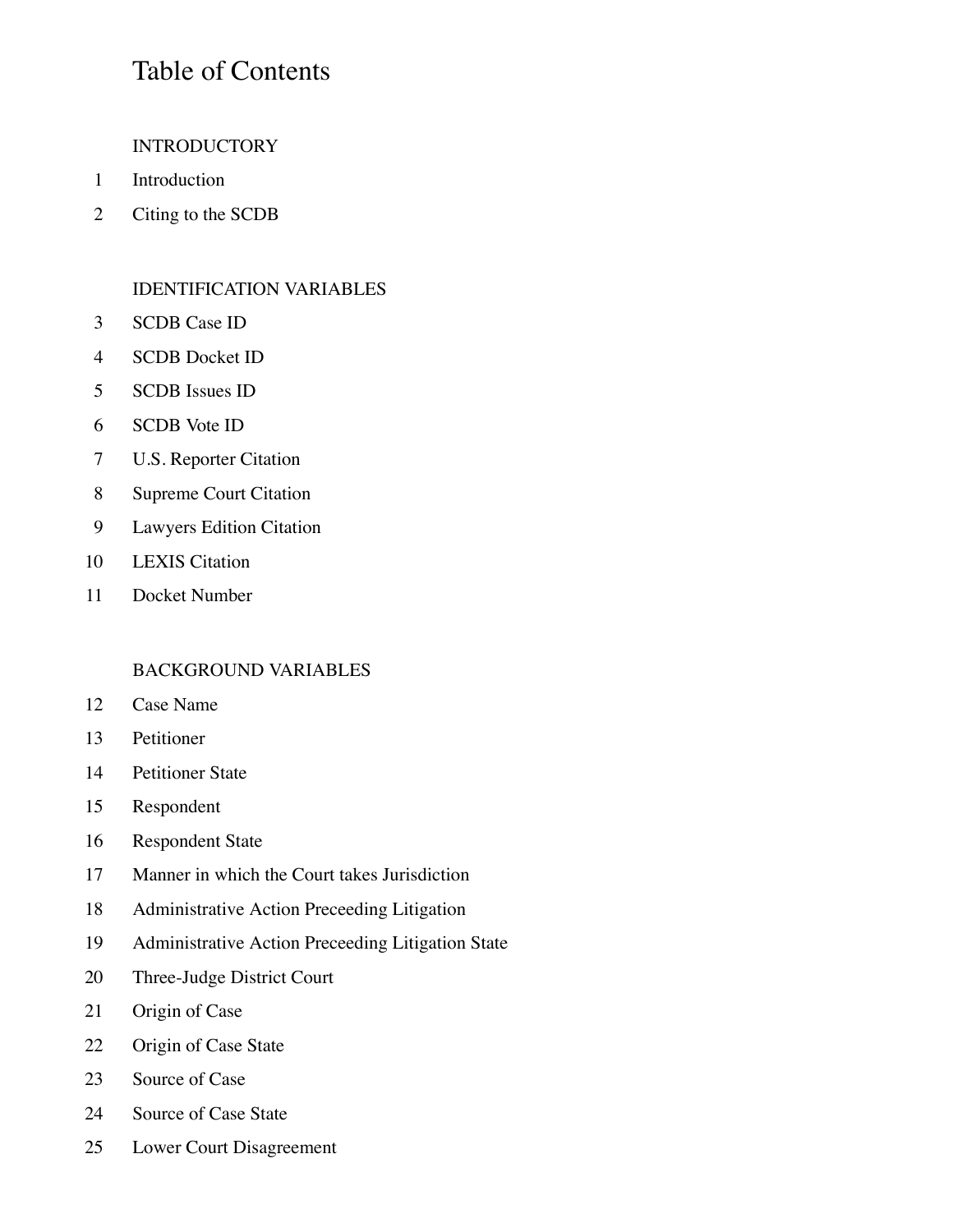#### Table of Contents

#### **INTRODUCTORY**

- Introduction
- Citing to the SCDB

#### IDENTIFICATION VARIABLES

- SCDB Case ID
- SCDB Docket ID
- SCDB Issues ID
- SCDB Vote ID
- U.S. Reporter Citation
- Supreme Court Citation
- Lawyers Edition Citation
- LEXIS Citation
- Docket Number

#### BACKGROUND VARIABLES

- Case Name
- Petitioner
- Petitioner State
- Respondent
- Respondent State
- Manner in which the Court takes Jurisdiction
- Administrative Action Preceeding Litigation
- Administrative Action Preceeding Litigation State
- Three-Judge District Court
- Origin of Case
- Origin of Case State
- 23 Source of Case
- Source of Case State
- Lower Court Disagreement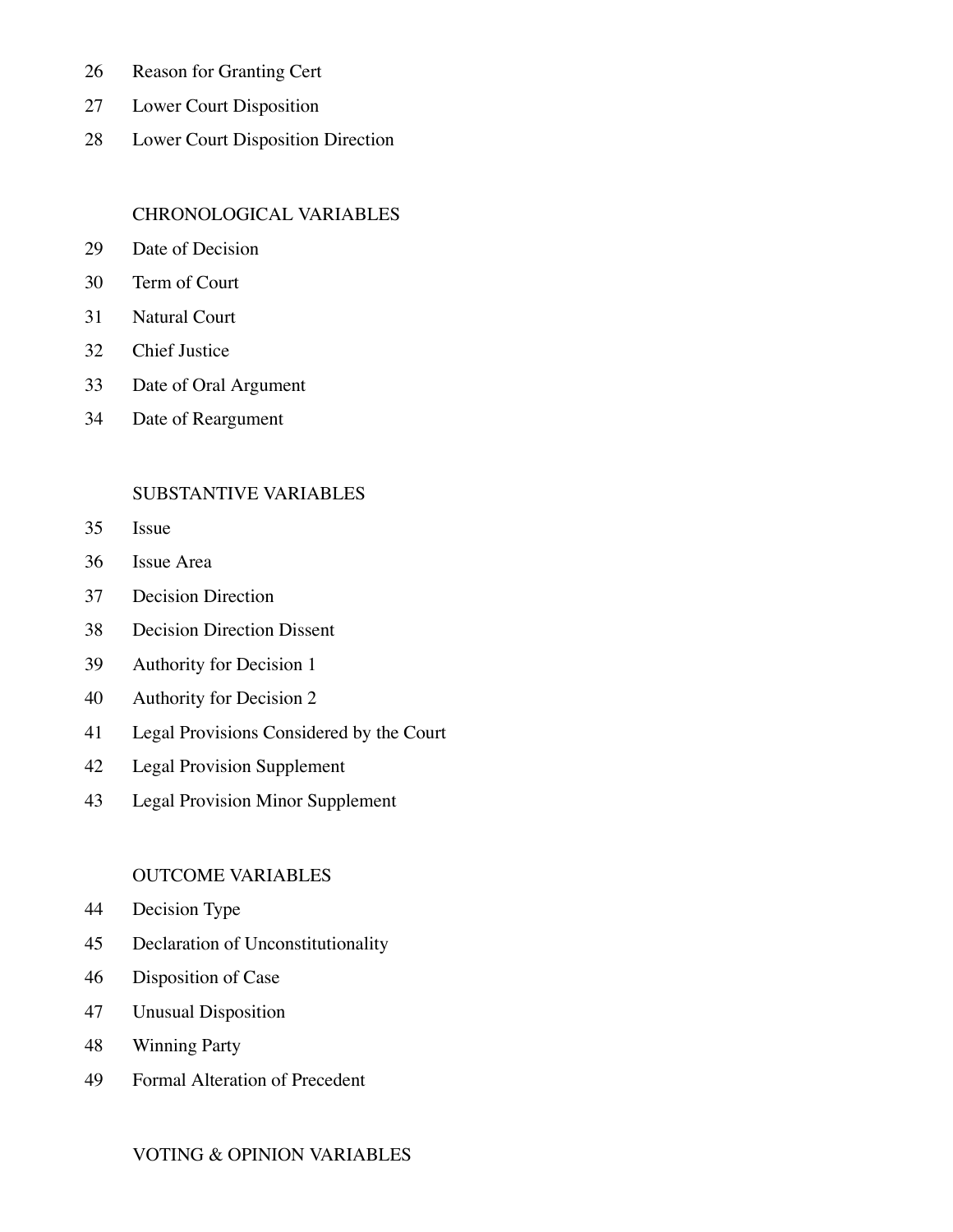- Reason for Granting Cert
- Lower Court Disposition
- Lower Court Disposition Direction

#### CHRONOLOGICAL VARIABLES

- Date of Decision
- Term of Court
- Natural Court
- Chief Justice
- Date of Oral Argument
- Date of Reargument

#### SUBSTANTIVE VARIABLES

- Issue
- Issue Area
- Decision Direction
- Decision Direction Dissent
- Authority for Decision 1
- Authority for Decision 2
- Legal Provisions Considered by the Court
- Legal Provision Supplement
- Legal Provision Minor Supplement

#### OUTCOME VARIABLES

- Decision Type
- Declaration of Unconstitutionality
- Disposition of Case
- Unusual Disposition
- Winning Party
- Formal Alteration of Precedent

#### VOTING & OPINION VARIABLES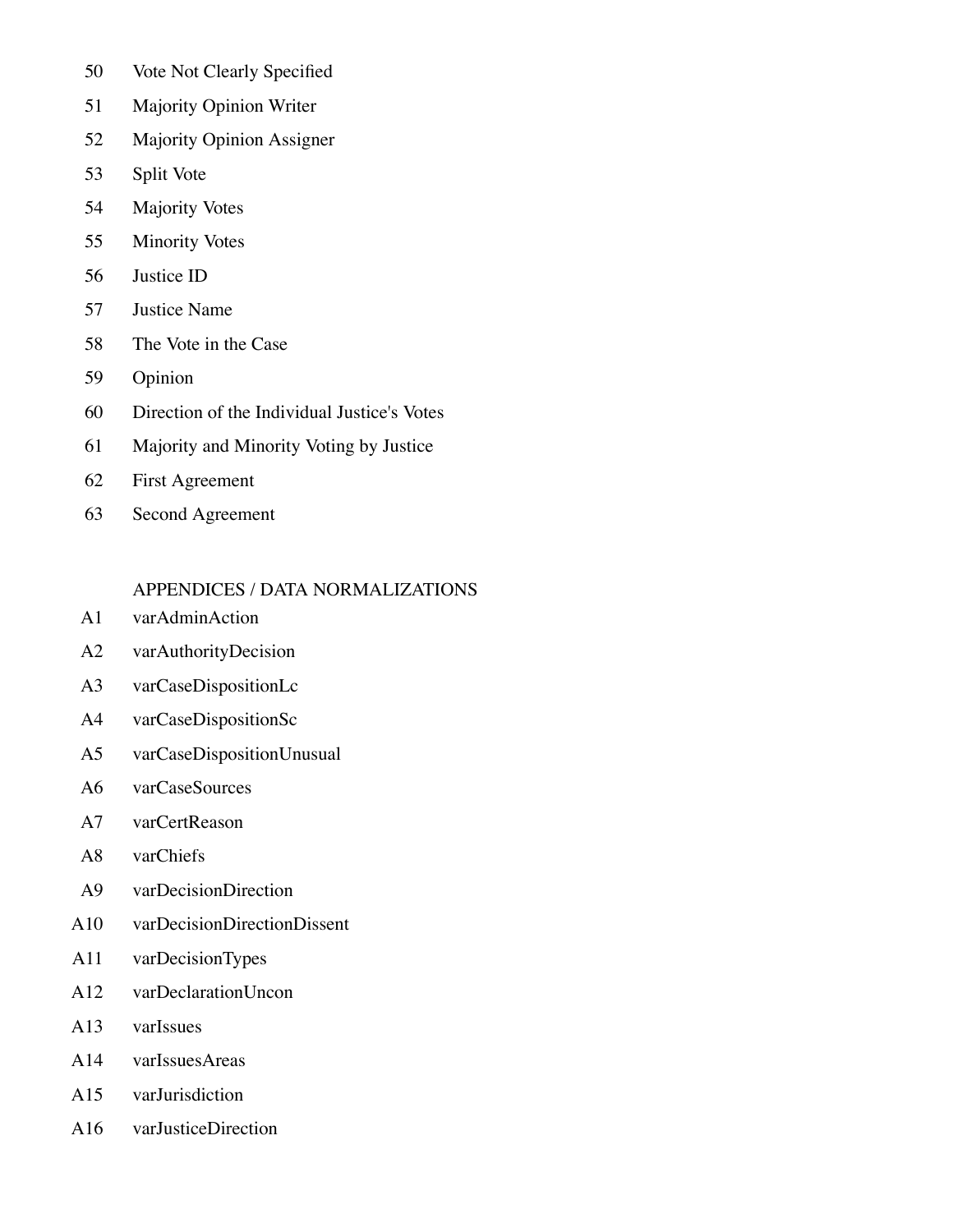- 50 Vote Not Clearly Specified
- 51 Majority Opinion Writer
- 52 Majority Opinion Assigner
- 53 Split Vote
- 54 Majority Votes
- 55 Minority Votes
- 56 Justice ID
- 57 Justice Name
- 58 The Vote in the Case
- 59 Opinion
- 60 Direction of the Individual Justice's Votes
- 61 Majority and Minority Voting by Justice
- 62 First Agreement
- 63 Second Agreement

#### APPENDICES / DATA NORMALIZATIONS

- A1 varAdminAction
- A2 varAuthorityDecision
- A3 varCaseDispositionLc
- A4 varCaseDispositionSc
- A5 varCaseDispositionUnusual
- A6 varCaseSources
- A7 varCertReason
- A8 varChiefs
- A9 varDecisionDirection
- A10 varDecisionDirectionDissent
- A11 varDecisionTypes
- A12 varDeclarationUncon
- A13 varIssues
- A14 varIssuesAreas
- A15 varJurisdiction
- A16 varJusticeDirection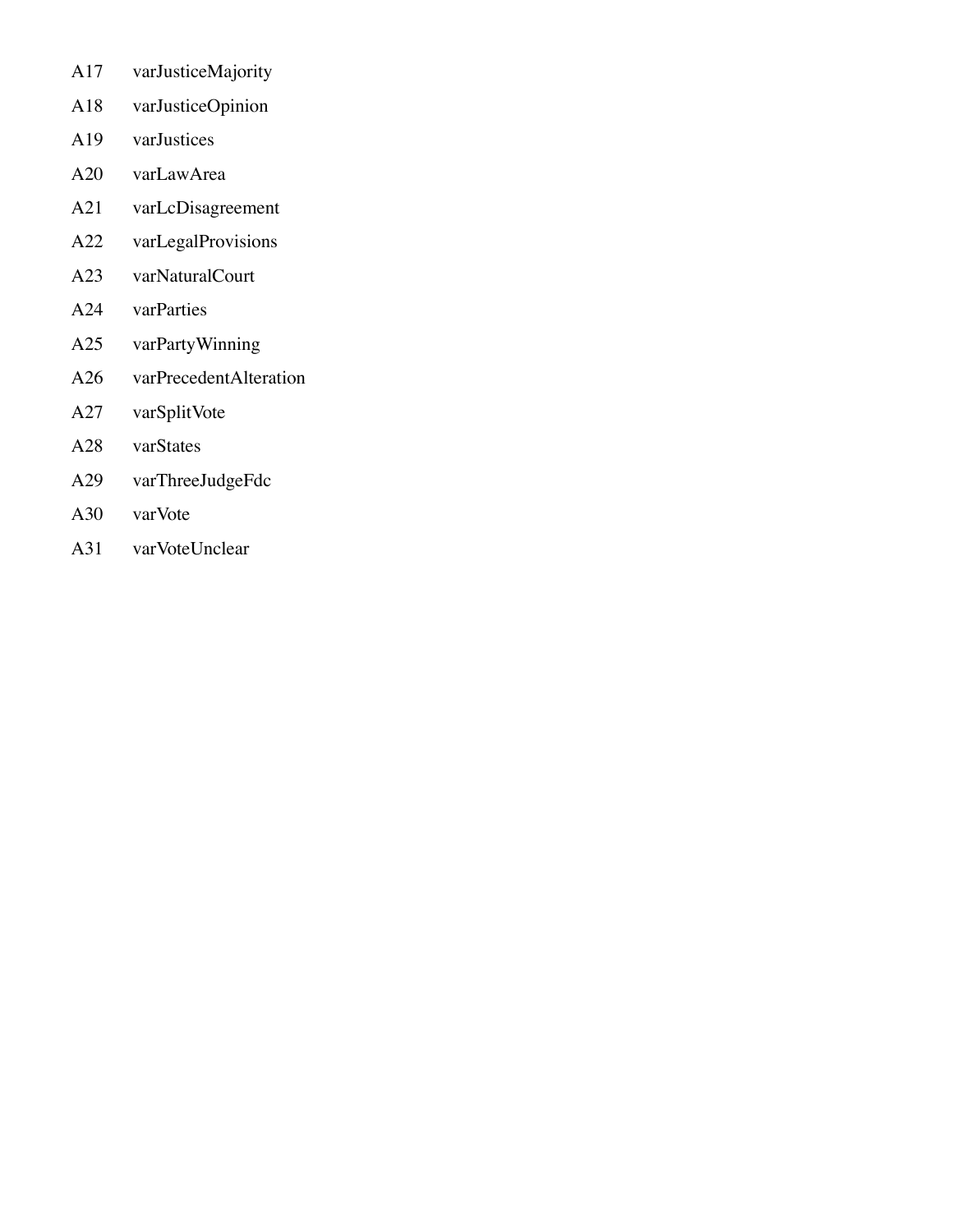- A17 varJusticeMajority
- A18 varJusticeOpinion
- A19 varJustices
- A20 varLawArea
- A21 varLcDisagreement
- A22 varLegalProvisions
- A23 varNaturalCourt
- A24 varParties
- A25 varPartyWinning
- A26 varPrecedentAlteration
- A27 varSplitVote
- A28 varStates
- A29 varThreeJudgeFdc
- A30 varVote
- A31 varVoteUnclear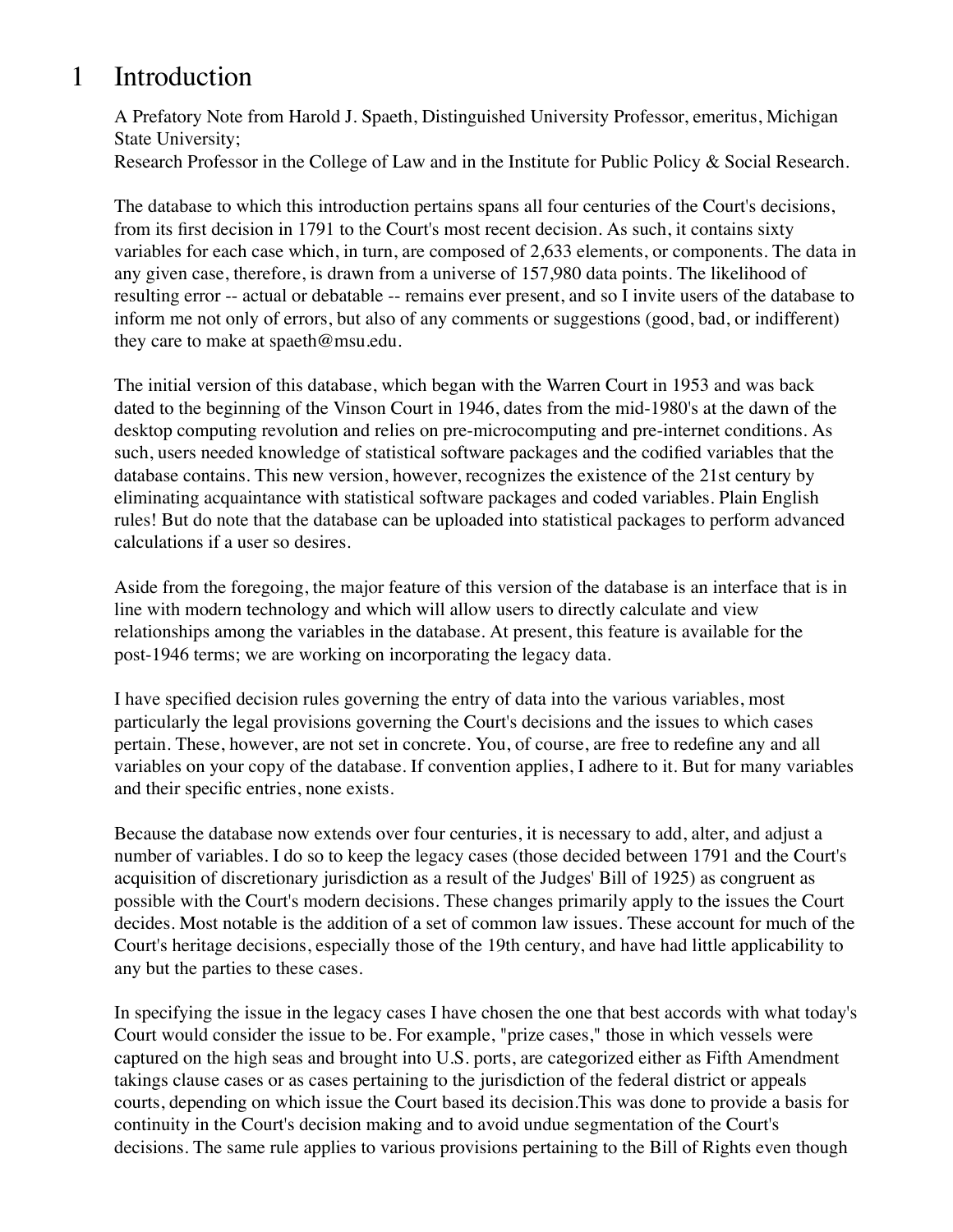## 1 Introduction

A Prefatory Note from Harold J. Spaeth, Distinguished University Professor, emeritus, Michigan State University;

Research Professor in the College of Law and in the Institute for Public Policy & Social Research.

The database to which this introduction pertains spans all four centuries of the Court's decisions, from its first decision in 1791 to the Court's most recent decision. As such, it contains sixty variables for each case which, in turn, are composed of 2,633 elements, or components. The data in any given case, therefore, is drawn from a universe of 157,980 data points. The likelihood of resulting error -- actual or debatable -- remains ever present, and so I invite users of the database to inform me not only of errors, but also of any comments or suggestions (good, bad, or indifferent) they care to make at spaeth@msu.edu.

The initial version of this database, which began with the Warren Court in 1953 and was back dated to the beginning of the Vinson Court in 1946, dates from the mid-1980's at the dawn of the desktop computing revolution and relies on pre-microcomputing and pre-internet conditions. As such, users needed knowledge of statistical software packages and the codified variables that the database contains. This new version, however, recognizes the existence of the 21st century by eliminating acquaintance with statistical software packages and coded variables. Plain English rules! But do note that the database can be uploaded into statistical packages to perform advanced calculations if a user so desires.

Aside from the foregoing, the major feature of this version of the database is an interface that is in line with modern technology and which will allow users to directly calculate and view relationships among the variables in the database. At present, this feature is available for the post-1946 terms; we are working on incorporating the legacy data.

I have specified decision rules governing the entry of data into the various variables, most particularly the legal provisions governing the Court's decisions and the issues to which cases pertain. These, however, are not set in concrete. You, of course, are free to redefine any and all variables on your copy of the database. If convention applies, I adhere to it. But for many variables and their specific entries, none exists.

Because the database now extends over four centuries, it is necessary to add, alter, and adjust a number of variables. I do so to keep the legacy cases (those decided between 1791 and the Court's acquisition of discretionary jurisdiction as a result of the Judges' Bill of 1925) as congruent as possible with the Court's modern decisions. These changes primarily apply to the issues the Court decides. Most notable is the addition of a set of common law issues. These account for much of the Court's heritage decisions, especially those of the 19th century, and have had little applicability to any but the parties to these cases.

In specifying the issue in the legacy cases I have chosen the one that best accords with what today's Court would consider the issue to be. For example, "prize cases," those in which vessels were captured on the high seas and brought into U.S. ports, are categorized either as Fifth Amendment takings clause cases or as cases pertaining to the jurisdiction of the federal district or appeals courts, depending on which issue the Court based its decision.This was done to provide a basis for continuity in the Court's decision making and to avoid undue segmentation of the Court's decisions. The same rule applies to various provisions pertaining to the Bill of Rights even though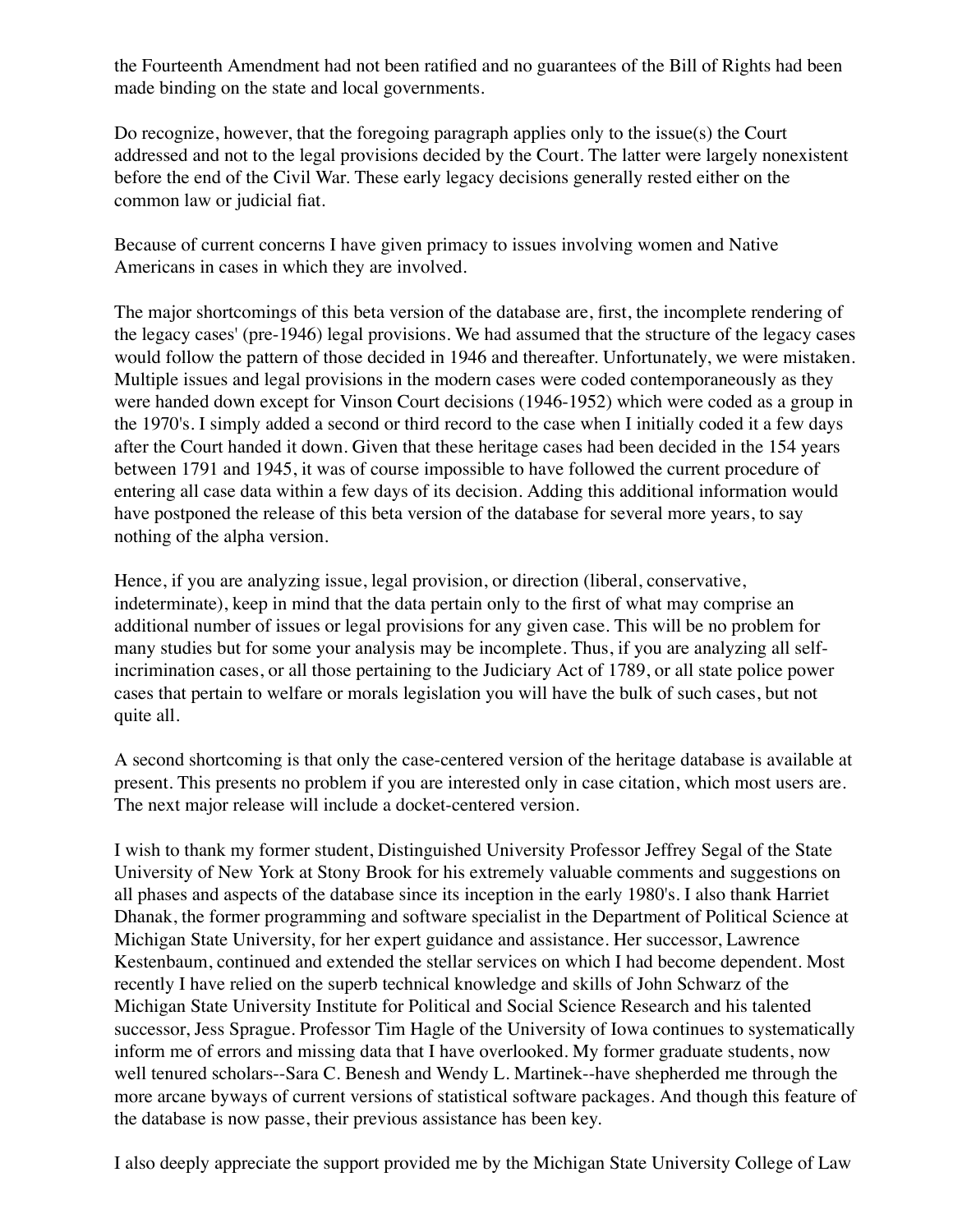the Fourteenth Amendment had not been ratified and no guarantees of the Bill of Rights had been made binding on the state and local governments.

Do recognize, however, that the foregoing paragraph applies only to the issue(s) the Court addressed and not to the legal provisions decided by the Court. The latter were largely nonexistent before the end of the Civil War. These early legacy decisions generally rested either on the common law or judicial fiat.

Because of current concerns I have given primacy to issues involving women and Native Americans in cases in which they are involved.

The major shortcomings of this beta version of the database are, first, the incomplete rendering of the legacy cases' (pre-1946) legal provisions. We had assumed that the structure of the legacy cases would follow the pattern of those decided in 1946 and thereafter. Unfortunately, we were mistaken. Multiple issues and legal provisions in the modern cases were coded contemporaneously as they were handed down except for Vinson Court decisions (1946-1952) which were coded as a group in the 1970's. I simply added a second or third record to the case when I initially coded it a few days after the Court handed it down. Given that these heritage cases had been decided in the 154 years between 1791 and 1945, it was of course impossible to have followed the current procedure of entering all case data within a few days of its decision. Adding this additional information would have postponed the release of this beta version of the database for several more years, to say nothing of the alpha version.

Hence, if you are analyzing issue, legal provision, or direction (liberal, conservative, indeterminate), keep in mind that the data pertain only to the first of what may comprise an additional number of issues or legal provisions for any given case. This will be no problem for many studies but for some your analysis may be incomplete. Thus, if you are analyzing all selfincrimination cases, or all those pertaining to the Judiciary Act of 1789, or all state police power cases that pertain to welfare or morals legislation you will have the bulk of such cases, but not quite all.

A second shortcoming is that only the case-centered version of the heritage database is available at present. This presents no problem if you are interested only in case citation, which most users are. The next major release will include a docket-centered version.

I wish to thank my former student, Distinguished University Professor Jeffrey Segal of the State University of New York at Stony Brook for his extremely valuable comments and suggestions on all phases and aspects of the database since its inception in the early 1980's. I also thank Harriet Dhanak, the former programming and software specialist in the Department of Political Science at Michigan State University, for her expert guidance and assistance. Her successor, Lawrence Kestenbaum, continued and extended the stellar services on which I had become dependent. Most recently I have relied on the superb technical knowledge and skills of John Schwarz of the Michigan State University Institute for Political and Social Science Research and his talented successor, Jess Sprague. Professor Tim Hagle of the University of Iowa continues to systematically inform me of errors and missing data that I have overlooked. My former graduate students, now well tenured scholars--Sara C. Benesh and Wendy L. Martinek--have shepherded me through the more arcane byways of current versions of statistical software packages. And though this feature of the database is now passe, their previous assistance has been key.

I also deeply appreciate the support provided me by the Michigan State University College of Law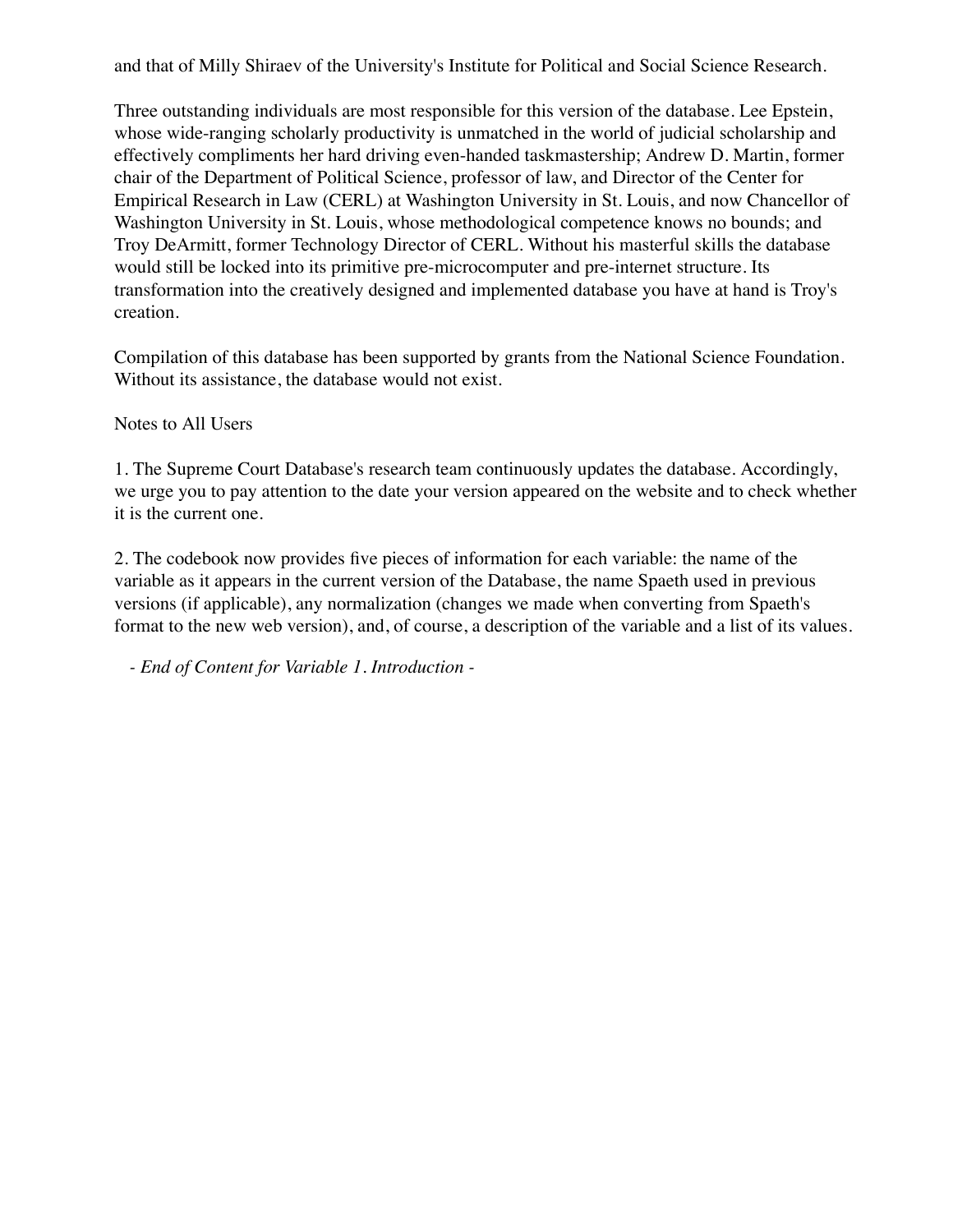and that of Milly Shiraev of the University's Institute for Political and Social Science Research.

Three outstanding individuals are most responsible for this version of the database. Lee Epstein, whose wide-ranging scholarly productivity is unmatched in the world of judicial scholarship and effectively compliments her hard driving even-handed taskmastership; Andrew D. Martin, former chair of the Department of Political Science, professor of law, and Director of the Center for Empirical Research in Law (CERL) at Washington University in St. Louis, and now Chancellor of Washington University in St. Louis, whose methodological competence knows no bounds; and Troy DeArmitt, former Technology Director of CERL. Without his masterful skills the database would still be locked into its primitive pre-microcomputer and pre-internet structure. Its transformation into the creatively designed and implemented database you have at hand is Troy's creation.

Compilation of this database has been supported by grants from the National Science Foundation. Without its assistance, the database would not exist.

Notes to All Users

1. The Supreme Court Database's research team continuously updates the database. Accordingly, we urge you to pay attention to the date your version appeared on the website and to check whether it is the current one.

2. The codebook now provides five pieces of information for each variable: the name of the variable as it appears in the current version of the Database, the name Spaeth used in previous versions (if applicable), any normalization (changes we made when converting from Spaeth's format to the new web version), and, of course, a description of the variable and a list of its values.

*- End of Content for Variable 1. Introduction -*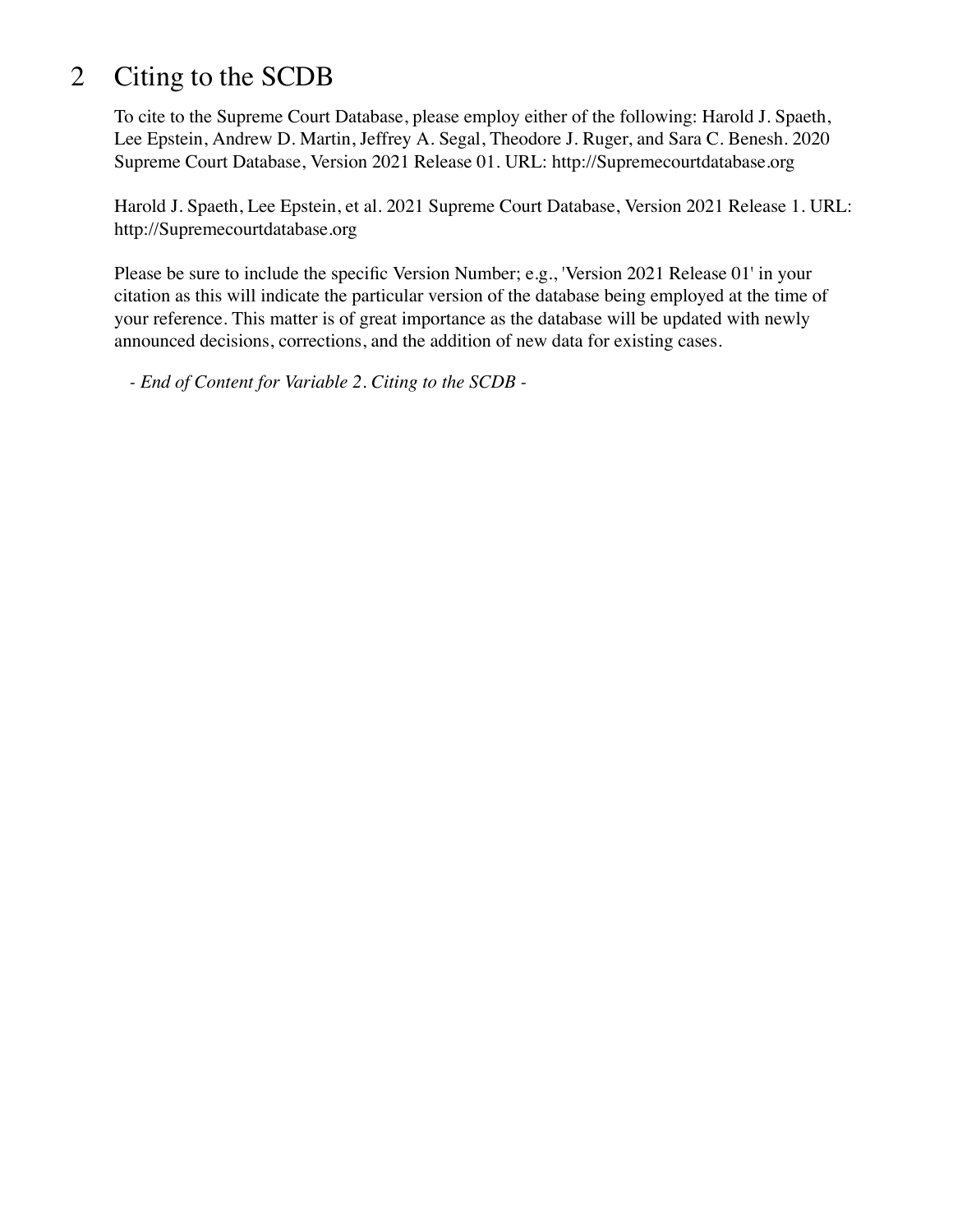## 2 Citing to the SCDB

To cite to the Supreme Court Database, please employ either of the following: Harold J. Spaeth, Lee Epstein, Andrew D. Martin, Jeffrey A. Segal, Theodore J. Ruger, and Sara C. Benesh. 2020 Supreme Court Database, Version 2021 Release 01. URL: http://Supremecourtdatabase.org

Harold J. Spaeth, Lee Epstein, et al. 2021 Supreme Court Database, Version 2021 Release 1. URL: http://Supremecourtdatabase.org

Please be sure to include the specific Version Number; e.g., 'Version 2021 Release 01' in your citation as this will indicate the particular version of the database being employed at the time of your reference. This matter is of great importance as the database will be updated with newly announced decisions, corrections, and the addition of new data for existing cases.

*- End of Content for Variable 2. Citing to the SCDB -*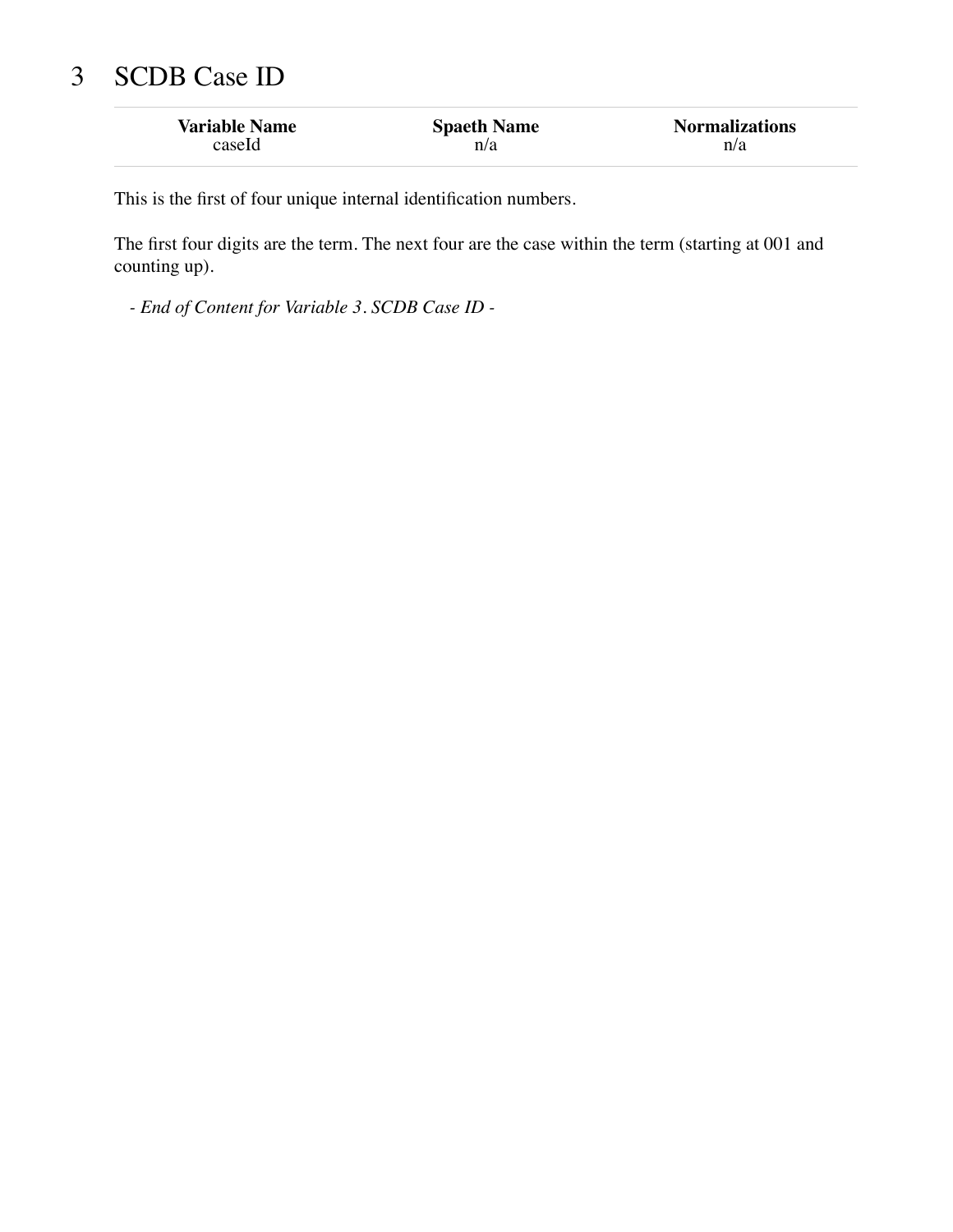## 3 SCDB Case ID

| <b>Variable Name</b> | <b>Spaeth Name</b> | <b>Normalizations</b> |
|----------------------|--------------------|-----------------------|
| caseld               | n/a                | n/a                   |

This is the first of four unique internal identification numbers.

The first four digits are the term. The next four are the case within the term (starting at 001 and counting up).

*- End of Content for Variable 3. SCDB Case ID -*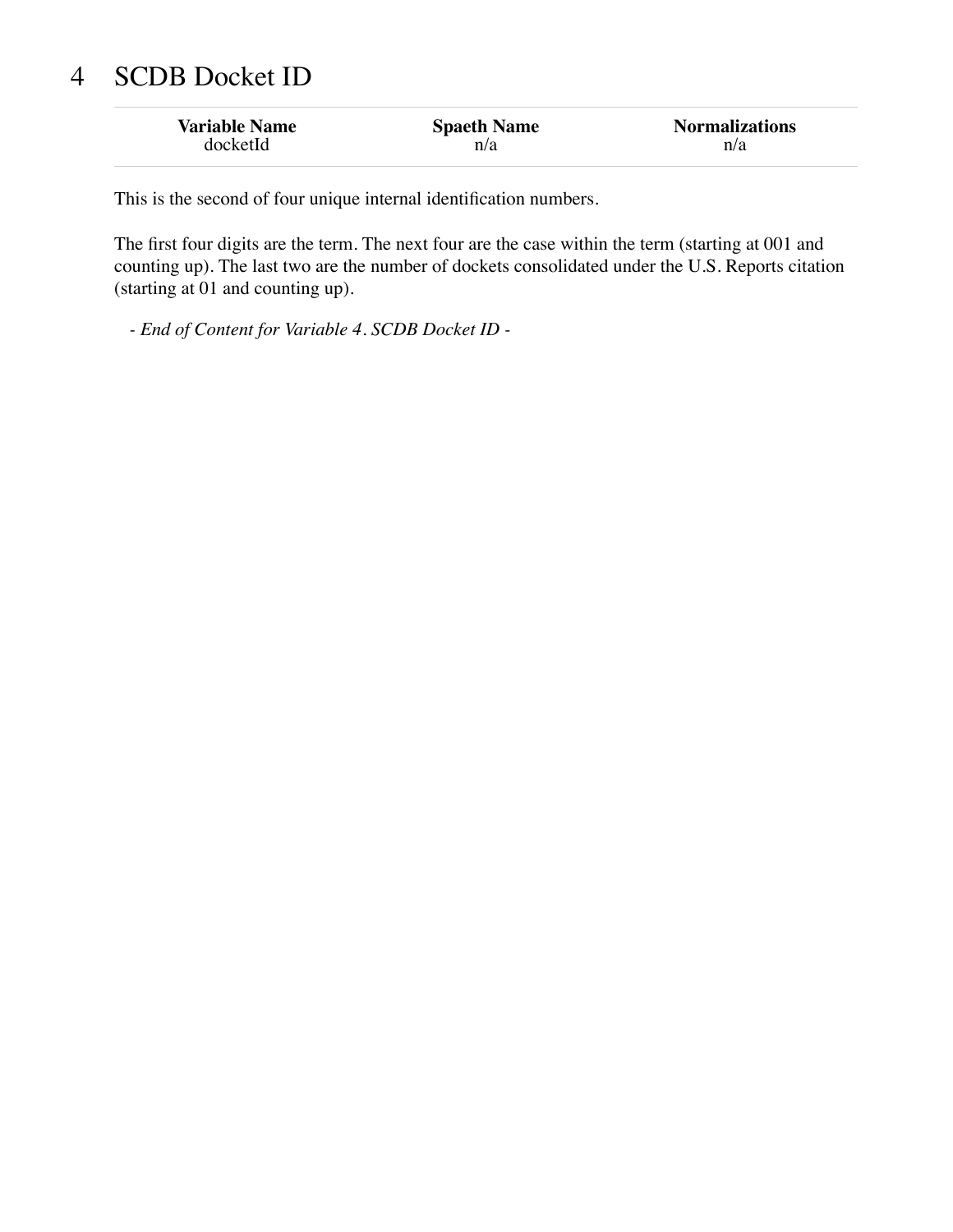# 4 SCDB Docket ID

| <b>Variable Name</b> | <b>Spaeth Name</b> | <b>Normalizations</b> |
|----------------------|--------------------|-----------------------|
| docketId             | n/a                | n/a                   |

This is the second of four unique internal identification numbers.

The first four digits are the term. The next four are the case within the term (starting at 001 and counting up). The last two are the number of dockets consolidated under the U.S. Reports citation (starting at 01 and counting up).

*- End of Content for Variable 4. SCDB Docket ID -*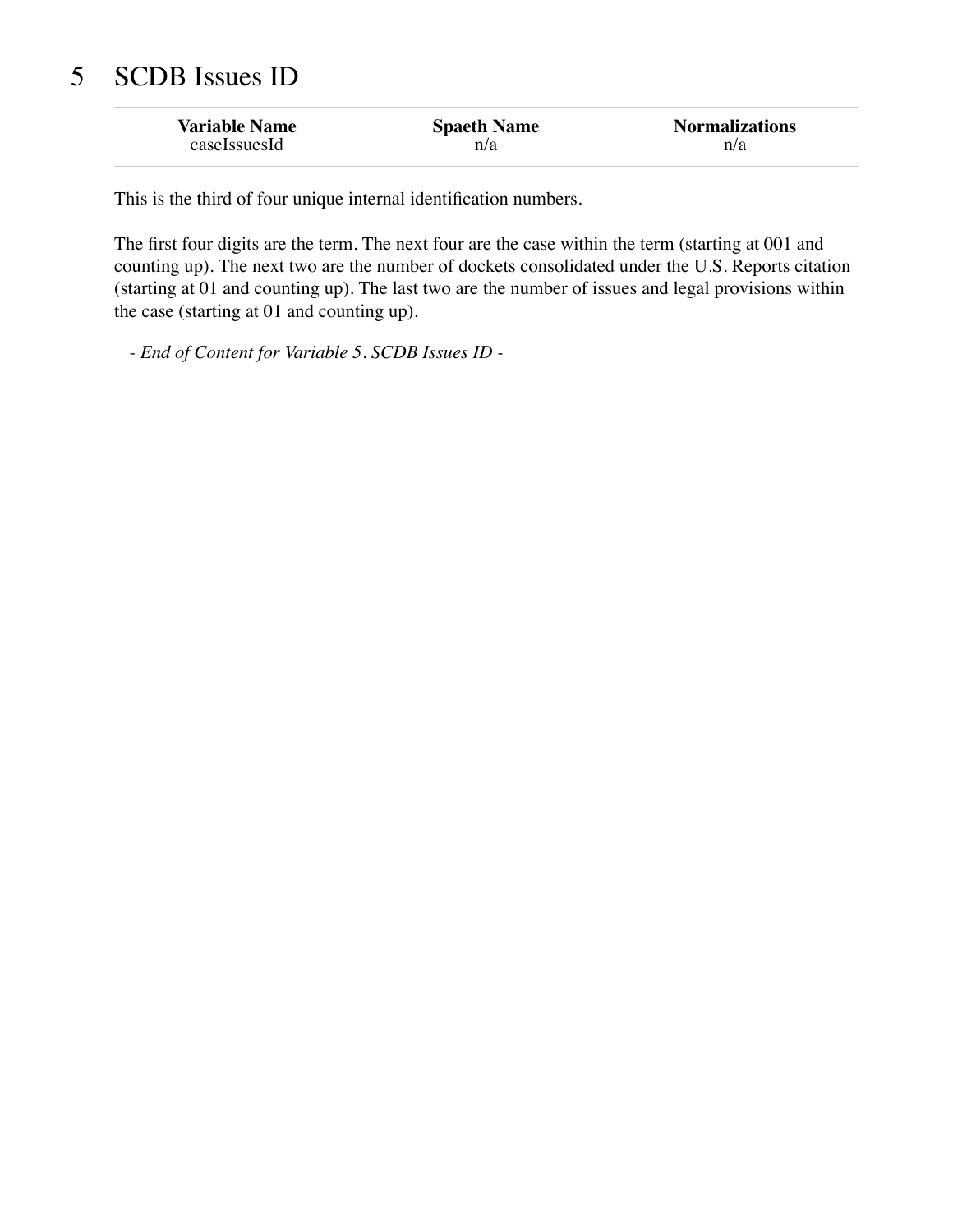## 5 SCDB Issues ID

| <b>Variable Name</b> | <b>Spaeth Name</b> | <b>Normalizations</b> |
|----------------------|--------------------|-----------------------|
| caseLssuesId         | n/a                | n/a                   |

This is the third of four unique internal identification numbers.

The first four digits are the term. The next four are the case within the term (starting at 001 and counting up). The next two are the number of dockets consolidated under the U.S. Reports citation (starting at 01 and counting up). The last two are the number of issues and legal provisions within the case (starting at 01 and counting up).

*- End of Content for Variable 5. SCDB Issues ID -*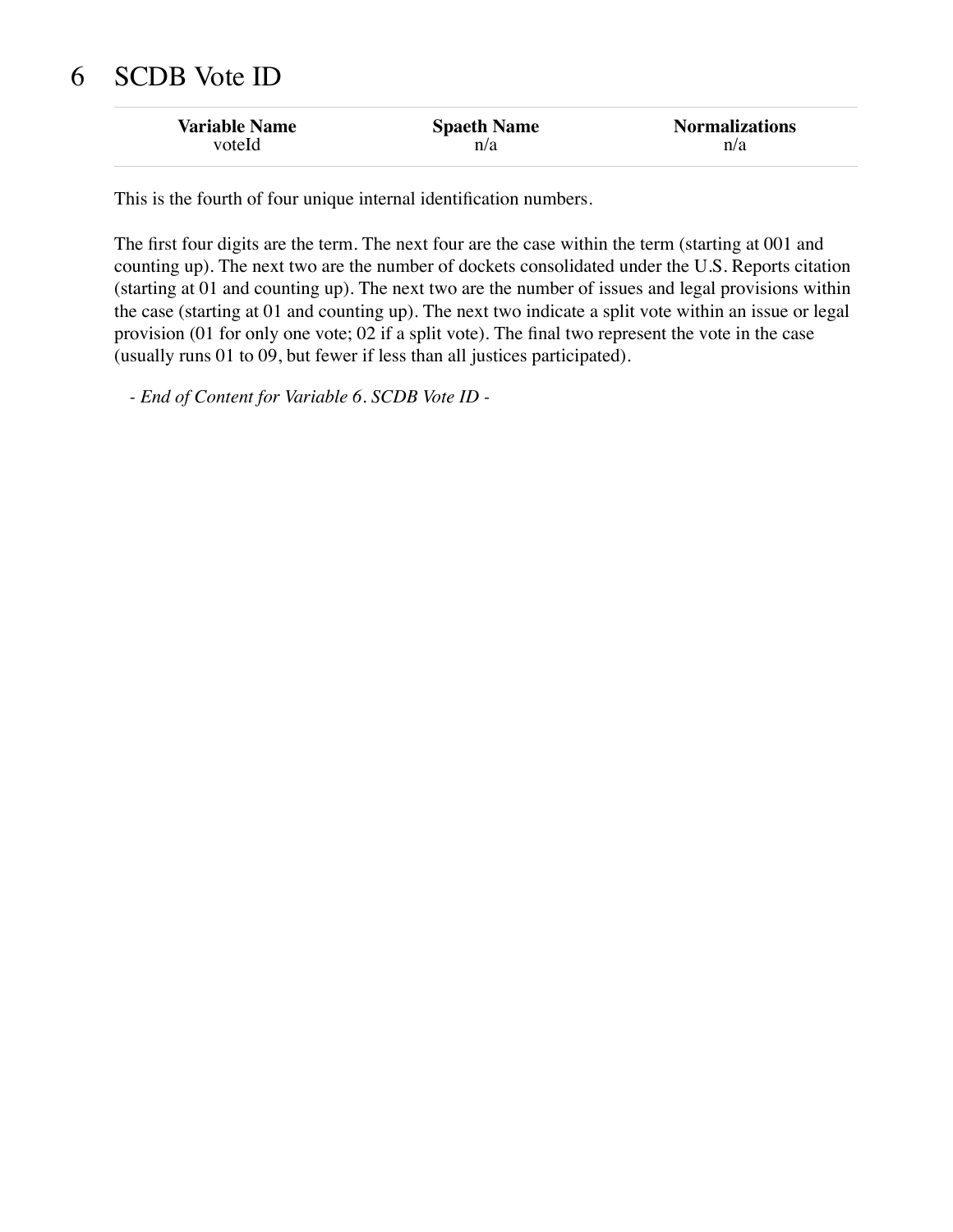## 6 SCDB Vote ID

| <b>Variable Name</b> | <b>Spaeth Name</b> | <b>Normalizations</b> |
|----------------------|--------------------|-----------------------|
| voteld               | n/a                | n/a                   |

This is the fourth of four unique internal identification numbers.

The first four digits are the term. The next four are the case within the term (starting at 001 and counting up). The next two are the number of dockets consolidated under the U.S. Reports citation (starting at 01 and counting up). The next two are the number of issues and legal provisions within the case (starting at 01 and counting up). The next two indicate a split vote within an issue or legal provision (01 for only one vote; 02 if a split vote). The final two represent the vote in the case (usually runs 01 to 09, but fewer if less than all justices participated).

*- End of Content for Variable 6. SCDB Vote ID -*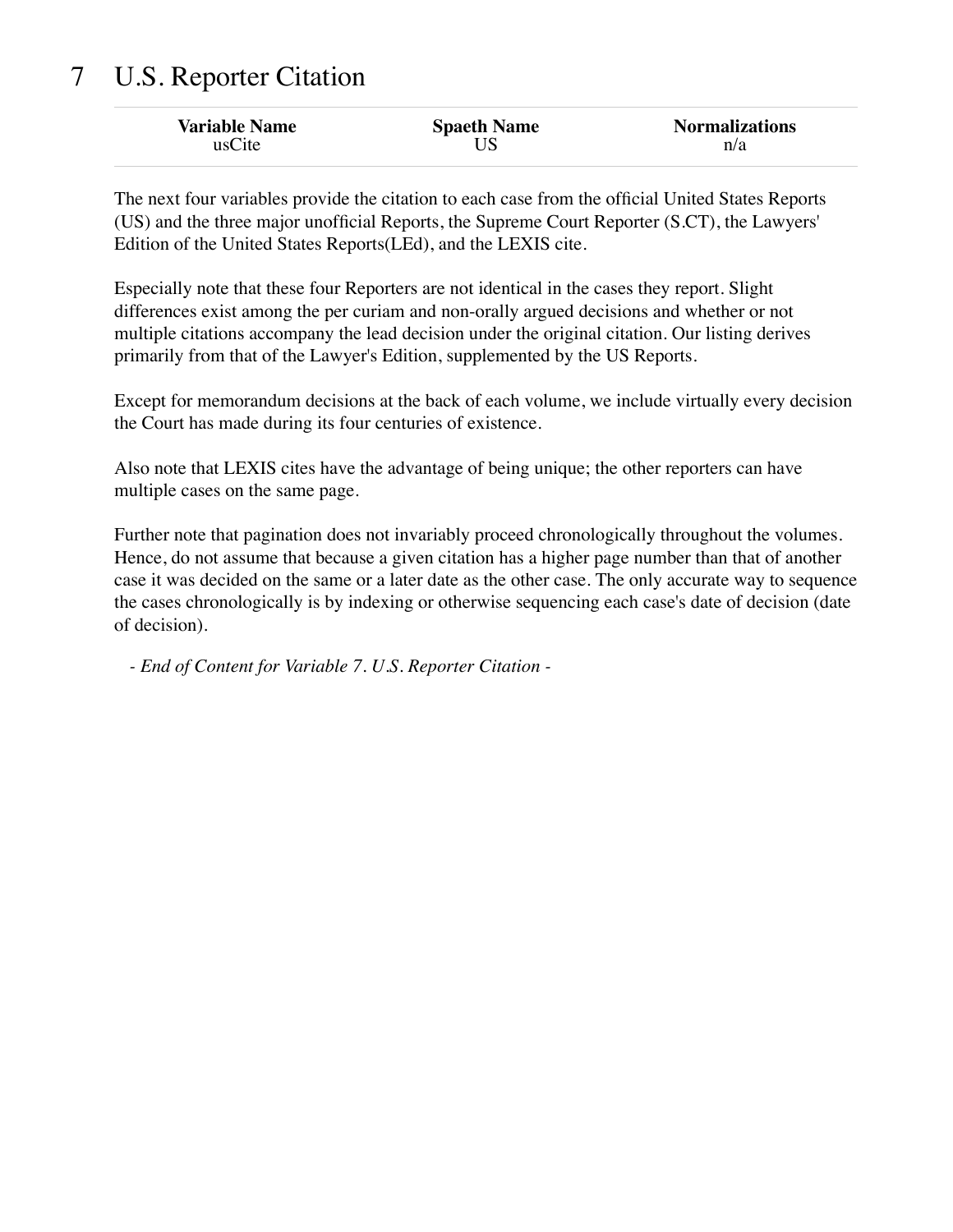## 7 U.S. Reporter Citation

| <b>Variable Name</b> | <b>Spaeth Name</b> | <b>Normalizations</b> |
|----------------------|--------------------|-----------------------|
| usCite               |                    | n/a                   |

The next four variables provide the citation to each case from the official United States Reports (US) and the three major unofficial Reports, the Supreme Court Reporter (S.CT), the Lawyers' Edition of the United States Reports(LEd), and the LEXIS cite.

Especially note that these four Reporters are not identical in the cases they report. Slight differences exist among the per curiam and non-orally argued decisions and whether or not multiple citations accompany the lead decision under the original citation. Our listing derives primarily from that of the Lawyer's Edition, supplemented by the US Reports.

Except for memorandum decisions at the back of each volume, we include virtually every decision the Court has made during its four centuries of existence.

Also note that LEXIS cites have the advantage of being unique; the other reporters can have multiple cases on the same page.

Further note that pagination does not invariably proceed chronologically throughout the volumes. Hence, do not assume that because a given citation has a higher page number than that of another case it was decided on the same or a later date as the other case. The only accurate way to sequence the cases chronologically is by indexing or otherwise sequencing each case's date of decision (date of decision).

*- End of Content for Variable 7. U.S. Reporter Citation -*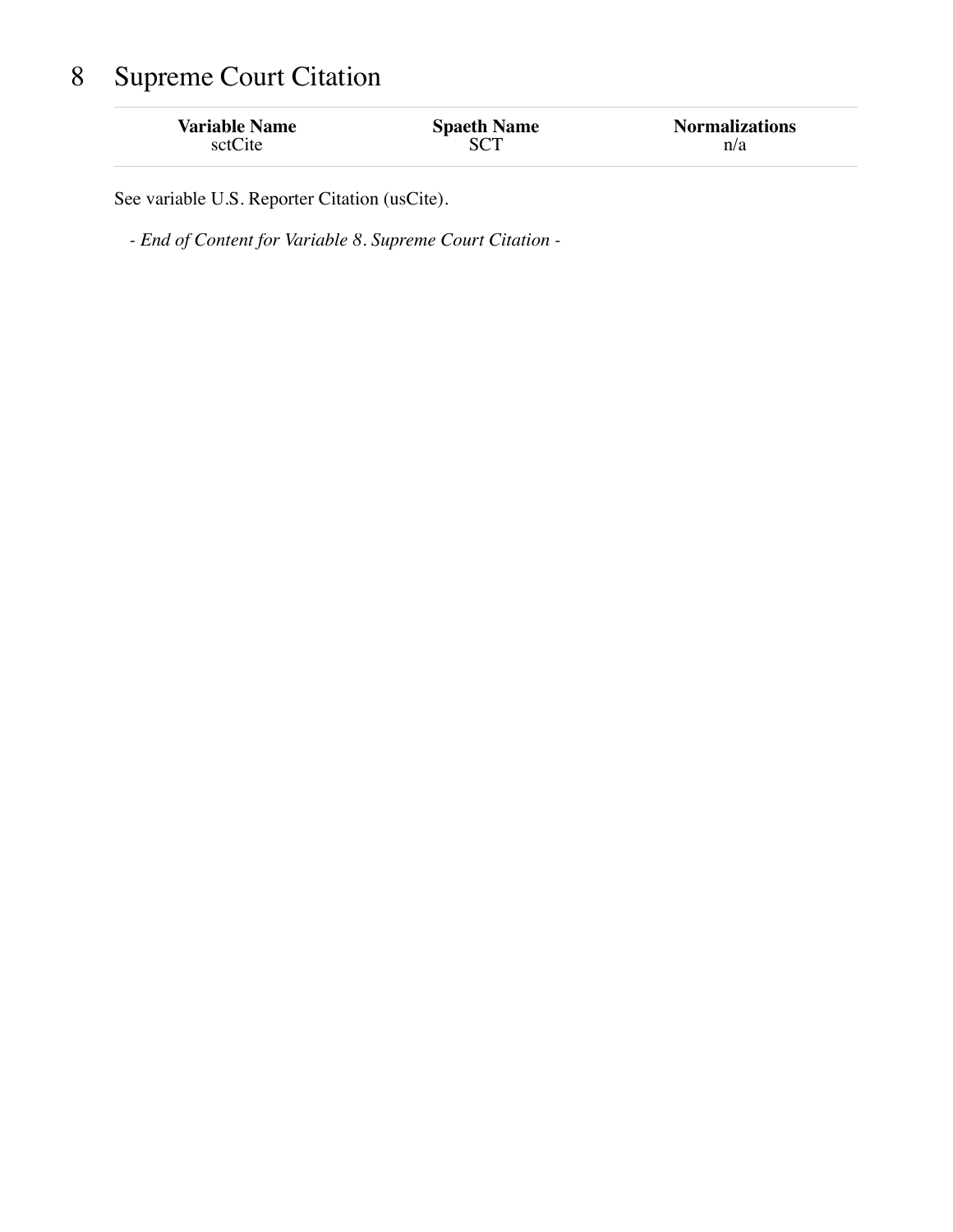# 8 Supreme Court Citation

| <b>Variable Name</b><br>sctCite | <b>Spaeth Name</b> | <b>Normalizations</b><br>n/a |
|---------------------------------|--------------------|------------------------------|
|                                 |                    |                              |

See variable U.S. Reporter Citation (usCite).

*- End of Content for Variable 8. Supreme Court Citation -*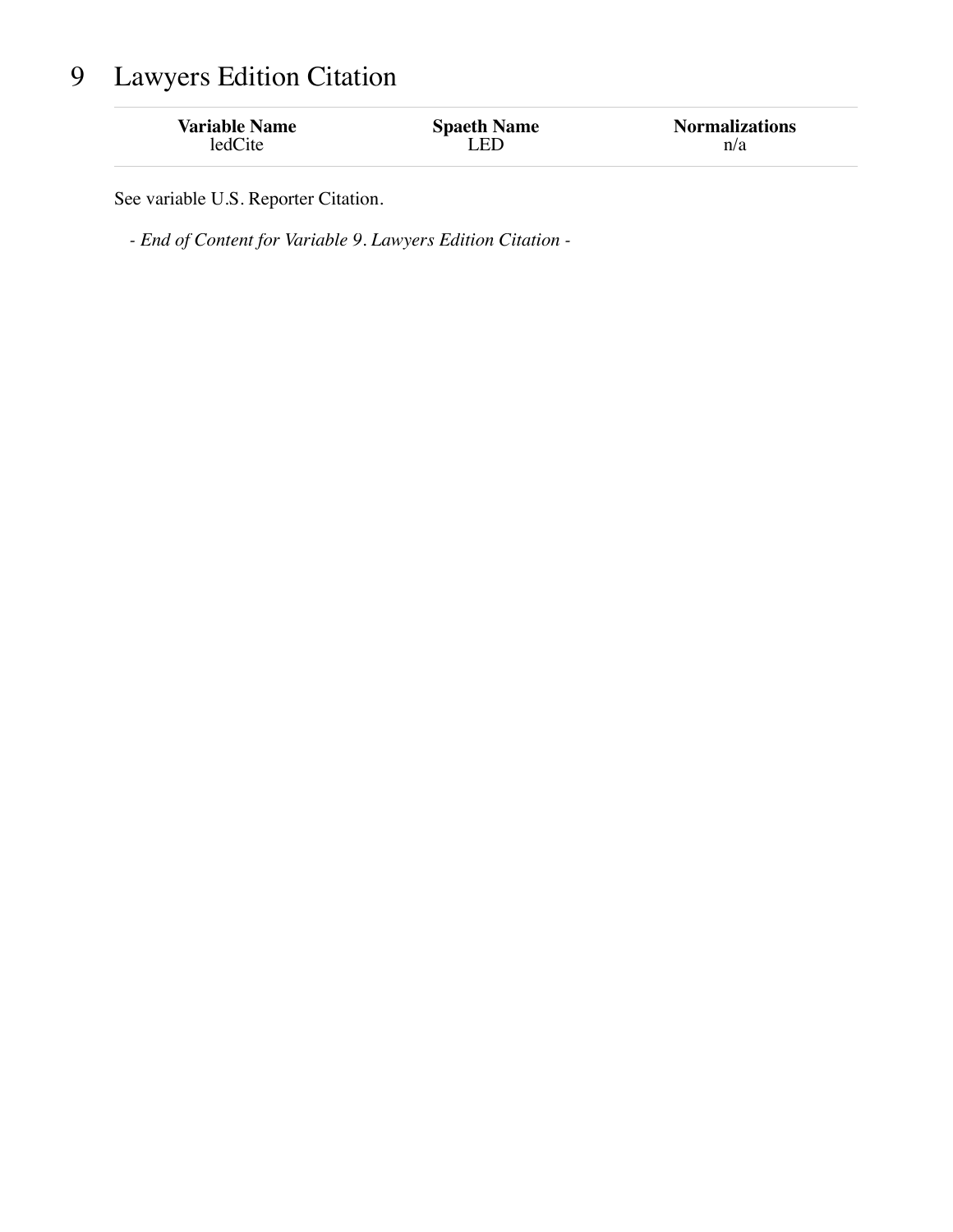# 9 Lawyers Edition Citation

| <b>Variable Name</b> | <b>Spaeth Name</b> | <b>Normalizations</b> |
|----------------------|--------------------|-----------------------|
| ledCite              | LED                | n/a                   |
|                      |                    |                       |

See variable U.S. Reporter Citation.

*- End of Content for Variable 9. Lawyers Edition Citation -*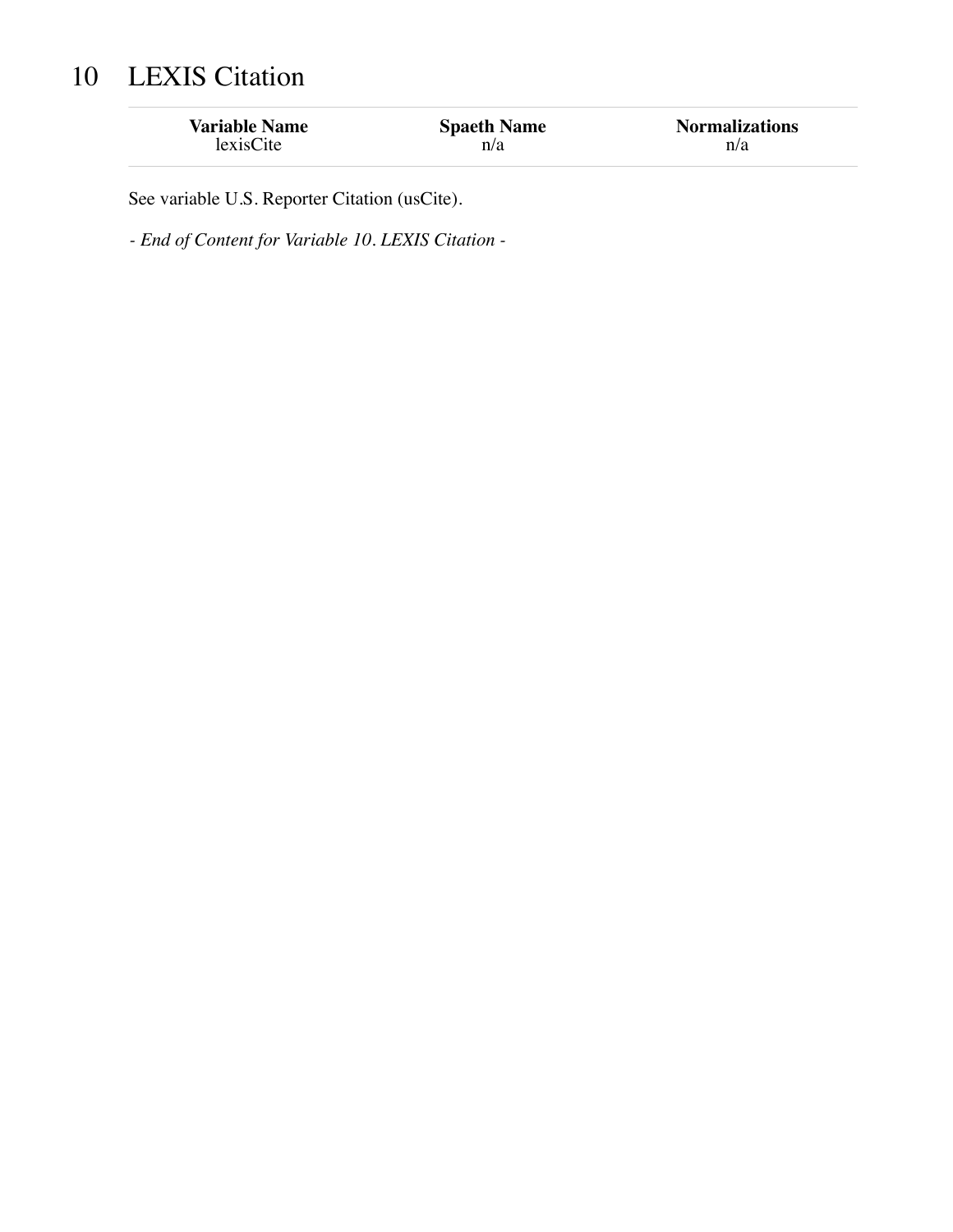# 10 LEXIS Citation

| <b>Variable Name</b> | <b>Spaeth Name</b> | <b>Normalizations</b> |
|----------------------|--------------------|-----------------------|
| lexisCite            | n/a                | n/a                   |

See variable U.S. Reporter Citation (usCite).

*- End of Content for Variable 10. LEXIS Citation -*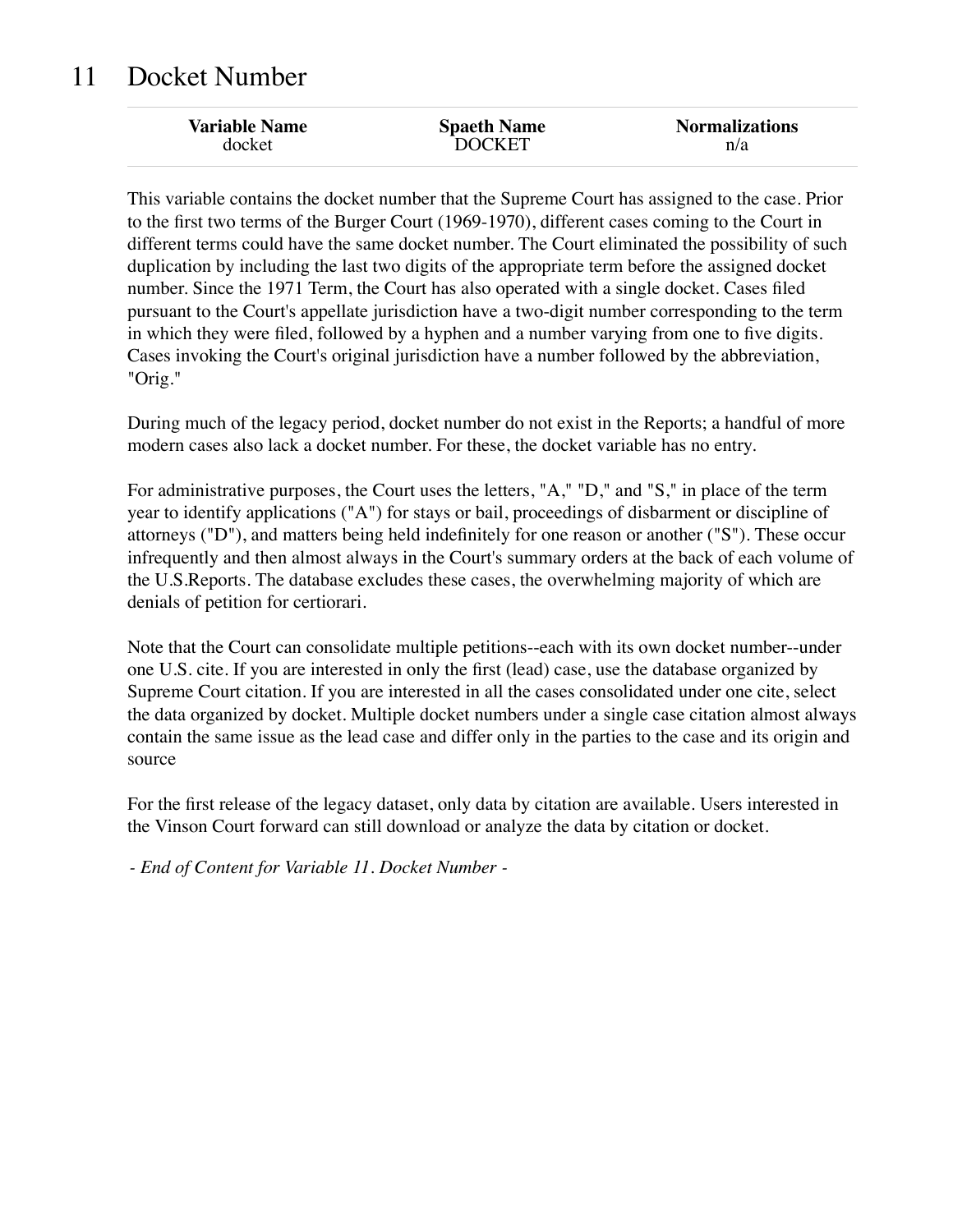## 11 Docket Number

| <b>Variable Name</b> | <b>Spaeth Name</b> | <b>Normalizations</b> |
|----------------------|--------------------|-----------------------|
| docket               | <b>DOCKET</b>      | n/a                   |
|                      |                    |                       |

This variable contains the docket number that the Supreme Court has assigned to the case. Prior to the first two terms of the Burger Court (1969-1970), different cases coming to the Court in different terms could have the same docket number. The Court eliminated the possibility of such duplication by including the last two digits of the appropriate term before the assigned docket number. Since the 1971 Term, the Court has also operated with a single docket. Cases filed pursuant to the Court's appellate jurisdiction have a two-digit number corresponding to the term in which they were filed, followed by a hyphen and a number varying from one to five digits. Cases invoking the Court's original jurisdiction have a number followed by the abbreviation, "Orig."

During much of the legacy period, docket number do not exist in the Reports; a handful of more modern cases also lack a docket number. For these, the docket variable has no entry.

For administrative purposes, the Court uses the letters, "A," "D," and "S," in place of the term year to identify applications ("A") for stays or bail, proceedings of disbarment or discipline of attorneys ("D"), and matters being held indefinitely for one reason or another ("S"). These occur infrequently and then almost always in the Court's summary orders at the back of each volume of the U.S.Reports. The database excludes these cases, the overwhelming majority of which are denials of petition for certiorari.

Note that the Court can consolidate multiple petitions--each with its own docket number--under one U.S. cite. If you are interested in only the first (lead) case, use the database organized by Supreme Court citation. If you are interested in all the cases consolidated under one cite, select the data organized by docket. Multiple docket numbers under a single case citation almost always contain the same issue as the lead case and differ only in the parties to the case and its origin and source

For the first release of the legacy dataset, only data by citation are available. Users interested in the Vinson Court forward can still download or analyze the data by citation or docket.

*- End of Content for Variable 11. Docket Number -*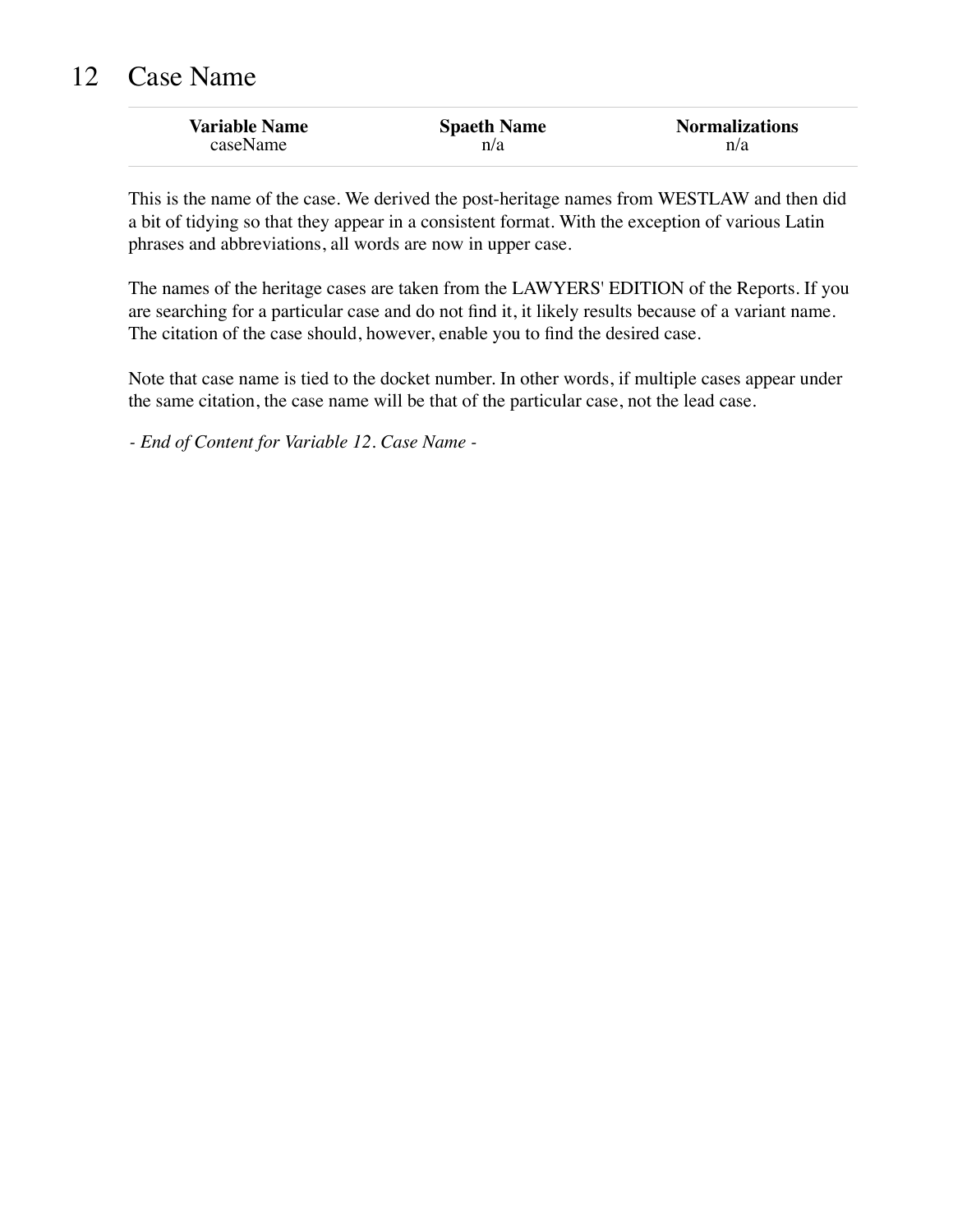## 12 Case Name

| <b>Variable Name</b> | <b>Spaeth Name</b> | <b>Normalizations</b> |
|----------------------|--------------------|-----------------------|
| caseName             | n/a                | n/a                   |

This is the name of the case. We derived the post-heritage names from WESTLAW and then did a bit of tidying so that they appear in a consistent format. With the exception of various Latin phrases and abbreviations, all words are now in upper case.

The names of the heritage cases are taken from the LAWYERS' EDITION of the Reports. If you are searching for a particular case and do not find it, it likely results because of a variant name. The citation of the case should, however, enable you to find the desired case.

Note that case name is tied to the docket number. In other words, if multiple cases appear under the same citation, the case name will be that of the particular case, not the lead case.

*- End of Content for Variable 12. Case Name -*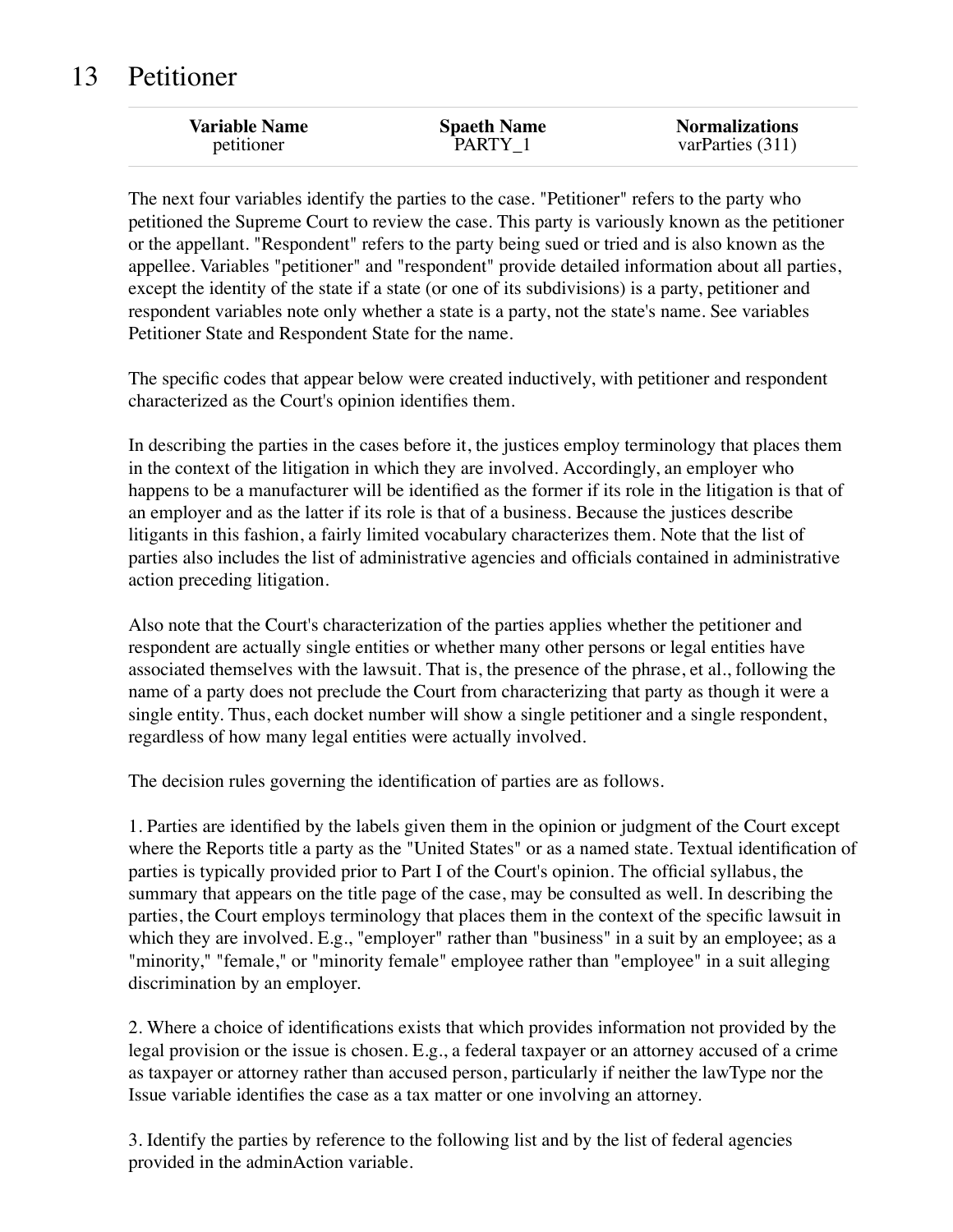## 13 Petitioner

The next four variables identify the parties to the case. "Petitioner" refers to the party who petitioned the Supreme Court to review the case. This party is variously known as the petitioner or the appellant. "Respondent" refers to the party being sued or tried and is also known as the appellee. Variables "petitioner" and "respondent" provide detailed information about all parties, except the identity of the state if a state (or one of its subdivisions) is a party, petitioner and respondent variables note only whether a state is a party, not the state's name. See variables Petitioner State and Respondent State for the name.

The specific codes that appear below were created inductively, with petitioner and respondent characterized as the Court's opinion identifies them.

In describing the parties in the cases before it, the justices employ terminology that places them in the context of the litigation in which they are involved. Accordingly, an employer who happens to be a manufacturer will be identified as the former if its role in the litigation is that of an employer and as the latter if its role is that of a business. Because the justices describe litigants in this fashion, a fairly limited vocabulary characterizes them. Note that the list of parties also includes the list of administrative agencies and officials contained in administrative action preceding litigation.

Also note that the Court's characterization of the parties applies whether the petitioner and respondent are actually single entities or whether many other persons or legal entities have associated themselves with the lawsuit. That is, the presence of the phrase, et al., following the name of a party does not preclude the Court from characterizing that party as though it were a single entity. Thus, each docket number will show a single petitioner and a single respondent, regardless of how many legal entities were actually involved.

The decision rules governing the identification of parties are as follows.

1. Parties are identified by the labels given them in the opinion or judgment of the Court except where the Reports title a party as the "United States" or as a named state. Textual identification of parties is typically provided prior to Part I of the Court's opinion. The official syllabus, the summary that appears on the title page of the case, may be consulted as well. In describing the parties, the Court employs terminology that places them in the context of the specific lawsuit in which they are involved. E.g., "employer" rather than "business" in a suit by an employee; as a "minority," "female," or "minority female" employee rather than "employee" in a suit alleging discrimination by an employer.

2. Where a choice of identifications exists that which provides information not provided by the legal provision or the issue is chosen. E.g., a federal taxpayer or an attorney accused of a crime as taxpayer or attorney rather than accused person, particularly if neither the lawType nor the Issue variable identifies the case as a tax matter or one involving an attorney.

3. Identify the parties by reference to the following list and by the list of federal agencies provided in the adminAction variable.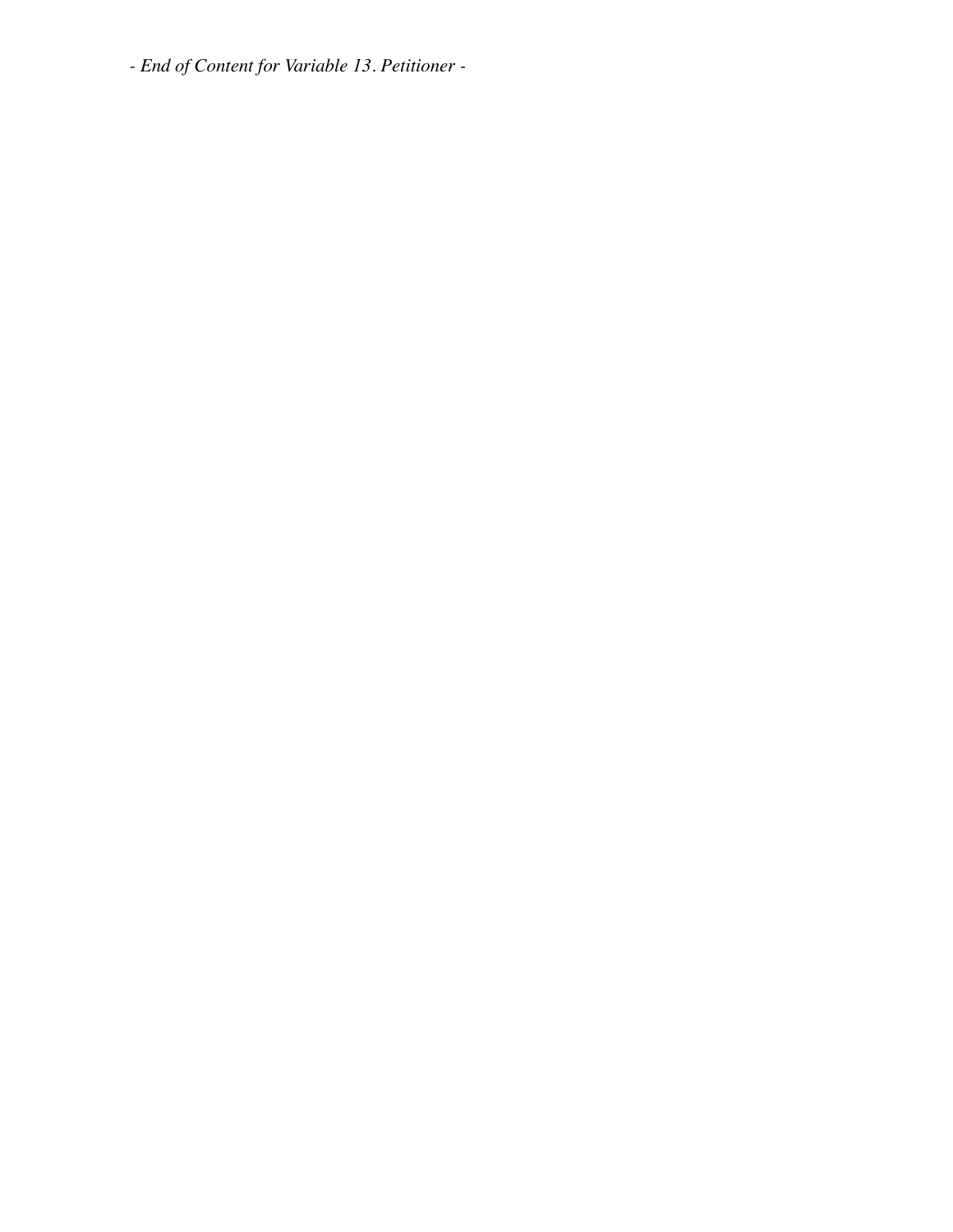*- End of Content for Variable 13. Petitioner -*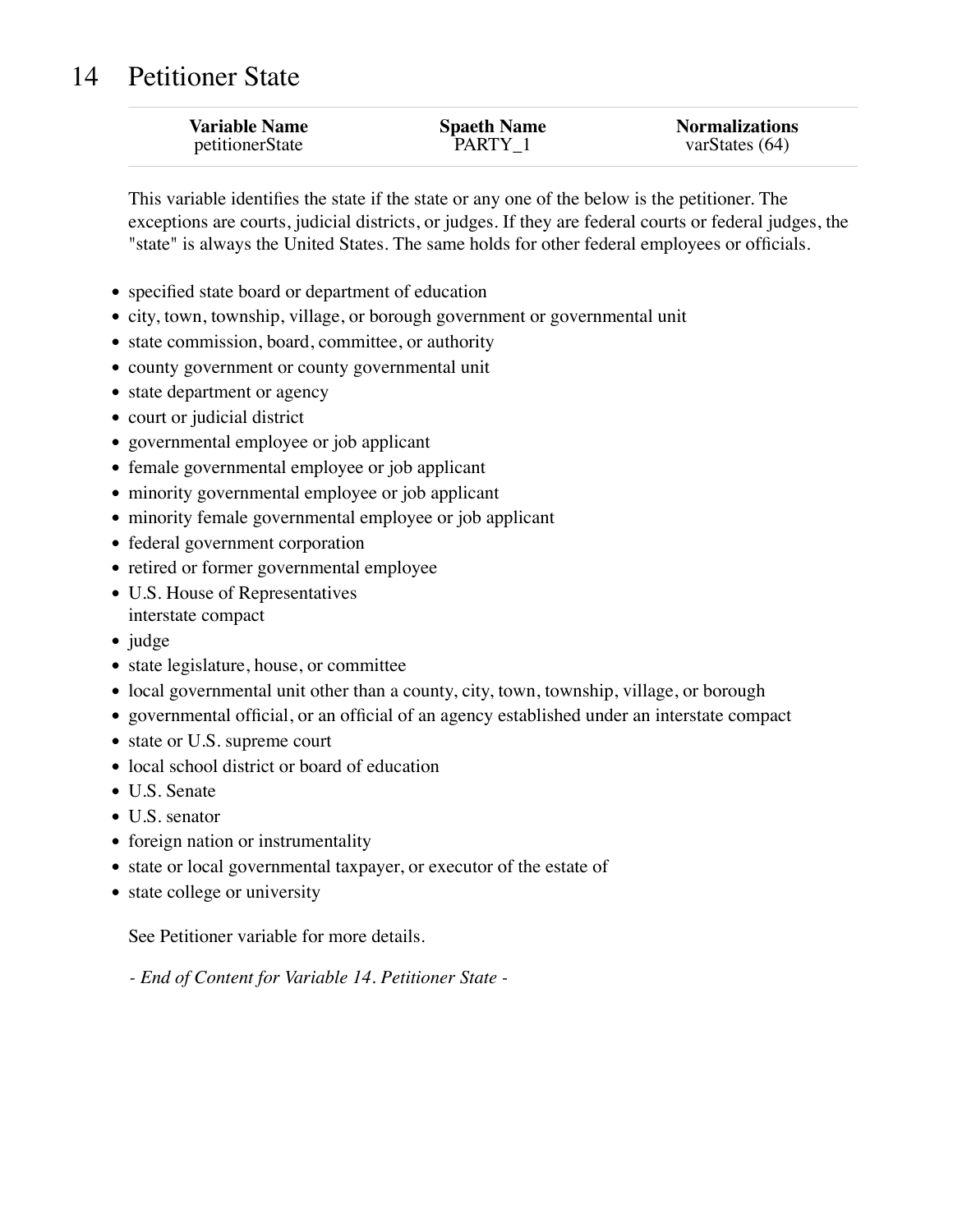## 14 Petitioner State

| <b>Variable Name</b> | <b>Spaeth Name</b> | <b>Normalizations</b> |
|----------------------|--------------------|-----------------------|
| petitionerState      | PARTY 1            | varStates $(64)$      |

This variable identifies the state if the state or any one of the below is the petitioner. The exceptions are courts, judicial districts, or judges. If they are federal courts or federal judges, the "state" is always the United States. The same holds for other federal employees or officials.

- specified state board or department of education
- city, town, township, village, or borough government or governmental unit
- state commission, board, committee, or authority
- county government or county governmental unit
- state department or agency
- court or judicial district
- governmental employee or job applicant
- female governmental employee or job applicant
- minority governmental employee or job applicant
- minority female governmental employee or job applicant
- federal government corporation
- retired or former governmental employee
- U.S. House of Representatives
- interstate compact
- judge
- state legislature, house, or committee
- local governmental unit other than a county, city, town, township, village, or borough
- governmental official, or an official of an agency established under an interstate compact
- state or U.S. supreme court
- local school district or board of education
- U.S. Senate
- U.S. senator
- foreign nation or instrumentality
- state or local governmental taxpayer, or executor of the estate of
- state college or university

See Petitioner variable for more details.

*- End of Content for Variable 14. Petitioner State -*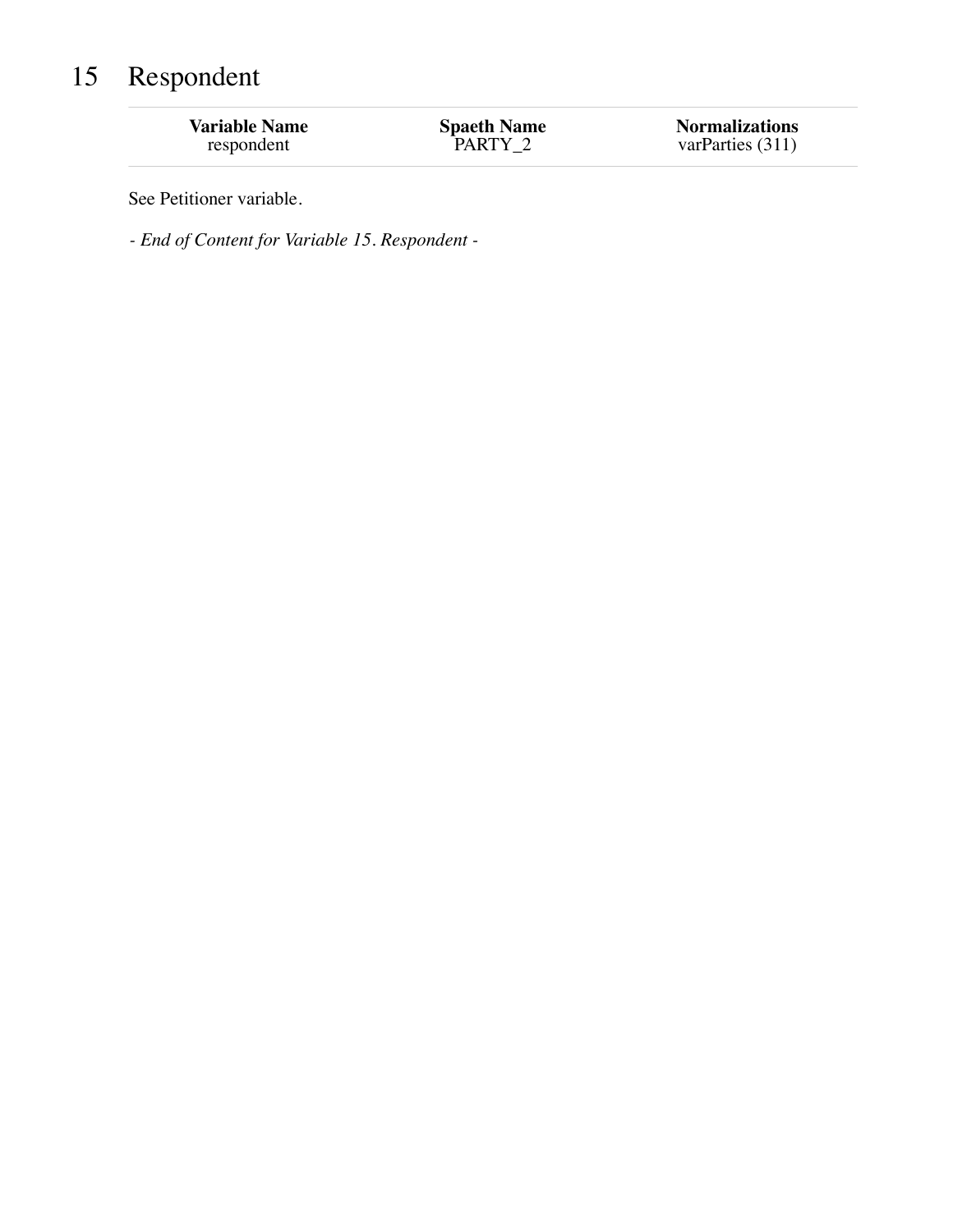# 15 Respondent

| <b>Variable Name</b> | <b>Spaeth Name</b> | <b>Normalizations</b> |
|----------------------|--------------------|-----------------------|
| respondent           | PARTY 2            | varParties (311)      |

See Petitioner variable.

*- End of Content for Variable 15. Respondent -*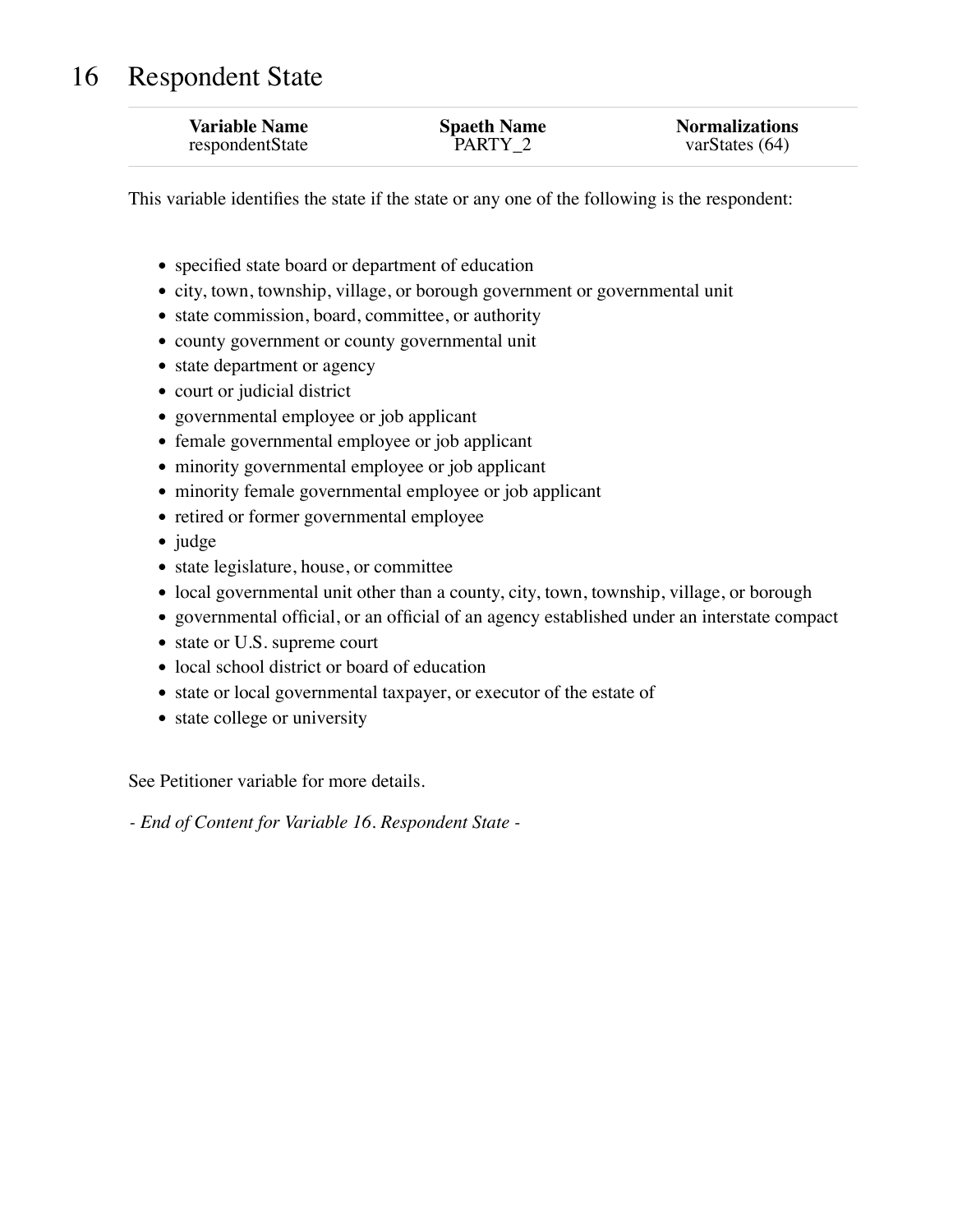## 16 Respondent State

| <b>Variable Name</b> | <b>Spaeth Name</b> | <b>Normalizations</b> |
|----------------------|--------------------|-----------------------|
| respondentState      | PARTY <sub>2</sub> | varStates $(64)$      |

This variable identifies the state if the state or any one of the following is the respondent:

- specified state board or department of education
- city, town, township, village, or borough government or governmental unit
- state commission, board, committee, or authority
- county government or county governmental unit
- state department or agency
- court or judicial district
- governmental employee or job applicant
- female governmental employee or job applicant
- minority governmental employee or job applicant
- minority female governmental employee or job applicant
- retired or former governmental employee
- judge
- state legislature, house, or committee
- local governmental unit other than a county, city, town, township, village, or borough
- governmental official, or an official of an agency established under an interstate compact
- state or U.S. supreme court
- local school district or board of education
- state or local governmental taxpayer, or executor of the estate of
- state college or university

See Petitioner variable for more details.

*- End of Content for Variable 16. Respondent State -*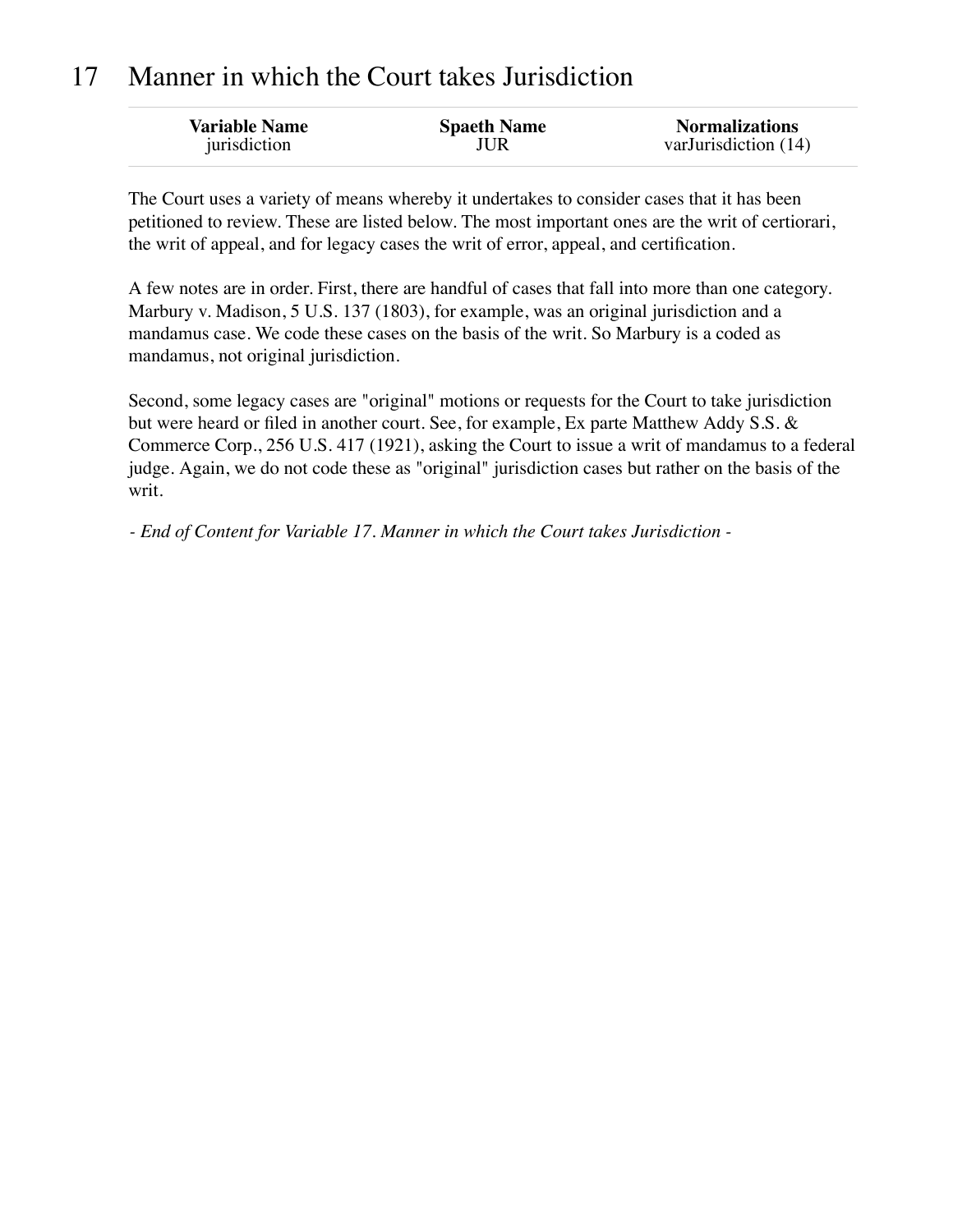## 17 Manner in which the Court takes Jurisdiction

| <b>Variable Name</b> | <b>Spaeth Name</b> | <b>Normalizations</b> |
|----------------------|--------------------|-----------------------|
| jurisdiction         | JUR                | varJurisdiction (14)  |

The Court uses a variety of means whereby it undertakes to consider cases that it has been petitioned to review. These are listed below. The most important ones are the writ of certiorari, the writ of appeal, and for legacy cases the writ of error, appeal, and certification.

A few notes are in order. First, there are handful of cases that fall into more than one category. Marbury v. Madison, 5 U.S. 137 (1803), for example, was an original jurisdiction and a mandamus case. We code these cases on the basis of the writ. So Marbury is a coded as mandamus, not original jurisdiction.

Second, some legacy cases are "original" motions or requests for the Court to take jurisdiction but were heard or filed in another court. See, for example, Ex parte Matthew Addy S.S. & Commerce Corp., 256 U.S. 417 (1921), asking the Court to issue a writ of mandamus to a federal judge. Again, we do not code these as "original" jurisdiction cases but rather on the basis of the writ.

*- End of Content for Variable 17. Manner in which the Court takes Jurisdiction -*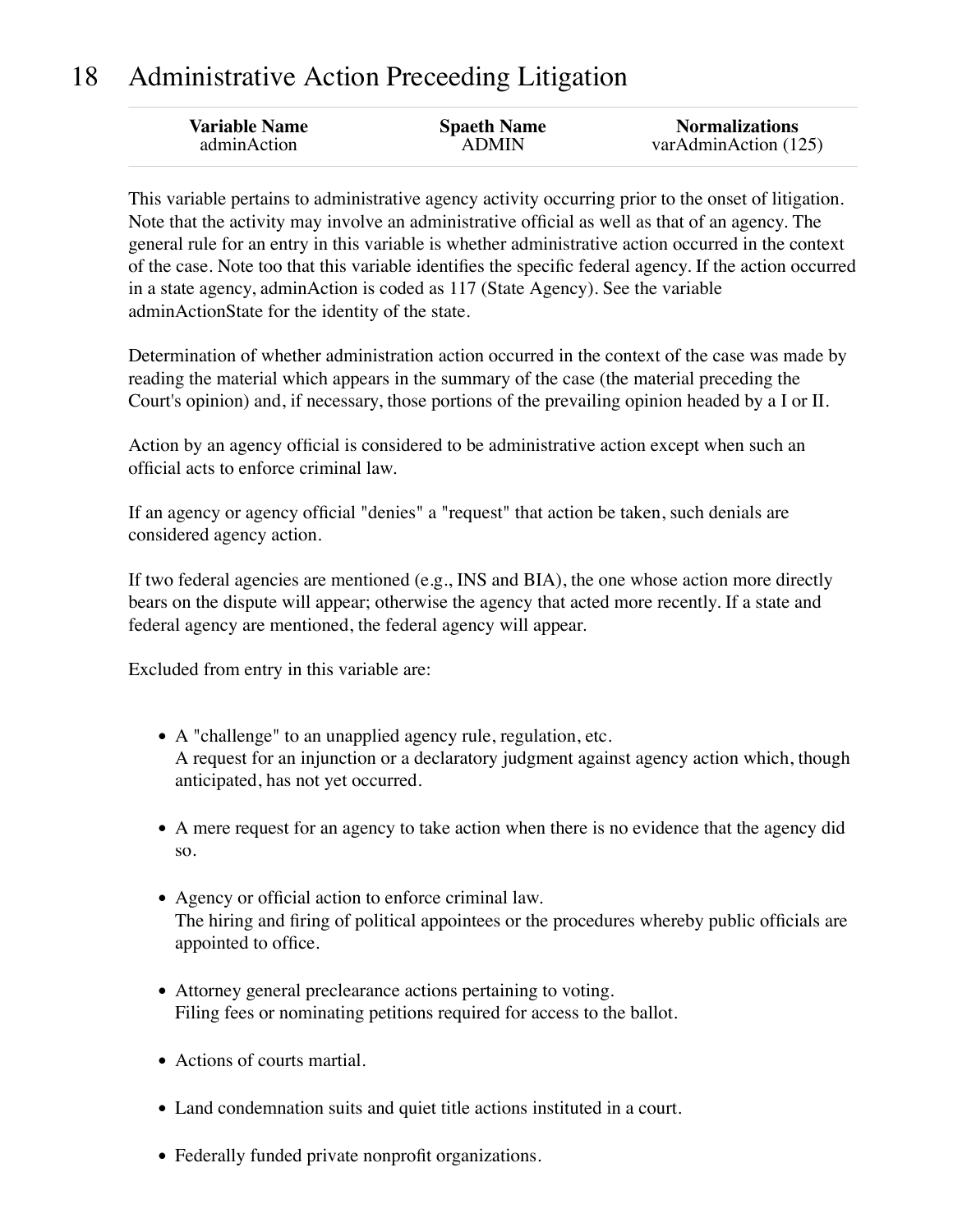## 18 Administrative Action Preceeding Litigation

| adminAction<br><b>ADMIN</b> | <b>Variable Name</b> | <b>Spaeth Name</b> | <b>Normalizations</b><br>varAdminAction (125) |
|-----------------------------|----------------------|--------------------|-----------------------------------------------|
|-----------------------------|----------------------|--------------------|-----------------------------------------------|

This variable pertains to administrative agency activity occurring prior to the onset of litigation. Note that the activity may involve an administrative official as well as that of an agency. The general rule for an entry in this variable is whether administrative action occurred in the context of the case. Note too that this variable identifies the specific federal agency. If the action occurred in a state agency, adminAction is coded as 117 (State Agency). See the variable adminActionState for the identity of the state.

Determination of whether administration action occurred in the context of the case was made by reading the material which appears in the summary of the case (the material preceding the Court's opinion) and, if necessary, those portions of the prevailing opinion headed by a I or II.

Action by an agency official is considered to be administrative action except when such an official acts to enforce criminal law.

If an agency or agency official "denies" a "request" that action be taken, such denials are considered agency action.

If two federal agencies are mentioned (e.g., INS and BIA), the one whose action more directly bears on the dispute will appear; otherwise the agency that acted more recently. If a state and federal agency are mentioned, the federal agency will appear.

Excluded from entry in this variable are:

- A "challenge" to an unapplied agency rule, regulation, etc. A request for an injunction or a declaratory judgment against agency action which, though anticipated, has not yet occurred.
- A mere request for an agency to take action when there is no evidence that the agency did so.
- Agency or official action to enforce criminal law. The hiring and firing of political appointees or the procedures whereby public officials are appointed to office.
- Attorney general preclearance actions pertaining to voting. Filing fees or nominating petitions required for access to the ballot.
- Actions of courts martial.
- Land condemnation suits and quiet title actions instituted in a court.
- Federally funded private nonprofit organizations.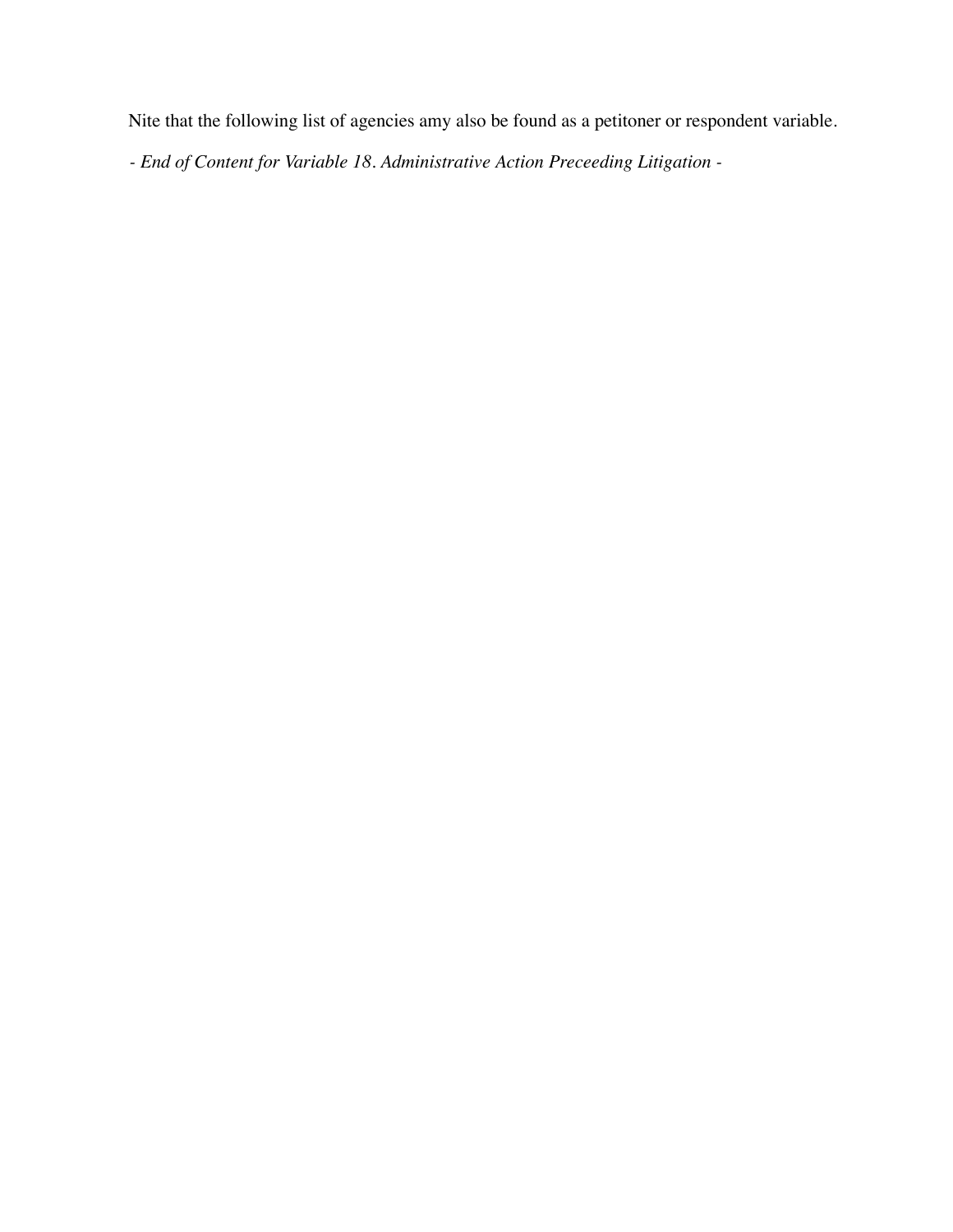Nite that the following list of agencies amy also be found as a petitoner or respondent variable.

*- End of Content for Variable 18. Administrative Action Preceeding Litigation -*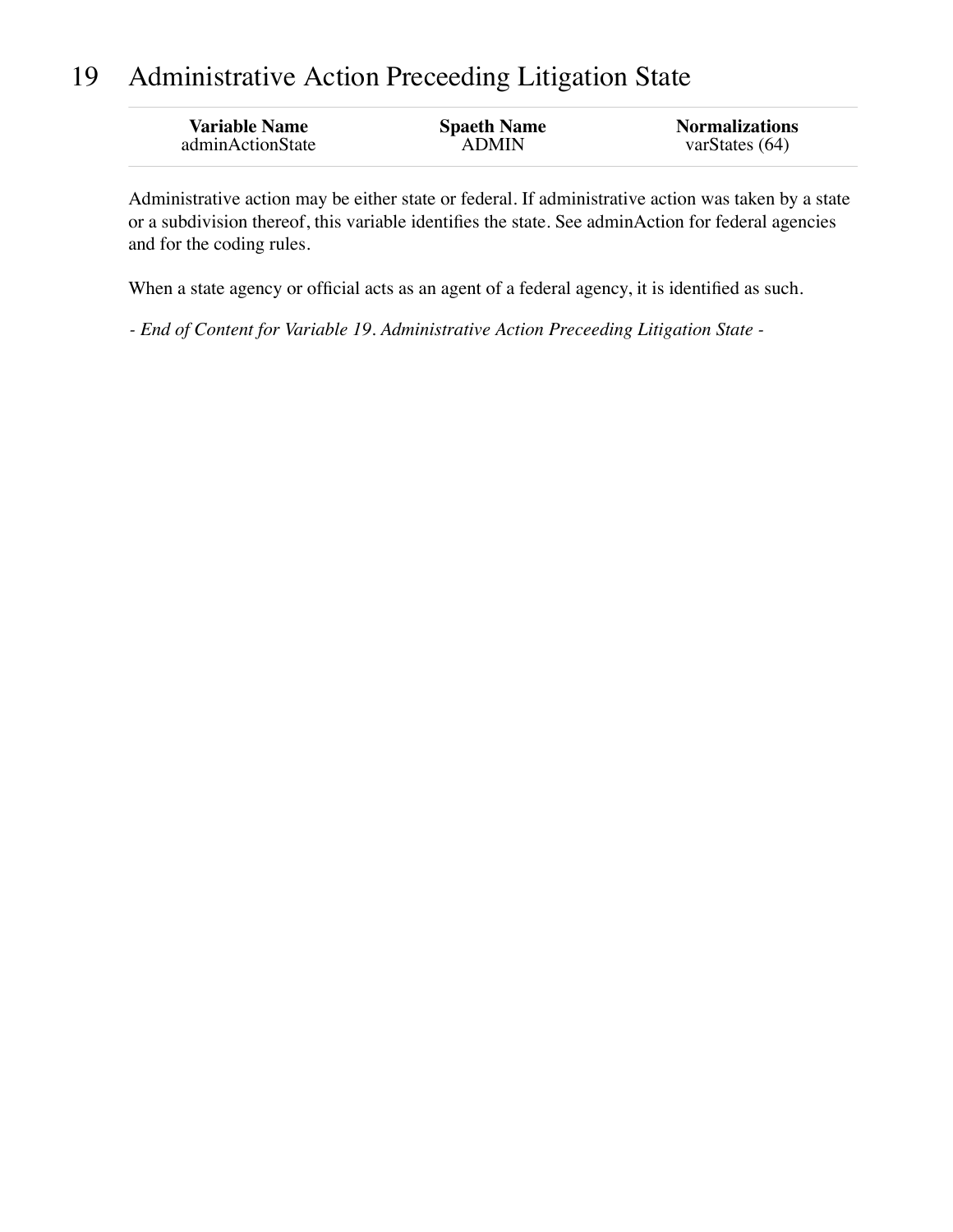## 19 Administrative Action Preceeding Litigation State

| <b>Variable Name</b> | <b>Spaeth Name</b> | <b>Normalizations</b> |
|----------------------|--------------------|-----------------------|
| adminActionState     | ADMIN              | varStates $(64)$      |

Administrative action may be either state or federal. If administrative action was taken by a state or a subdivision thereof, this variable identifies the state. See adminAction for federal agencies and for the coding rules.

When a state agency or official acts as an agent of a federal agency, it is identified as such.

*- End of Content for Variable 19. Administrative Action Preceeding Litigation State -*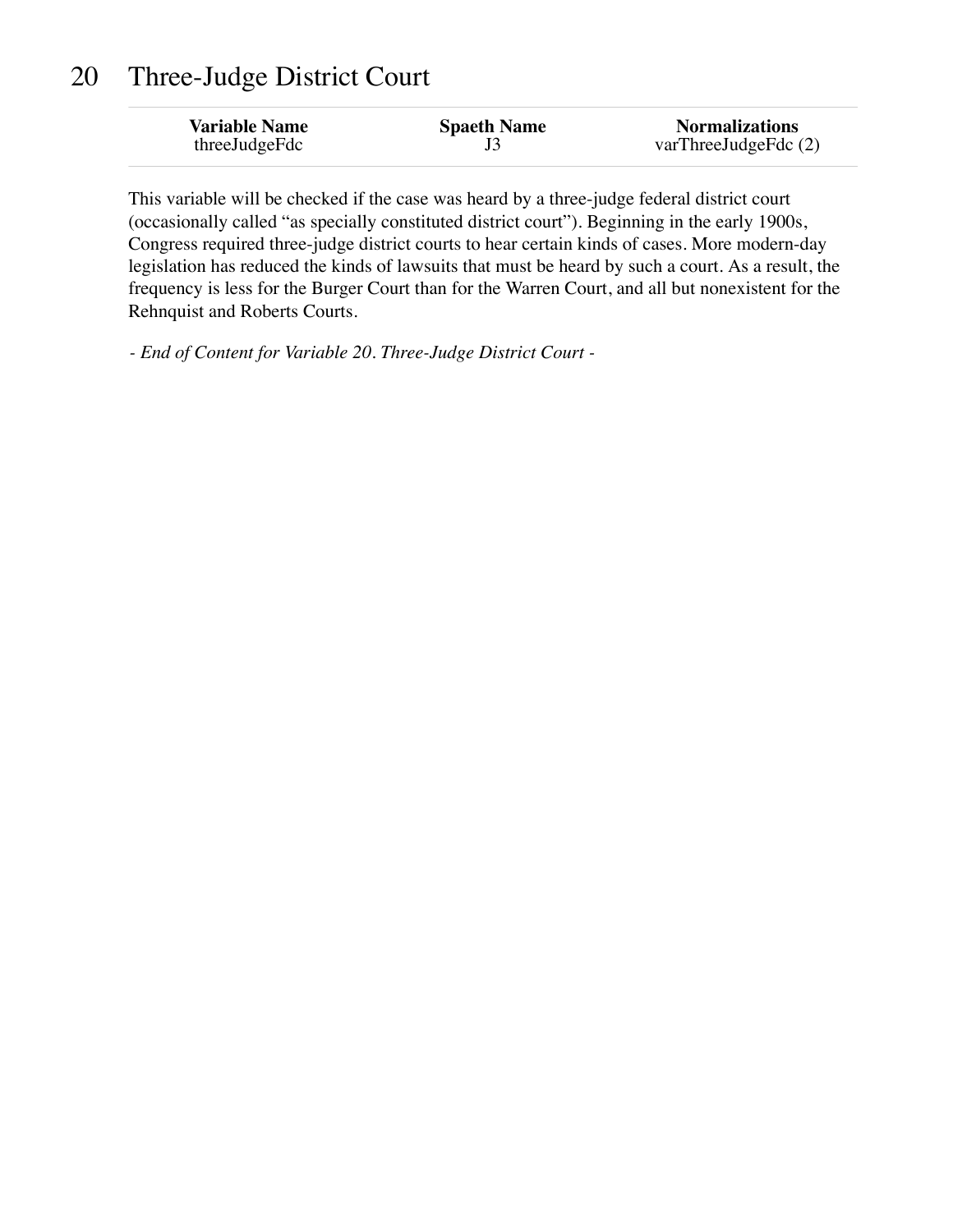### 20 Three-Judge District Court

| <b>Variable Name</b> | <b>Spaeth Name</b> | <b>Normalizations</b>  |
|----------------------|--------------------|------------------------|
| threeJudgeFdc        |                    | varThreeJudgeFdc $(2)$ |

This variable will be checked if the case was heard by a three-judge federal district court (occasionally called "as specially constituted district court"). Beginning in the early 1900s, Congress required three-judge district courts to hear certain kinds of cases. More modern-day legislation has reduced the kinds of lawsuits that must be heard by such a court. As a result, the frequency is less for the Burger Court than for the Warren Court, and all but nonexistent for the Rehnquist and Roberts Courts.

*- End of Content for Variable 20. Three-Judge District Court -*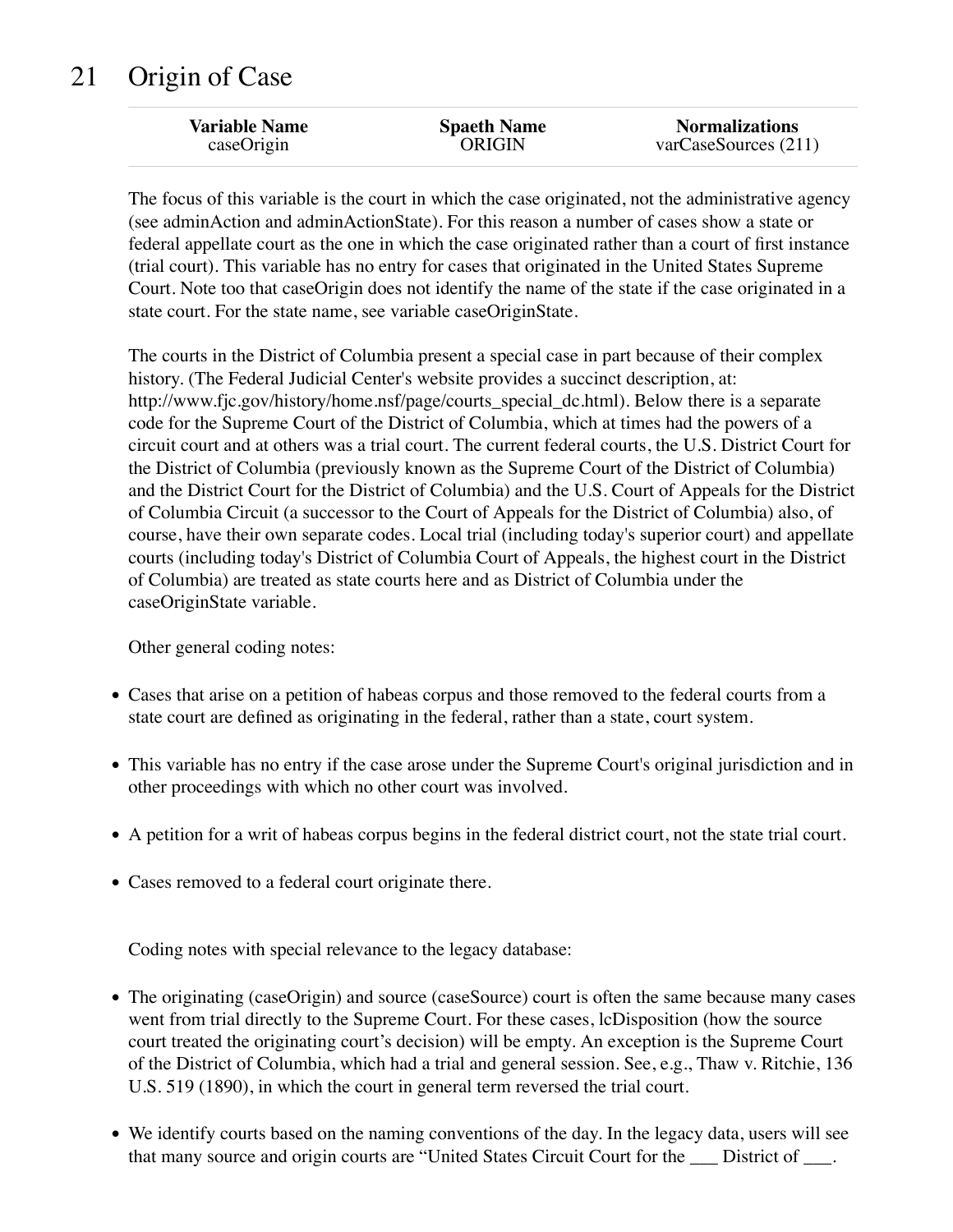## 21 Origin of Case

| <b>Variable Name</b> | <b>Spaeth Name</b> | <b>Normalizations</b> |
|----------------------|--------------------|-----------------------|
| caseOrigin           | <b>ORIGIN</b>      | varCase Sources (211) |
|                      |                    |                       |

The focus of this variable is the court in which the case originated, not the administrative agency (see adminAction and adminActionState). For this reason a number of cases show a state or federal appellate court as the one in which the case originated rather than a court of first instance (trial court). This variable has no entry for cases that originated in the United States Supreme Court. Note too that caseOrigin does not identify the name of the state if the case originated in a state court. For the state name, see variable caseOriginState.

The courts in the District of Columbia present a special case in part because of their complex history. (The Federal Judicial Center's website provides a succinct description, at: http://www.fjc.gov/history/home.nsf/page/courts\_special\_dc.html). Below there is a separate code for the Supreme Court of the District of Columbia, which at times had the powers of a circuit court and at others was a trial court. The current federal courts, the U.S. District Court for the District of Columbia (previously known as the Supreme Court of the District of Columbia) and the District Court for the District of Columbia) and the U.S. Court of Appeals for the District of Columbia Circuit (a successor to the Court of Appeals for the District of Columbia) also, of course, have their own separate codes. Local trial (including today's superior court) and appellate courts (including today's District of Columbia Court of Appeals, the highest court in the District of Columbia) are treated as state courts here and as District of Columbia under the caseOriginState variable.

Other general coding notes:

- Cases that arise on a petition of habeas corpus and those removed to the federal courts from a state court are defined as originating in the federal, rather than a state, court system.
- This variable has no entry if the case arose under the Supreme Court's original jurisdiction and in other proceedings with which no other court was involved.
- A petition for a writ of habeas corpus begins in the federal district court, not the state trial court.
- Cases removed to a federal court originate there.

Coding notes with special relevance to the legacy database:

- The originating (caseOrigin) and source (caseSource) court is often the same because many cases went from trial directly to the Supreme Court. For these cases, lcDisposition (how the source court treated the originating court's decision) will be empty. An exception is the Supreme Court of the District of Columbia, which had a trial and general session. See, e.g., Thaw v. Ritchie, 136 U.S. 519 (1890), in which the court in general term reversed the trial court.
- We identify courts based on the naming conventions of the day. In the legacy data, users will see that many source and origin courts are "United States Circuit Court for the \_\_\_ District of \_\_\_.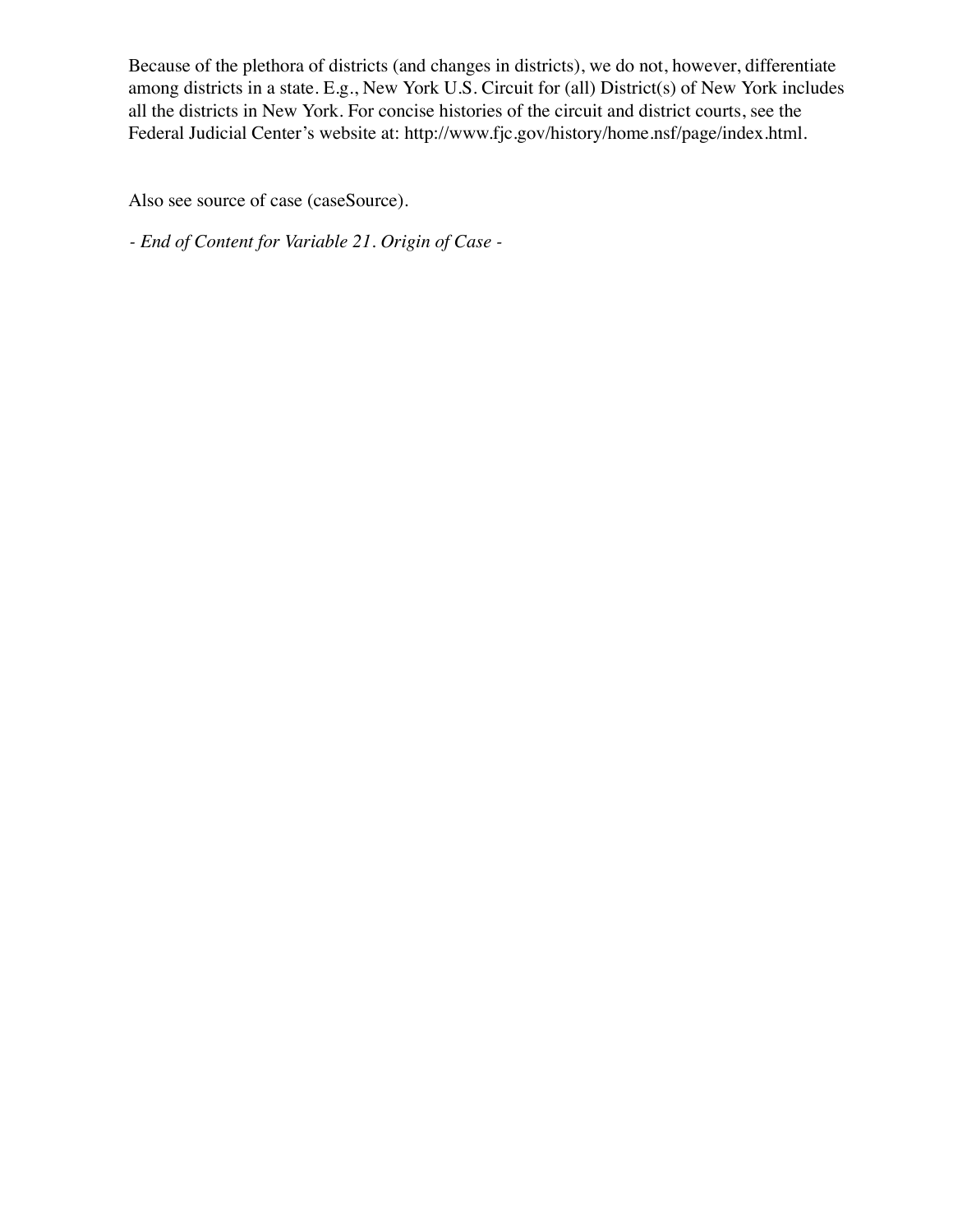Because of the plethora of districts (and changes in districts), we do not, however, differentiate among districts in a state. E.g., New York U.S. Circuit for (all) District(s) of New York includes all the districts in New York. For concise histories of the circuit and district courts, see the Federal Judicial Center's website at: http://www.fjc.gov/history/home.nsf/page/index.html.

Also see source of case (caseSource).

*- End of Content for Variable 21. Origin of Case -*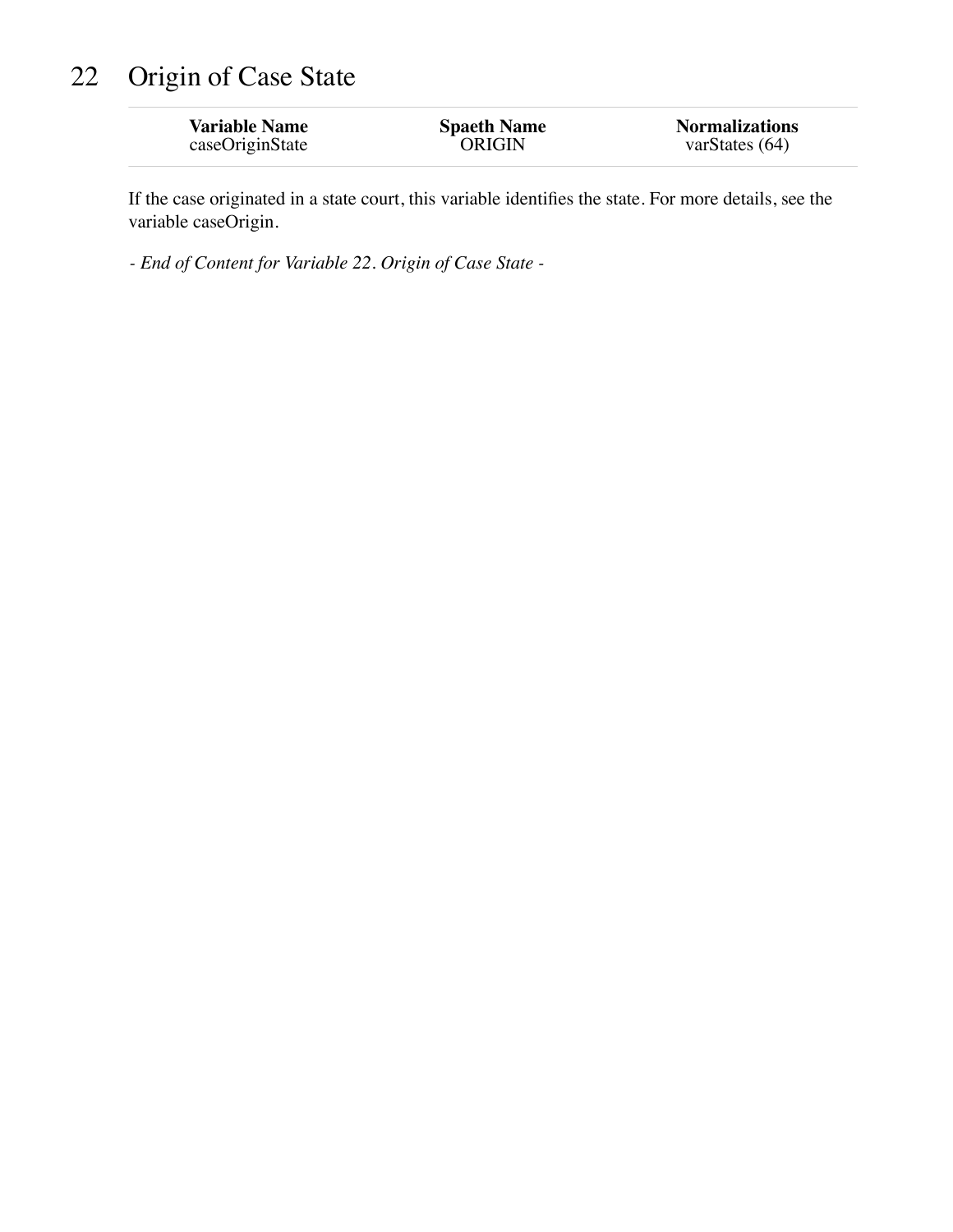# 22 Origin of Case State

| <b>Variable Name</b> | <b>Spaeth Name</b> | <b>Normalizations</b> |
|----------------------|--------------------|-----------------------|
| caseOriginState      | <b>ORIGIN</b>      | varStates $(64)$      |

If the case originated in a state court, this variable identifies the state. For more details, see the variable caseOrigin.

*- End of Content for Variable 22. Origin of Case State -*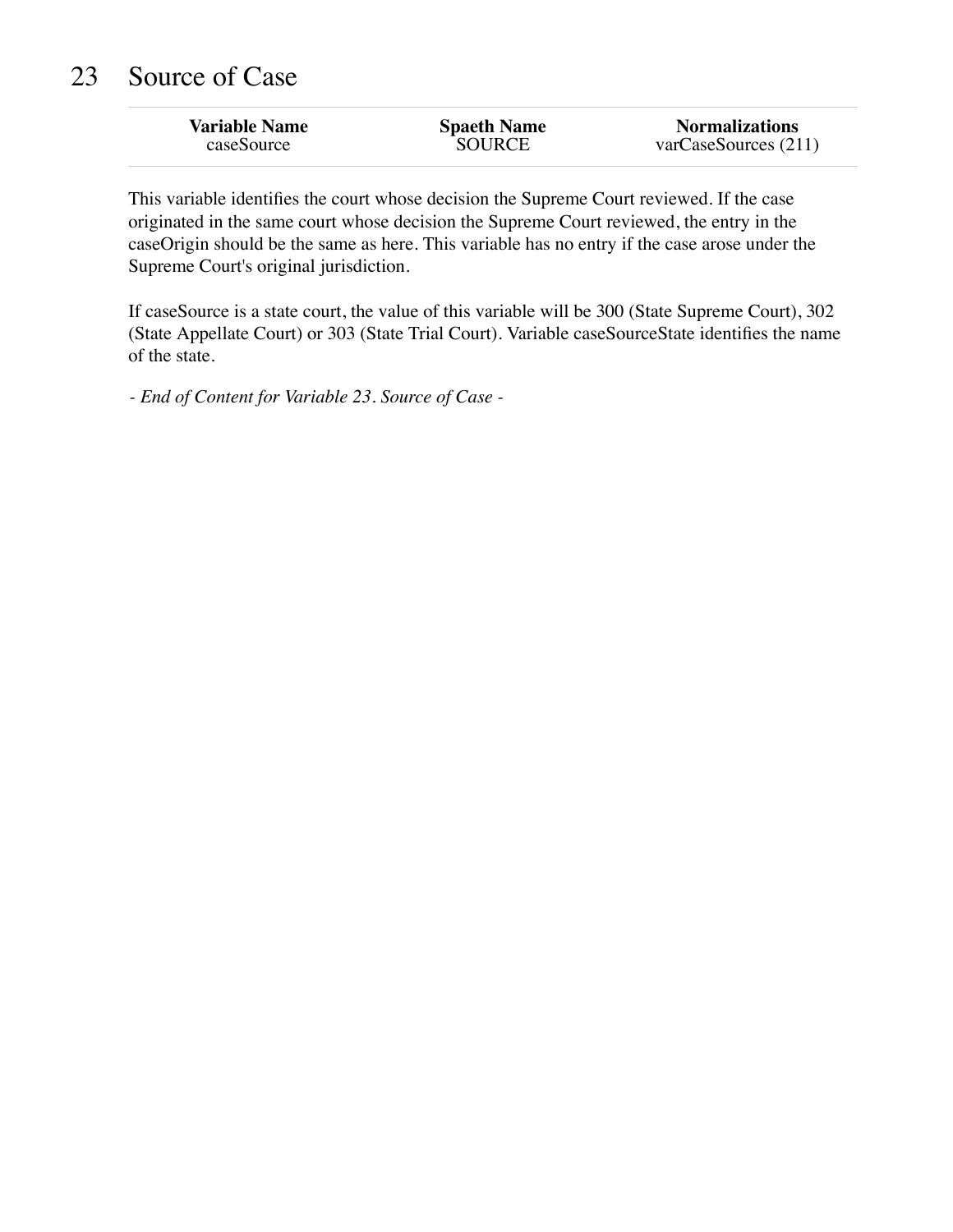## 23 Source of Case

| <b>Variable Name</b> | <b>Spaeth Name</b> | <b>Normalizations</b> |
|----------------------|--------------------|-----------------------|
| caseSource           | SOURCE             | varCaseSource(211)    |
|                      |                    |                       |

This variable identifies the court whose decision the Supreme Court reviewed. If the case originated in the same court whose decision the Supreme Court reviewed, the entry in the caseOrigin should be the same as here. This variable has no entry if the case arose under the Supreme Court's original jurisdiction.

If caseSource is a state court, the value of this variable will be 300 (State Supreme Court), 302 (State Appellate Court) or 303 (State Trial Court). Variable caseSourceState identifies the name of the state.

*- End of Content for Variable 23. Source of Case -*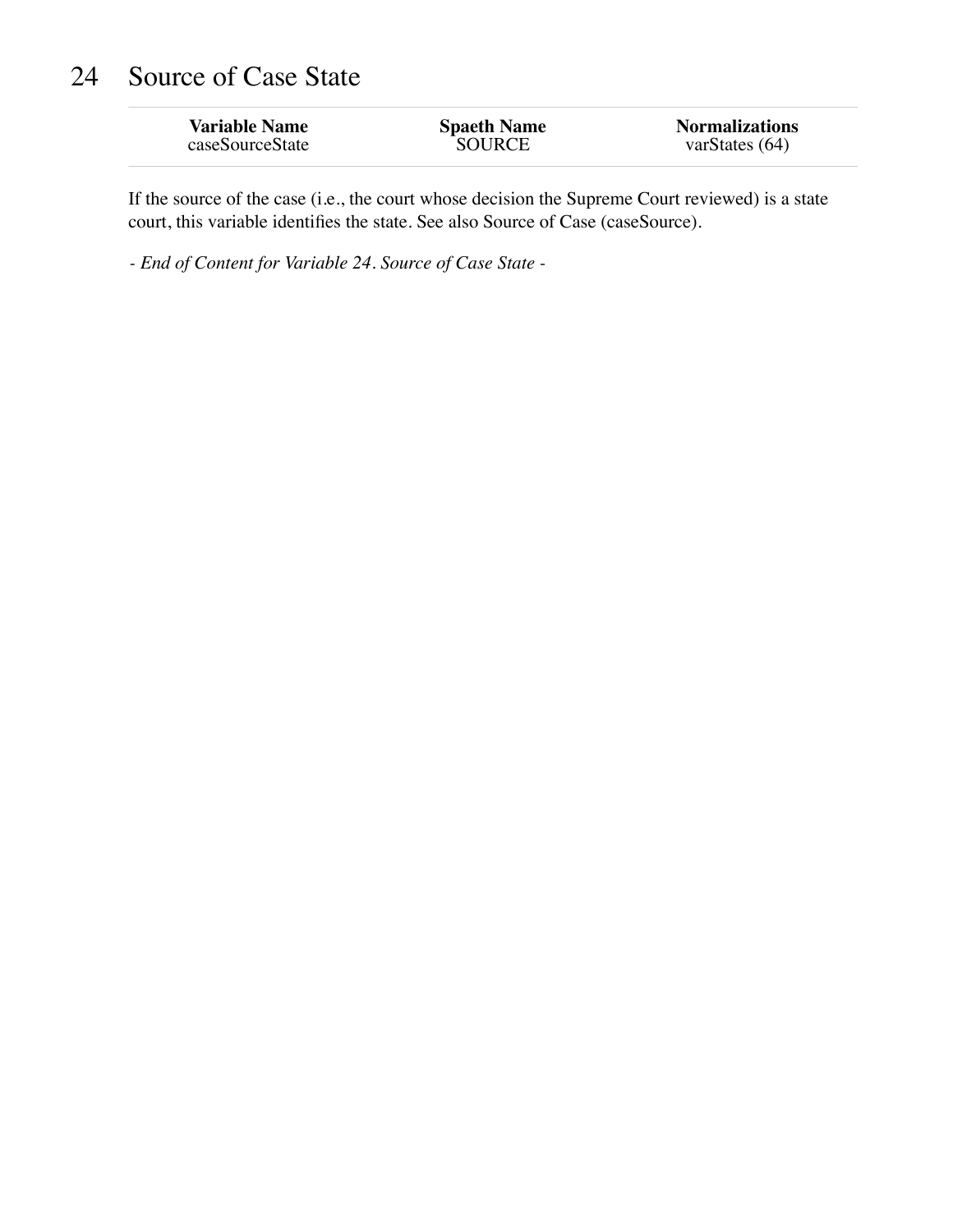## 24 Source of Case State

| <b>Variable Name</b> | <b>Spaeth Name</b> | <b>Normalizations</b> |
|----------------------|--------------------|-----------------------|
| caseSourceState      | <b>SOURCE</b>      | varStates $(64)$      |

If the source of the case (i.e., the court whose decision the Supreme Court reviewed) is a state court, this variable identifies the state. See also Source of Case (caseSource).

*- End of Content for Variable 24. Source of Case State -*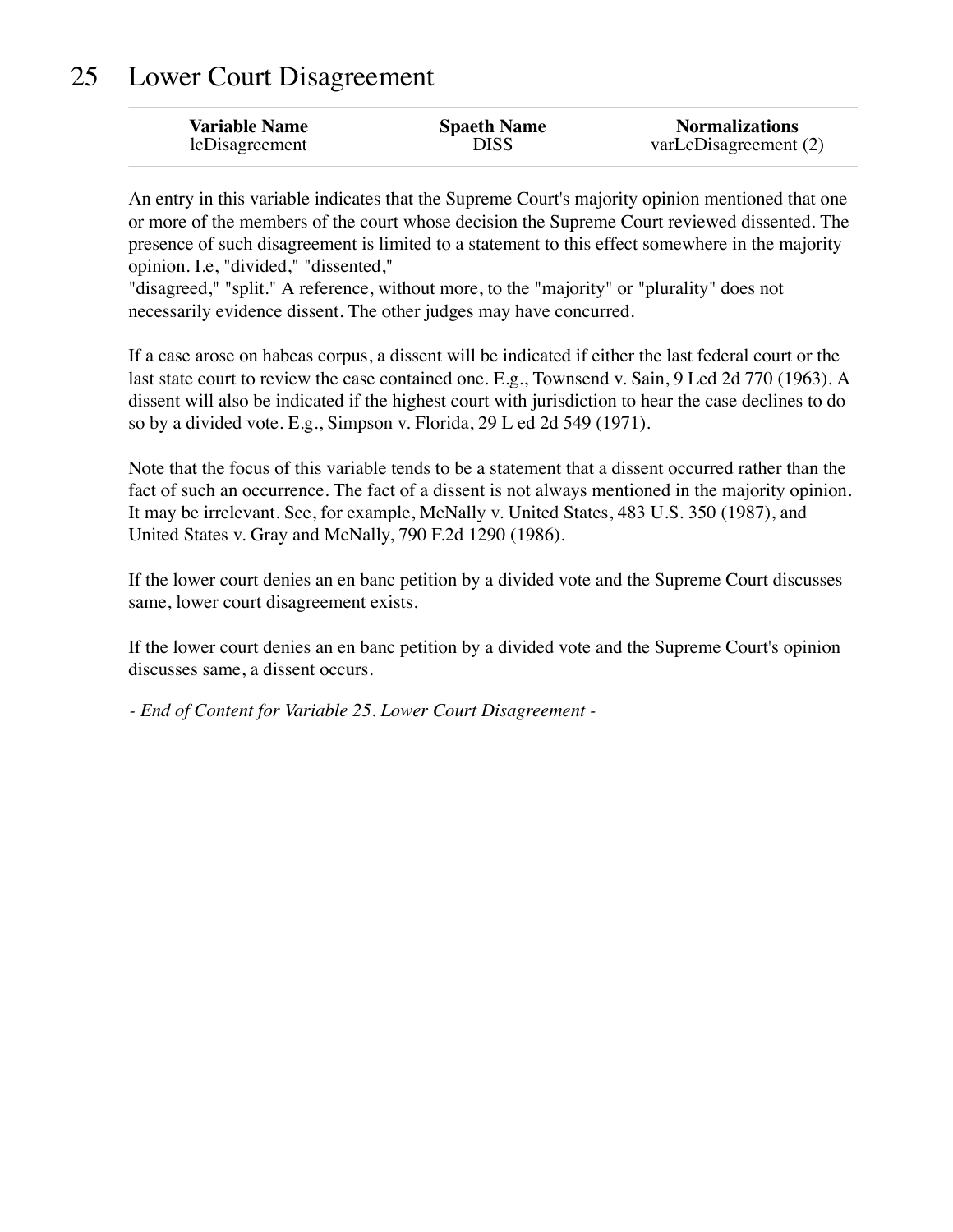## 25 Lower Court Disagreement

| <b>Variable Name</b> | <b>Spaeth Name</b> | <b>Normalizations</b> |
|----------------------|--------------------|-----------------------|
| lcDisagreement       | DISS               | varLcDisagreement (2) |

An entry in this variable indicates that the Supreme Court's majority opinion mentioned that one or more of the members of the court whose decision the Supreme Court reviewed dissented. The presence of such disagreement is limited to a statement to this effect somewhere in the majority opinion. I.e, "divided," "dissented,"

"disagreed," "split." A reference, without more, to the "majority" or "plurality" does not necessarily evidence dissent. The other judges may have concurred.

If a case arose on habeas corpus, a dissent will be indicated if either the last federal court or the last state court to review the case contained one. E.g., Townsend v. Sain, 9 Led 2d 770 (1963). A dissent will also be indicated if the highest court with jurisdiction to hear the case declines to do so by a divided vote. E.g., Simpson v. Florida, 29 L ed 2d 549 (1971).

Note that the focus of this variable tends to be a statement that a dissent occurred rather than the fact of such an occurrence. The fact of a dissent is not always mentioned in the majority opinion. It may be irrelevant. See, for example, McNally v. United States, 483 U.S. 350 (1987), and United States v. Gray and McNally, 790 F.2d 1290 (1986).

If the lower court denies an en banc petition by a divided vote and the Supreme Court discusses same, lower court disagreement exists.

If the lower court denies an en banc petition by a divided vote and the Supreme Court's opinion discusses same, a dissent occurs.

*- End of Content for Variable 25. Lower Court Disagreement -*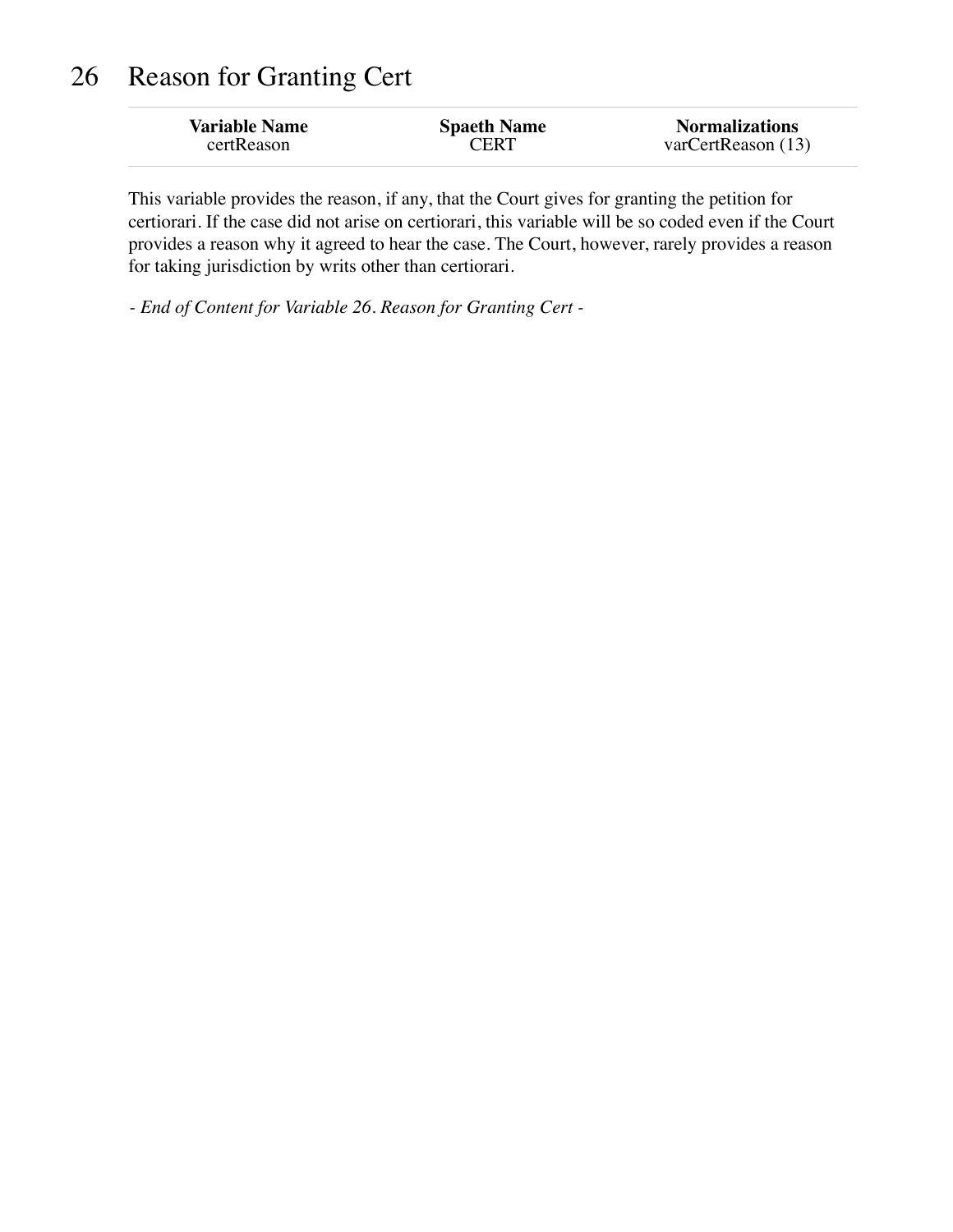## 26 Reason for Granting Cert

| <b>Variable Name</b> | <b>Spaeth Name</b> | <b>Normalizations</b>       |
|----------------------|--------------------|-----------------------------|
| certReason           | <b>CERT</b>        | $\text{varCertReason (13)}$ |
|                      |                    |                             |

This variable provides the reason, if any, that the Court gives for granting the petition for certiorari. If the case did not arise on certiorari, this variable will be so coded even if the Court provides a reason why it agreed to hear the case. The Court, however, rarely provides a reason for taking jurisdiction by writs other than certiorari.

*- End of Content for Variable 26. Reason for Granting Cert -*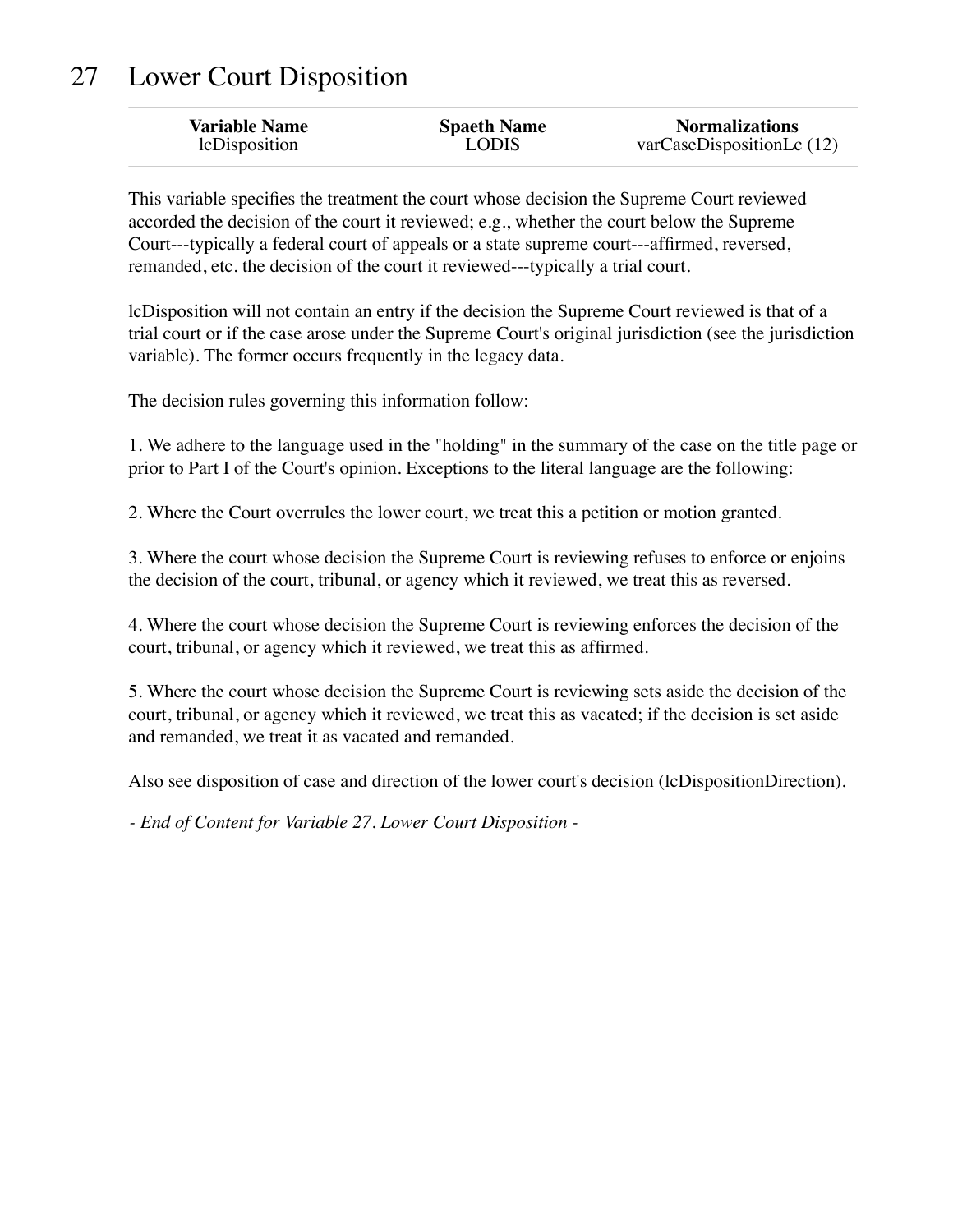# 27 Lower Court Disposition

| <b>Variable Name</b> | <b>Spaeth Name</b> | <b>Normalizations</b>    |
|----------------------|--------------------|--------------------------|
| lcDisposition        | <b>LODIS</b>       | varCaseDispositionLc(12) |

This variable specifies the treatment the court whose decision the Supreme Court reviewed accorded the decision of the court it reviewed; e.g., whether the court below the Supreme Court---typically a federal court of appeals or a state supreme court---affirmed, reversed, remanded, etc. the decision of the court it reviewed---typically a trial court.

lcDisposition will not contain an entry if the decision the Supreme Court reviewed is that of a trial court or if the case arose under the Supreme Court's original jurisdiction (see the jurisdiction variable). The former occurs frequently in the legacy data.

The decision rules governing this information follow:

1. We adhere to the language used in the "holding" in the summary of the case on the title page or prior to Part I of the Court's opinion. Exceptions to the literal language are the following:

2. Where the Court overrules the lower court, we treat this a petition or motion granted.

3. Where the court whose decision the Supreme Court is reviewing refuses to enforce or enjoins the decision of the court, tribunal, or agency which it reviewed, we treat this as reversed.

4. Where the court whose decision the Supreme Court is reviewing enforces the decision of the court, tribunal, or agency which it reviewed, we treat this as affirmed.

5. Where the court whose decision the Supreme Court is reviewing sets aside the decision of the court, tribunal, or agency which it reviewed, we treat this as vacated; if the decision is set aside and remanded, we treat it as vacated and remanded.

Also see disposition of case and direction of the lower court's decision (lcDispositionDirection).

*- End of Content for Variable 27. Lower Court Disposition -*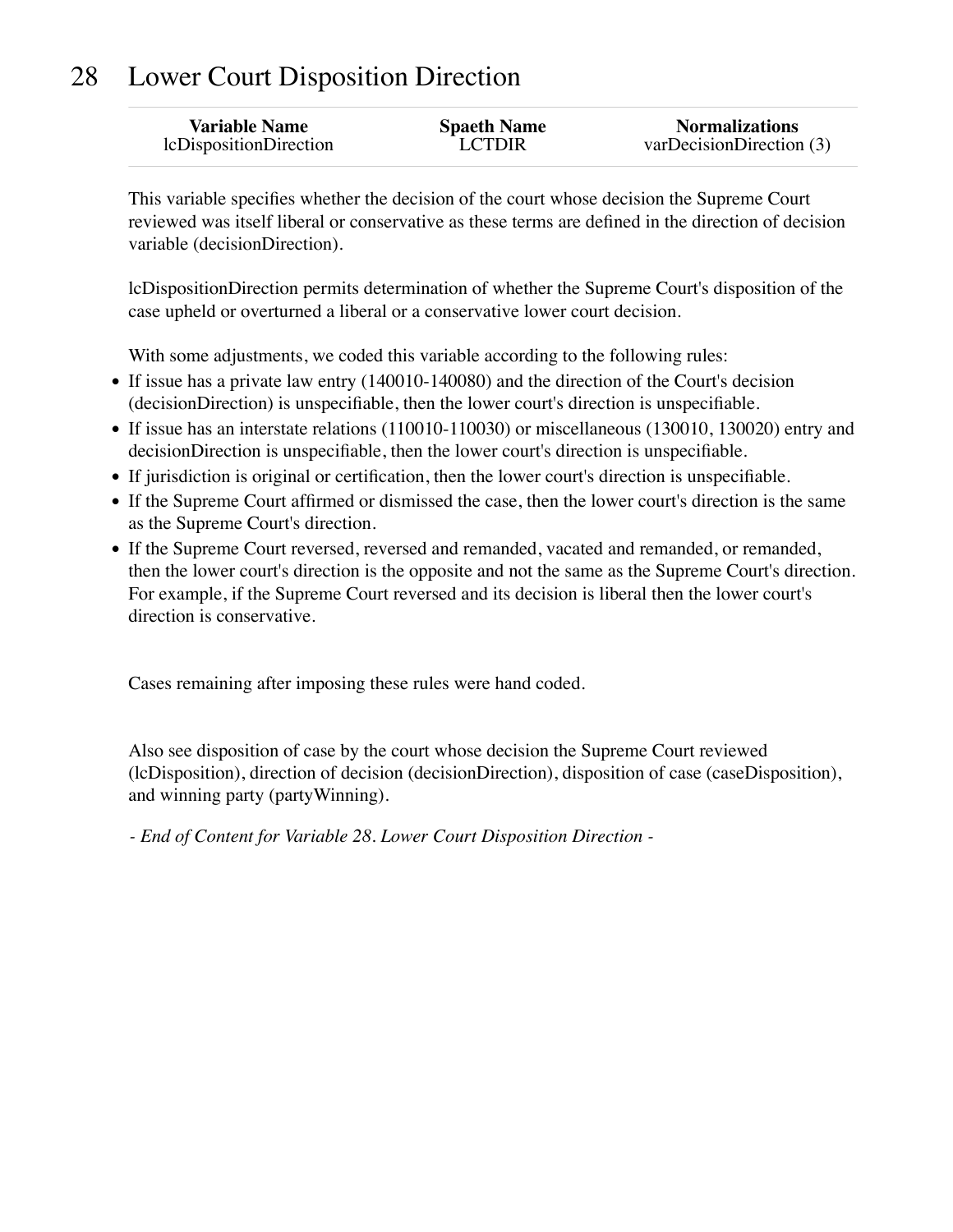# 28 Lower Court Disposition Direction

| <b>Variable Name</b>   | <b>Spaeth Name</b> | <b>Normalizations</b>    |
|------------------------|--------------------|--------------------------|
| lcDispositionDirection | <b>LCTDIR</b>      | varDecisionDirection (3) |
|                        |                    |                          |

This variable specifies whether the decision of the court whose decision the Supreme Court reviewed was itself liberal or conservative as these terms are defined in the direction of decision variable (decisionDirection).

lcDispositionDirection permits determination of whether the Supreme Court's disposition of the case upheld or overturned a liberal or a conservative lower court decision.

With some adjustments, we coded this variable according to the following rules:

- If issue has a private law entry (140010-140080) and the direction of the Court's decision (decisionDirection) is unspecifiable, then the lower court's direction is unspecifiable.
- If issue has an interstate relations (110010-110030) or miscellaneous (130010, 130020) entry and decisionDirection is unspecifiable, then the lower court's direction is unspecifiable.
- If jurisdiction is original or certification, then the lower court's direction is unspecifiable.
- If the Supreme Court affirmed or dismissed the case, then the lower court's direction is the same as the Supreme Court's direction.
- If the Supreme Court reversed, reversed and remanded, vacated and remanded, or remanded, then the lower court's direction is the opposite and not the same as the Supreme Court's direction. For example, if the Supreme Court reversed and its decision is liberal then the lower court's direction is conservative.

Cases remaining after imposing these rules were hand coded.

Also see disposition of case by the court whose decision the Supreme Court reviewed (lcDisposition), direction of decision (decisionDirection), disposition of case (caseDisposition), and winning party (partyWinning).

*- End of Content for Variable 28. Lower Court Disposition Direction -*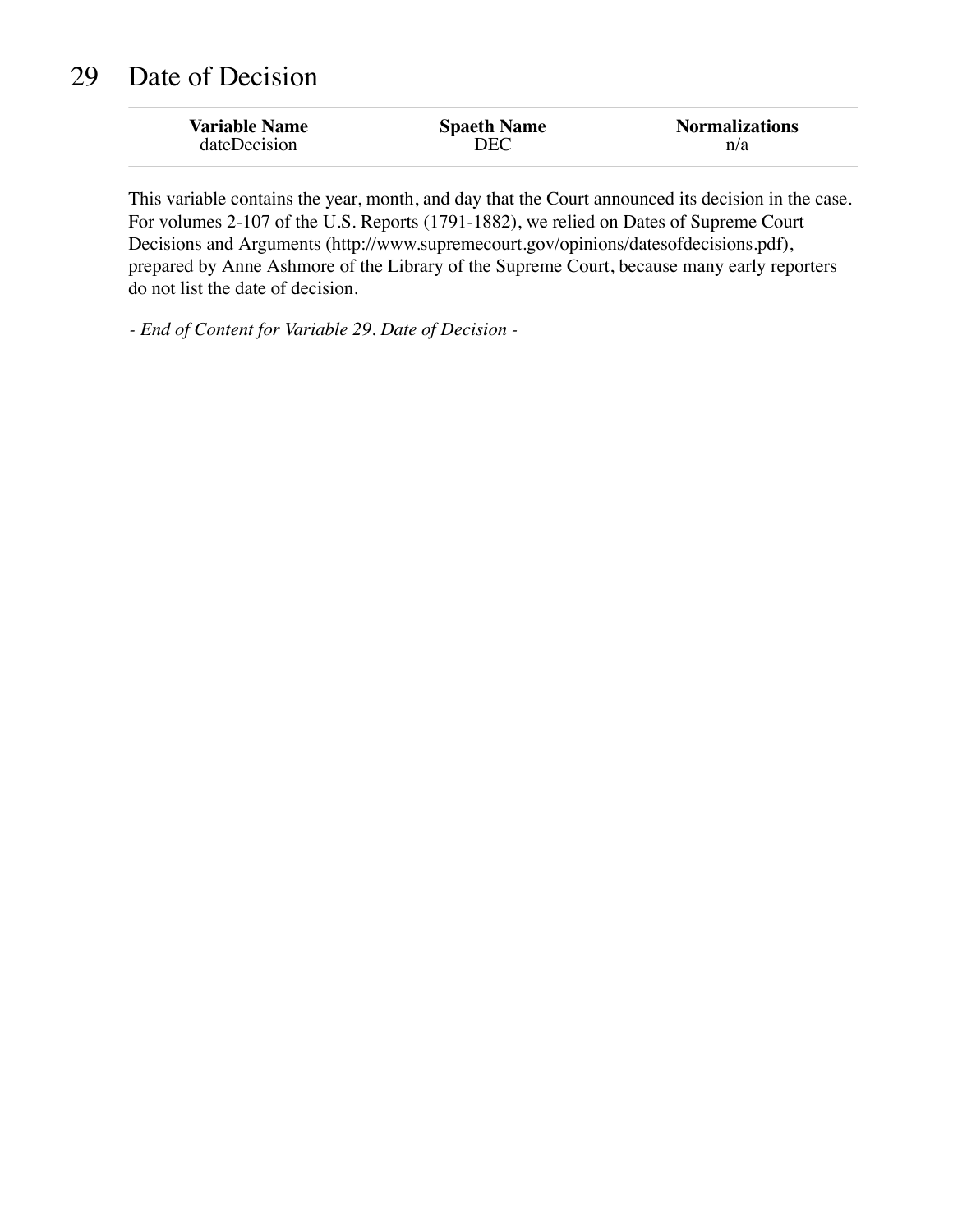| <b>Variable Name</b> | <b>Spaeth Name</b> | <b>Normalizations</b> |
|----------------------|--------------------|-----------------------|
| dateDecision         | DEC                | n/a                   |

This variable contains the year, month, and day that the Court announced its decision in the case. For volumes 2-107 of the U.S. Reports (1791-1882), we relied on Dates of Supreme Court Decisions and Arguments (http://www.supremecourt.gov/opinions/datesofdecisions.pdf), prepared by Anne Ashmore of the Library of the Supreme Court, because many early reporters do not list the date of decision.

*- End of Content for Variable 29. Date of Decision -*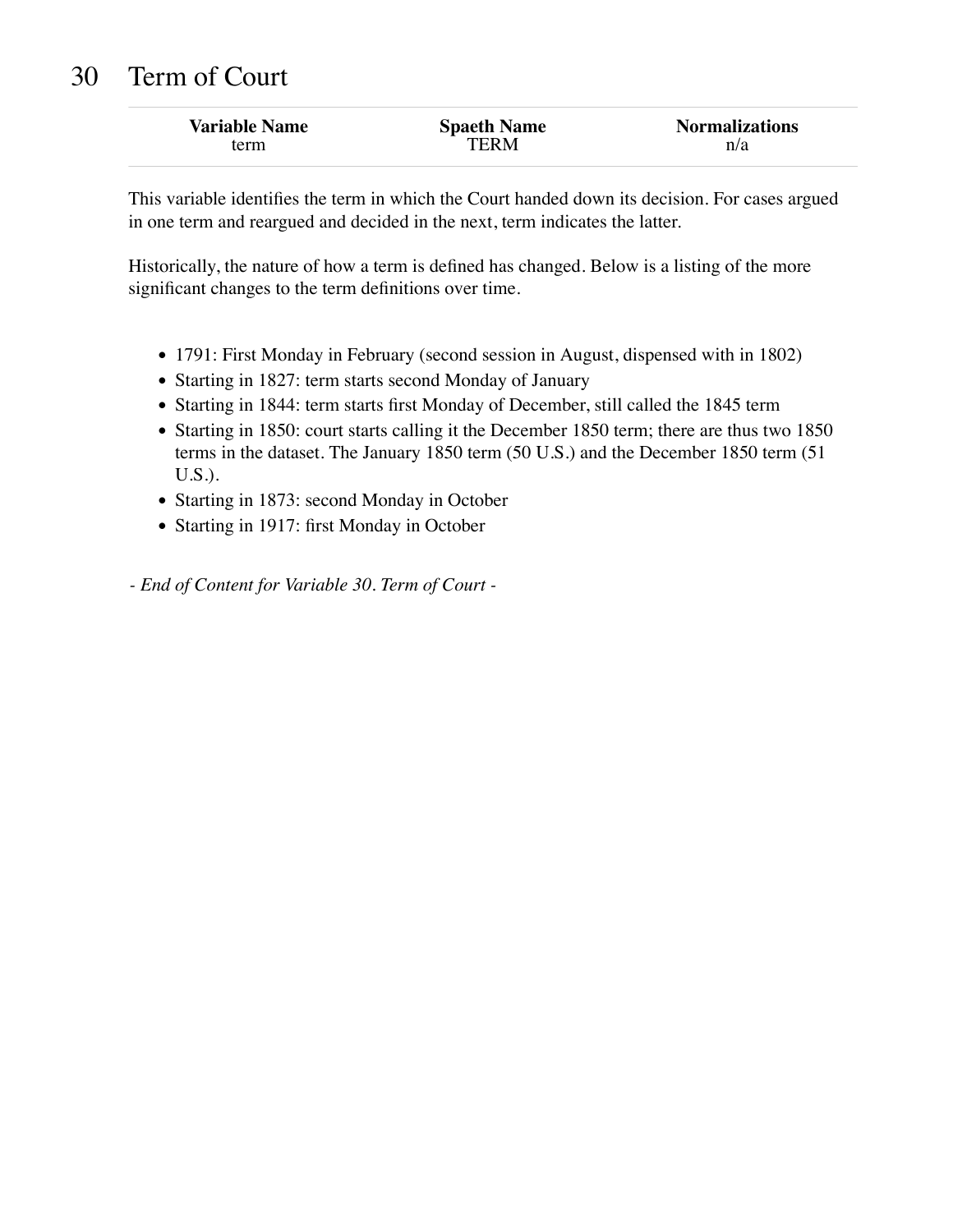### 30 Term of Court

| <b>Variable Name</b> | <b>Spaeth Name</b> | <b>Normalizations</b> |
|----------------------|--------------------|-----------------------|
| term                 | <b>TERM</b>        | n/a                   |

This variable identifies the term in which the Court handed down its decision. For cases argued in one term and reargued and decided in the next, term indicates the latter.

Historically, the nature of how a term is defined has changed. Below is a listing of the more significant changes to the term definitions over time.

- 1791: First Monday in February (second session in August, dispensed with in 1802)
- Starting in 1827: term starts second Monday of January
- Starting in 1844: term starts first Monday of December, still called the 1845 term
- Starting in 1850: court starts calling it the December 1850 term; there are thus two 1850 terms in the dataset. The January 1850 term (50 U.S.) and the December 1850 term (51 U.S.).
- Starting in 1873: second Monday in October
- Starting in 1917: first Monday in October

*- End of Content for Variable 30. Term of Court -*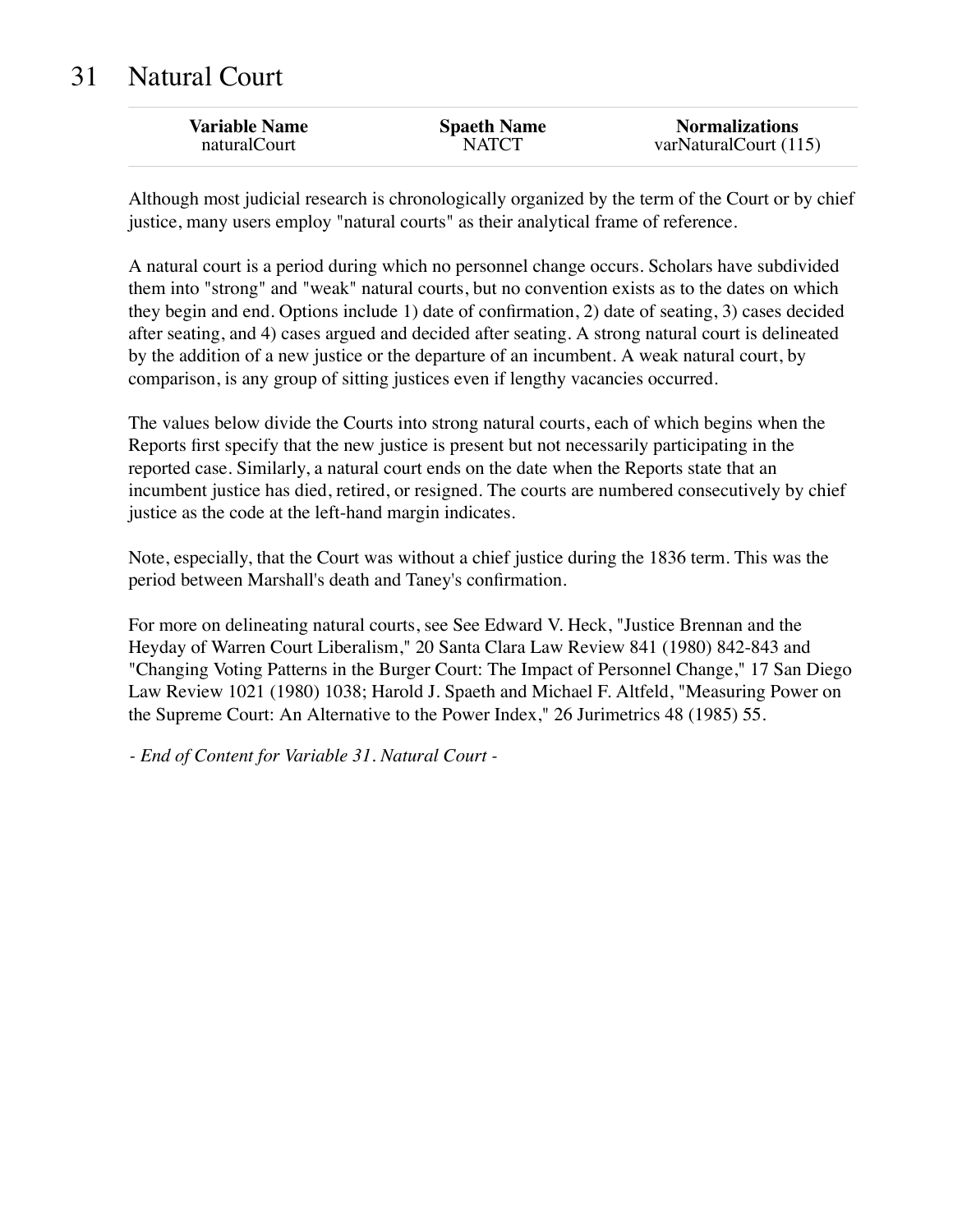### 31 Natural Court

Although most judicial research is chronologically organized by the term of the Court or by chief justice, many users employ "natural courts" as their analytical frame of reference.

A natural court is a period during which no personnel change occurs. Scholars have subdivided them into "strong" and "weak" natural courts, but no convention exists as to the dates on which they begin and end. Options include 1) date of confirmation, 2) date of seating, 3) cases decided after seating, and 4) cases argued and decided after seating. A strong natural court is delineated by the addition of a new justice or the departure of an incumbent. A weak natural court, by comparison, is any group of sitting justices even if lengthy vacancies occurred.

The values below divide the Courts into strong natural courts, each of which begins when the Reports first specify that the new justice is present but not necessarily participating in the reported case. Similarly, a natural court ends on the date when the Reports state that an incumbent justice has died, retired, or resigned. The courts are numbered consecutively by chief justice as the code at the left-hand margin indicates.

Note, especially, that the Court was without a chief justice during the 1836 term. This was the period between Marshall's death and Taney's confirmation.

For more on delineating natural courts, see See Edward V. Heck, "Justice Brennan and the Heyday of Warren Court Liberalism," 20 Santa Clara Law Review 841 (1980) 842-843 and "Changing Voting Patterns in the Burger Court: The Impact of Personnel Change," 17 San Diego Law Review 1021 (1980) 1038; Harold J. Spaeth and Michael F. Altfeld, "Measuring Power on the Supreme Court: An Alternative to the Power Index," 26 Jurimetrics 48 (1985) 55.

*- End of Content for Variable 31. Natural Court -*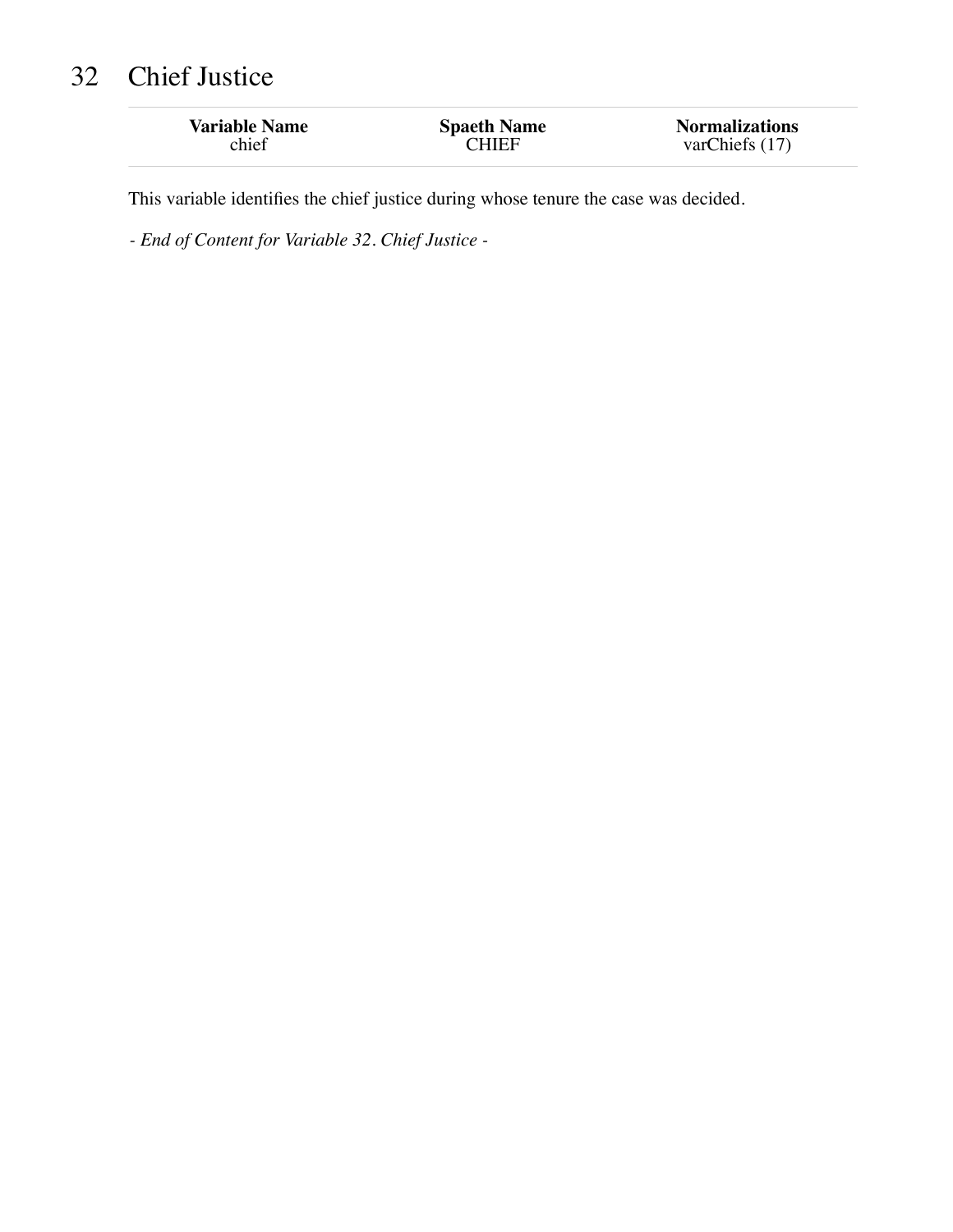# 32 Chief Justice

| <b>Variable Name</b> | <b>Spaeth Name</b> | <b>Normalizations</b> |
|----------------------|--------------------|-----------------------|
| chief                | CHIEF              | varChiefs (17)        |
|                      |                    |                       |

This variable identifies the chief justice during whose tenure the case was decided.

*- End of Content for Variable 32. Chief Justice -*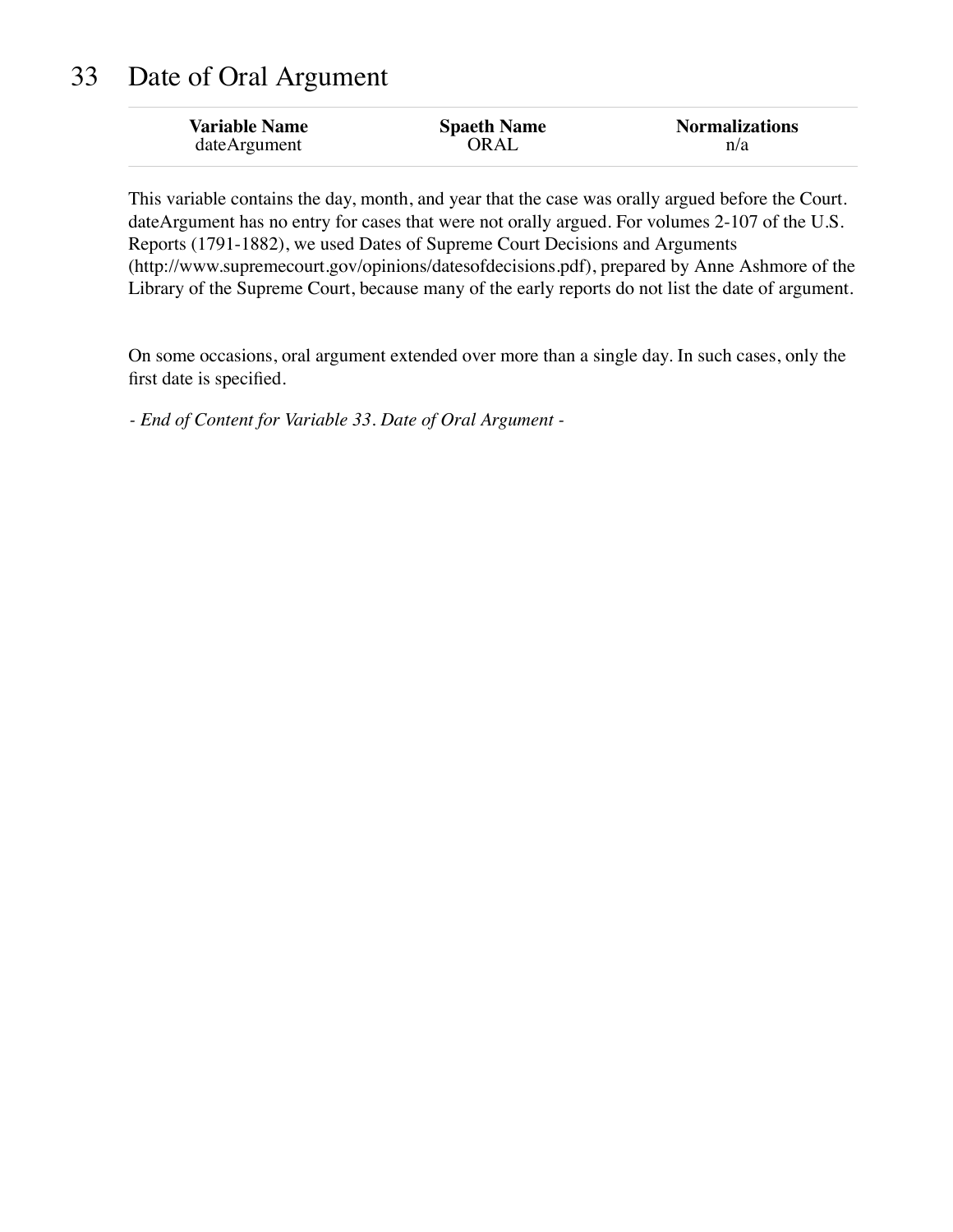### 33 Date of Oral Argument

| <b>Variable Name</b> | <b>Spaeth Name</b> | <b>Normalizations</b> |
|----------------------|--------------------|-----------------------|
| dateArgument         | ORAL               | n/a                   |

This variable contains the day, month, and year that the case was orally argued before the Court. dateArgument has no entry for cases that were not orally argued. For volumes 2-107 of the U.S. Reports (1791-1882), we used Dates of Supreme Court Decisions and Arguments (http://www.supremecourt.gov/opinions/datesofdecisions.pdf), prepared by Anne Ashmore of the Library of the Supreme Court, because many of the early reports do not list the date of argument.

On some occasions, oral argument extended over more than a single day. In such cases, only the first date is specified.

*- End of Content for Variable 33. Date of Oral Argument -*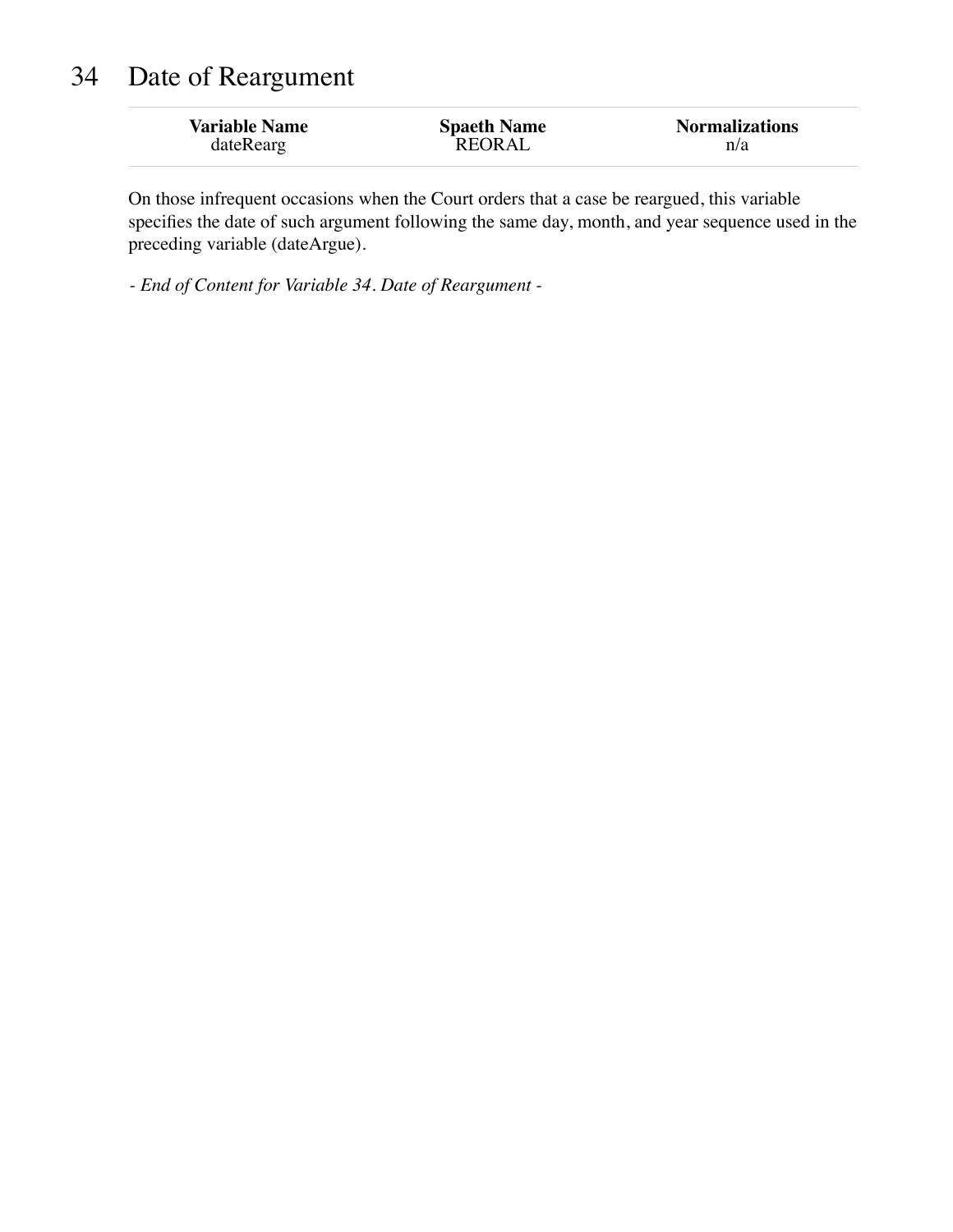# 34 Date of Reargument

| <b>Variable Name</b> | <b>Spaeth Name</b> | <b>Normalizations</b> |
|----------------------|--------------------|-----------------------|
| dateRearg            | REORAL             | n/a                   |

On those infrequent occasions when the Court orders that a case be reargued, this variable specifies the date of such argument following the same day, month, and year sequence used in the preceding variable (dateArgue).

*- End of Content for Variable 34. Date of Reargument -*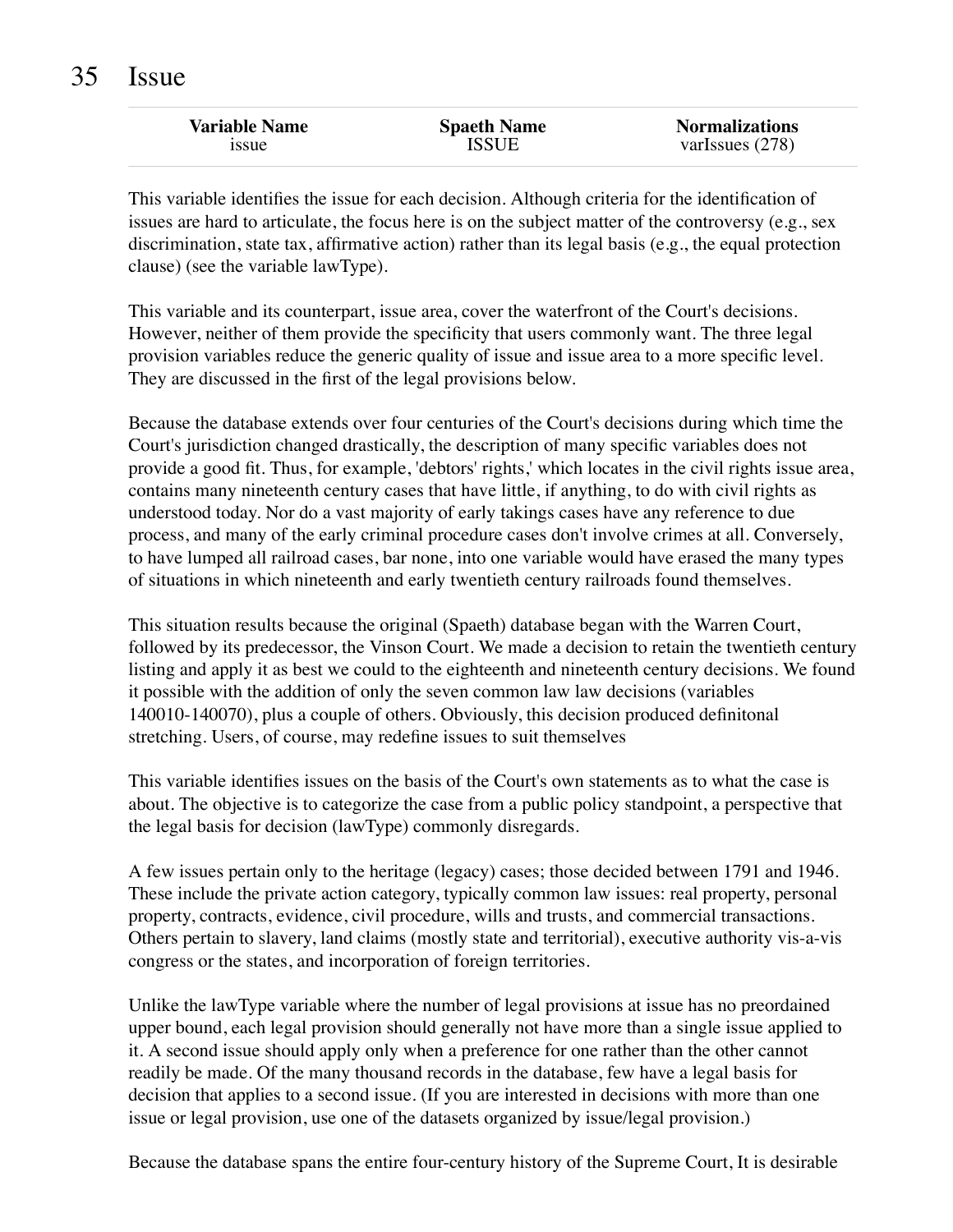| <b>Variable Name</b> | <b>Spaeth Name</b> | <b>Normalizations</b> |
|----------------------|--------------------|-----------------------|
| <i>ssue</i>          | <b>ISSUE</b>       | varIssues $(278)$     |
|                      |                    |                       |

This variable identifies the issue for each decision. Although criteria for the identification of issues are hard to articulate, the focus here is on the subject matter of the controversy (e.g., sex discrimination, state tax, affirmative action) rather than its legal basis (e.g., the equal protection clause) (see the variable lawType).

This variable and its counterpart, issue area, cover the waterfront of the Court's decisions. However, neither of them provide the specificity that users commonly want. The three legal provision variables reduce the generic quality of issue and issue area to a more specific level. They are discussed in the first of the legal provisions below.

Because the database extends over four centuries of the Court's decisions during which time the Court's jurisdiction changed drastically, the description of many specific variables does not provide a good fit. Thus, for example, 'debtors' rights,' which locates in the civil rights issue area, contains many nineteenth century cases that have little, if anything, to do with civil rights as understood today. Nor do a vast majority of early takings cases have any reference to due process, and many of the early criminal procedure cases don't involve crimes at all. Conversely, to have lumped all railroad cases, bar none, into one variable would have erased the many types of situations in which nineteenth and early twentieth century railroads found themselves.

This situation results because the original (Spaeth) database began with the Warren Court, followed by its predecessor, the Vinson Court. We made a decision to retain the twentieth century listing and apply it as best we could to the eighteenth and nineteenth century decisions. We found it possible with the addition of only the seven common law law decisions (variables 140010-140070), plus a couple of others. Obviously, this decision produced definitonal stretching. Users, of course, may redefine issues to suit themselves

This variable identifies issues on the basis of the Court's own statements as to what the case is about. The objective is to categorize the case from a public policy standpoint, a perspective that the legal basis for decision (lawType) commonly disregards.

A few issues pertain only to the heritage (legacy) cases; those decided between 1791 and 1946. These include the private action category, typically common law issues: real property, personal property, contracts, evidence, civil procedure, wills and trusts, and commercial transactions. Others pertain to slavery, land claims (mostly state and territorial), executive authority vis-a-vis congress or the states, and incorporation of foreign territories.

Unlike the lawType variable where the number of legal provisions at issue has no preordained upper bound, each legal provision should generally not have more than a single issue applied to it. A second issue should apply only when a preference for one rather than the other cannot readily be made. Of the many thousand records in the database, few have a legal basis for decision that applies to a second issue. (If you are interested in decisions with more than one issue or legal provision, use one of the datasets organized by issue/legal provision.)

Because the database spans the entire four-century history of the Supreme Court, It is desirable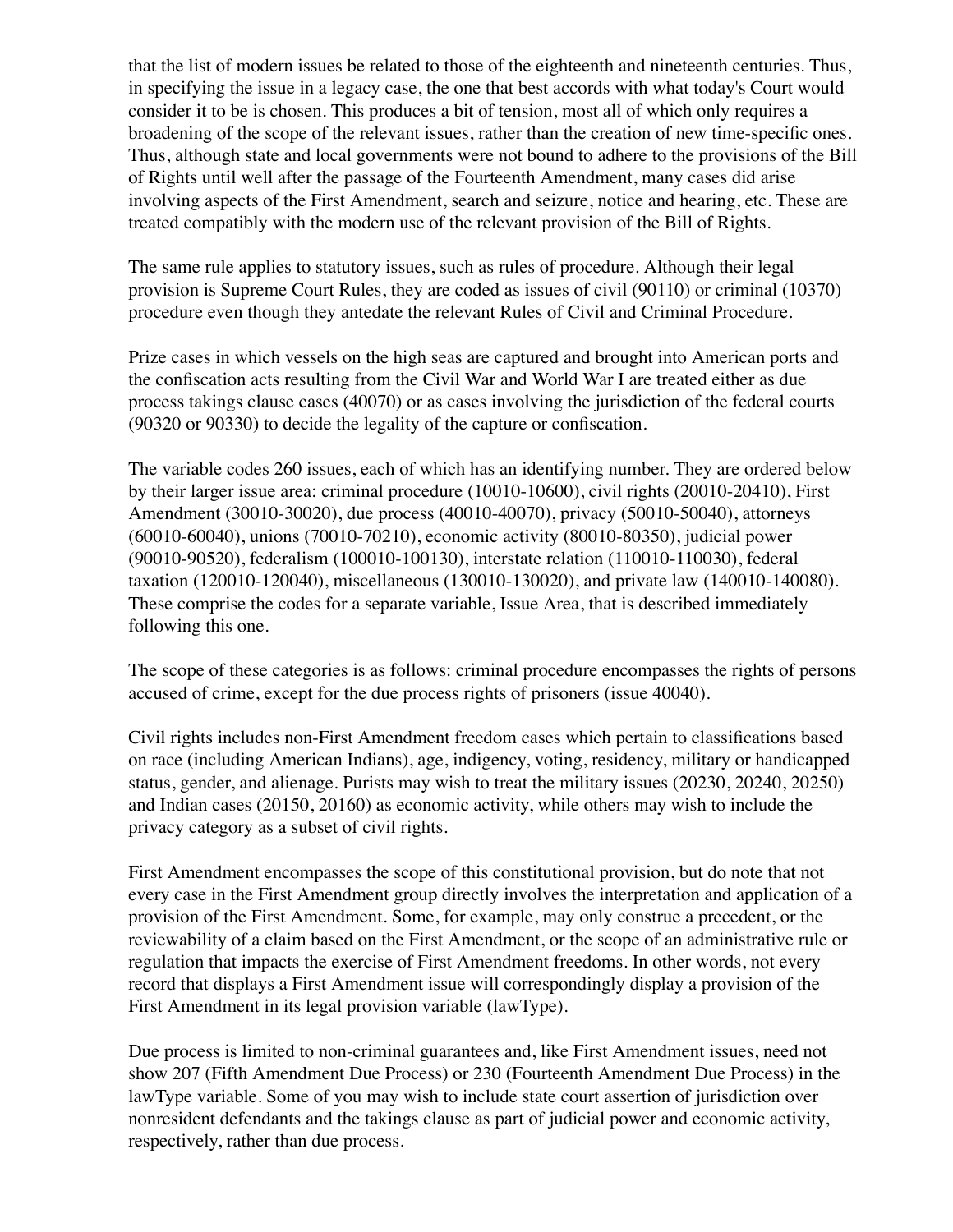that the list of modern issues be related to those of the eighteenth and nineteenth centuries. Thus, in specifying the issue in a legacy case, the one that best accords with what today's Court would consider it to be is chosen. This produces a bit of tension, most all of which only requires a broadening of the scope of the relevant issues, rather than the creation of new time-specific ones. Thus, although state and local governments were not bound to adhere to the provisions of the Bill of Rights until well after the passage of the Fourteenth Amendment, many cases did arise involving aspects of the First Amendment, search and seizure, notice and hearing, etc. These are treated compatibly with the modern use of the relevant provision of the Bill of Rights.

The same rule applies to statutory issues, such as rules of procedure. Although their legal provision is Supreme Court Rules, they are coded as issues of civil (90110) or criminal (10370) procedure even though they antedate the relevant Rules of Civil and Criminal Procedure.

Prize cases in which vessels on the high seas are captured and brought into American ports and the confiscation acts resulting from the Civil War and World War I are treated either as due process takings clause cases (40070) or as cases involving the jurisdiction of the federal courts (90320 or 90330) to decide the legality of the capture or confiscation.

The variable codes 260 issues, each of which has an identifying number. They are ordered below by their larger issue area: criminal procedure (10010-10600), civil rights (20010-20410), First Amendment (30010-30020), due process (40010-40070), privacy (50010-50040), attorneys (60010-60040), unions (70010-70210), economic activity (80010-80350), judicial power (90010-90520), federalism (100010-100130), interstate relation (110010-110030), federal taxation (120010-120040), miscellaneous (130010-130020), and private law (140010-140080). These comprise the codes for a separate variable, Issue Area, that is described immediately following this one.

The scope of these categories is as follows: criminal procedure encompasses the rights of persons accused of crime, except for the due process rights of prisoners (issue 40040).

Civil rights includes non-First Amendment freedom cases which pertain to classifications based on race (including American Indians), age, indigency, voting, residency, military or handicapped status, gender, and alienage. Purists may wish to treat the military issues (20230, 20240, 20250) and Indian cases (20150, 20160) as economic activity, while others may wish to include the privacy category as a subset of civil rights.

First Amendment encompasses the scope of this constitutional provision, but do note that not every case in the First Amendment group directly involves the interpretation and application of a provision of the First Amendment. Some, for example, may only construe a precedent, or the reviewability of a claim based on the First Amendment, or the scope of an administrative rule or regulation that impacts the exercise of First Amendment freedoms. In other words, not every record that displays a First Amendment issue will correspondingly display a provision of the First Amendment in its legal provision variable (lawType).

Due process is limited to non-criminal guarantees and, like First Amendment issues, need not show 207 (Fifth Amendment Due Process) or 230 (Fourteenth Amendment Due Process) in the lawType variable. Some of you may wish to include state court assertion of jurisdiction over nonresident defendants and the takings clause as part of judicial power and economic activity, respectively, rather than due process.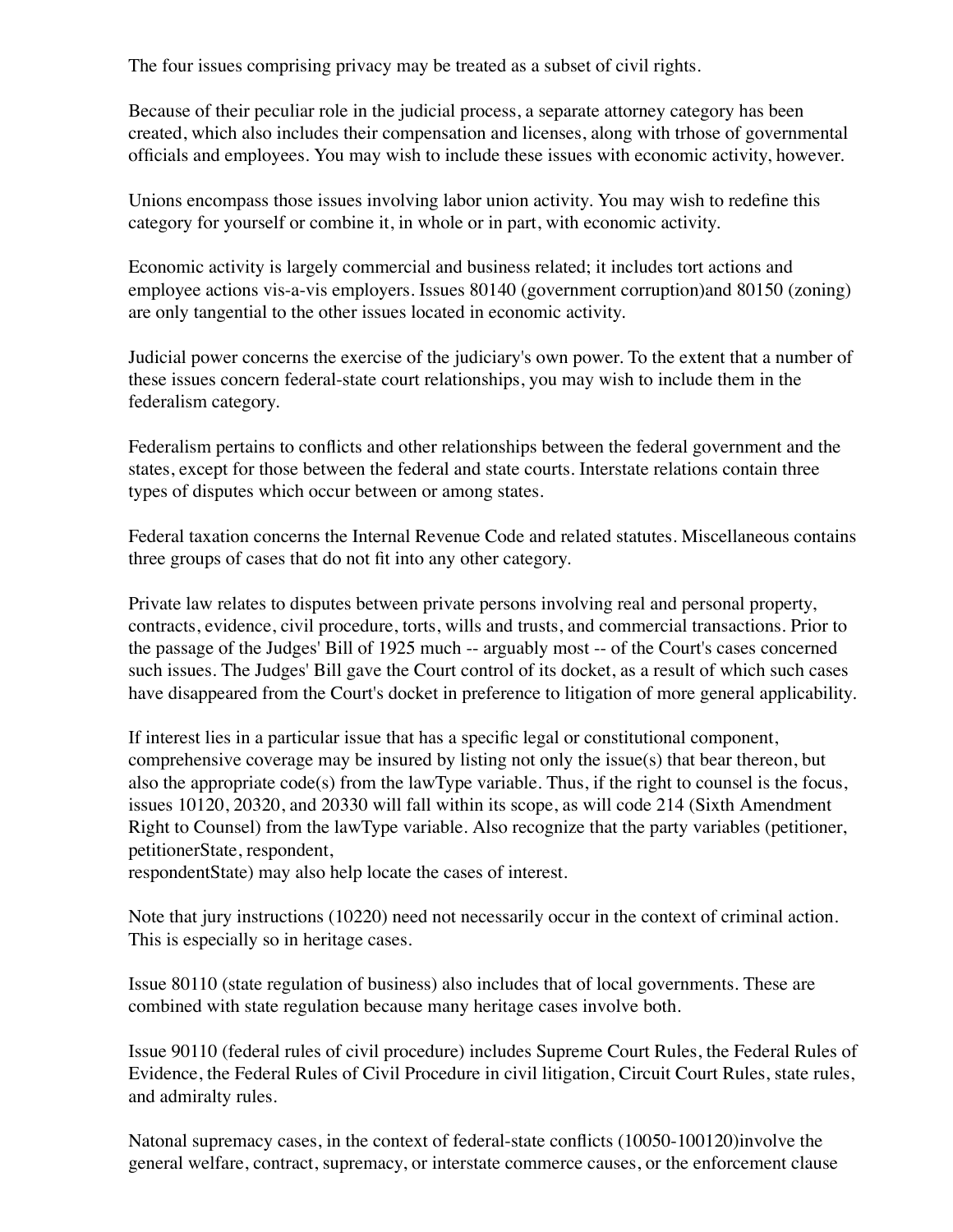The four issues comprising privacy may be treated as a subset of civil rights.

Because of their peculiar role in the judicial process, a separate attorney category has been created, which also includes their compensation and licenses, along with trhose of governmental officials and employees. You may wish to include these issues with economic activity, however.

Unions encompass those issues involving labor union activity. You may wish to redefine this category for yourself or combine it, in whole or in part, with economic activity.

Economic activity is largely commercial and business related; it includes tort actions and employee actions vis-a-vis employers. Issues 80140 (government corruption)and 80150 (zoning) are only tangential to the other issues located in economic activity.

Judicial power concerns the exercise of the judiciary's own power. To the extent that a number of these issues concern federal-state court relationships, you may wish to include them in the federalism category.

Federalism pertains to conflicts and other relationships between the federal government and the states, except for those between the federal and state courts. Interstate relations contain three types of disputes which occur between or among states.

Federal taxation concerns the Internal Revenue Code and related statutes. Miscellaneous contains three groups of cases that do not fit into any other category.

Private law relates to disputes between private persons involving real and personal property, contracts, evidence, civil procedure, torts, wills and trusts, and commercial transactions. Prior to the passage of the Judges' Bill of 1925 much -- arguably most -- of the Court's cases concerned such issues. The Judges' Bill gave the Court control of its docket, as a result of which such cases have disappeared from the Court's docket in preference to litigation of more general applicability.

If interest lies in a particular issue that has a specific legal or constitutional component, comprehensive coverage may be insured by listing not only the issue(s) that bear thereon, but also the appropriate code(s) from the lawType variable. Thus, if the right to counsel is the focus, issues 10120, 20320, and 20330 will fall within its scope, as will code 214 (Sixth Amendment Right to Counsel) from the lawType variable. Also recognize that the party variables (petitioner, petitionerState, respondent,

respondentState) may also help locate the cases of interest.

Note that jury instructions (10220) need not necessarily occur in the context of criminal action. This is especially so in heritage cases.

Issue 80110 (state regulation of business) also includes that of local governments. These are combined with state regulation because many heritage cases involve both.

Issue 90110 (federal rules of civil procedure) includes Supreme Court Rules, the Federal Rules of Evidence, the Federal Rules of Civil Procedure in civil litigation, Circuit Court Rules, state rules, and admiralty rules.

Natonal supremacy cases, in the context of federal-state conflicts (10050-100120)involve the general welfare, contract, supremacy, or interstate commerce causes, or the enforcement clause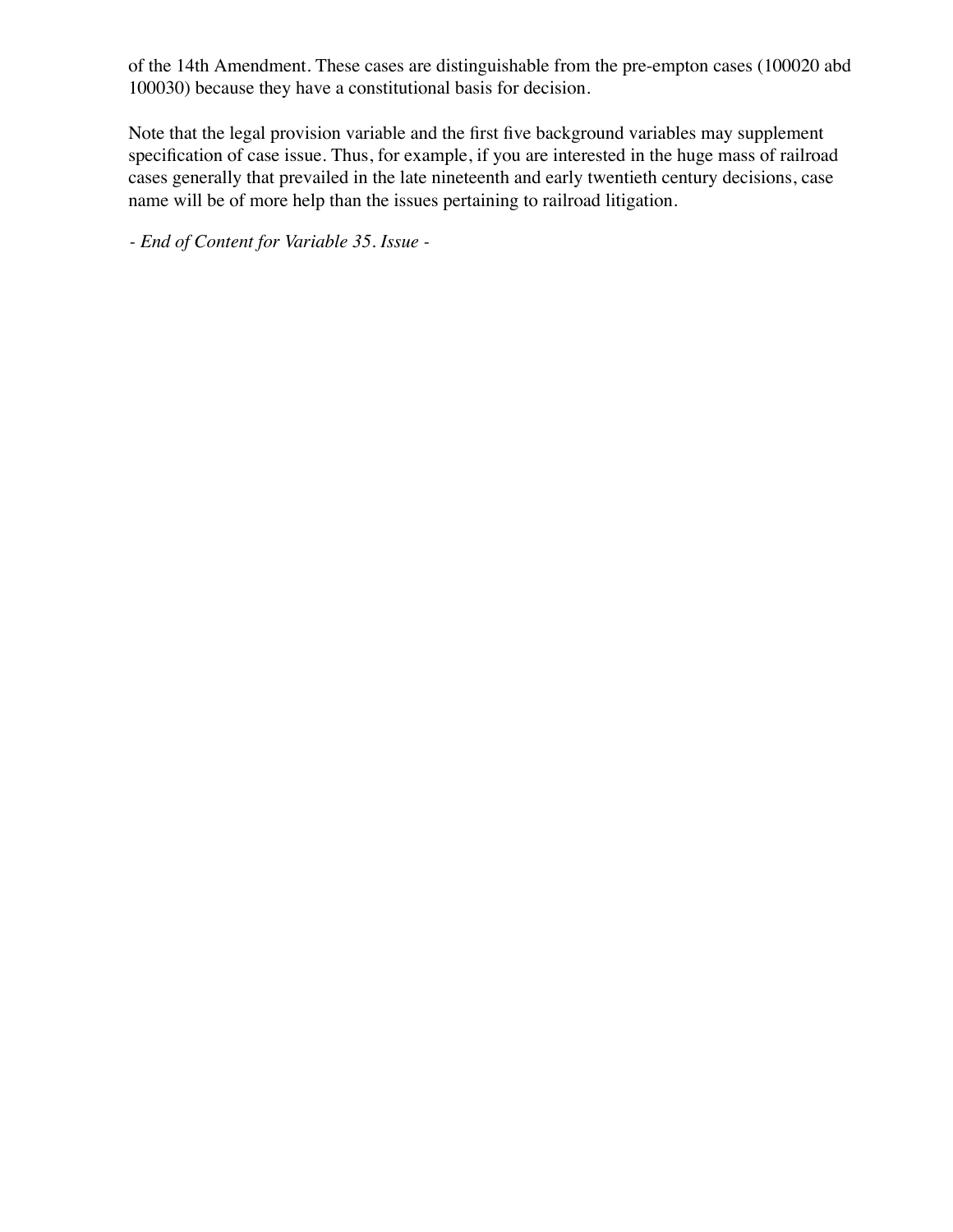of the 14th Amendment. These cases are distinguishable from the pre-empton cases (100020 abd 100030) because they have a constitutional basis for decision.

Note that the legal provision variable and the first five background variables may supplement specification of case issue. Thus, for example, if you are interested in the huge mass of railroad cases generally that prevailed in the late nineteenth and early twentieth century decisions, case name will be of more help than the issues pertaining to railroad litigation.

*- End of Content for Variable 35. Issue -*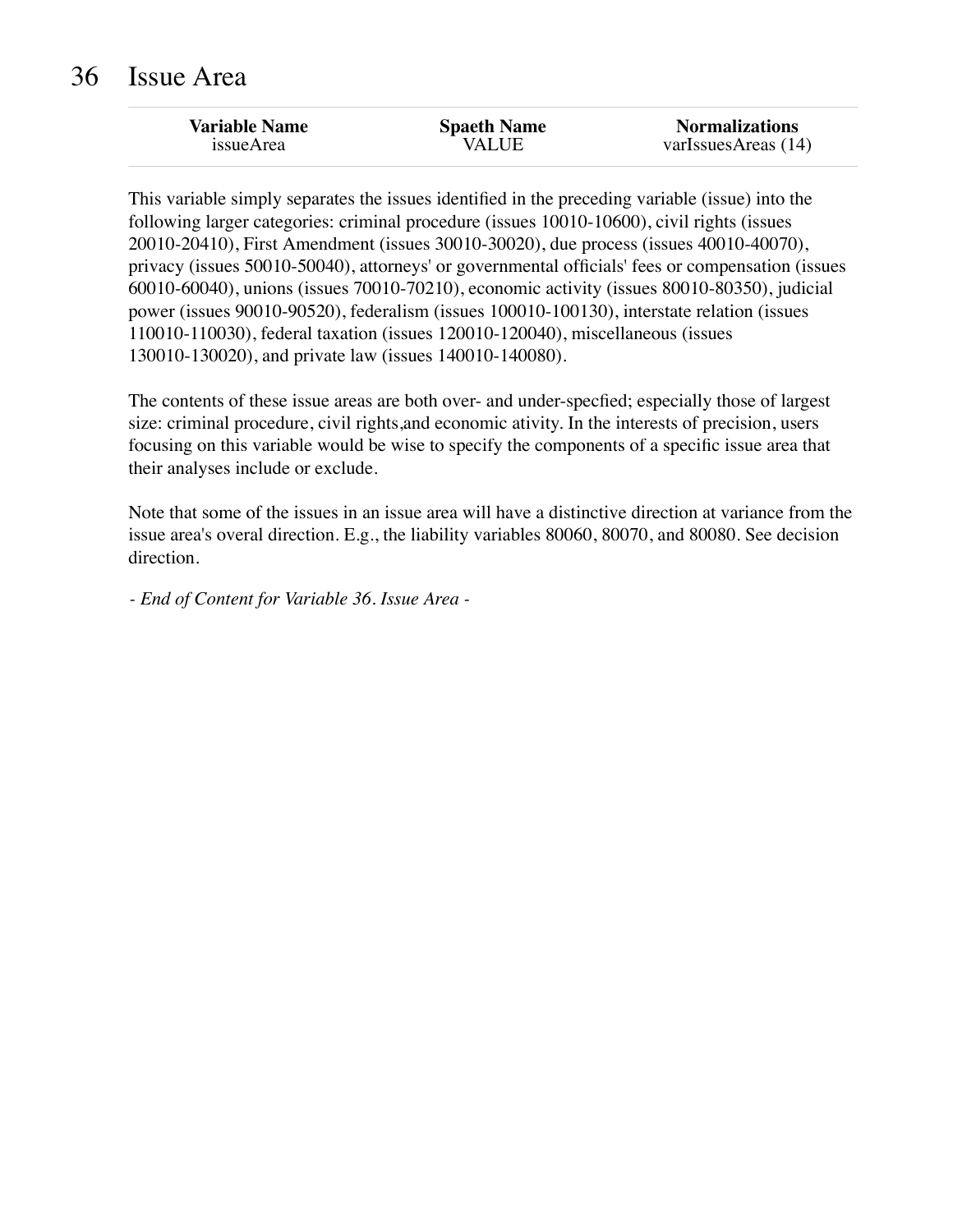| <b>Variable Name</b> | <b>Spaeth Name</b> | <b>Normalizations</b> |
|----------------------|--------------------|-----------------------|
| issueArea            | <b>VALUE</b>       | varIssuesAreas $(14)$ |

This variable simply separates the issues identified in the preceding variable (issue) into the following larger categories: criminal procedure (issues 10010-10600), civil rights (issues 20010-20410), First Amendment (issues 30010-30020), due process (issues 40010-40070), privacy (issues 50010-50040), attorneys' or governmental officials' fees or compensation (issues 60010-60040), unions (issues 70010-70210), economic activity (issues 80010-80350), judicial power (issues 90010-90520), federalism (issues 100010-100130), interstate relation (issues 110010-110030), federal taxation (issues 120010-120040), miscellaneous (issues 130010-130020), and private law (issues 140010-140080).

The contents of these issue areas are both over- and under-specfied; especially those of largest size: criminal procedure, civil rights,and economic ativity. In the interests of precision, users focusing on this variable would be wise to specify the components of a specific issue area that their analyses include or exclude.

Note that some of the issues in an issue area will have a distinctive direction at variance from the issue area's overal direction. E.g., the liability variables 80060, 80070, and 80080. See decision direction.

*- End of Content for Variable 36. Issue Area -*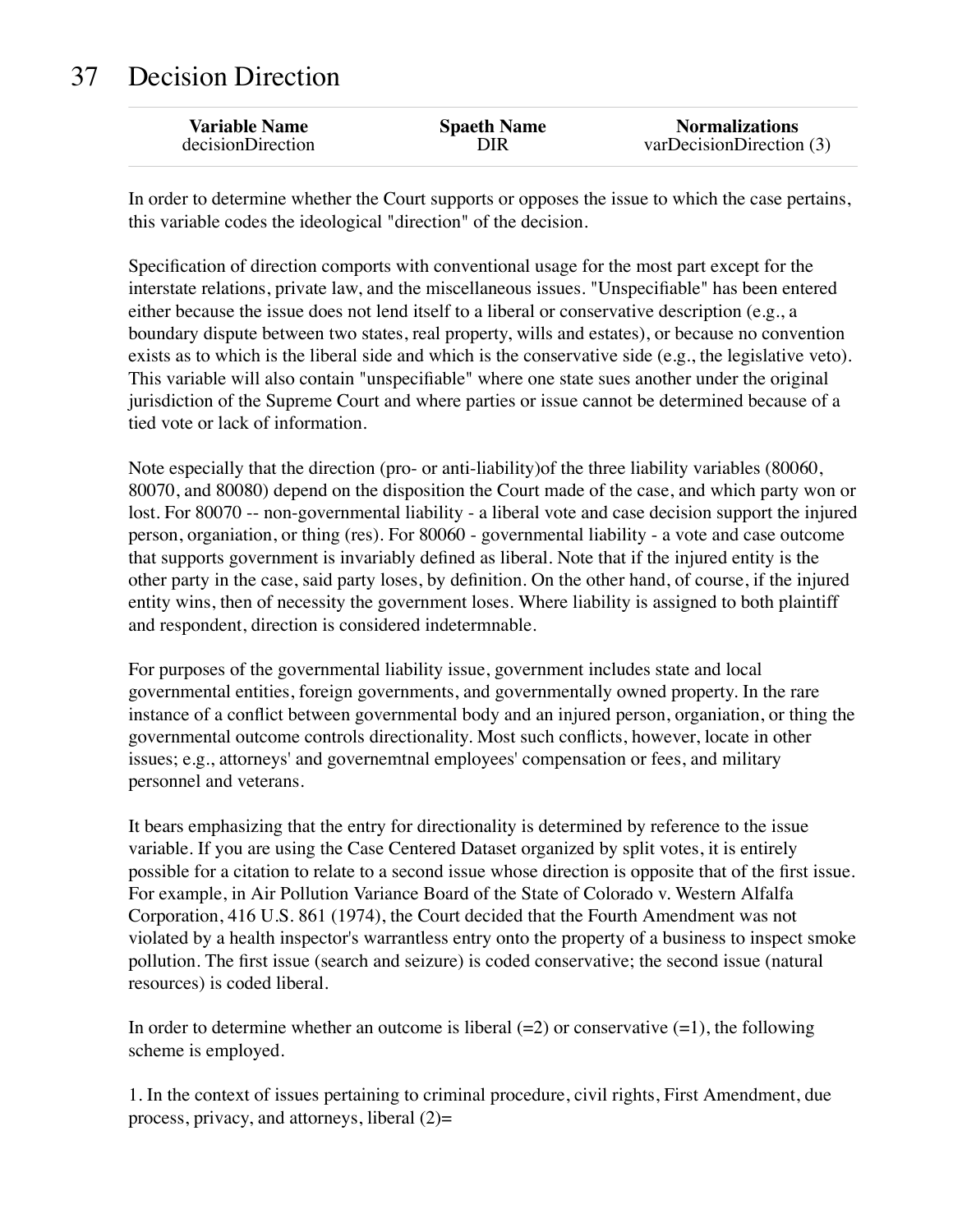# 37 Decision Direction

In order to determine whether the Court supports or opposes the issue to which the case pertains, this variable codes the ideological "direction" of the decision.

Specification of direction comports with conventional usage for the most part except for the interstate relations, private law, and the miscellaneous issues. "Unspecifiable" has been entered either because the issue does not lend itself to a liberal or conservative description (e.g., a boundary dispute between two states, real property, wills and estates), or because no convention exists as to which is the liberal side and which is the conservative side (e.g., the legislative veto). This variable will also contain "unspecifiable" where one state sues another under the original jurisdiction of the Supreme Court and where parties or issue cannot be determined because of a tied vote or lack of information.

Note especially that the direction (pro- or anti-liability)of the three liability variables (80060, 80070, and 80080) depend on the disposition the Court made of the case, and which party won or lost. For 80070 -- non-governmental liability - a liberal vote and case decision support the injured person, organiation, or thing (res). For 80060 - governmental liability - a vote and case outcome that supports government is invariably defined as liberal. Note that if the injured entity is the other party in the case, said party loses, by definition. On the other hand, of course, if the injured entity wins, then of necessity the government loses. Where liability is assigned to both plaintiff and respondent, direction is considered indetermnable.

For purposes of the governmental liability issue, government includes state and local governmental entities, foreign governments, and governmentally owned property. In the rare instance of a conflict between governmental body and an injured person, organiation, or thing the governmental outcome controls directionality. Most such conflicts, however, locate in other issues; e.g., attorneys' and governemtnal employees' compensation or fees, and military personnel and veterans.

It bears emphasizing that the entry for directionality is determined by reference to the issue variable. If you are using the Case Centered Dataset organized by split votes, it is entirely possible for a citation to relate to a second issue whose direction is opposite that of the first issue. For example, in Air Pollution Variance Board of the State of Colorado v. Western Alfalfa Corporation, 416 U.S. 861 (1974), the Court decided that the Fourth Amendment was not violated by a health inspector's warrantless entry onto the property of a business to inspect smoke pollution. The first issue (search and seizure) is coded conservative; the second issue (natural resources) is coded liberal.

In order to determine whether an outcome is liberal  $(=2)$  or conservative  $(=1)$ , the following scheme is employed.

1. In the context of issues pertaining to criminal procedure, civil rights, First Amendment, due process, privacy, and attorneys, liberal  $(2)$ =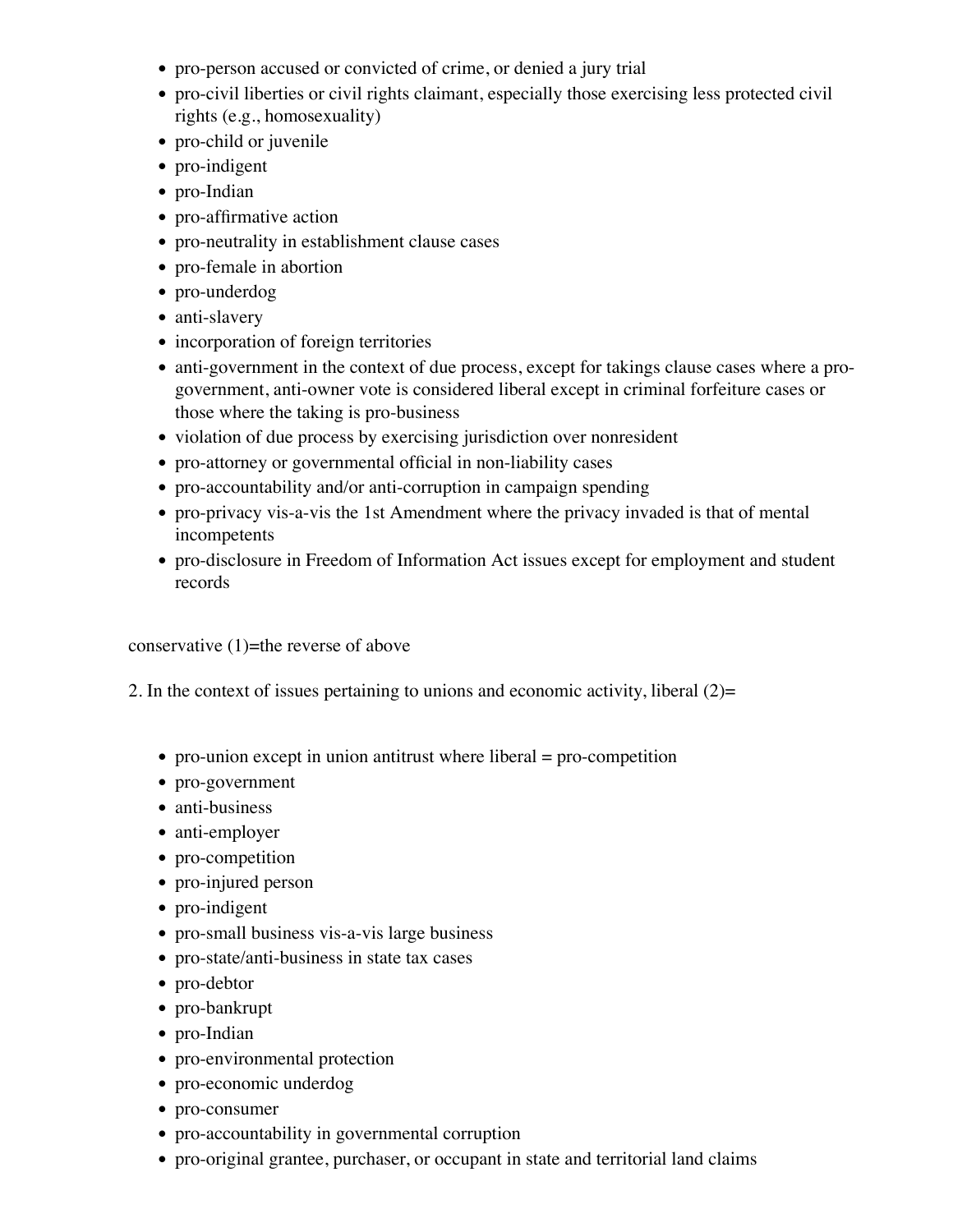- pro-person accused or convicted of crime, or denied a jury trial
- pro-civil liberties or civil rights claimant, especially those exercising less protected civil rights (e.g., homosexuality)
- pro-child or juvenile
- pro-indigent
- pro-Indian
- pro-affirmative action
- pro-neutrality in establishment clause cases
- pro-female in abortion
- pro-underdog
- anti-slavery
- incorporation of foreign territories
- anti-government in the context of due process, except for takings clause cases where a progovernment, anti-owner vote is considered liberal except in criminal forfeiture cases or those where the taking is pro-business
- violation of due process by exercising jurisdiction over nonresident
- pro-attorney or governmental official in non-liability cases
- pro-accountability and/or anti-corruption in campaign spending
- pro-privacy vis-a-vis the 1st Amendment where the privacy invaded is that of mental incompetents
- pro-disclosure in Freedom of Information Act issues except for employment and student records

conservative  $(1)$ =the reverse of above

- 2. In the context of issues pertaining to unions and economic activity, liberal (2)=
	- pro-union except in union antitrust where liberal  $=$  pro-competition
	- pro-government
	- anti-business
	- anti-employer
	- pro-competition
	- pro-injured person
	- pro-indigent
	- pro-small business vis-a-vis large business
	- pro-state/anti-business in state tax cases
	- pro-debtor
	- pro-bankrupt
	- pro-Indian
	- pro-environmental protection
	- pro-economic underdog
	- pro-consumer
	- pro-accountability in governmental corruption
	- pro-original grantee, purchaser, or occupant in state and territorial land claims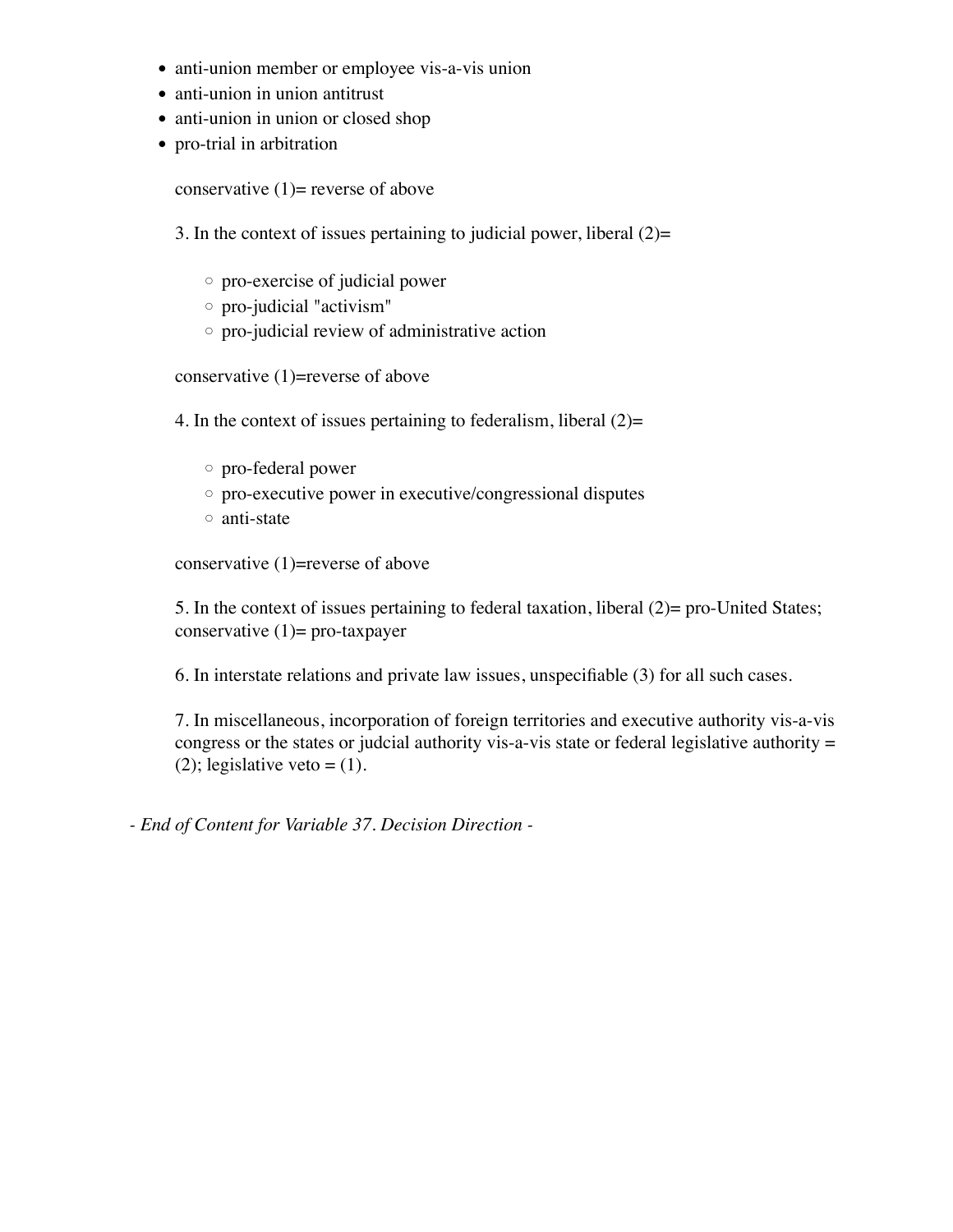- anti-union member or employee vis-a-vis union
- anti-union in union antitrust
- anti-union in union or closed shop
- pro-trial in arbitration

conservative  $(1)$ = reverse of above

3. In the context of issues pertaining to judicial power, liberal  $(2)$ =

- pro-exercise of judicial power
- pro-judicial "activism"
- pro-judicial review of administrative action

conservative (1)=reverse of above

4. In the context of issues pertaining to federalism, liberal  $(2)=$ 

- pro-federal power
- pro-executive power in executive/congressional disputes
- anti-state

conservative (1)=reverse of above

5. In the context of issues pertaining to federal taxation, liberal (2)= pro-United States; conservative  $(1)$ = pro-taxpayer

6. In interstate relations and private law issues, unspecifiable (3) for all such cases.

7. In miscellaneous, incorporation of foreign territories and executive authority vis-a-vis congress or the states or judcial authority vis-a-vis state or federal legislative authority = (2); legislative veto  $=(1)$ .

*- End of Content for Variable 37. Decision Direction -*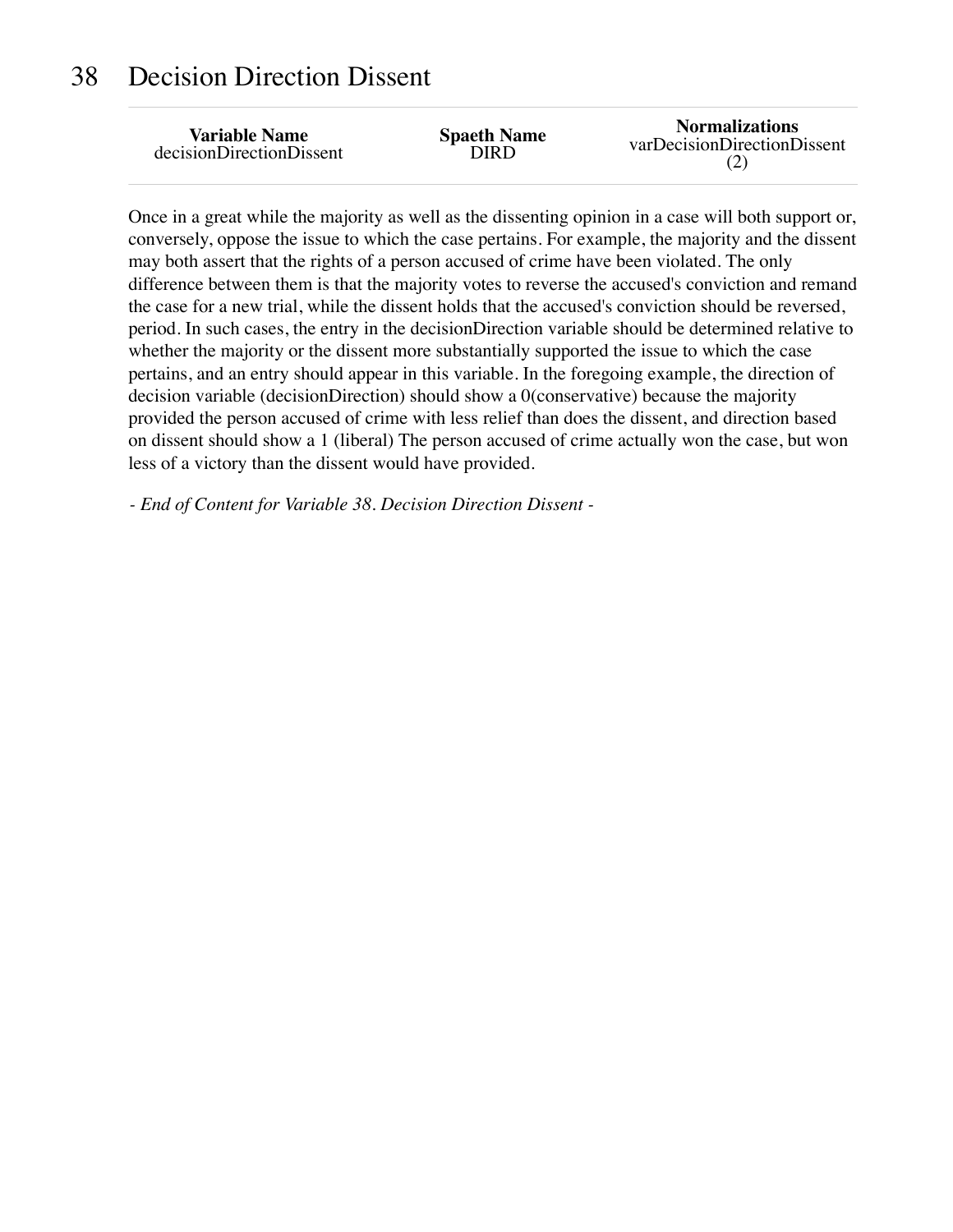#### 38 Decision Direction Dissent

| <b>Variable Name</b>     | <b>Spaeth Name</b> | <b>Normalizations</b>       |
|--------------------------|--------------------|-----------------------------|
| decisionDirectionDissent | DIRD               | varDecisionDirectionDissent |

Once in a great while the majority as well as the dissenting opinion in a case will both support or, conversely, oppose the issue to which the case pertains. For example, the majority and the dissent may both assert that the rights of a person accused of crime have been violated. The only difference between them is that the majority votes to reverse the accused's conviction and remand the case for a new trial, while the dissent holds that the accused's conviction should be reversed, period. In such cases, the entry in the decisionDirection variable should be determined relative to whether the majority or the dissent more substantially supported the issue to which the case pertains, and an entry should appear in this variable. In the foregoing example, the direction of decision variable (decisionDirection) should show a 0(conservative) because the majority provided the person accused of crime with less relief than does the dissent, and direction based on dissent should show a 1 (liberal) The person accused of crime actually won the case, but won less of a victory than the dissent would have provided.

*- End of Content for Variable 38. Decision Direction Dissent -*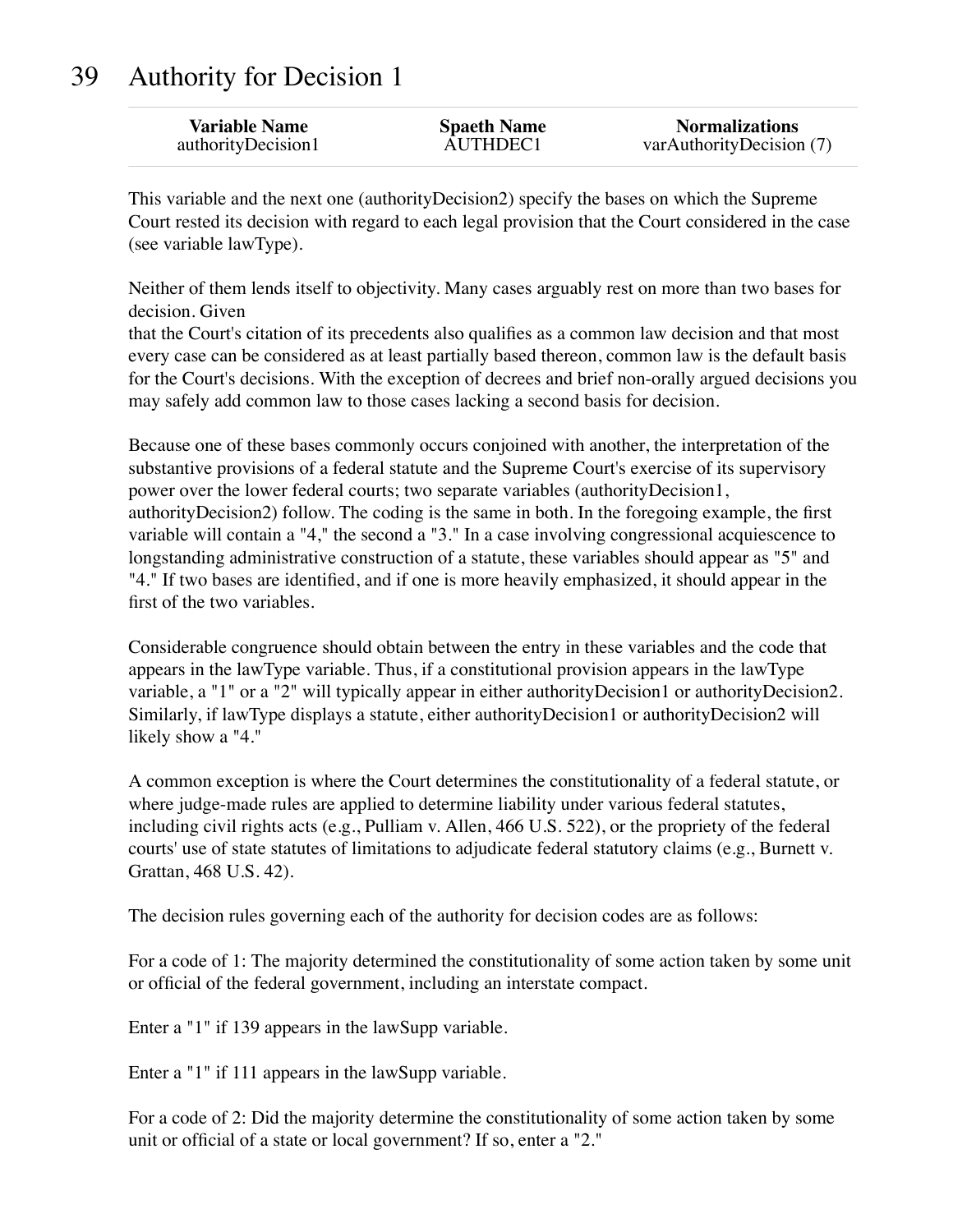# 39 Authority for Decision 1

| <b>Variable Name</b> | <b>Spaeth Name</b> | <b>Normalizations</b>    |
|----------------------|--------------------|--------------------------|
| authorityDecision1   | AUTHDEC1           | varAuthorityDecision (7) |

This variable and the next one (authorityDecision2) specify the bases on which the Supreme Court rested its decision with regard to each legal provision that the Court considered in the case (see variable lawType).

Neither of them lends itself to objectivity. Many cases arguably rest on more than two bases for decision. Given

that the Court's citation of its precedents also qualifies as a common law decision and that most every case can be considered as at least partially based thereon, common law is the default basis for the Court's decisions. With the exception of decrees and brief non-orally argued decisions you may safely add common law to those cases lacking a second basis for decision.

Because one of these bases commonly occurs conjoined with another, the interpretation of the substantive provisions of a federal statute and the Supreme Court's exercise of its supervisory power over the lower federal courts; two separate variables (authorityDecision1, authorityDecision2) follow. The coding is the same in both. In the foregoing example, the first variable will contain a "4," the second a "3." In a case involving congressional acquiescence to longstanding administrative construction of a statute, these variables should appear as "5" and "4." If two bases are identified, and if one is more heavily emphasized, it should appear in the first of the two variables.

Considerable congruence should obtain between the entry in these variables and the code that appears in the lawType variable. Thus, if a constitutional provision appears in the lawType variable, a "1" or a "2" will typically appear in either authorityDecision1 or authorityDecision2. Similarly, if lawType displays a statute, either authorityDecision1 or authorityDecision2 will likely show a "4."

A common exception is where the Court determines the constitutionality of a federal statute, or where judge-made rules are applied to determine liability under various federal statutes, including civil rights acts (e.g., Pulliam v. Allen, 466 U.S. 522), or the propriety of the federal courts' use of state statutes of limitations to adjudicate federal statutory claims (e.g., Burnett v. Grattan, 468 U.S. 42).

The decision rules governing each of the authority for decision codes are as follows:

For a code of 1: The majority determined the constitutionality of some action taken by some unit or official of the federal government, including an interstate compact.

Enter a "1" if 139 appears in the lawSupp variable.

Enter a "1" if 111 appears in the lawSupp variable.

For a code of 2: Did the majority determine the constitutionality of some action taken by some unit or official of a state or local government? If so, enter a "2."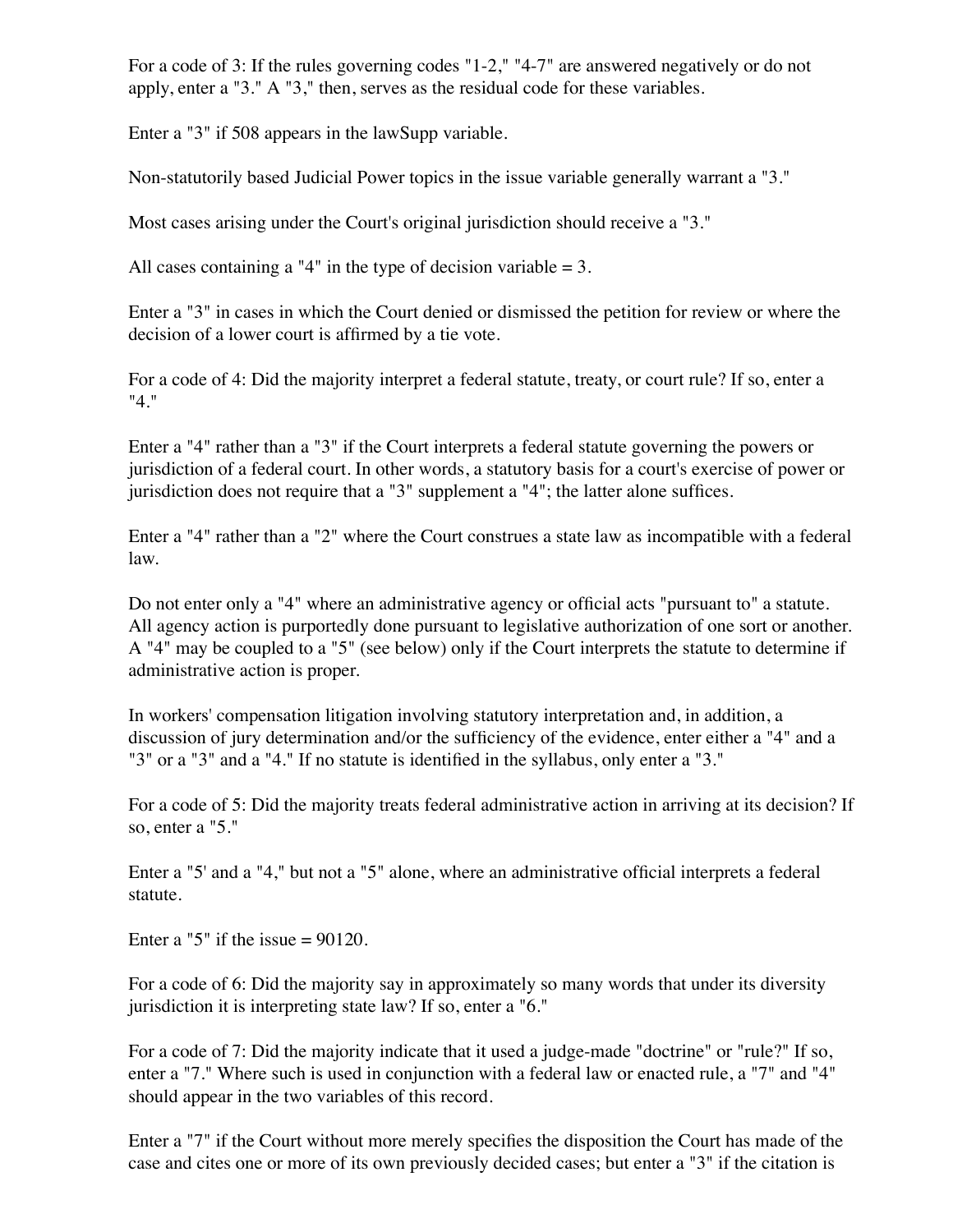For a code of 3: If the rules governing codes "1-2," "4-7" are answered negatively or do not apply, enter a "3." A "3," then, serves as the residual code for these variables.

Enter a "3" if 508 appears in the lawSupp variable.

Non-statutorily based Judicial Power topics in the issue variable generally warrant a "3."

Most cases arising under the Court's original jurisdiction should receive a "3."

All cases containing a "4" in the type of decision variable  $= 3$ .

Enter a "3" in cases in which the Court denied or dismissed the petition for review or where the decision of a lower court is affirmed by a tie vote.

For a code of 4: Did the majority interpret a federal statute, treaty, or court rule? If so, enter a "4."

Enter a "4" rather than a "3" if the Court interprets a federal statute governing the powers or jurisdiction of a federal court. In other words, a statutory basis for a court's exercise of power or jurisdiction does not require that a "3" supplement a "4"; the latter alone suffices.

Enter a "4" rather than a "2" where the Court construes a state law as incompatible with a federal law.

Do not enter only a "4" where an administrative agency or official acts "pursuant to" a statute. All agency action is purportedly done pursuant to legislative authorization of one sort or another. A "4" may be coupled to a "5" (see below) only if the Court interprets the statute to determine if administrative action is proper.

In workers' compensation litigation involving statutory interpretation and, in addition, a discussion of jury determination and/or the sufficiency of the evidence, enter either a "4" and a "3" or a "3" and a "4." If no statute is identified in the syllabus, only enter a "3."

For a code of 5: Did the majority treats federal administrative action in arriving at its decision? If so, enter a "5."

Enter a "5' and a "4," but not a "5" alone, where an administrative official interprets a federal statute.

Enter a "5" if the issue  $= 90120$ .

For a code of 6: Did the majority say in approximately so many words that under its diversity jurisdiction it is interpreting state law? If so, enter a "6."

For a code of 7: Did the majority indicate that it used a judge-made "doctrine" or "rule?" If so, enter a "7." Where such is used in conjunction with a federal law or enacted rule, a "7" and "4" should appear in the two variables of this record.

Enter a "7" if the Court without more merely specifies the disposition the Court has made of the case and cites one or more of its own previously decided cases; but enter a "3" if the citation is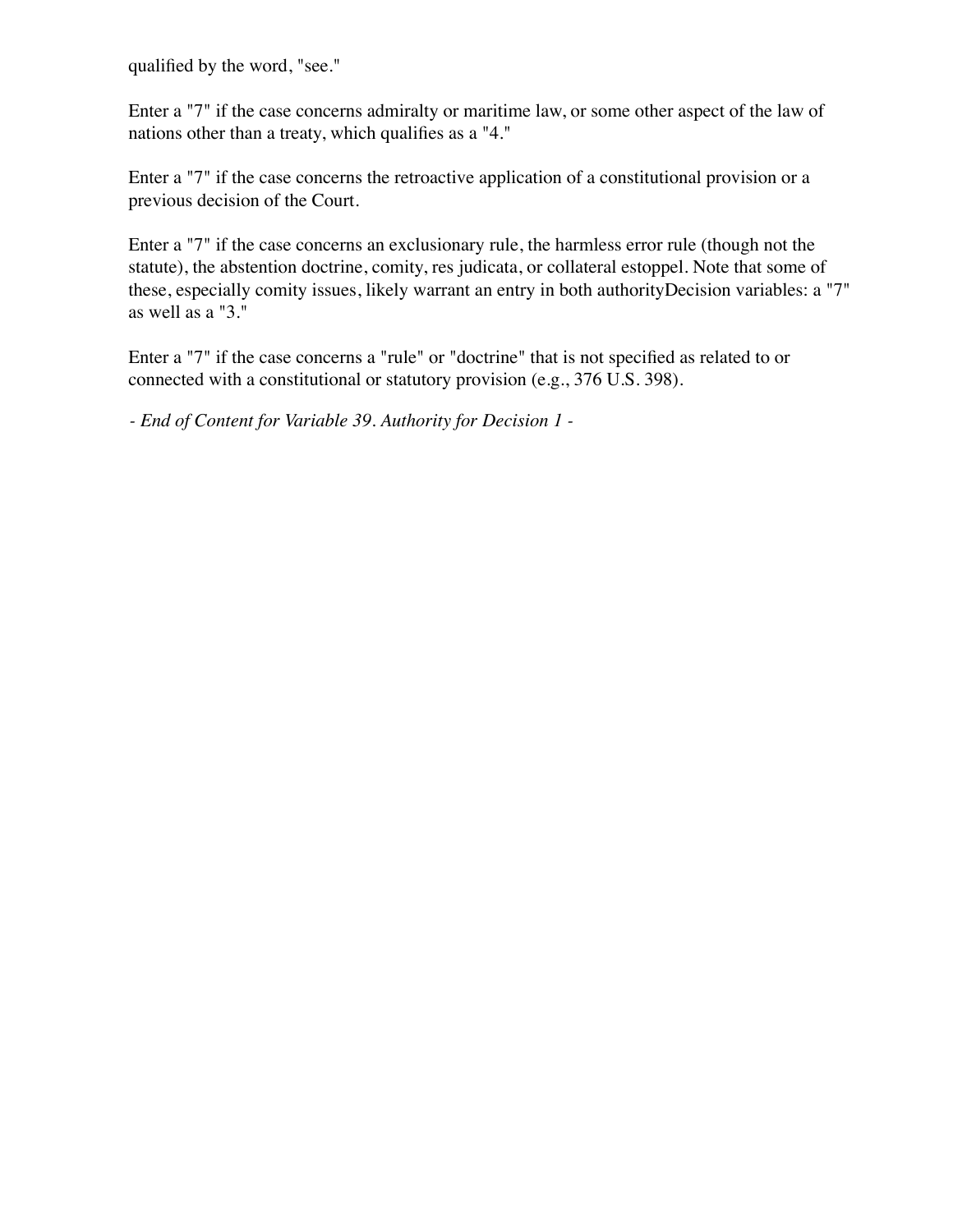qualified by the word, "see."

Enter a "7" if the case concerns admiralty or maritime law, or some other aspect of the law of nations other than a treaty, which qualifies as a "4."

Enter a "7" if the case concerns the retroactive application of a constitutional provision or a previous decision of the Court.

Enter a "7" if the case concerns an exclusionary rule, the harmless error rule (though not the statute), the abstention doctrine, comity, res judicata, or collateral estoppel. Note that some of these, especially comity issues, likely warrant an entry in both authorityDecision variables: a "7" as well as a "3."

Enter a "7" if the case concerns a "rule" or "doctrine" that is not specified as related to or connected with a constitutional or statutory provision (e.g., 376 U.S. 398).

*- End of Content for Variable 39. Authority for Decision 1 -*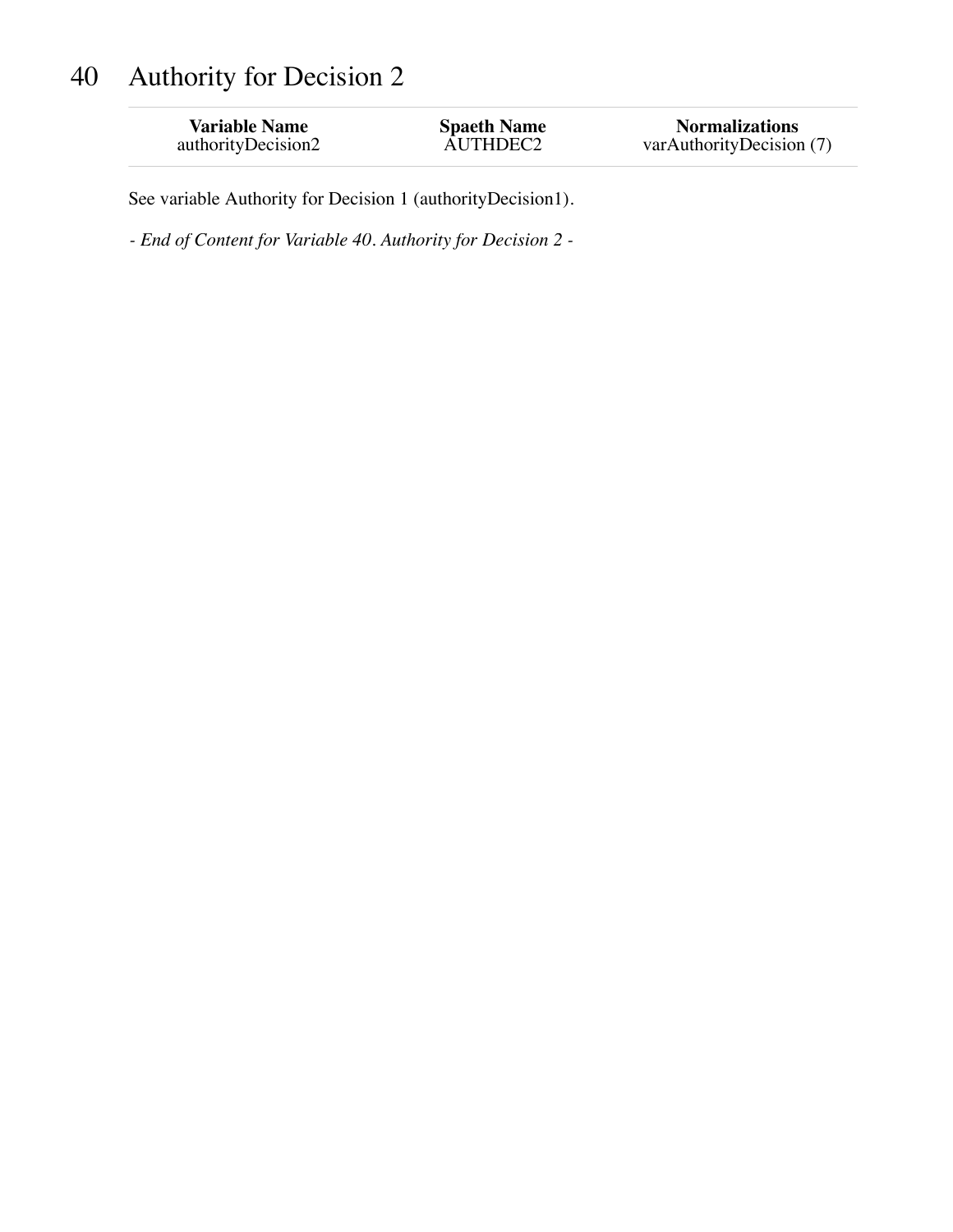# 40 Authority for Decision 2

| <b>Variable Name</b> | <b>Spaeth Name</b> | <b>Normalizations</b>    |
|----------------------|--------------------|--------------------------|
| authorityDecision2   | AUTHDEC2           | varAuthorityDecision (7) |

See variable Authority for Decision 1 (authorityDecision1).

*- End of Content for Variable 40. Authority for Decision 2 -*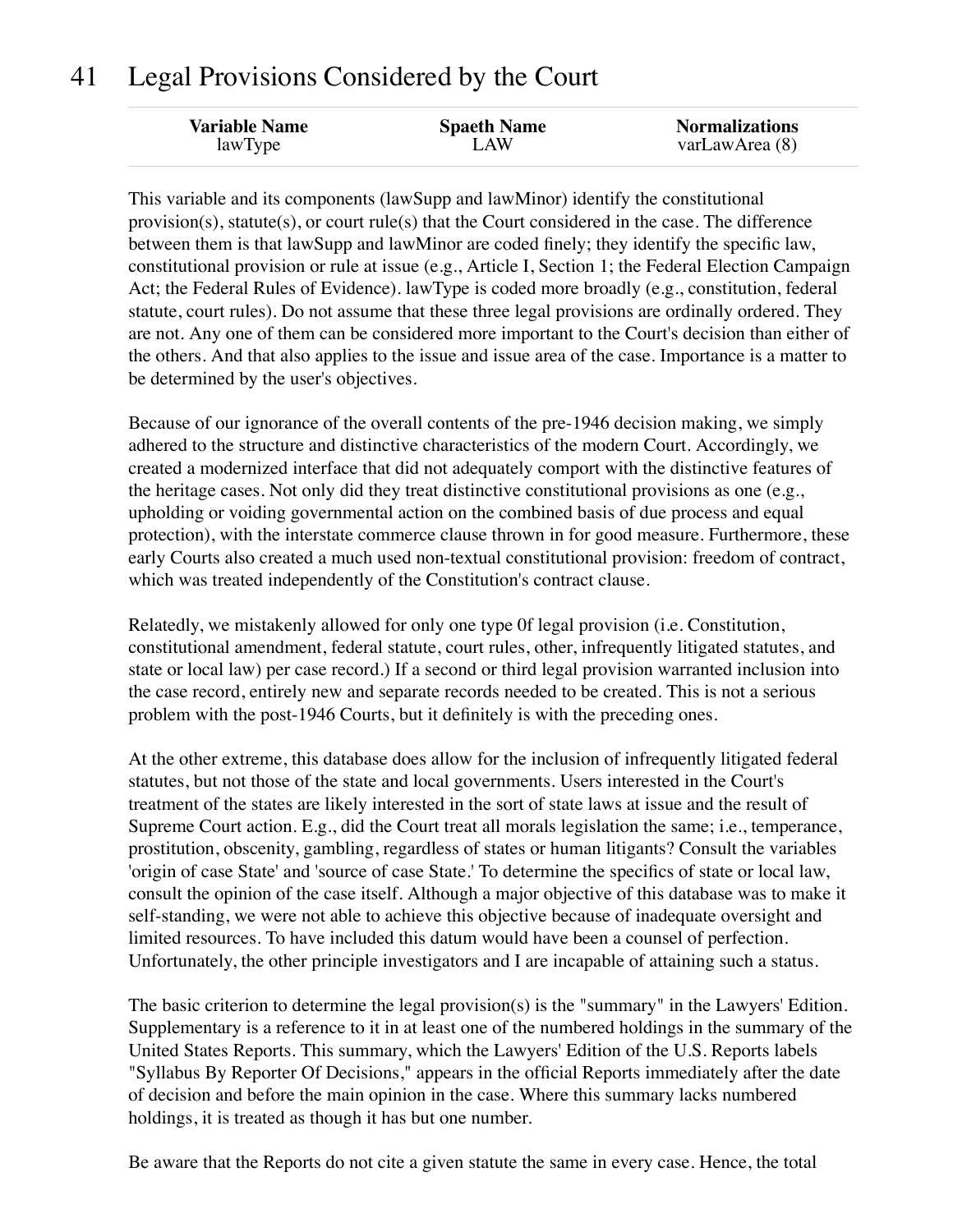### 41 Legal Provisions Considered by the Court

| <b>Variable Name</b> | <b>Spaeth Name</b> | <b>Normalizations</b> |
|----------------------|--------------------|-----------------------|
| lawType              | LAW                | varLawArea (8)        |

This variable and its components (lawSupp and lawMinor) identify the constitutional provision(s), statute(s), or court rule(s) that the Court considered in the case. The difference between them is that lawSupp and lawMinor are coded finely; they identify the specific law, constitutional provision or rule at issue (e.g., Article I, Section 1; the Federal Election Campaign Act; the Federal Rules of Evidence). lawType is coded more broadly (e.g., constitution, federal statute, court rules). Do not assume that these three legal provisions are ordinally ordered. They are not. Any one of them can be considered more important to the Court's decision than either of the others. And that also applies to the issue and issue area of the case. Importance is a matter to be determined by the user's objectives.

Because of our ignorance of the overall contents of the pre-1946 decision making, we simply adhered to the structure and distinctive characteristics of the modern Court. Accordingly, we created a modernized interface that did not adequately comport with the distinctive features of the heritage cases. Not only did they treat distinctive constitutional provisions as one (e.g., upholding or voiding governmental action on the combined basis of due process and equal protection), with the interstate commerce clause thrown in for good measure. Furthermore, these early Courts also created a much used non-textual constitutional provision: freedom of contract, which was treated independently of the Constitution's contract clause.

Relatedly, we mistakenly allowed for only one type 0f legal provision (i.e. Constitution, constitutional amendment, federal statute, court rules, other, infrequently litigated statutes, and state or local law) per case record.) If a second or third legal provision warranted inclusion into the case record, entirely new and separate records needed to be created. This is not a serious problem with the post-1946 Courts, but it definitely is with the preceding ones.

At the other extreme, this database does allow for the inclusion of infrequently litigated federal statutes, but not those of the state and local governments. Users interested in the Court's treatment of the states are likely interested in the sort of state laws at issue and the result of Supreme Court action. E.g., did the Court treat all morals legislation the same; i.e., temperance, prostitution, obscenity, gambling, regardless of states or human litigants? Consult the variables 'origin of case State' and 'source of case State.' To determine the specifics of state or local law, consult the opinion of the case itself. Although a major objective of this database was to make it self-standing, we were not able to achieve this objective because of inadequate oversight and limited resources. To have included this datum would have been a counsel of perfection. Unfortunately, the other principle investigators and I are incapable of attaining such a status.

The basic criterion to determine the legal provision(s) is the "summary" in the Lawyers' Edition. Supplementary is a reference to it in at least one of the numbered holdings in the summary of the United States Reports. This summary, which the Lawyers' Edition of the U.S. Reports labels "Syllabus By Reporter Of Decisions," appears in the official Reports immediately after the date of decision and before the main opinion in the case. Where this summary lacks numbered holdings, it is treated as though it has but one number.

Be aware that the Reports do not cite a given statute the same in every case. Hence, the total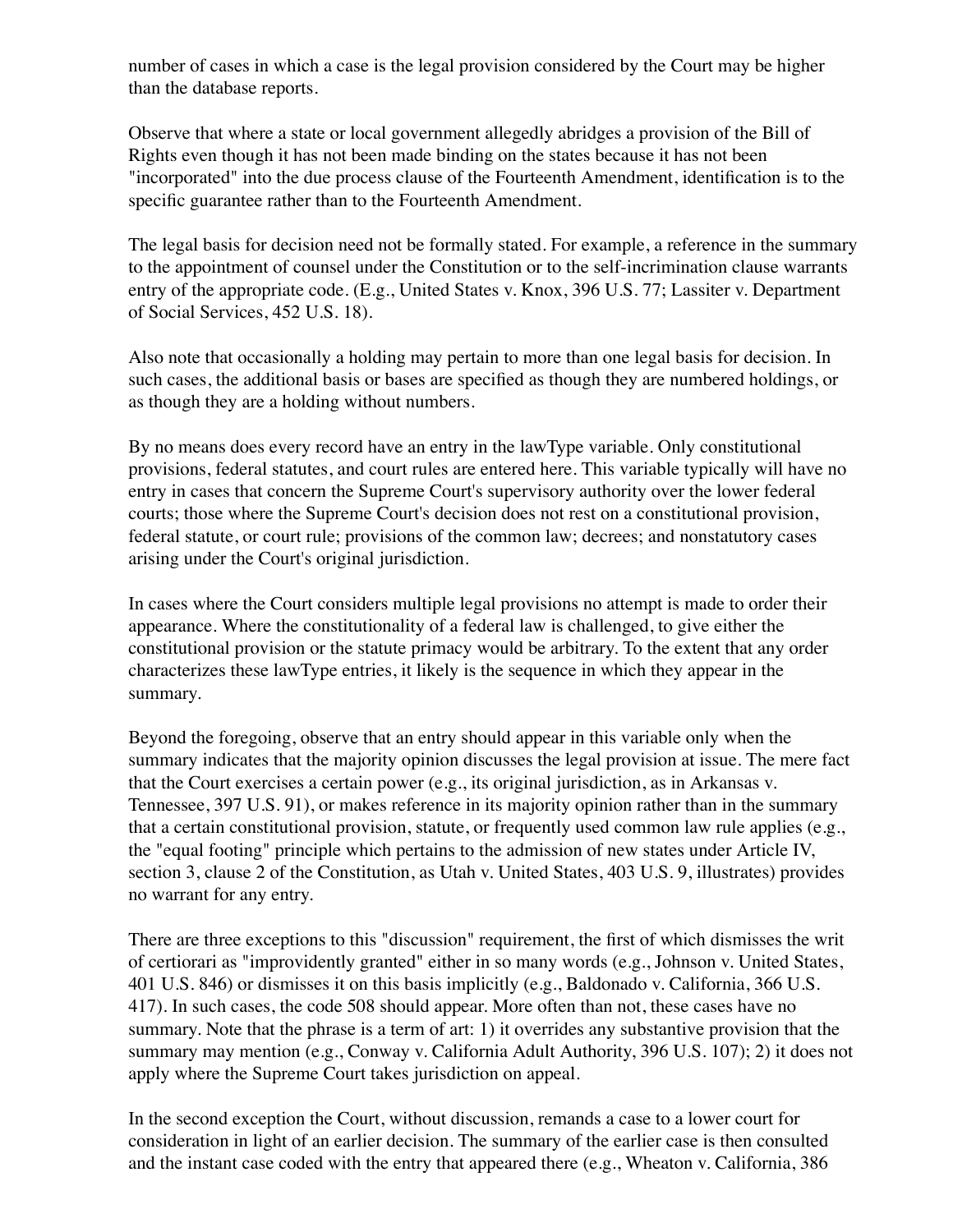number of cases in which a case is the legal provision considered by the Court may be higher than the database reports.

Observe that where a state or local government allegedly abridges a provision of the Bill of Rights even though it has not been made binding on the states because it has not been "incorporated" into the due process clause of the Fourteenth Amendment, identification is to the specific guarantee rather than to the Fourteenth Amendment.

The legal basis for decision need not be formally stated. For example, a reference in the summary to the appointment of counsel under the Constitution or to the self-incrimination clause warrants entry of the appropriate code. (E.g., United States v. Knox, 396 U.S. 77; Lassiter v. Department of Social Services, 452 U.S. 18).

Also note that occasionally a holding may pertain to more than one legal basis for decision. In such cases, the additional basis or bases are specified as though they are numbered holdings, or as though they are a holding without numbers.

By no means does every record have an entry in the lawType variable. Only constitutional provisions, federal statutes, and court rules are entered here. This variable typically will have no entry in cases that concern the Supreme Court's supervisory authority over the lower federal courts; those where the Supreme Court's decision does not rest on a constitutional provision, federal statute, or court rule; provisions of the common law; decrees; and nonstatutory cases arising under the Court's original jurisdiction.

In cases where the Court considers multiple legal provisions no attempt is made to order their appearance. Where the constitutionality of a federal law is challenged, to give either the constitutional provision or the statute primacy would be arbitrary. To the extent that any order characterizes these lawType entries, it likely is the sequence in which they appear in the summary.

Beyond the foregoing, observe that an entry should appear in this variable only when the summary indicates that the majority opinion discusses the legal provision at issue. The mere fact that the Court exercises a certain power (e.g., its original jurisdiction, as in Arkansas v. Tennessee, 397 U.S. 91), or makes reference in its majority opinion rather than in the summary that a certain constitutional provision, statute, or frequently used common law rule applies (e.g., the "equal footing" principle which pertains to the admission of new states under Article IV, section 3, clause 2 of the Constitution, as Utah v. United States, 403 U.S. 9, illustrates) provides no warrant for any entry.

There are three exceptions to this "discussion" requirement, the first of which dismisses the writ of certiorari as "improvidently granted" either in so many words (e.g., Johnson v. United States, 401 U.S. 846) or dismisses it on this basis implicitly (e.g., Baldonado v. California, 366 U.S. 417). In such cases, the code 508 should appear. More often than not, these cases have no summary. Note that the phrase is a term of art: 1) it overrides any substantive provision that the summary may mention (e.g., Conway v. California Adult Authority, 396 U.S. 107); 2) it does not apply where the Supreme Court takes jurisdiction on appeal.

In the second exception the Court, without discussion, remands a case to a lower court for consideration in light of an earlier decision. The summary of the earlier case is then consulted and the instant case coded with the entry that appeared there (e.g., Wheaton v. California, 386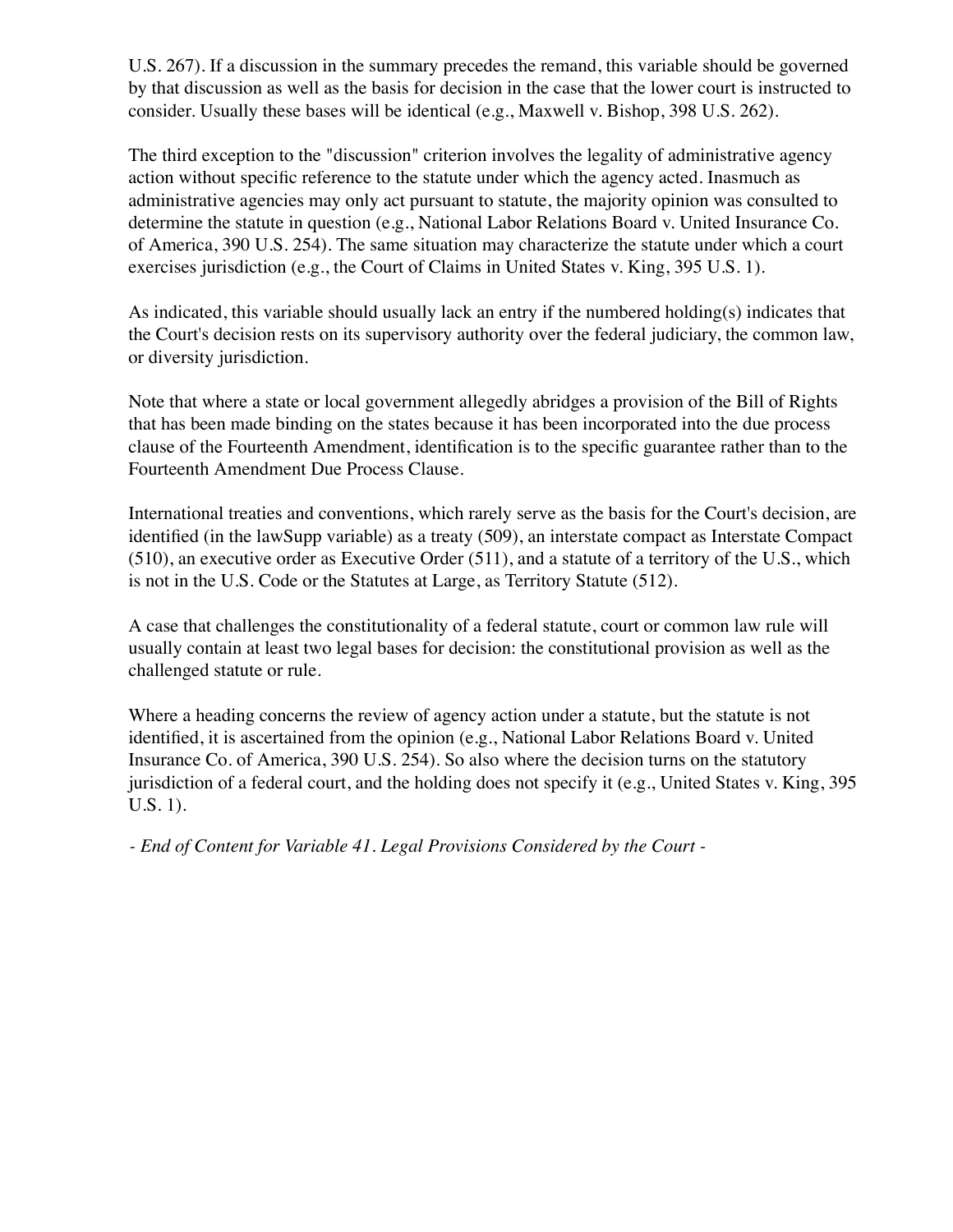U.S. 267). If a discussion in the summary precedes the remand, this variable should be governed by that discussion as well as the basis for decision in the case that the lower court is instructed to consider. Usually these bases will be identical (e.g., Maxwell v. Bishop, 398 U.S. 262).

The third exception to the "discussion" criterion involves the legality of administrative agency action without specific reference to the statute under which the agency acted. Inasmuch as administrative agencies may only act pursuant to statute, the majority opinion was consulted to determine the statute in question (e.g., National Labor Relations Board v. United Insurance Co. of America, 390 U.S. 254). The same situation may characterize the statute under which a court exercises jurisdiction (e.g., the Court of Claims in United States v. King, 395 U.S. 1).

As indicated, this variable should usually lack an entry if the numbered holding(s) indicates that the Court's decision rests on its supervisory authority over the federal judiciary, the common law, or diversity jurisdiction.

Note that where a state or local government allegedly abridges a provision of the Bill of Rights that has been made binding on the states because it has been incorporated into the due process clause of the Fourteenth Amendment, identification is to the specific guarantee rather than to the Fourteenth Amendment Due Process Clause.

International treaties and conventions, which rarely serve as the basis for the Court's decision, are identified (in the lawSupp variable) as a treaty (509), an interstate compact as Interstate Compact (510), an executive order as Executive Order (511), and a statute of a territory of the U.S., which is not in the U.S. Code or the Statutes at Large, as Territory Statute (512).

A case that challenges the constitutionality of a federal statute, court or common law rule will usually contain at least two legal bases for decision: the constitutional provision as well as the challenged statute or rule.

Where a heading concerns the review of agency action under a statute, but the statute is not identified, it is ascertained from the opinion (e.g., National Labor Relations Board v. United Insurance Co. of America, 390 U.S. 254). So also where the decision turns on the statutory jurisdiction of a federal court, and the holding does not specify it (e.g., United States v. King, 395 U.S. 1).

*- End of Content for Variable 41. Legal Provisions Considered by the Court -*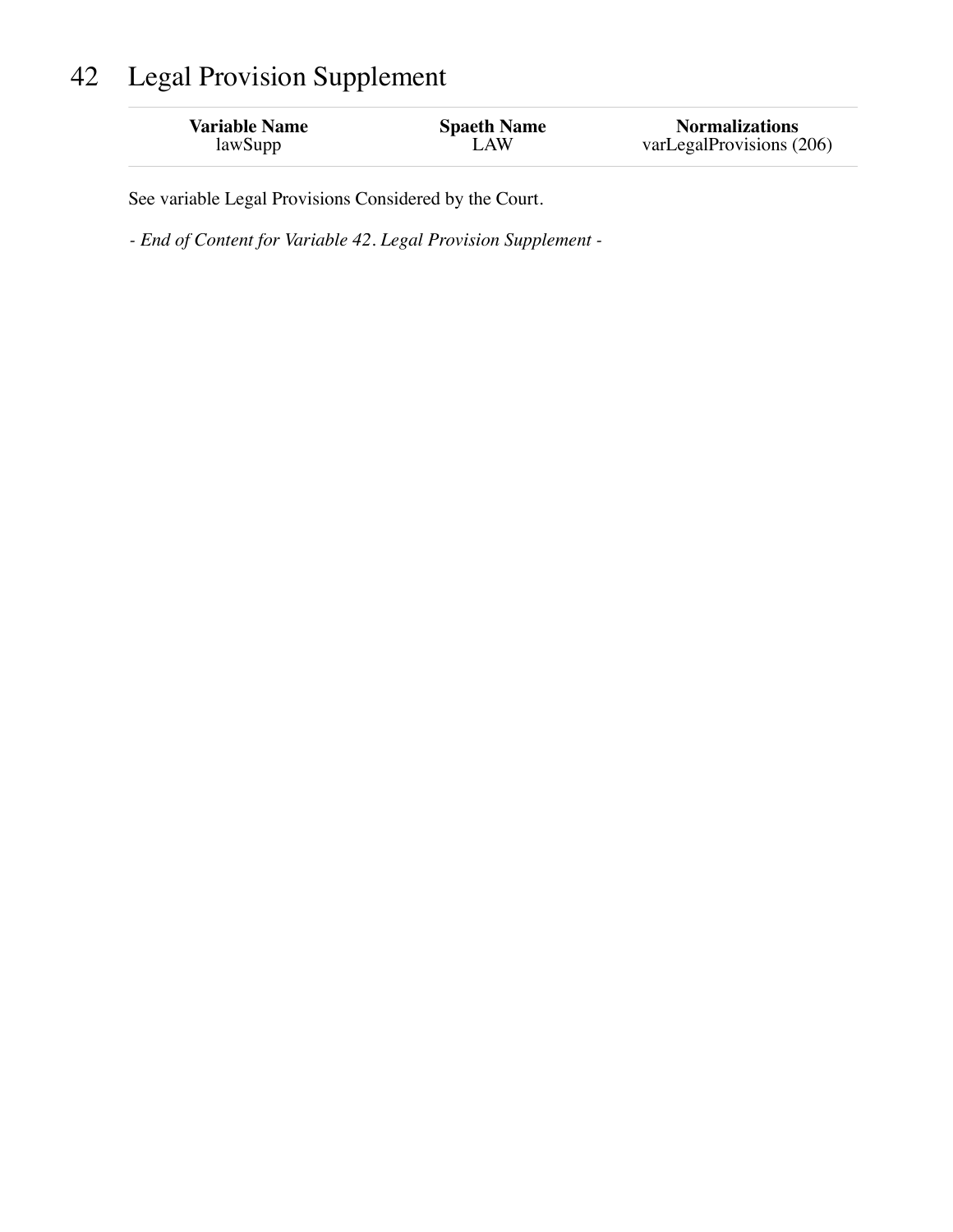# 42 Legal Provision Supplement

| <b>Variable Name</b> | <b>Spaeth Name</b> | <b>Normalizations</b>    |
|----------------------|--------------------|--------------------------|
| lawSupp              | LAW                | varLegalProvisions (206) |
|                      |                    |                          |

See variable Legal Provisions Considered by the Court.

*- End of Content for Variable 42. Legal Provision Supplement -*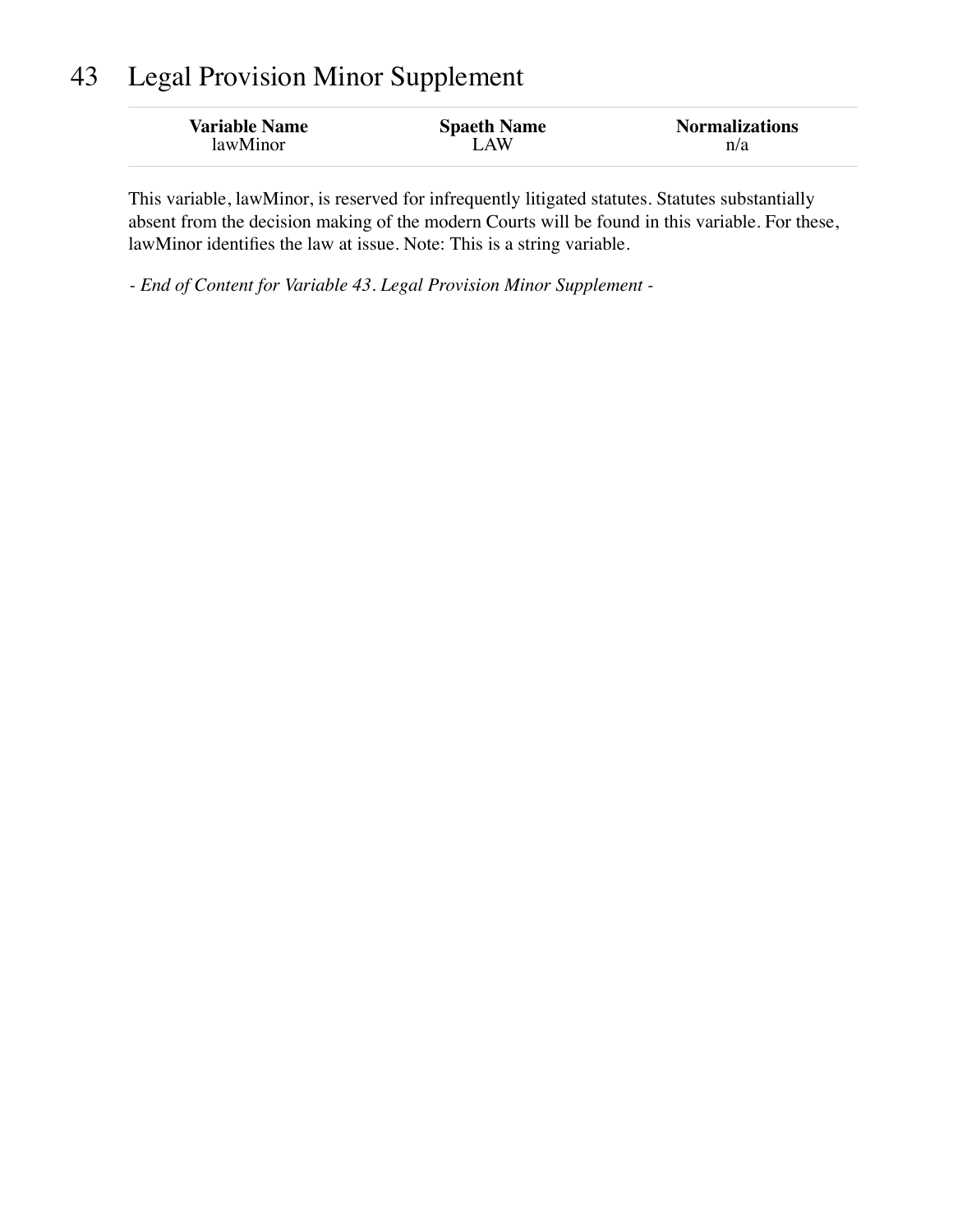### 43 Legal Provision Minor Supplement

| <b>Variable Name</b> | <b>Spaeth Name</b> | <b>Normalizations</b> |
|----------------------|--------------------|-----------------------|
| lawMinor             | LAW                | n/a                   |
|                      |                    |                       |

This variable, lawMinor, is reserved for infrequently litigated statutes. Statutes substantially absent from the decision making of the modern Courts will be found in this variable. For these, lawMinor identifies the law at issue. Note: This is a string variable.

*- End of Content for Variable 43. Legal Provision Minor Supplement -*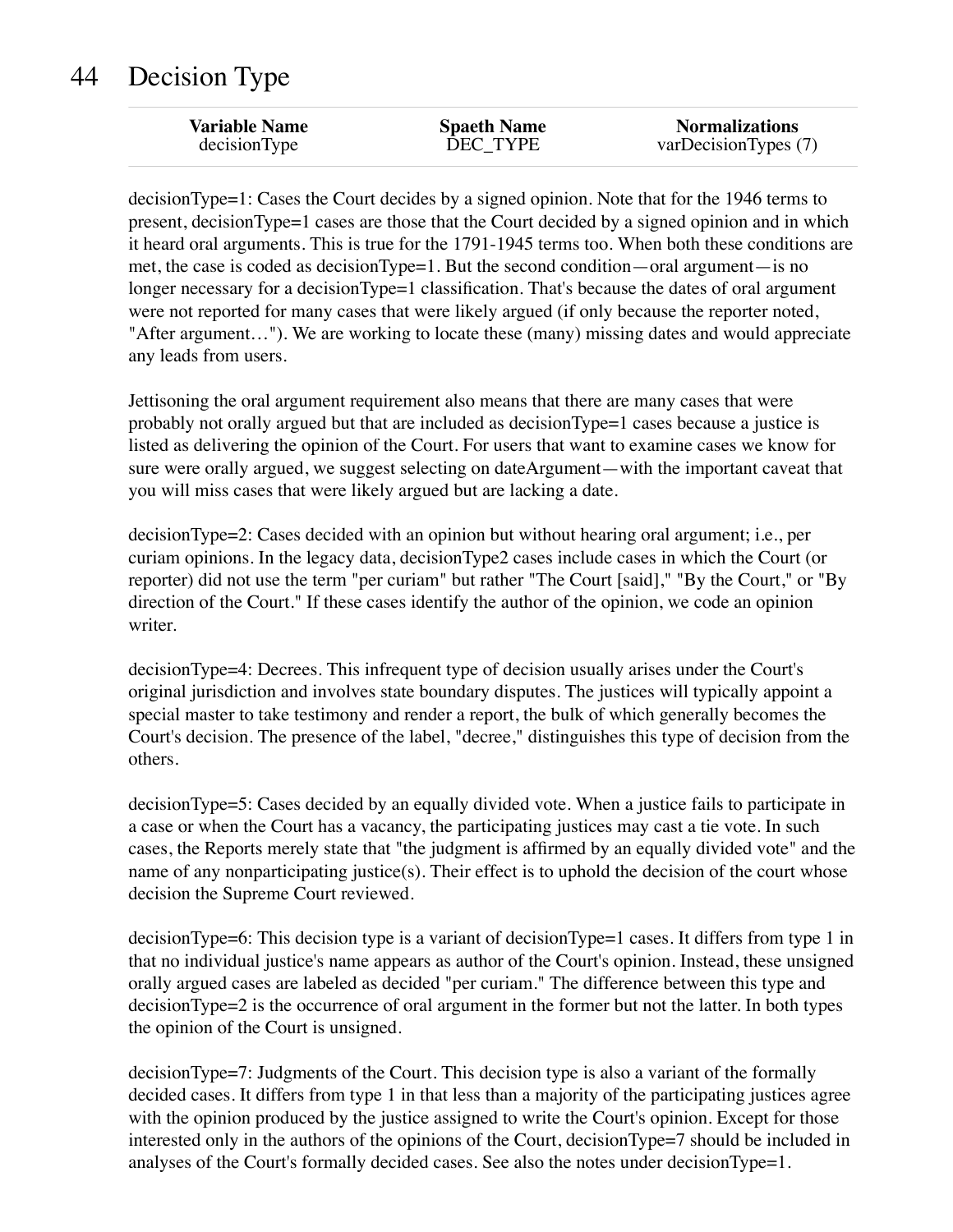# 44 Decision Type

| <b>Variable Name</b> | <b>Spaeth Name</b> | <b>Normalizations</b> |
|----------------------|--------------------|-----------------------|
| decisionType         | DEC TYPE           | varDecisionTypes (7)  |

decisionType=1: Cases the Court decides by a signed opinion. Note that for the 1946 terms to present, decisionType=1 cases are those that the Court decided by a signed opinion and in which it heard oral arguments. This is true for the 1791-1945 terms too. When both these conditions are met, the case is coded as decisionType=1. But the second condition—oral argument—is no longer necessary for a decisionType=1 classification. That's because the dates of oral argument were not reported for many cases that were likely argued (if only because the reporter noted, "After argument…"). We are working to locate these (many) missing dates and would appreciate any leads from users.

Jettisoning the oral argument requirement also means that there are many cases that were probably not orally argued but that are included as decisionType=1 cases because a justice is listed as delivering the opinion of the Court. For users that want to examine cases we know for sure were orally argued, we suggest selecting on dateArgument—with the important caveat that you will miss cases that were likely argued but are lacking a date.

decisionType=2: Cases decided with an opinion but without hearing oral argument; i.e., per curiam opinions. In the legacy data, decisionType2 cases include cases in which the Court (or reporter) did not use the term "per curiam" but rather "The Court [said]," "By the Court," or "By direction of the Court." If these cases identify the author of the opinion, we code an opinion writer.

decisionType=4: Decrees. This infrequent type of decision usually arises under the Court's original jurisdiction and involves state boundary disputes. The justices will typically appoint a special master to take testimony and render a report, the bulk of which generally becomes the Court's decision. The presence of the label, "decree," distinguishes this type of decision from the others.

decisionType=5: Cases decided by an equally divided vote. When a justice fails to participate in a case or when the Court has a vacancy, the participating justices may cast a tie vote. In such cases, the Reports merely state that "the judgment is affirmed by an equally divided vote" and the name of any nonparticipating justice(s). Their effect is to uphold the decision of the court whose decision the Supreme Court reviewed.

decisionType=6: This decision type is a variant of decisionType=1 cases. It differs from type 1 in that no individual justice's name appears as author of the Court's opinion. Instead, these unsigned orally argued cases are labeled as decided "per curiam." The difference between this type and decisionType=2 is the occurrence of oral argument in the former but not the latter. In both types the opinion of the Court is unsigned.

decisionType=7: Judgments of the Court. This decision type is also a variant of the formally decided cases. It differs from type 1 in that less than a majority of the participating justices agree with the opinion produced by the justice assigned to write the Court's opinion. Except for those interested only in the authors of the opinions of the Court, decisionType=7 should be included in analyses of the Court's formally decided cases. See also the notes under decisionType=1.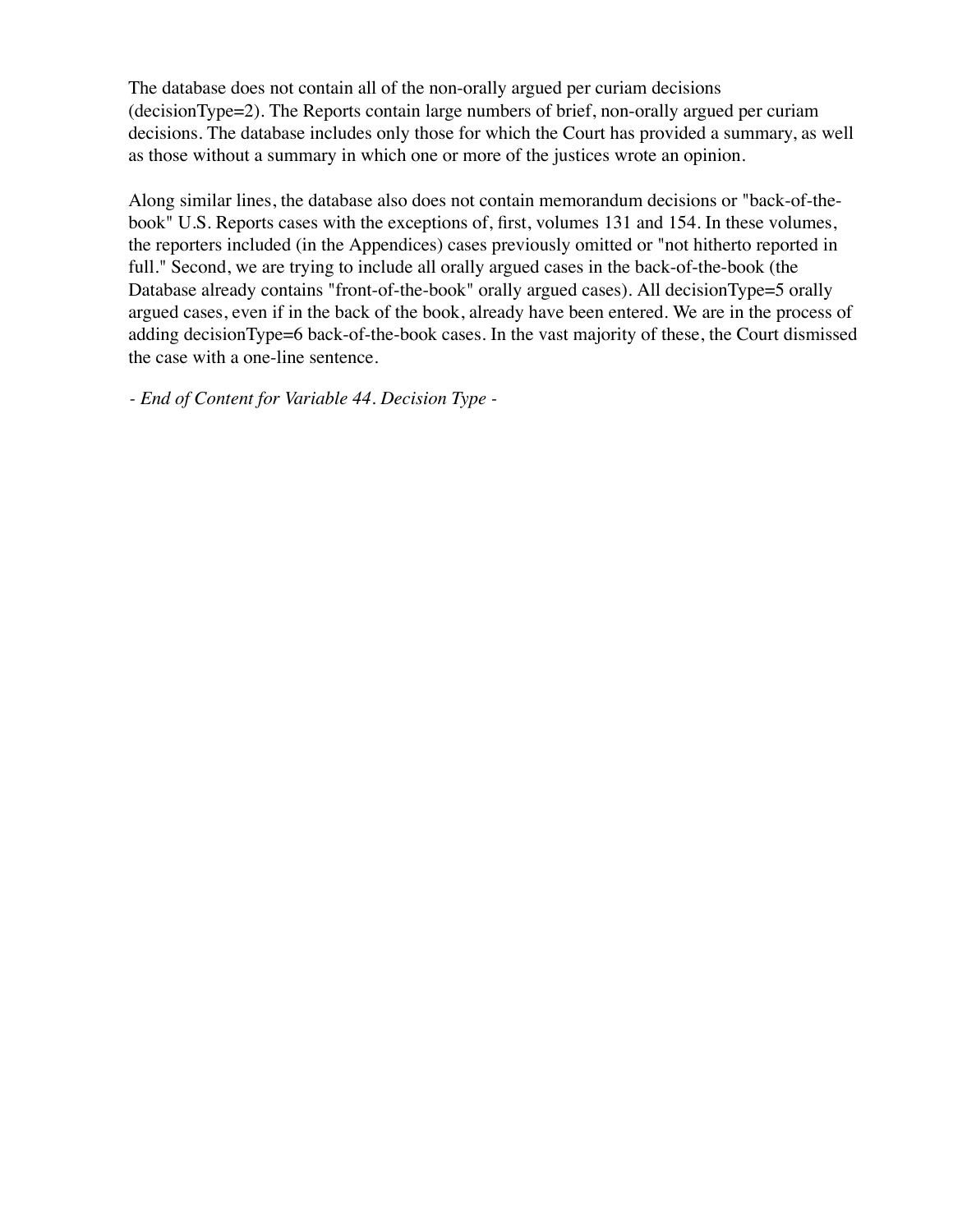The database does not contain all of the non-orally argued per curiam decisions (decisionType=2). The Reports contain large numbers of brief, non-orally argued per curiam decisions. The database includes only those for which the Court has provided a summary, as well as those without a summary in which one or more of the justices wrote an opinion.

Along similar lines, the database also does not contain memorandum decisions or "back-of-thebook" U.S. Reports cases with the exceptions of, first, volumes 131 and 154. In these volumes, the reporters included (in the Appendices) cases previously omitted or "not hitherto reported in full." Second, we are trying to include all orally argued cases in the back-of-the-book (the Database already contains "front-of-the-book" orally argued cases). All decisionType=5 orally argued cases, even if in the back of the book, already have been entered. We are in the process of adding decisionType=6 back-of-the-book cases. In the vast majority of these, the Court dismissed the case with a one-line sentence.

*- End of Content for Variable 44. Decision Type -*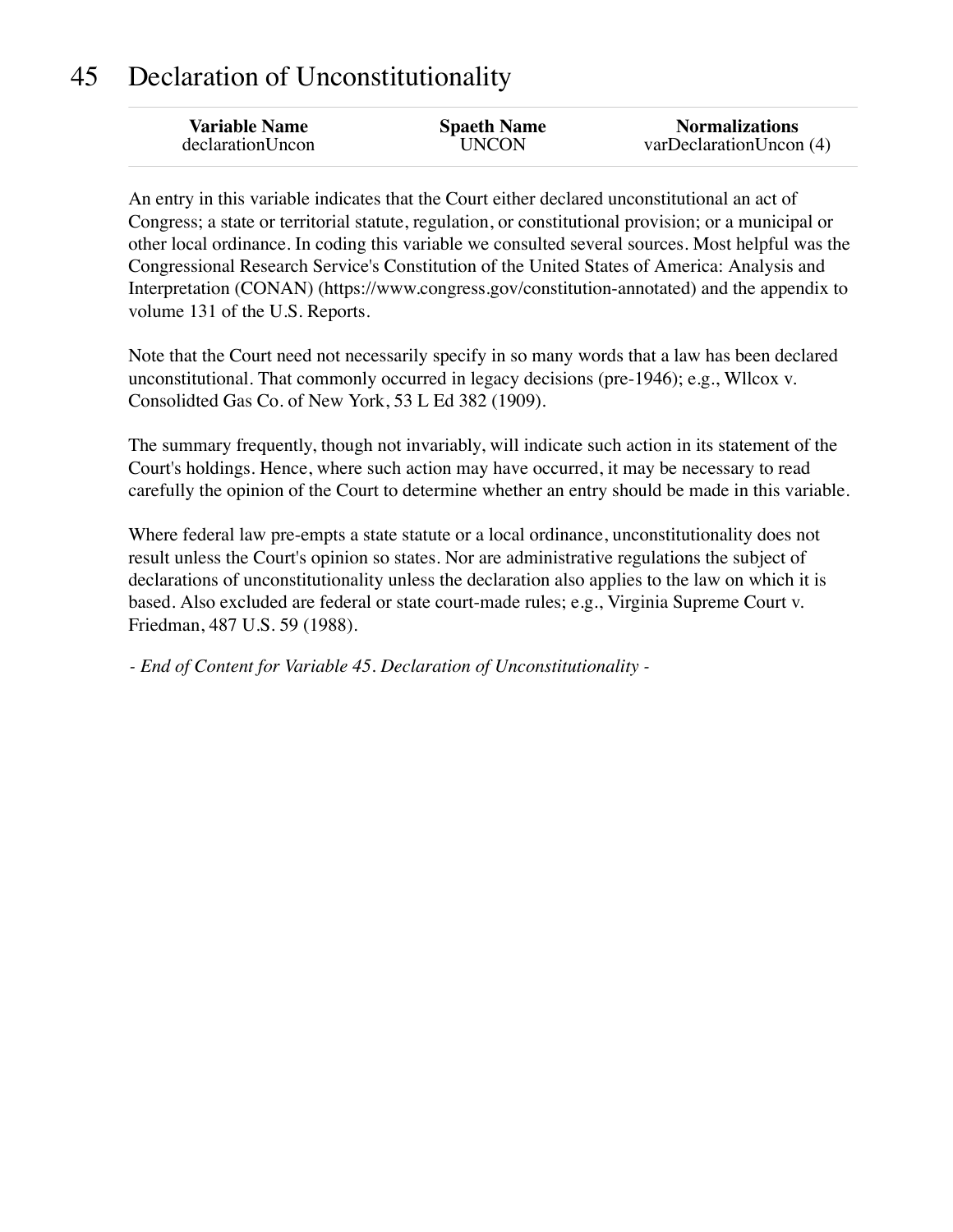### 45 Declaration of Unconstitutionality

| <b>Variable Name</b> | <b>Spaeth Name</b> | <b>Normalizations</b>  |
|----------------------|--------------------|------------------------|
| declarationUncon     | UNCON              | varDeclarationUncon(4) |
|                      |                    |                        |

An entry in this variable indicates that the Court either declared unconstitutional an act of Congress; a state or territorial statute, regulation, or constitutional provision; or a municipal or other local ordinance. In coding this variable we consulted several sources. Most helpful was the Congressional Research Service's Constitution of the United States of America: Analysis and Interpretation (CONAN) (https://www.congress.gov/constitution-annotated) and the appendix to volume 131 of the U.S. Reports.

Note that the Court need not necessarily specify in so many words that a law has been declared unconstitutional. That commonly occurred in legacy decisions (pre-1946); e.g., Wllcox v. Consolidted Gas Co. of New York, 53 L Ed 382 (1909).

The summary frequently, though not invariably, will indicate such action in its statement of the Court's holdings. Hence, where such action may have occurred, it may be necessary to read carefully the opinion of the Court to determine whether an entry should be made in this variable.

Where federal law pre-empts a state statute or a local ordinance, unconstitutionality does not result unless the Court's opinion so states. Nor are administrative regulations the subject of declarations of unconstitutionality unless the declaration also applies to the law on which it is based. Also excluded are federal or state court-made rules; e.g., Virginia Supreme Court v. Friedman, 487 U.S. 59 (1988).

*- End of Content for Variable 45. Declaration of Unconstitutionality -*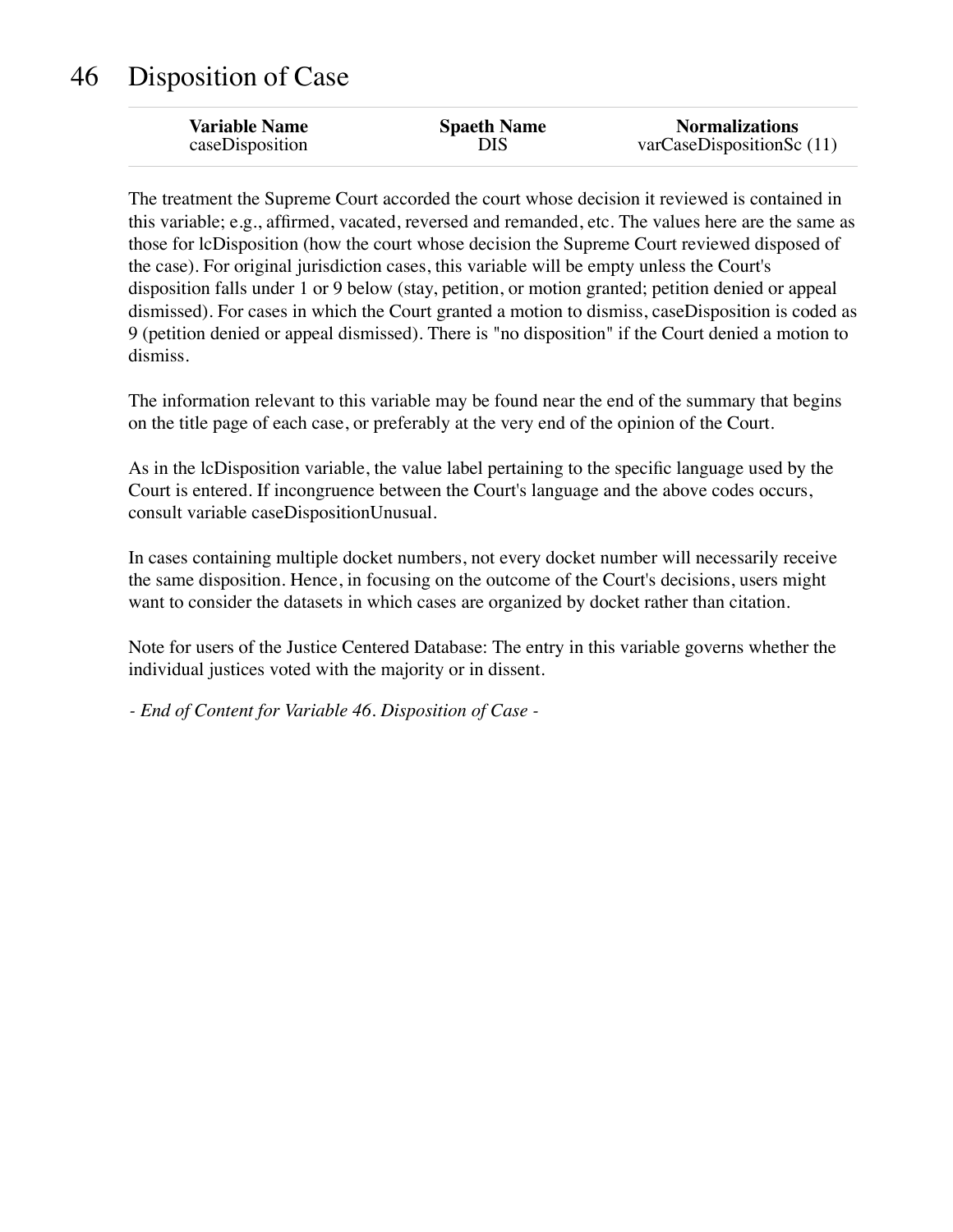# 46 Disposition of Case

| <b>Variable Name</b> | <b>Spaeth Name</b> | <b>Normalizations</b>          |
|----------------------|--------------------|--------------------------------|
| caseDisposition      | DIS                | $varCase$ DispositionSc $(11)$ |
|                      |                    |                                |

The treatment the Supreme Court accorded the court whose decision it reviewed is contained in this variable; e.g., affirmed, vacated, reversed and remanded, etc. The values here are the same as those for lcDisposition (how the court whose decision the Supreme Court reviewed disposed of the case). For original jurisdiction cases, this variable will be empty unless the Court's disposition falls under 1 or 9 below (stay, petition, or motion granted; petition denied or appeal dismissed). For cases in which the Court granted a motion to dismiss, caseDisposition is coded as 9 (petition denied or appeal dismissed). There is "no disposition" if the Court denied a motion to dismiss.

The information relevant to this variable may be found near the end of the summary that begins on the title page of each case, or preferably at the very end of the opinion of the Court.

As in the lcDisposition variable, the value label pertaining to the specific language used by the Court is entered. If incongruence between the Court's language and the above codes occurs, consult variable caseDispositionUnusual.

In cases containing multiple docket numbers, not every docket number will necessarily receive the same disposition. Hence, in focusing on the outcome of the Court's decisions, users might want to consider the datasets in which cases are organized by docket rather than citation.

Note for users of the Justice Centered Database: The entry in this variable governs whether the individual justices voted with the majority or in dissent.

*- End of Content for Variable 46. Disposition of Case -*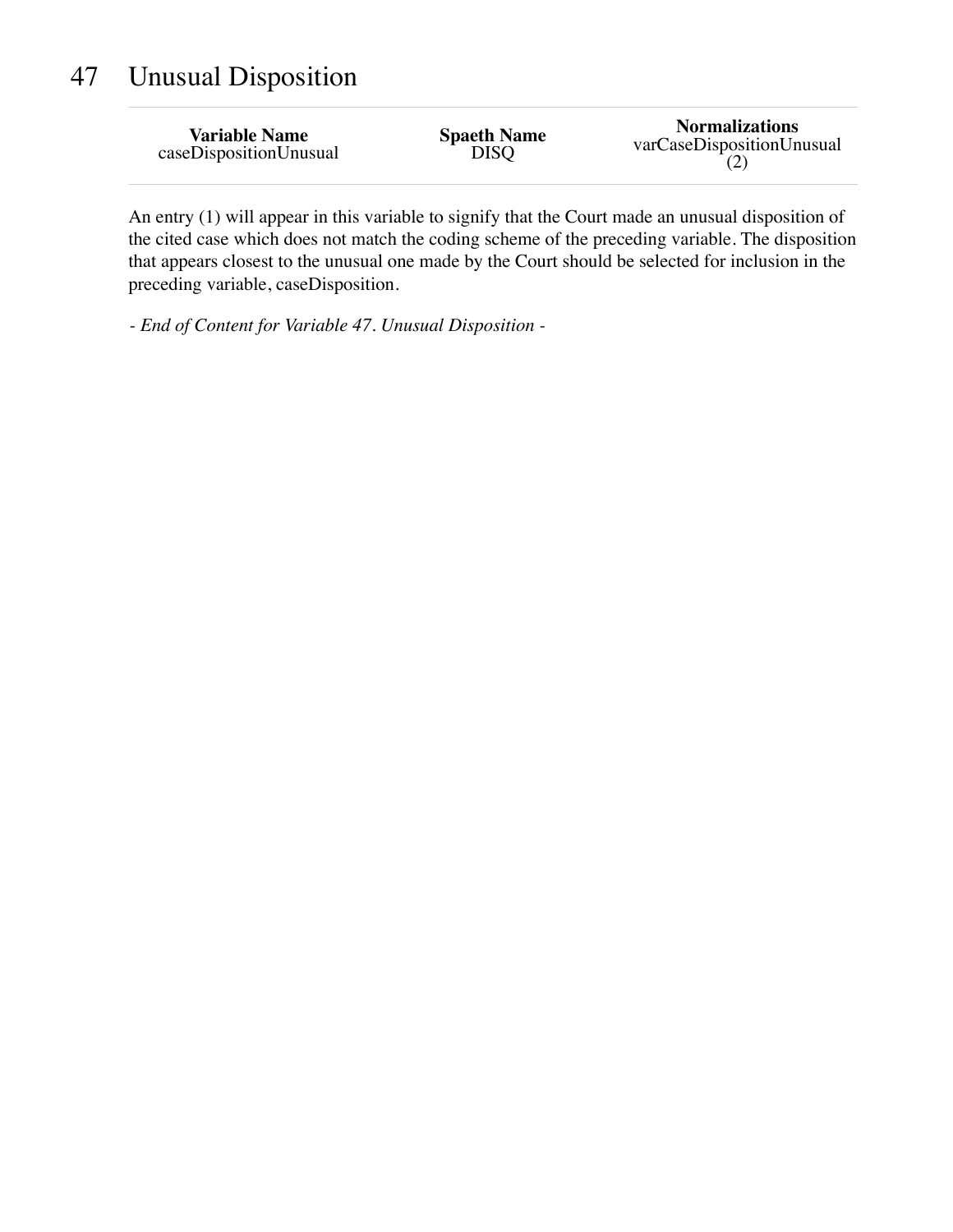# 47 Unusual Disposition

| <b>Variable Name</b>   | <b>Spaeth Name</b> | <b>Normalizations</b>     |
|------------------------|--------------------|---------------------------|
| caseDispositionUnusual | <b>DISQ</b>        | varCaseDispositionUnusual |

An entry (1) will appear in this variable to signify that the Court made an unusual disposition of the cited case which does not match the coding scheme of the preceding variable. The disposition that appears closest to the unusual one made by the Court should be selected for inclusion in the preceding variable, caseDisposition.

*- End of Content for Variable 47. Unusual Disposition -*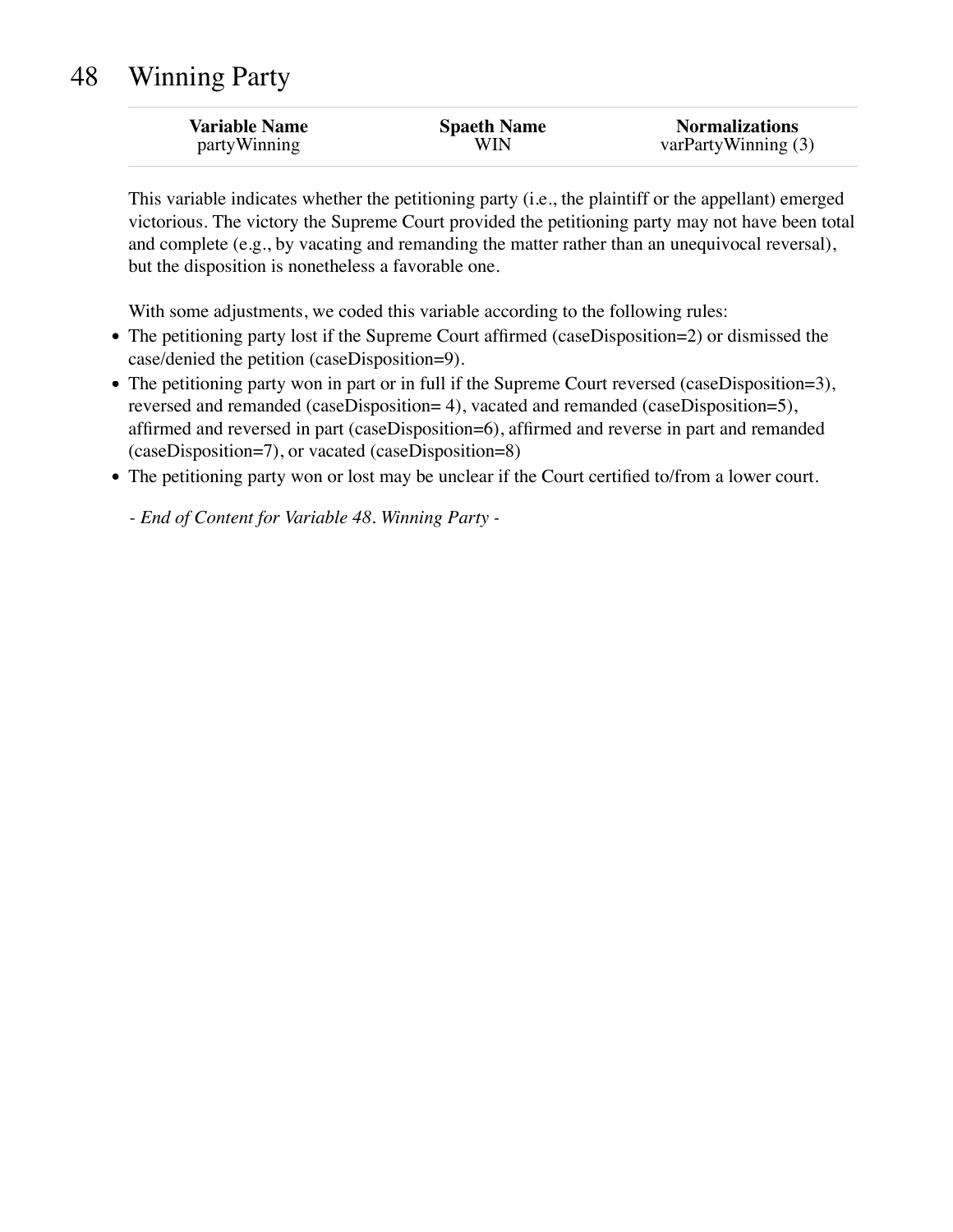| <b>Variable Name</b> | <b>Spaeth Name</b> | <b>Normalizations</b> |
|----------------------|--------------------|-----------------------|
| <i>partyWinning</i>  | WIN                | varPartyWinning (3)   |

This variable indicates whether the petitioning party (i.e., the plaintiff or the appellant) emerged victorious. The victory the Supreme Court provided the petitioning party may not have been total and complete (e.g., by vacating and remanding the matter rather than an unequivocal reversal), but the disposition is nonetheless a favorable one.

With some adjustments, we coded this variable according to the following rules:

- The petitioning party lost if the Supreme Court affirmed (caseDisposition=2) or dismissed the case/denied the petition (caseDisposition=9).
- The petitioning party won in part or in full if the Supreme Court reversed (caseDisposition=3), reversed and remanded (caseDisposition= 4), vacated and remanded (caseDisposition=5), affirmed and reversed in part (caseDisposition=6), affirmed and reverse in part and remanded (caseDisposition=7), or vacated (caseDisposition=8)
- The petitioning party won or lost may be unclear if the Court certified to/from a lower court.

*- End of Content for Variable 48. Winning Party -*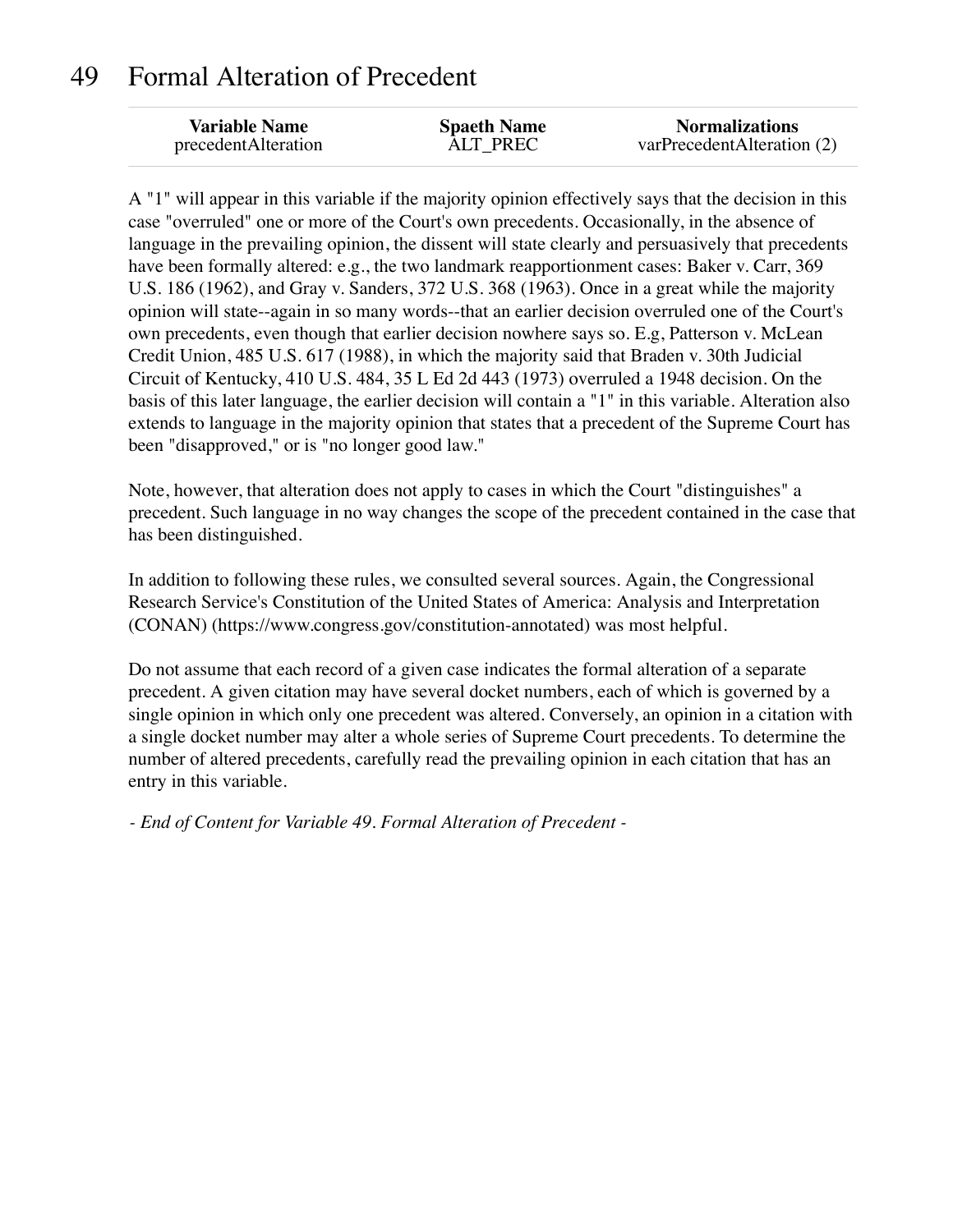#### 49 Formal Alteration of Precedent

| <b>Variable Name</b> | <b>Spaeth Name</b> | <b>Normalizations</b>      |
|----------------------|--------------------|----------------------------|
| precedentAlteration  | ALT PREC           | varPrecedentAlteration (2) |

A "1" will appear in this variable if the majority opinion effectively says that the decision in this case "overruled" one or more of the Court's own precedents. Occasionally, in the absence of language in the prevailing opinion, the dissent will state clearly and persuasively that precedents have been formally altered: e.g., the two landmark reapportionment cases: Baker v. Carr, 369 U.S. 186 (1962), and Gray v. Sanders, 372 U.S. 368 (1963). Once in a great while the majority opinion will state--again in so many words--that an earlier decision overruled one of the Court's own precedents, even though that earlier decision nowhere says so. E.g, Patterson v. McLean Credit Union, 485 U.S. 617 (1988), in which the majority said that Braden v. 30th Judicial Circuit of Kentucky, 410 U.S. 484, 35 L Ed 2d 443 (1973) overruled a 1948 decision. On the basis of this later language, the earlier decision will contain a "1" in this variable. Alteration also extends to language in the majority opinion that states that a precedent of the Supreme Court has been "disapproved," or is "no longer good law."

Note, however, that alteration does not apply to cases in which the Court "distinguishes" a precedent. Such language in no way changes the scope of the precedent contained in the case that has been distinguished.

In addition to following these rules, we consulted several sources. Again, the Congressional Research Service's Constitution of the United States of America: Analysis and Interpretation (CONAN) (https://www.congress.gov/constitution-annotated) was most helpful.

Do not assume that each record of a given case indicates the formal alteration of a separate precedent. A given citation may have several docket numbers, each of which is governed by a single opinion in which only one precedent was altered. Conversely, an opinion in a citation with a single docket number may alter a whole series of Supreme Court precedents. To determine the number of altered precedents, carefully read the prevailing opinion in each citation that has an entry in this variable.

*- End of Content for Variable 49. Formal Alteration of Precedent -*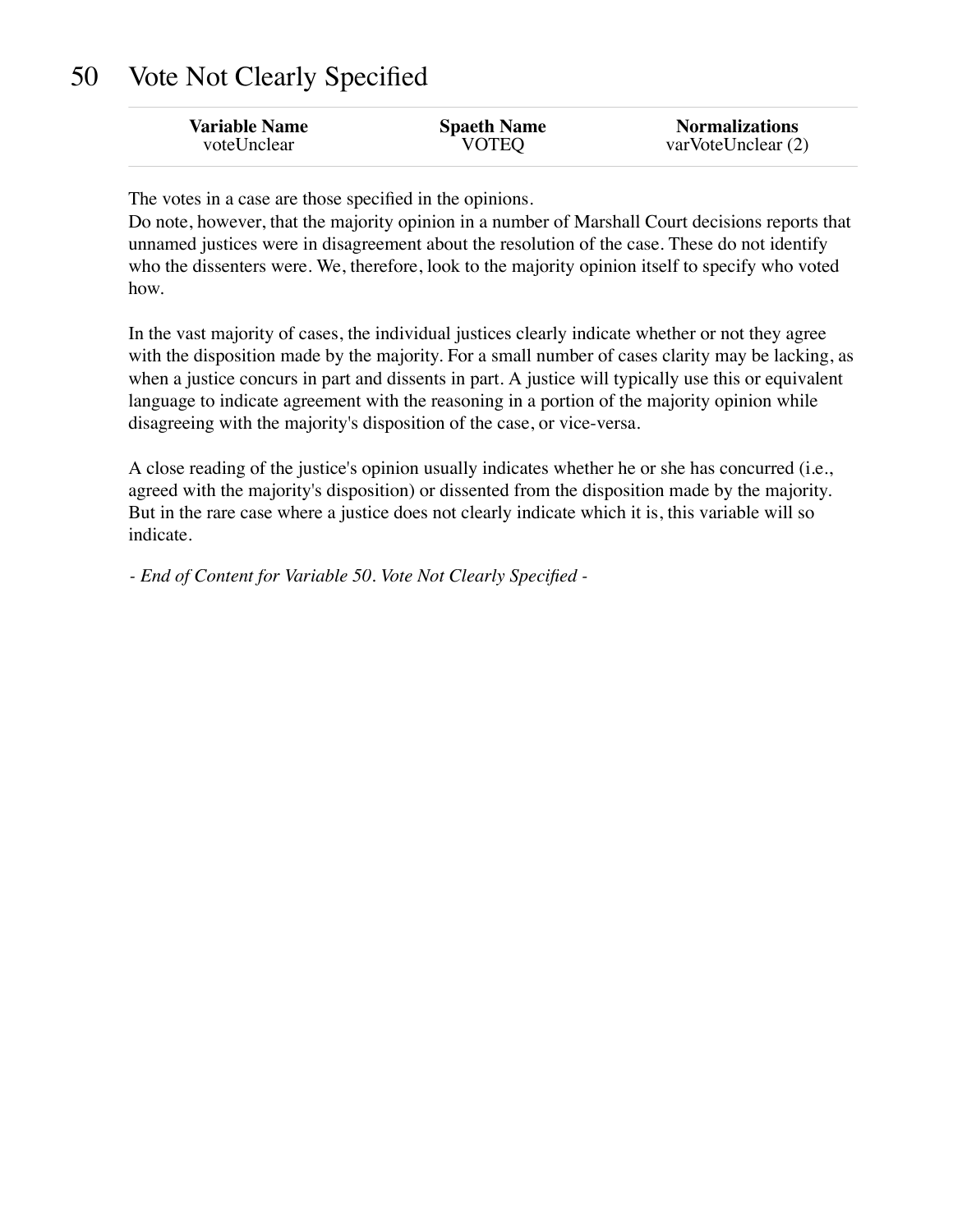### 50 Vote Not Clearly Specified

| <b>Variable Name</b> | <b>Spaeth Name</b> | <b>Normalizations</b> |
|----------------------|--------------------|-----------------------|
| voteUnclear          | <b>VOTEQ</b>       | varVoteUnclear (2)    |

The votes in a case are those specified in the opinions.

Do note, however, that the majority opinion in a number of Marshall Court decisions reports that unnamed justices were in disagreement about the resolution of the case. These do not identify who the dissenters were. We, therefore, look to the majority opinion itself to specify who voted how.

In the vast majority of cases, the individual justices clearly indicate whether or not they agree with the disposition made by the majority. For a small number of cases clarity may be lacking, as when a justice concurs in part and dissents in part. A justice will typically use this or equivalent language to indicate agreement with the reasoning in a portion of the majority opinion while disagreeing with the majority's disposition of the case, or vice-versa.

A close reading of the justice's opinion usually indicates whether he or she has concurred (i.e., agreed with the majority's disposition) or dissented from the disposition made by the majority. But in the rare case where a justice does not clearly indicate which it is, this variable will so indicate.

*- End of Content for Variable 50. Vote Not Clearly Specified -*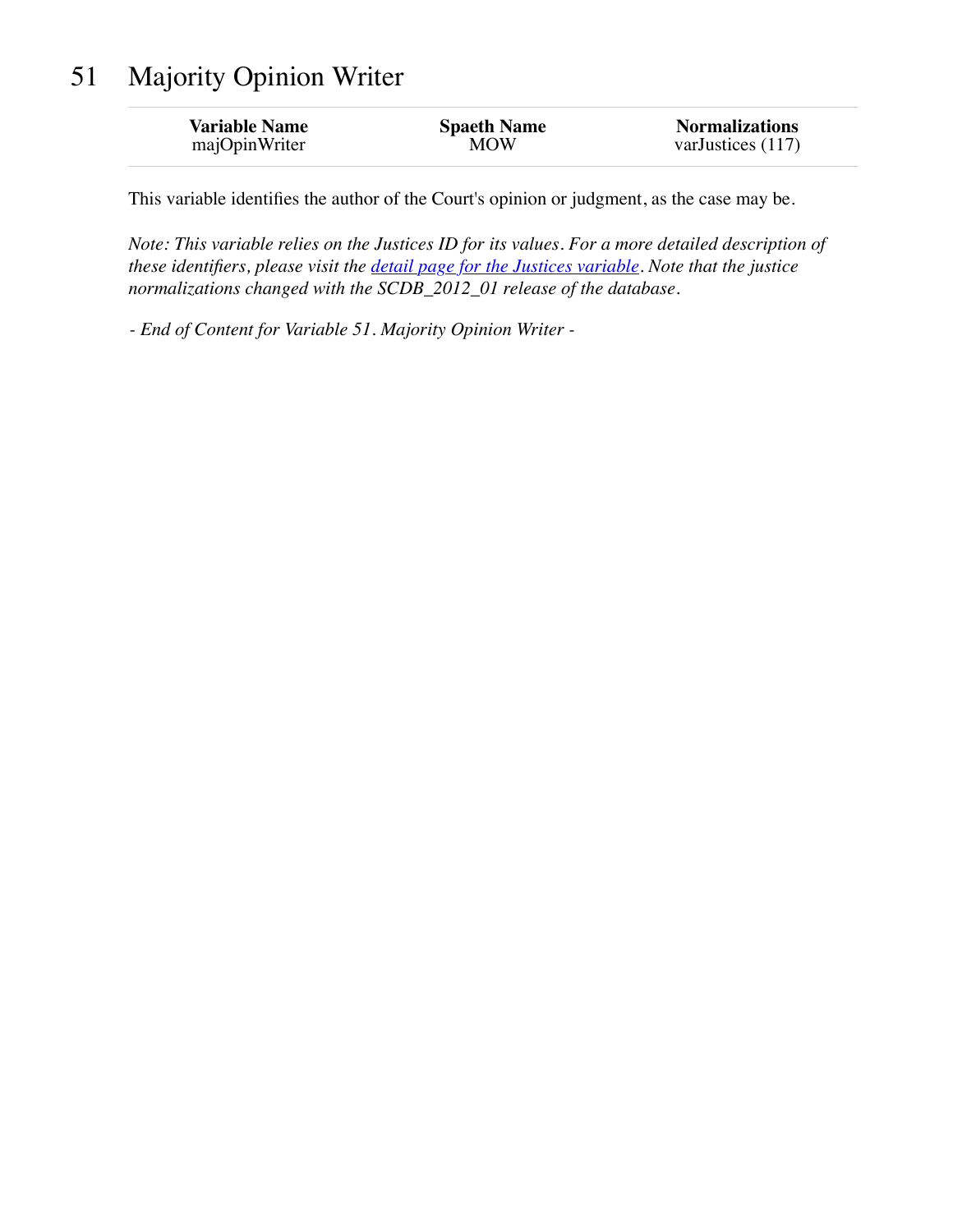## 51 Majority Opinion Writer

| <b>Variable Name</b> | <b>Spaeth Name</b> | <b>Normalizations</b> |
|----------------------|--------------------|-----------------------|
| majOpinWriter        | MOW                | varJustices $(117)$   |

This variable identifies the author of the Court's opinion or judgment, as the case may be.

*Note: This variable relies on the Justices ID for its values. For a more detailed description of these identifiers, please visit the [detail page for the Justices variable.](http://scdbadmin.wustl.edu/_brickSql/documentation.php?var=justice) Note that the justice normalizations changed with the SCDB\_2012\_01 release of the database.*

*- End of Content for Variable 51. Majority Opinion Writer -*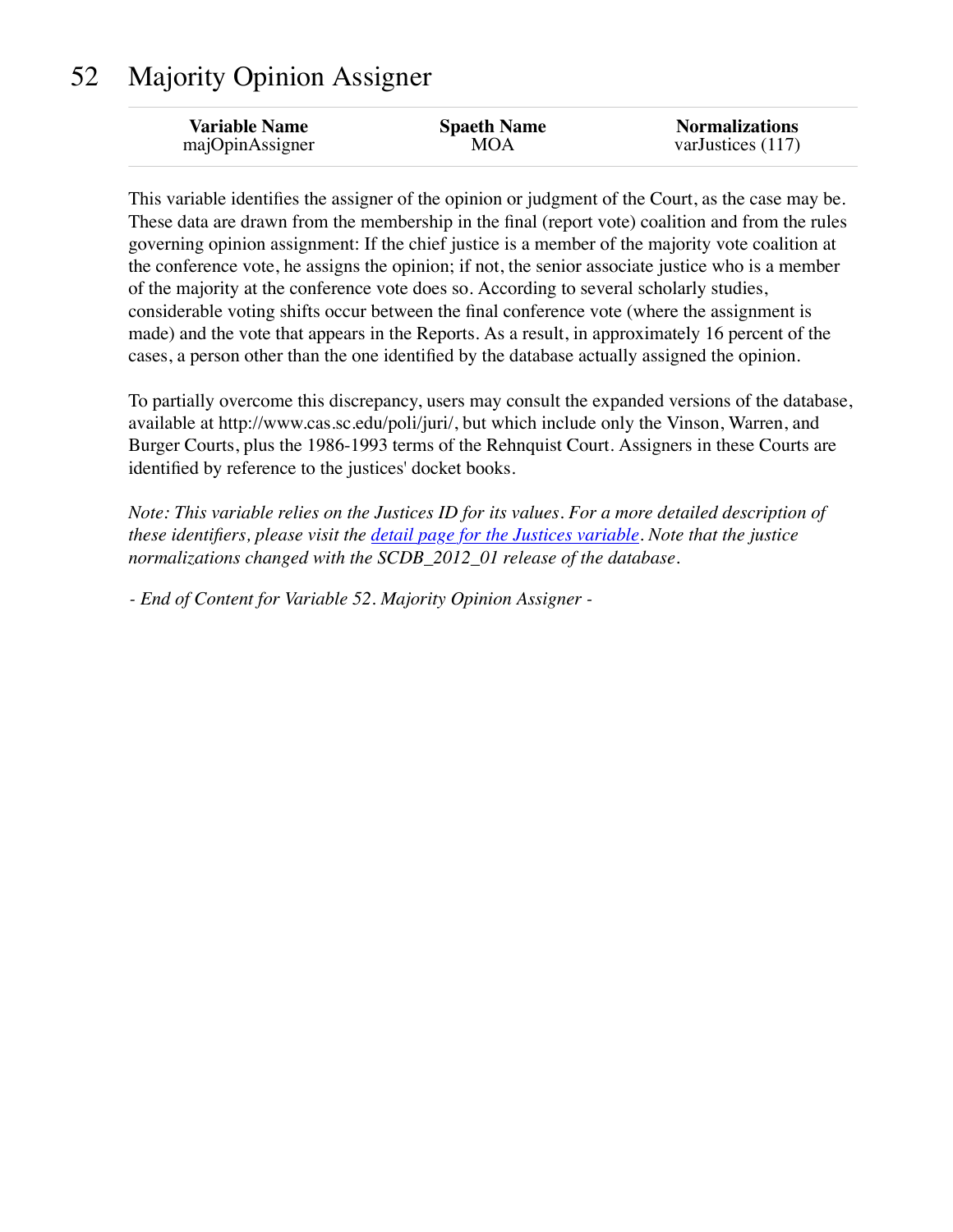## 52 Majority Opinion Assigner

| <b>Variable Name</b> | <b>Spaeth Name</b> | <b>Normalizations</b> |
|----------------------|--------------------|-----------------------|
| majOpinAssigner      | MOA                | varJustices (117)     |
|                      |                    |                       |

This variable identifies the assigner of the opinion or judgment of the Court, as the case may be. These data are drawn from the membership in the final (report vote) coalition and from the rules governing opinion assignment: If the chief justice is a member of the majority vote coalition at the conference vote, he assigns the opinion; if not, the senior associate justice who is a member of the majority at the conference vote does so. According to several scholarly studies, considerable voting shifts occur between the final conference vote (where the assignment is made) and the vote that appears in the Reports. As a result, in approximately 16 percent of the cases, a person other than the one identified by the database actually assigned the opinion.

To partially overcome this discrepancy, users may consult the expanded versions of the database, available at http://www.cas.sc.edu/poli/juri/, but which include only the Vinson, Warren, and Burger Courts, plus the 1986-1993 terms of the Rehnquist Court. Assigners in these Courts are identified by reference to the justices' docket books.

*Note: This variable relies on the Justices ID for its values. For a more detailed description of these identifiers, please visit the [detail page for the Justices variable.](http://scdbadmin.wustl.edu/_brickSql/documentation.php?var=justice) Note that the justice normalizations changed with the SCDB\_2012\_01 release of the database.*

*- End of Content for Variable 52. Majority Opinion Assigner -*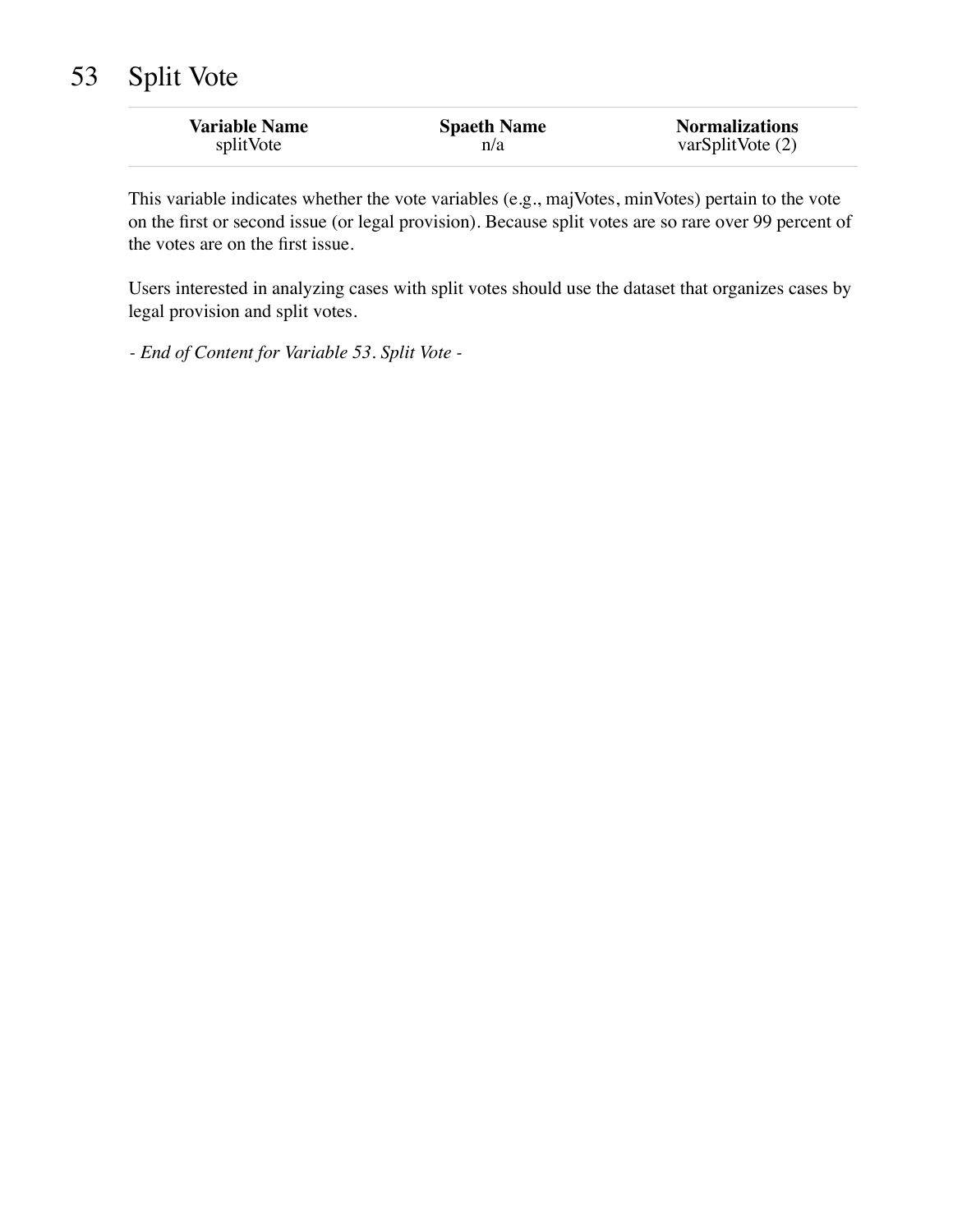## 53 Split Vote

| <b>Variable Name</b> | <b>Spaeth Name</b> | <b>Normalizations</b> |
|----------------------|--------------------|-----------------------|
| splitVote            | n/a                | varSplitVote $(2)$    |

This variable indicates whether the vote variables (e.g., majVotes, minVotes) pertain to the vote on the first or second issue (or legal provision). Because split votes are so rare over 99 percent of the votes are on the first issue.

Users interested in analyzing cases with split votes should use the dataset that organizes cases by legal provision and split votes.

*- End of Content for Variable 53. Split Vote -*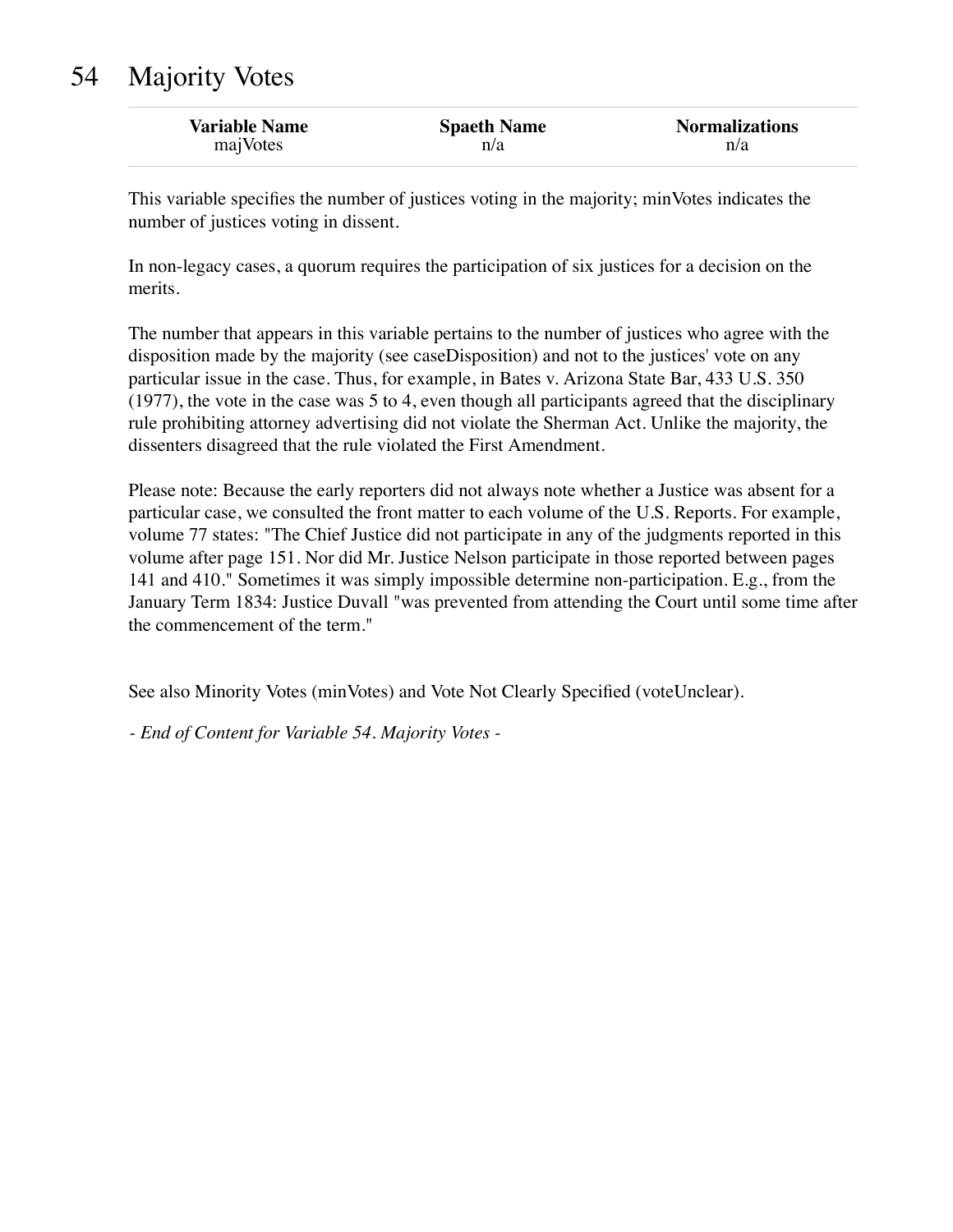## 54 Majority Votes

| <b>Variable Name</b> | <b>Spaeth Name</b> | <b>Normalizations</b> |
|----------------------|--------------------|-----------------------|
| majVotes             | n/a                | n/a                   |

This variable specifies the number of justices voting in the majority; minVotes indicates the number of justices voting in dissent.

In non-legacy cases, a quorum requires the participation of six justices for a decision on the merits.

The number that appears in this variable pertains to the number of justices who agree with the disposition made by the majority (see caseDisposition) and not to the justices' vote on any particular issue in the case. Thus, for example, in Bates v. Arizona State Bar, 433 U.S. 350 (1977), the vote in the case was 5 to 4, even though all participants agreed that the disciplinary rule prohibiting attorney advertising did not violate the Sherman Act. Unlike the majority, the dissenters disagreed that the rule violated the First Amendment.

Please note: Because the early reporters did not always note whether a Justice was absent for a particular case, we consulted the front matter to each volume of the U.S. Reports. For example, volume 77 states: "The Chief Justice did not participate in any of the judgments reported in this volume after page 151. Nor did Mr. Justice Nelson participate in those reported between pages 141 and 410." Sometimes it was simply impossible determine non-participation. E.g., from the January Term 1834: Justice Duvall "was prevented from attending the Court until some time after the commencement of the term."

See also Minority Votes (minVotes) and Vote Not Clearly Specified (voteUnclear).

*- End of Content for Variable 54. Majority Votes -*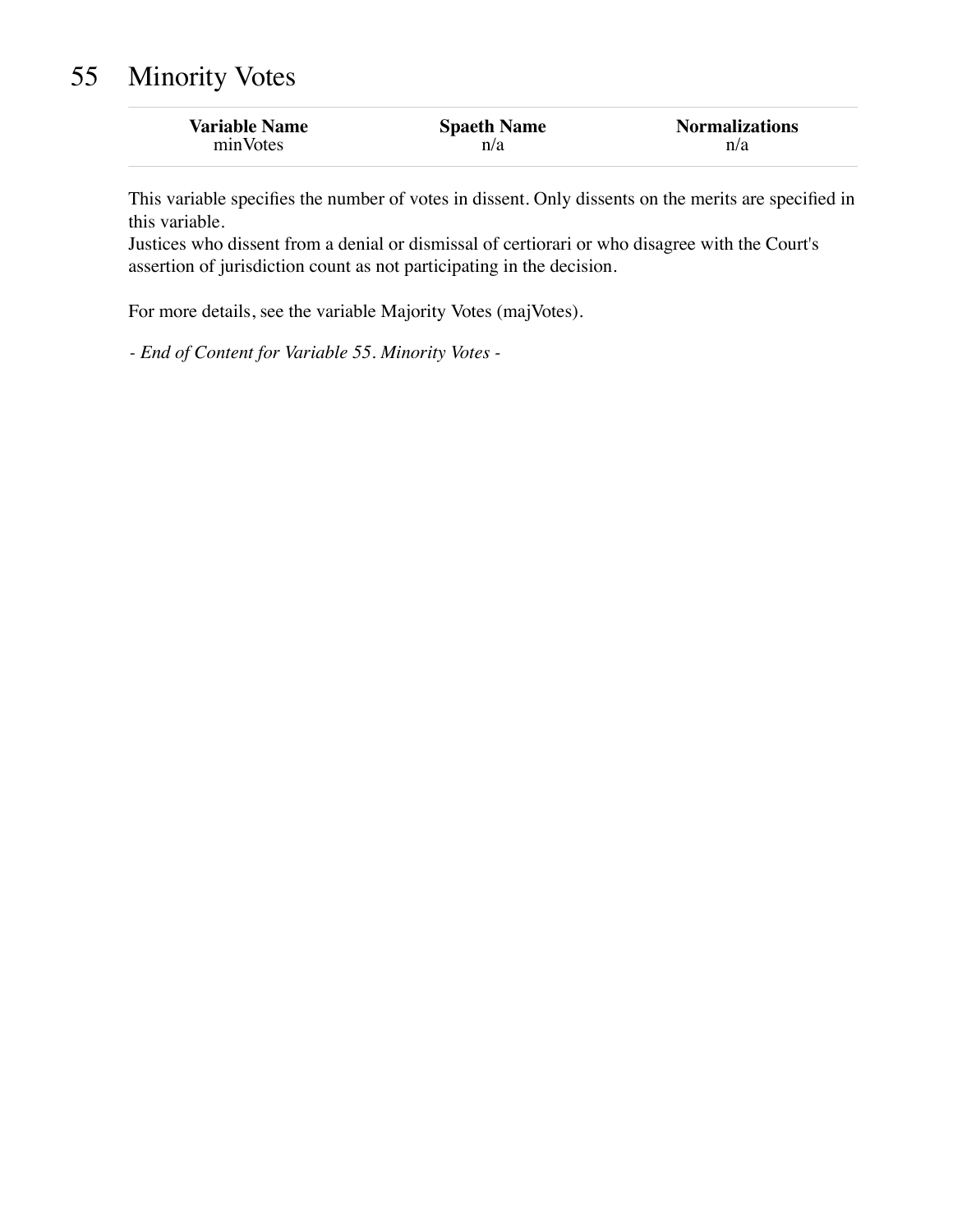## 55 Minority Votes

| <b>Variable Name</b> | <b>Spaeth Name</b> | <b>Normalizations</b> |
|----------------------|--------------------|-----------------------|
| minVotes             | n/a                | n/a                   |

This variable specifies the number of votes in dissent. Only dissents on the merits are specified in this variable.

Justices who dissent from a denial or dismissal of certiorari or who disagree with the Court's assertion of jurisdiction count as not participating in the decision.

For more details, see the variable Majority Votes (majVotes).

*- End of Content for Variable 55. Minority Votes -*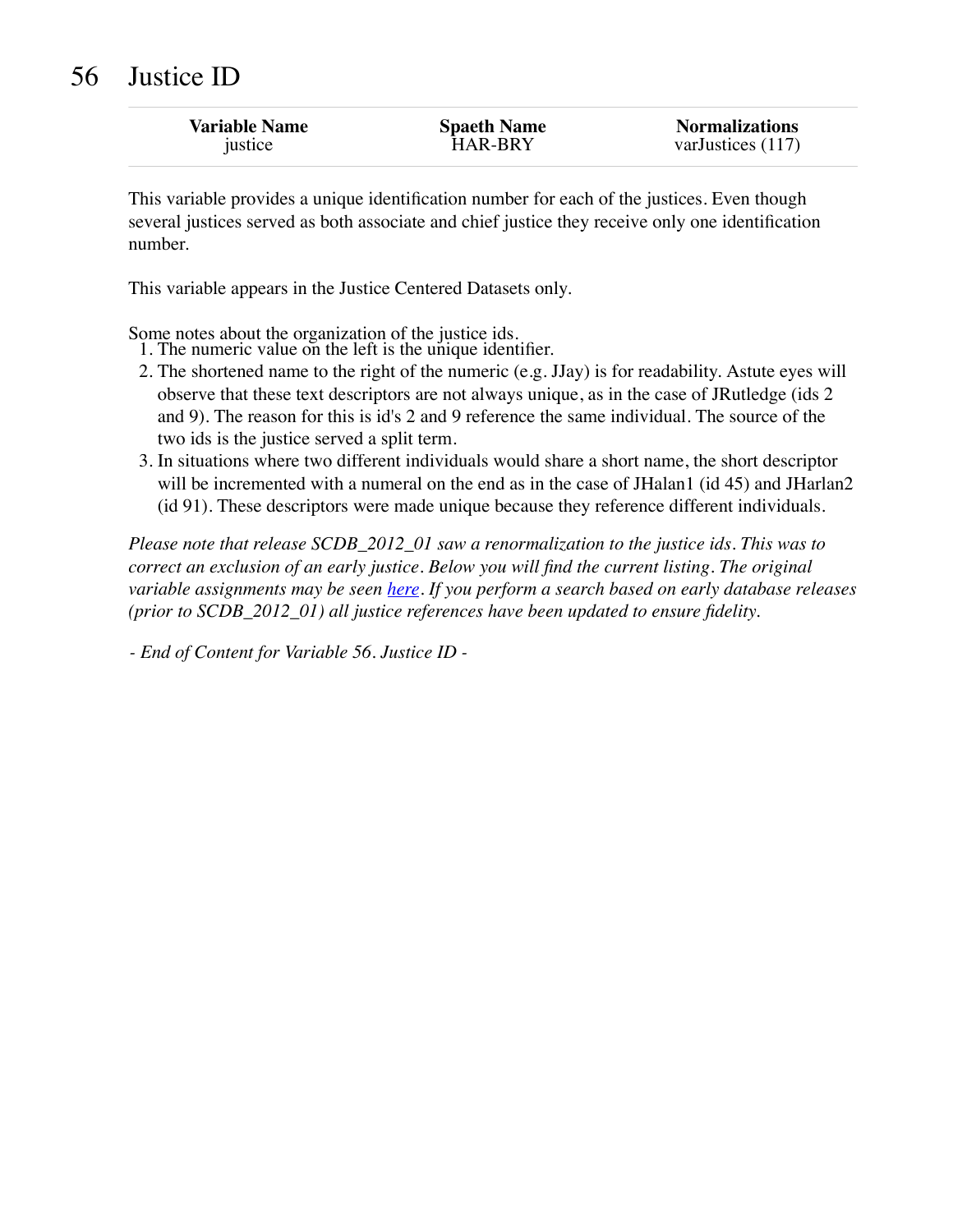| <b>Variable Name</b> | <b>Spaeth Name</b> | <b>Normalizations</b> |
|----------------------|--------------------|-----------------------|
| justice              | <b>HAR-BRY</b>     | varJustices (117)     |

This variable provides a unique identification number for each of the justices. Even though several justices served as both associate and chief justice they receive only one identification number.

This variable appears in the Justice Centered Datasets only.

Some notes about the organization of the justice ids.

- 1. The numeric value on the left is the unique identifier.
- 2. The shortened name to the right of the numeric (e.g. JJay) is for readability. Astute eyes will observe that these text descriptors are not always unique, as in the case of JRutledge (ids 2 and 9). The reason for this is id's 2 and 9 reference the same individual. The source of the two ids is the justice served a split term.
- 3. In situations where two different individuals would share a short name, the short descriptor will be incremented with a numeral on the end as in the case of JHalan1 (id 45) and JHarlan2 (id 91). These descriptors were made unique because they reference different individuals.

*Please note that release SCDB\_2012\_01 saw a renormalization to the justice ids. This was to correct an exclusion of an early justice. Below you will find the current listing. The original variable assignments may be seen [here.](http://scdbadmin.wustl.edu/_brickSql/_media/scdbJusticesIdsLegacy.csv.zip) If you perform a search based on early database releases (prior to SCDB\_2012\_01) all justice references have been updated to ensure fidelity.*

*- End of Content for Variable 56. Justice ID -*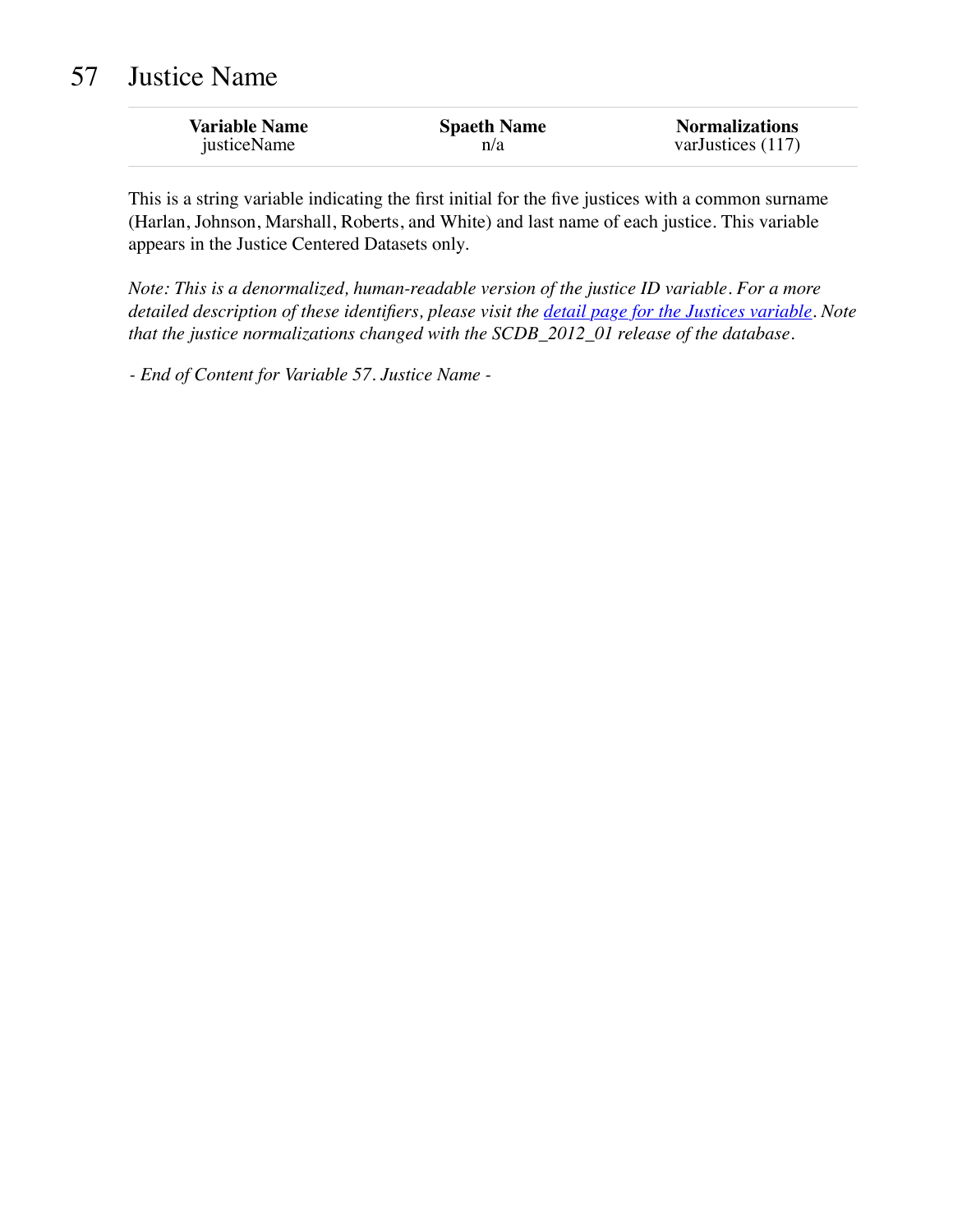## 57 Justice Name

| <b>Variable Name</b> | <b>Spaeth Name</b> | <b>Normalizations</b> |
|----------------------|--------------------|-----------------------|
| justiceName          | n/a                | varJustices $(117)$   |

This is a string variable indicating the first initial for the five justices with a common surname (Harlan, Johnson, Marshall, Roberts, and White) and last name of each justice. This variable appears in the Justice Centered Datasets only.

*Note: This is a denormalized, human-readable version of the justice ID variable. For a more detailed description of these identifiers, please visit the [detail page for the Justices variable.](http://scdbadmin.wustl.edu/_brickSql/documentation.php?var=justice) Note that the justice normalizations changed with the SCDB\_2012\_01 release of the database.*

*- End of Content for Variable 57. Justice Name -*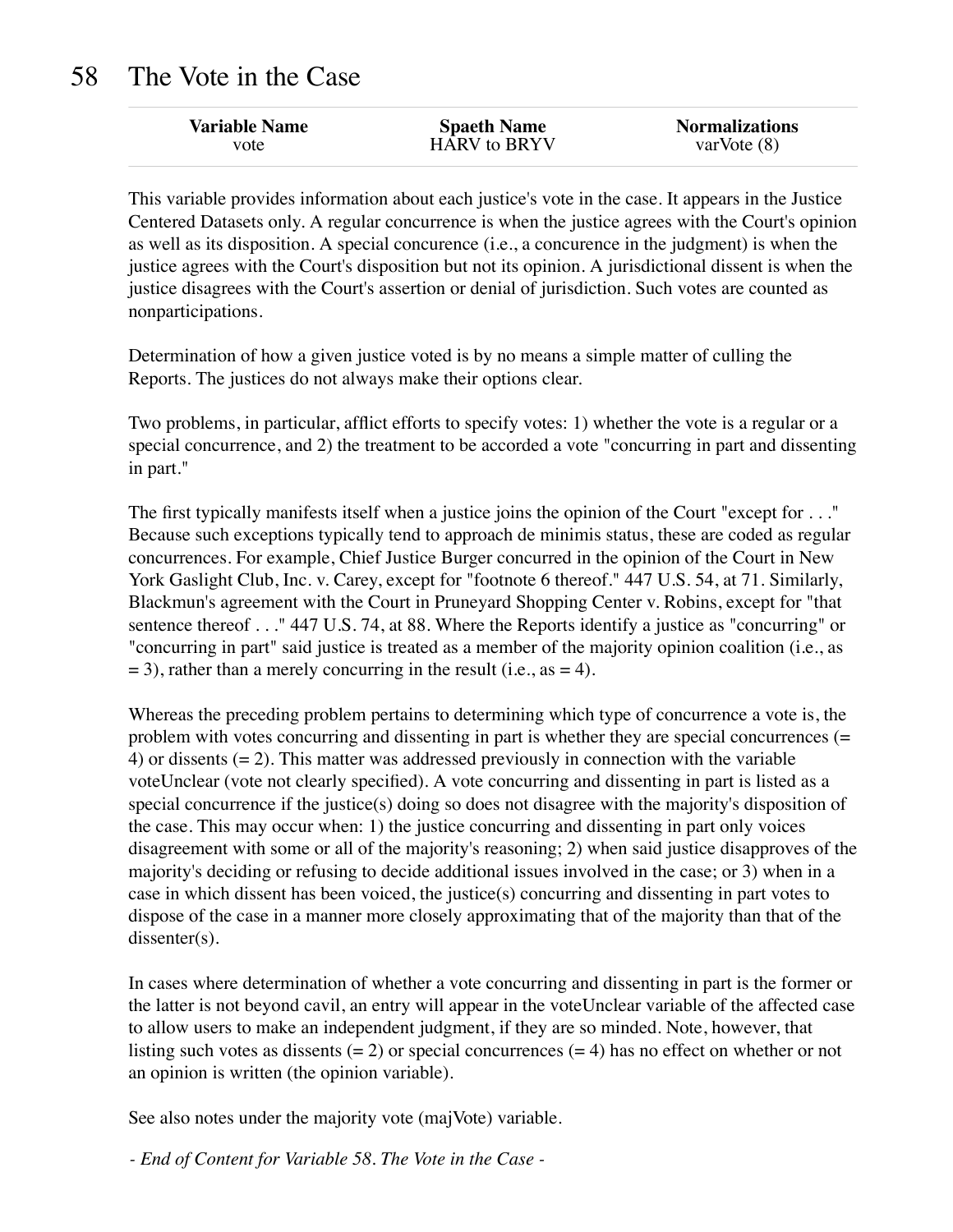## 58 The Vote in the Case

| <b>Variable Name</b> | <b>Spaeth Name</b> | <b>Normalizations</b> |
|----------------------|--------------------|-----------------------|
| vote                 | HARV to BRYV       | varVote $(8)$         |

This variable provides information about each justice's vote in the case. It appears in the Justice Centered Datasets only. A regular concurrence is when the justice agrees with the Court's opinion as well as its disposition. A special concurence (i.e., a concurence in the judgment) is when the justice agrees with the Court's disposition but not its opinion. A jurisdictional dissent is when the justice disagrees with the Court's assertion or denial of jurisdiction. Such votes are counted as nonparticipations.

Determination of how a given justice voted is by no means a simple matter of culling the Reports. The justices do not always make their options clear.

Two problems, in particular, afflict efforts to specify votes: 1) whether the vote is a regular or a special concurrence, and 2) the treatment to be accorded a vote "concurring in part and dissenting in part."

The first typically manifests itself when a justice joins the opinion of the Court "except for . . ." Because such exceptions typically tend to approach de minimis status, these are coded as regular concurrences. For example, Chief Justice Burger concurred in the opinion of the Court in New York Gaslight Club, Inc. v. Carey, except for "footnote 6 thereof." 447 U.S. 54, at 71. Similarly, Blackmun's agreement with the Court in Pruneyard Shopping Center v. Robins, except for "that sentence thereof . . ." 447 U.S. 74, at 88. Where the Reports identify a justice as "concurring" or "concurring in part" said justice is treated as a member of the majority opinion coalition (i.e., as  $= 3$ ), rather than a merely concurring in the result (i.e., as  $= 4$ ).

Whereas the preceding problem pertains to determining which type of concurrence a vote is, the problem with votes concurring and dissenting in part is whether they are special concurrences (= 4) or dissents  $(= 2)$ . This matter was addressed previously in connection with the variable voteUnclear (vote not clearly specified). A vote concurring and dissenting in part is listed as a special concurrence if the justice(s) doing so does not disagree with the majority's disposition of the case. This may occur when: 1) the justice concurring and dissenting in part only voices disagreement with some or all of the majority's reasoning; 2) when said justice disapproves of the majority's deciding or refusing to decide additional issues involved in the case; or 3) when in a case in which dissent has been voiced, the justice(s) concurring and dissenting in part votes to dispose of the case in a manner more closely approximating that of the majority than that of the dissenter(s).

In cases where determination of whether a vote concurring and dissenting in part is the former or the latter is not beyond cavil, an entry will appear in the voteUnclear variable of the affected case to allow users to make an independent judgment, if they are so minded. Note, however, that listing such votes as dissents  $(= 2)$  or special concurrences  $(= 4)$  has no effect on whether or not an opinion is written (the opinion variable).

See also notes under the majority vote (majVote) variable.

*- End of Content for Variable 58. The Vote in the Case -*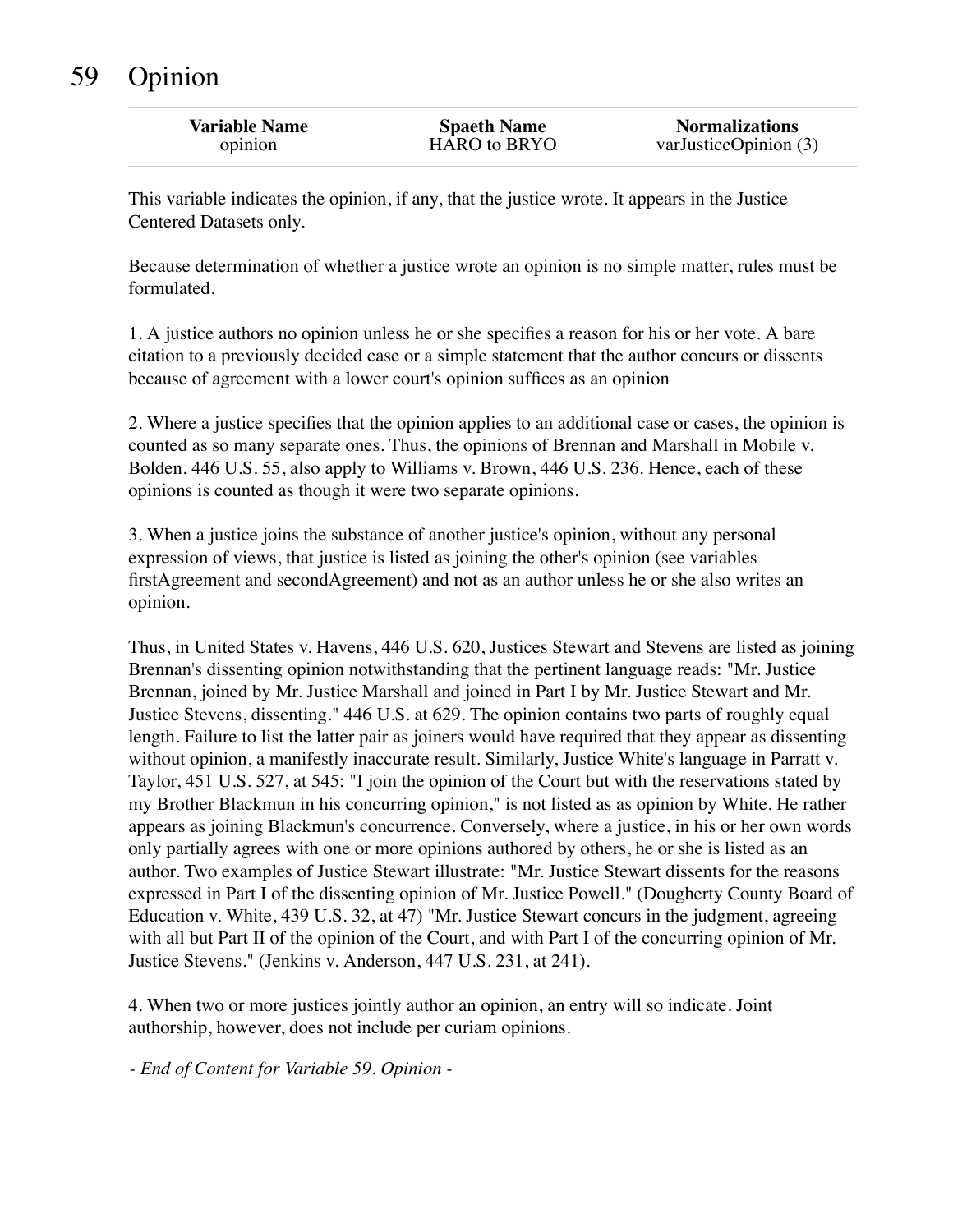## 59 Opinion

| <b>Variable Name</b> | <b>Spaeth Name</b> | <b>Normalizations</b>     |
|----------------------|--------------------|---------------------------|
| opinion              | HARO to BRYO       | var Justice Opinion $(3)$ |

This variable indicates the opinion, if any, that the justice wrote. It appears in the Justice Centered Datasets only.

Because determination of whether a justice wrote an opinion is no simple matter, rules must be formulated.

1. A justice authors no opinion unless he or she specifies a reason for his or her vote. A bare citation to a previously decided case or a simple statement that the author concurs or dissents because of agreement with a lower court's opinion suffices as an opinion

2. Where a justice specifies that the opinion applies to an additional case or cases, the opinion is counted as so many separate ones. Thus, the opinions of Brennan and Marshall in Mobile v. Bolden, 446 U.S. 55, also apply to Williams v. Brown, 446 U.S. 236. Hence, each of these opinions is counted as though it were two separate opinions.

3. When a justice joins the substance of another justice's opinion, without any personal expression of views, that justice is listed as joining the other's opinion (see variables firstAgreement and secondAgreement) and not as an author unless he or she also writes an opinion.

Thus, in United States v. Havens, 446 U.S. 620, Justices Stewart and Stevens are listed as joining Brennan's dissenting opinion notwithstanding that the pertinent language reads: "Mr. Justice Brennan, joined by Mr. Justice Marshall and joined in Part I by Mr. Justice Stewart and Mr. Justice Stevens, dissenting." 446 U.S. at 629. The opinion contains two parts of roughly equal length. Failure to list the latter pair as joiners would have required that they appear as dissenting without opinion, a manifestly inaccurate result. Similarly, Justice White's language in Parratt v. Taylor, 451 U.S. 527, at 545: "I join the opinion of the Court but with the reservations stated by my Brother Blackmun in his concurring opinion," is not listed as as opinion by White. He rather appears as joining Blackmun's concurrence. Conversely, where a justice, in his or her own words only partially agrees with one or more opinions authored by others, he or she is listed as an author. Two examples of Justice Stewart illustrate: "Mr. Justice Stewart dissents for the reasons expressed in Part I of the dissenting opinion of Mr. Justice Powell." (Dougherty County Board of Education v. White, 439 U.S. 32, at 47) "Mr. Justice Stewart concurs in the judgment, agreeing with all but Part II of the opinion of the Court, and with Part I of the concurring opinion of Mr. Justice Stevens." (Jenkins v. Anderson, 447 U.S. 231, at 241).

4. When two or more justices jointly author an opinion, an entry will so indicate. Joint authorship, however, does not include per curiam opinions.

*- End of Content for Variable 59. Opinion -*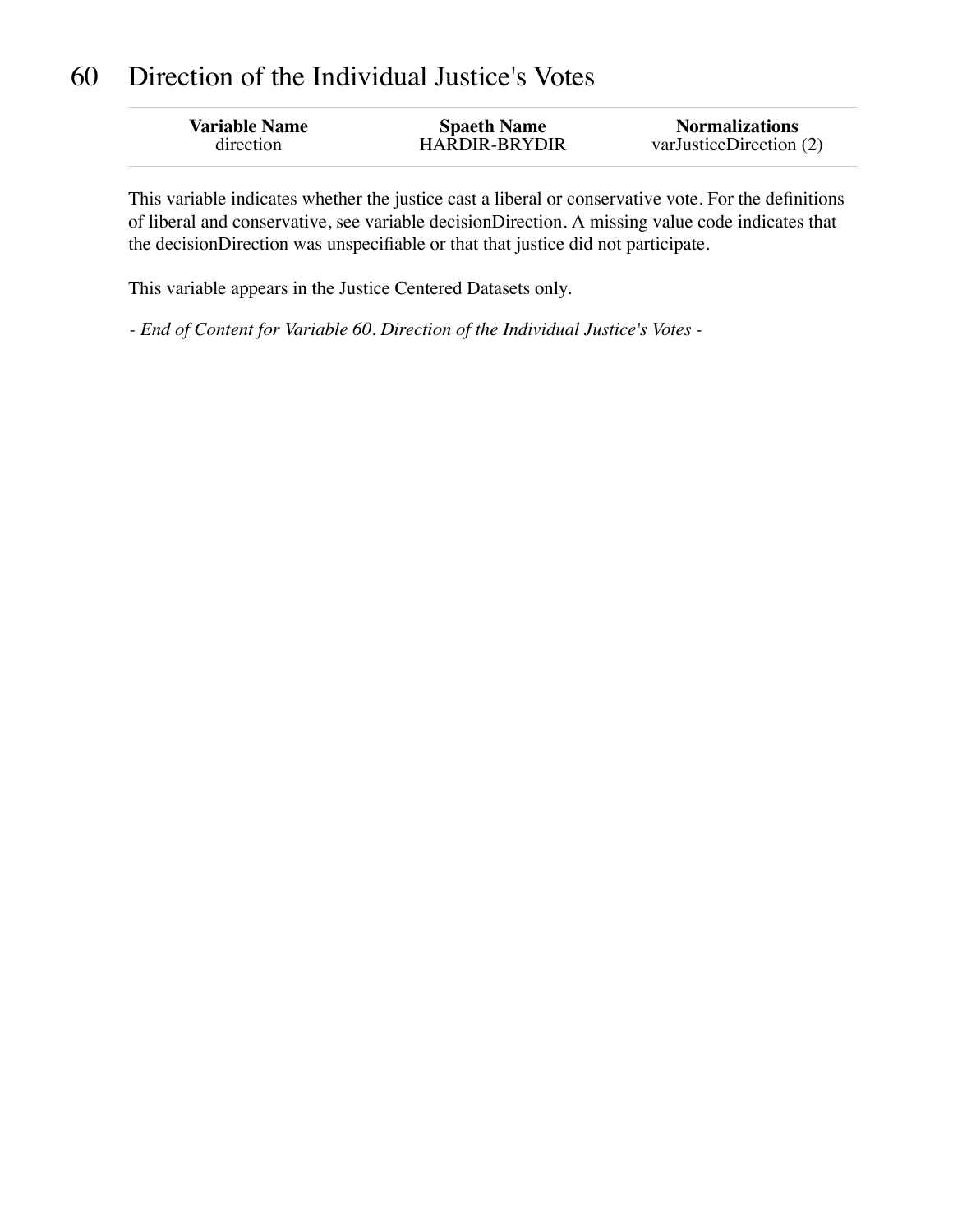## 60 Direction of the Individual Justice's Votes

| <b>Variable Name</b> | <b>Spaeth Name</b>   | <b>Normalizations</b>   |
|----------------------|----------------------|-------------------------|
| direction            | <b>HARDIR-BRYDIR</b> | varJusticeDirection (2) |
|                      |                      |                         |

This variable indicates whether the justice cast a liberal or conservative vote. For the definitions of liberal and conservative, see variable decisionDirection. A missing value code indicates that the decisionDirection was unspecifiable or that that justice did not participate.

This variable appears in the Justice Centered Datasets only.

*- End of Content for Variable 60. Direction of the Individual Justice's Votes -*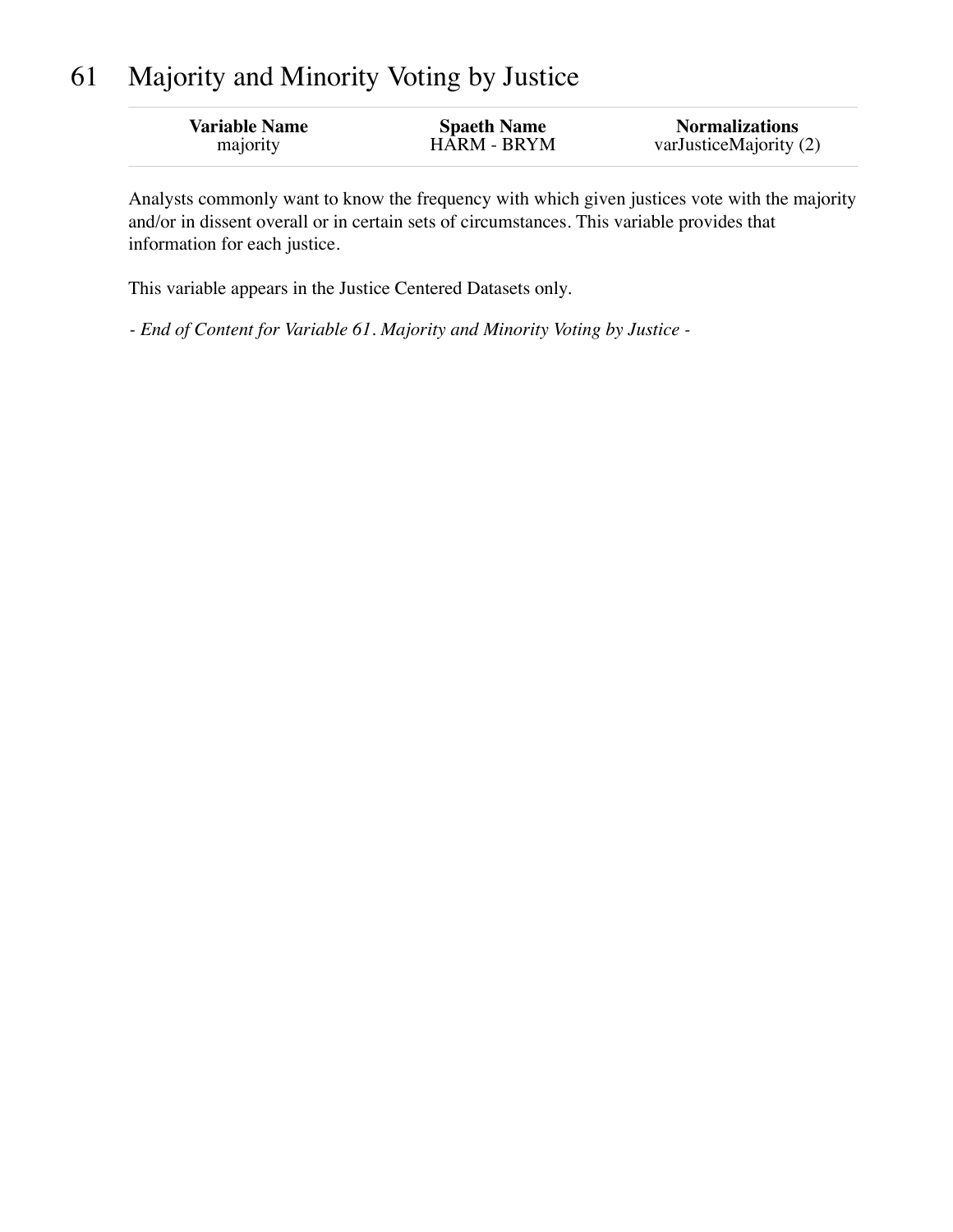## 61 Majority and Minority Voting by Justice

| <b>Variable Name</b> | <b>Spaeth Name</b> | <b>Normalizations</b>  |
|----------------------|--------------------|------------------------|
| majority             | <b>HARM - BRYM</b> | varJusticeMajority (2) |

Analysts commonly want to know the frequency with which given justices vote with the majority and/or in dissent overall or in certain sets of circumstances. This variable provides that information for each justice.

This variable appears in the Justice Centered Datasets only.

*- End of Content for Variable 61. Majority and Minority Voting by Justice -*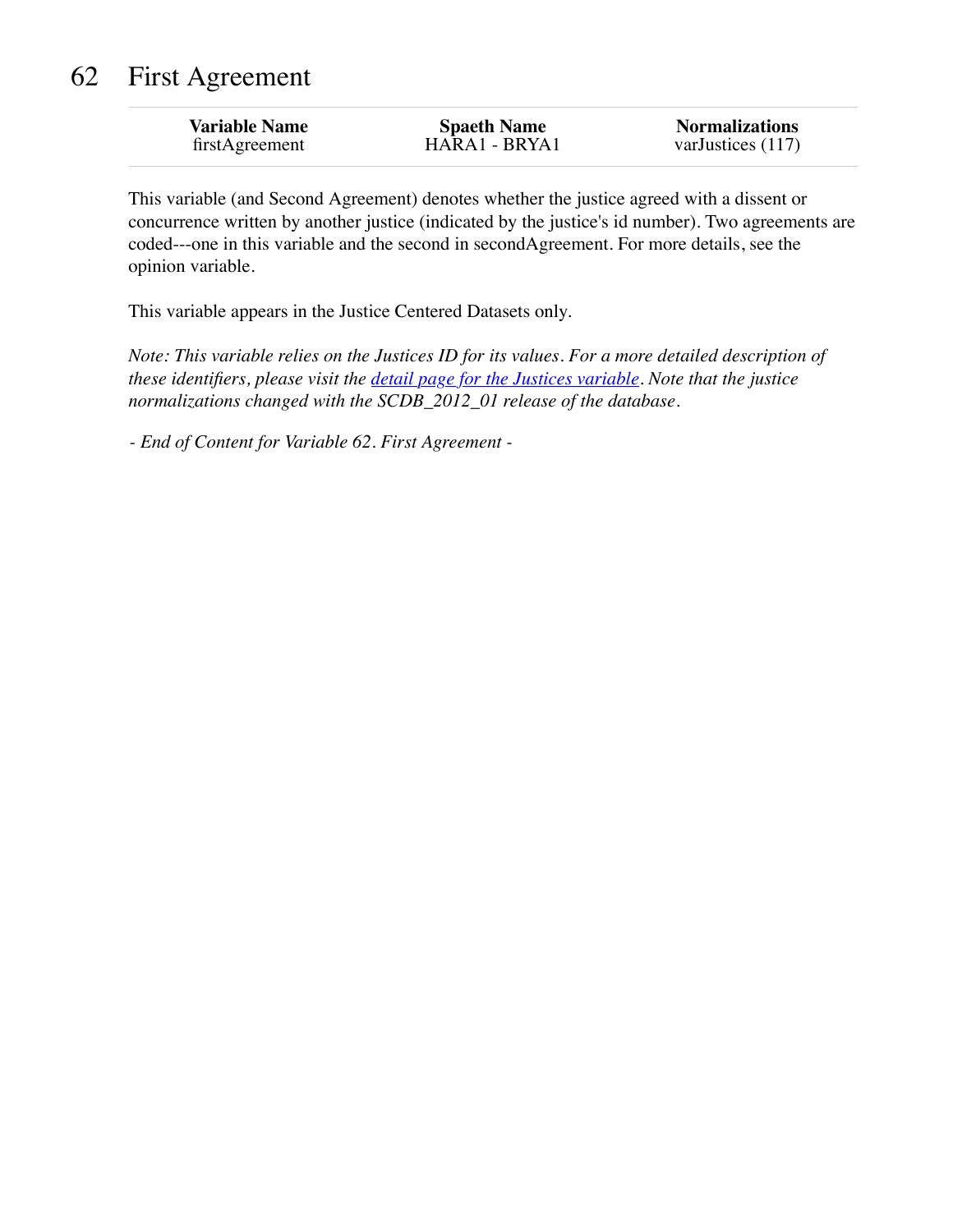## 62 First Agreement

| <b>Variable Name</b> | <b>Spaeth Name</b> | <b>Normalizations</b> |
|----------------------|--------------------|-----------------------|
| firstAgreement       | HARA1 - BRYA1      | varJustices (117)     |

This variable (and Second Agreement) denotes whether the justice agreed with a dissent or concurrence written by another justice (indicated by the justice's id number). Two agreements are coded---one in this variable and the second in secondAgreement. For more details, see the opinion variable.

This variable appears in the Justice Centered Datasets only.

*Note: This variable relies on the Justices ID for its values. For a more detailed description of these identifiers, please visit the [detail page for the Justices variable.](http://scdbadmin.wustl.edu/_brickSql/documentation.php?var=justice) Note that the justice normalizations changed with the SCDB\_2012\_01 release of the database.*

*- End of Content for Variable 62. First Agreement -*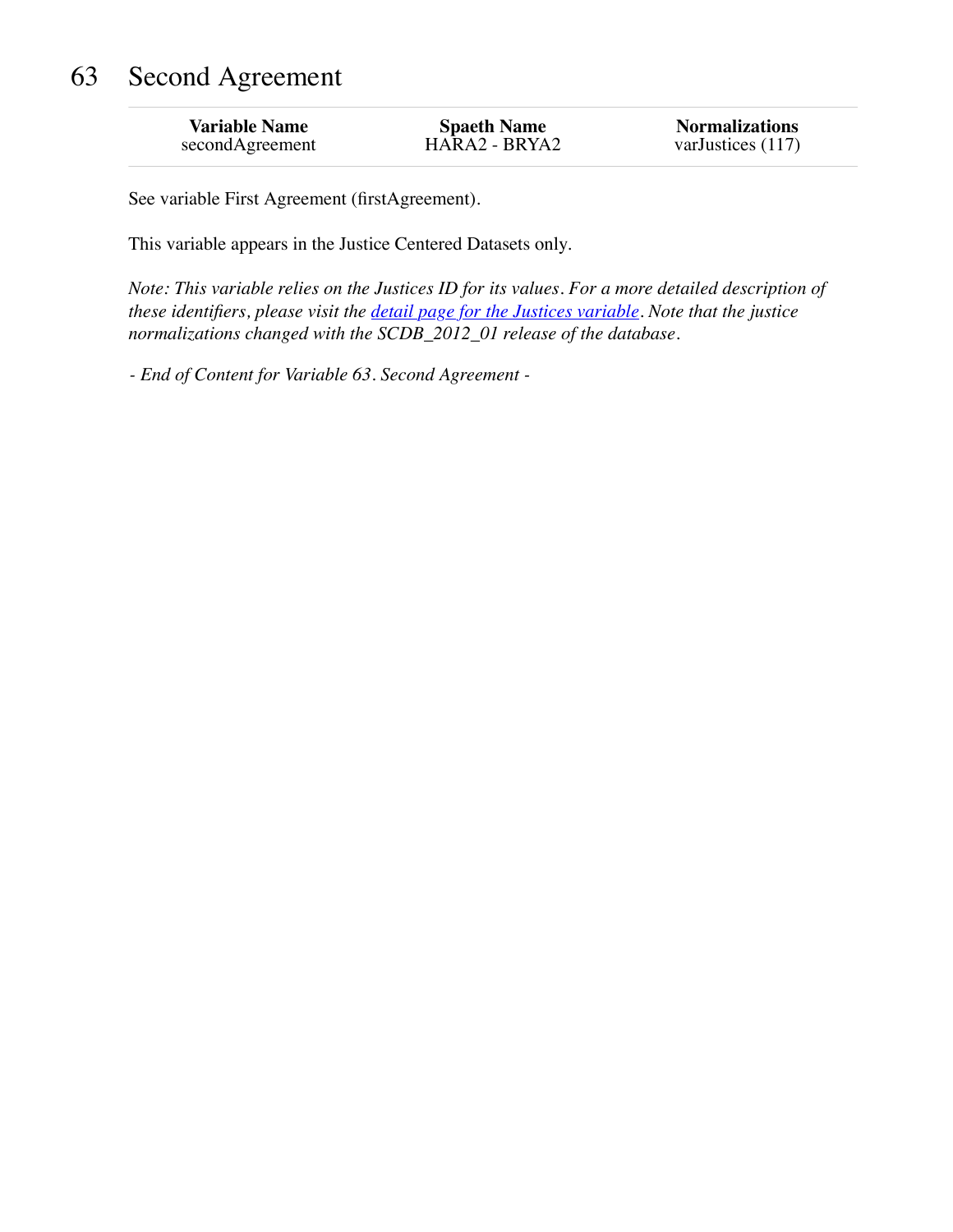## 63 Second Agreement

| <b>Variable Name</b> | <b>Spaeth Name</b> | <b>Normalizations</b> |
|----------------------|--------------------|-----------------------|
| secondAgreement      | HARA2 - BRYA2      | varJustices $(117)$   |

See variable First Agreement (firstAgreement).

This variable appears in the Justice Centered Datasets only.

*Note: This variable relies on the Justices ID for its values. For a more detailed description of these identifiers, please visit the [detail page for the Justices variable.](http://scdbadmin.wustl.edu/_brickSql/documentation.php?var=justice) Note that the justice normalizations changed with the SCDB\_2012\_01 release of the database.*

*- End of Content for Variable 63. Second Agreement -*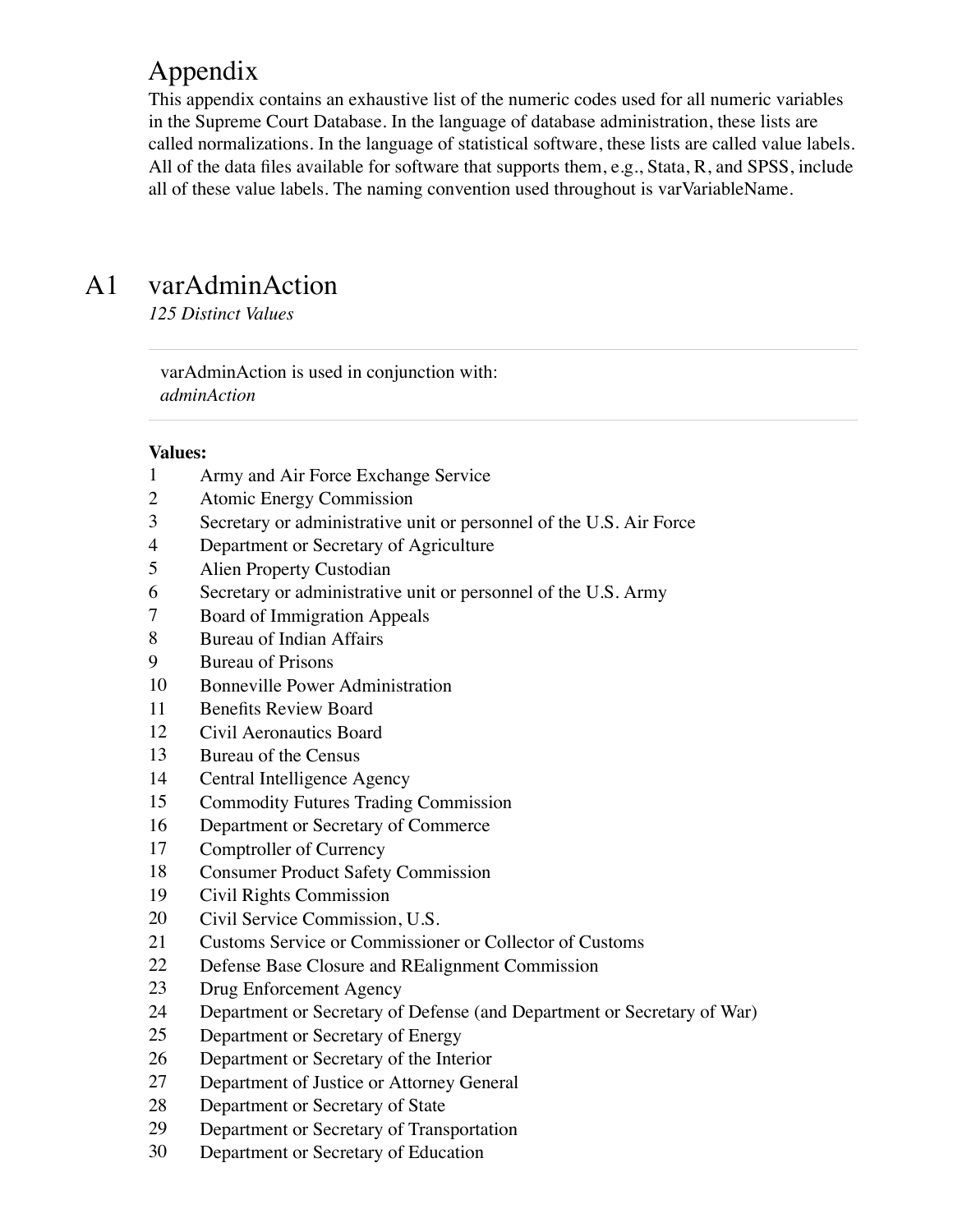## Appendix

This appendix contains an exhaustive list of the numeric codes used for all numeric variables in the Supreme Court Database. In the language of database administration, these lists are called normalizations. In the language of statistical software, these lists are called value labels. All of the data files available for software that supports them, e.g., Stata, R, and SPSS, include all of these value labels. The naming convention used throughout is varVariableName.

## A1 varAdminAction

*125 Distinct Values*

varAdminAction is used in conjunction with: *adminAction*

- Army and Air Force Exchange Service
- Atomic Energy Commission
- Secretary or administrative unit or personnel of the U.S. Air Force
- Department or Secretary of Agriculture
- Alien Property Custodian
- Secretary or administrative unit or personnel of the U.S. Army
- Board of Immigration Appeals
- Bureau of Indian Affairs
- Bureau of Prisons
- Bonneville Power Administration
- Benefits Review Board
- Civil Aeronautics Board
- Bureau of the Census
- Central Intelligence Agency
- Commodity Futures Trading Commission
- Department or Secretary of Commerce
- Comptroller of Currency
- Consumer Product Safety Commission
- Civil Rights Commission
- Civil Service Commission, U.S.
- Customs Service or Commissioner or Collector of Customs
- Defense Base Closure and REalignment Commission
- Drug Enforcement Agency
- Department or Secretary of Defense (and Department or Secretary of War)
- Department or Secretary of Energy
- Department or Secretary of the Interior
- Department of Justice or Attorney General
- Department or Secretary of State
- Department or Secretary of Transportation
- Department or Secretary of Education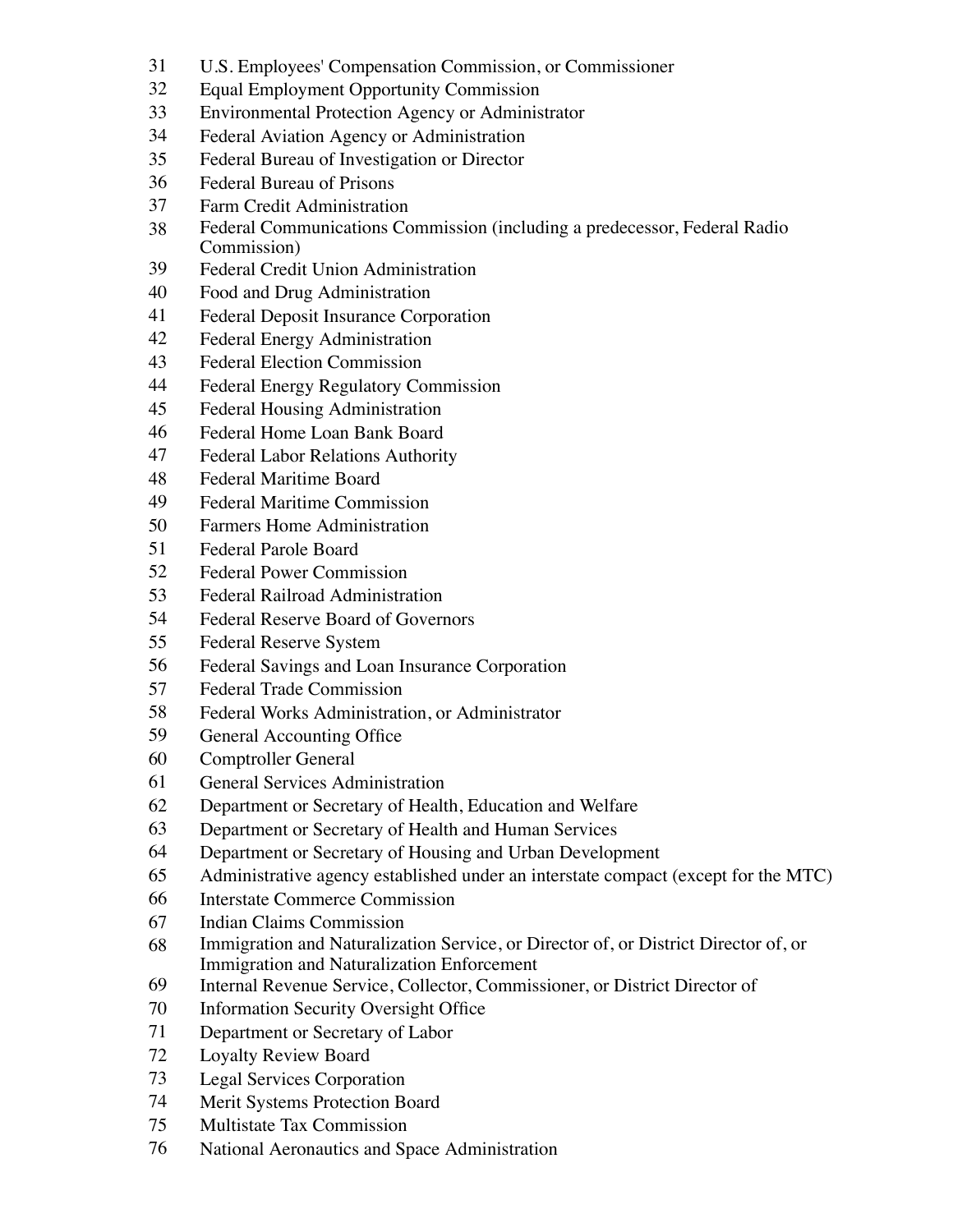- U.S. Employees' Compensation Commission, or Commissioner
- Equal Employment Opportunity Commission
- Environmental Protection Agency or Administrator
- Federal Aviation Agency or Administration
- Federal Bureau of Investigation or Director
- Federal Bureau of Prisons
- Farm Credit Administration
- Federal Communications Commission (including a predecessor, Federal Radio Commission)
- Federal Credit Union Administration
- Food and Drug Administration
- Federal Deposit Insurance Corporation
- Federal Energy Administration
- Federal Election Commission
- Federal Energy Regulatory Commission
- Federal Housing Administration
- Federal Home Loan Bank Board
- Federal Labor Relations Authority
- Federal Maritime Board
- Federal Maritime Commission
- Farmers Home Administration
- Federal Parole Board
- Federal Power Commission
- Federal Railroad Administration
- Federal Reserve Board of Governors
- Federal Reserve System
- Federal Savings and Loan Insurance Corporation
- Federal Trade Commission
- Federal Works Administration, or Administrator
- General Accounting Office
- Comptroller General
- General Services Administration
- Department or Secretary of Health, Education and Welfare
- Department or Secretary of Health and Human Services
- Department or Secretary of Housing and Urban Development
- Administrative agency established under an interstate compact (except for the MTC)
- Interstate Commerce Commission
- Indian Claims Commission
- Immigration and Naturalization Service, or Director of, or District Director of, or Immigration and Naturalization Enforcement
- Internal Revenue Service, Collector, Commissioner, or District Director of
- Information Security Oversight Office
- Department or Secretary of Labor
- Loyalty Review Board
- Legal Services Corporation
- Merit Systems Protection Board
- Multistate Tax Commission
- National Aeronautics and Space Administration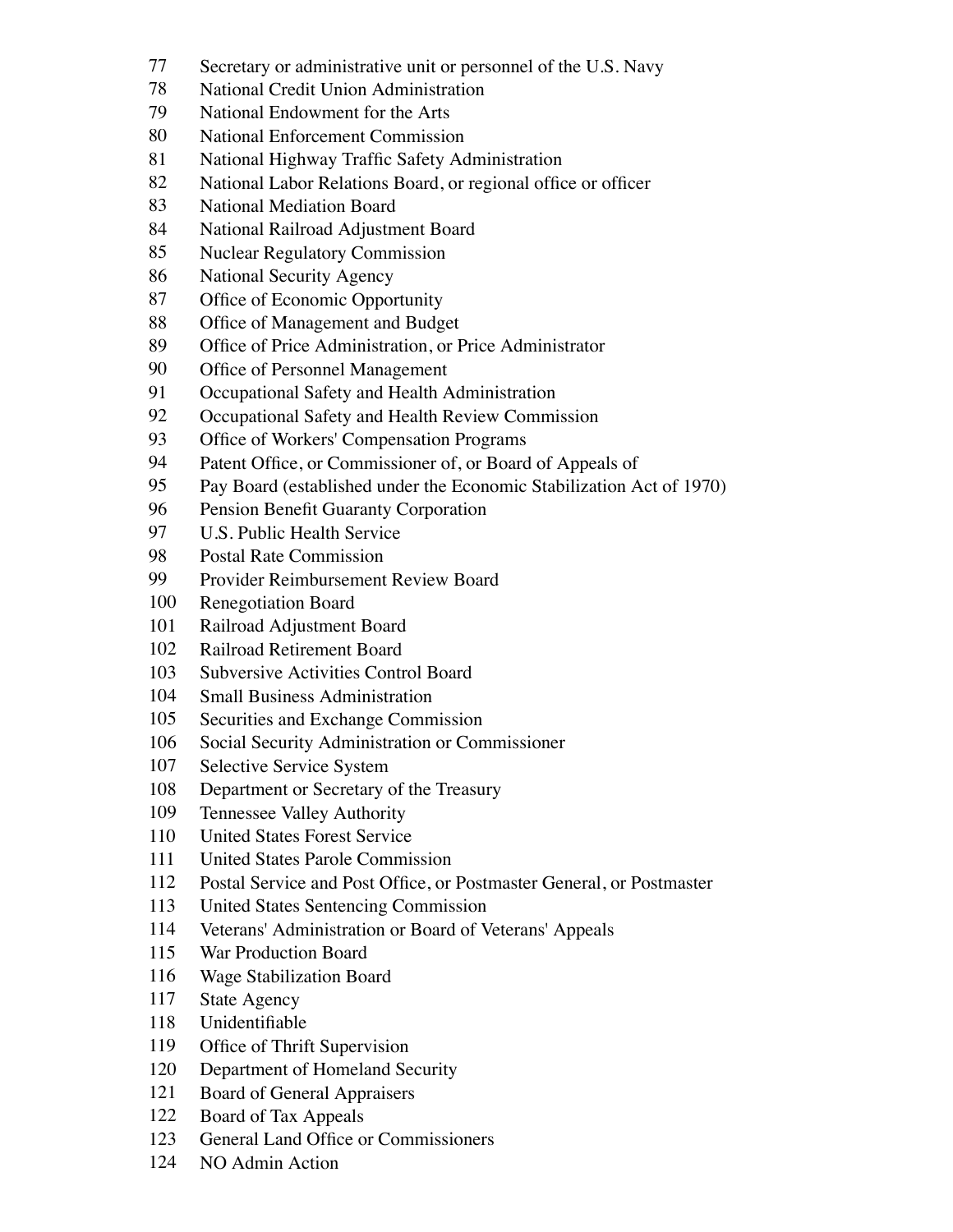- Secretary or administrative unit or personnel of the U.S. Navy
- National Credit Union Administration
- National Endowment for the Arts
- National Enforcement Commission
- National Highway Traffic Safety Administration
- National Labor Relations Board, or regional office or officer
- National Mediation Board
- National Railroad Adjustment Board
- Nuclear Regulatory Commission
- National Security Agency
- Office of Economic Opportunity
- Office of Management and Budget
- Office of Price Administration, or Price Administrator
- Office of Personnel Management
- Occupational Safety and Health Administration
- 92 Occupational Safety and Health Review Commission
- Office of Workers' Compensation Programs
- Patent Office, or Commissioner of, or Board of Appeals of
- Pay Board (established under the Economic Stabilization Act of 1970)
- Pension Benefit Guaranty Corporation
- U.S. Public Health Service
- Postal Rate Commission
- Provider Reimbursement Review Board
- Renegotiation Board
- Railroad Adjustment Board
- Railroad Retirement Board
- Subversive Activities Control Board
- Small Business Administration
- Securities and Exchange Commission
- Social Security Administration or Commissioner
- Selective Service System
- Department or Secretary of the Treasury
- Tennessee Valley Authority
- United States Forest Service
- United States Parole Commission
- Postal Service and Post Office, or Postmaster General, or Postmaster
- United States Sentencing Commission
- Veterans' Administration or Board of Veterans' Appeals
- War Production Board
- Wage Stabilization Board
- State Agency
- Unidentifiable
- Office of Thrift Supervision
- Department of Homeland Security
- Board of General Appraisers
- Board of Tax Appeals
- General Land Office or Commissioners
- NO Admin Action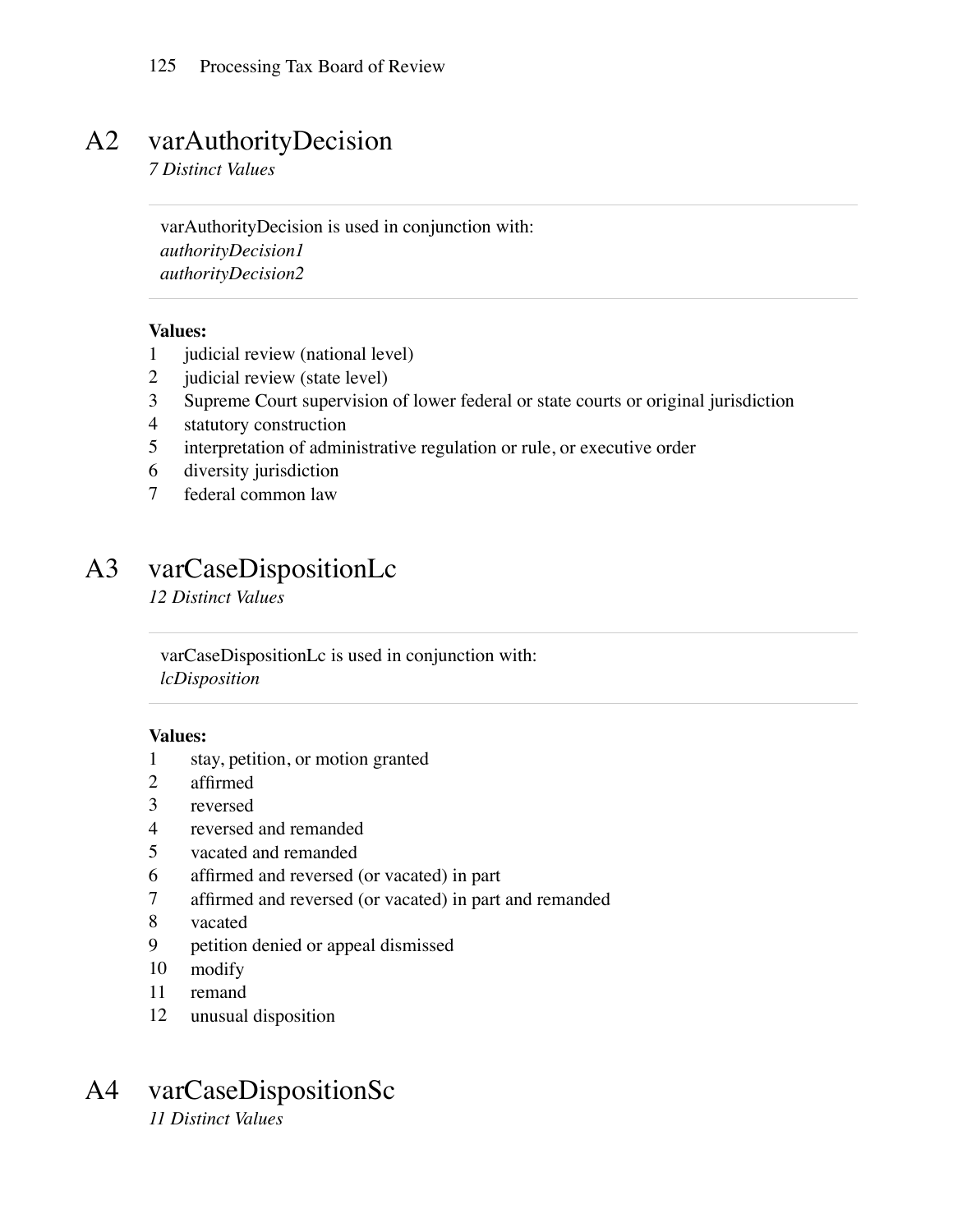### A2 varAuthorityDecision

*7 Distinct Values*

varAuthorityDecision is used in conjunction with: *authorityDecision1 authorityDecision2*

#### **Values:**

- 1 judicial review (national level)
- 2 judicial review (state level)
- 3 Supreme Court supervision of lower federal or state courts or original jurisdiction
- 4 statutory construction
- 5 interpretation of administrative regulation or rule, or executive order
- 6 diversity jurisdiction
- 7 federal common law

## A3 varCaseDispositionLc

*12 Distinct Values*

varCaseDispositionLc is used in conjunction with: *lcDisposition*

#### **Values:**

- 1 stay, petition, or motion granted
- 2 affirmed
- 3 reversed
- 4 reversed and remanded
- 5 vacated and remanded
- 6 affirmed and reversed (or vacated) in part
- 7 affirmed and reversed (or vacated) in part and remanded
- 8 vacated
- 9 petition denied or appeal dismissed
- 10 modify
- 11 remand
- 12 unusual disposition

# A4 varCaseDispositionSc

*11 Distinct Values*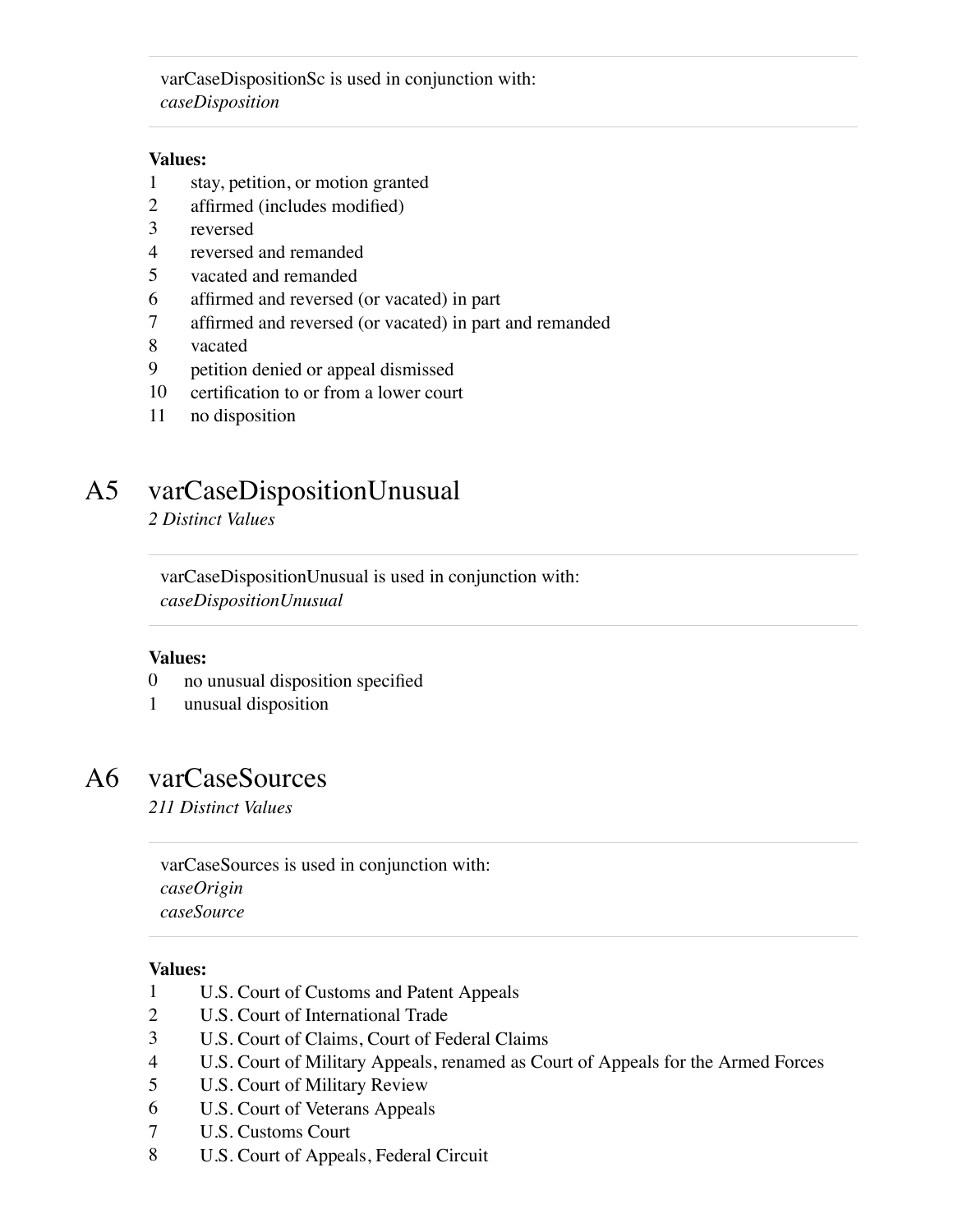varCaseDispositionSc is used in conjunction with: *caseDisposition*

#### **Values:**

- 1 stay, petition, or motion granted
- 2 affirmed (includes modified)
- 3 reversed
- 4 reversed and remanded
- 5 vacated and remanded
- 6 affirmed and reversed (or vacated) in part
- 7 affirmed and reversed (or vacated) in part and remanded
- 8 vacated
- 9 petition denied or appeal dismissed
- 10 certification to or from a lower court
- 11 no disposition

### A5 varCaseDispositionUnusual

*2 Distinct Values*

varCaseDispositionUnusual is used in conjunction with: *caseDispositionUnusual*

#### **Values:**

- 0 no unusual disposition specified
- 1 unusual disposition

### A6 varCaseSources

*211 Distinct Values*

varCaseSources is used in conjunction with: *caseOrigin caseSource*

- 1 U.S. Court of Customs and Patent Appeals
- 2 U.S. Court of International Trade
- 3 U.S. Court of Claims, Court of Federal Claims
- 4 U.S. Court of Military Appeals, renamed as Court of Appeals for the Armed Forces
- 5 U.S. Court of Military Review
- 6 U.S. Court of Veterans Appeals
- 7 U.S. Customs Court
- 8 U.S. Court of Appeals, Federal Circuit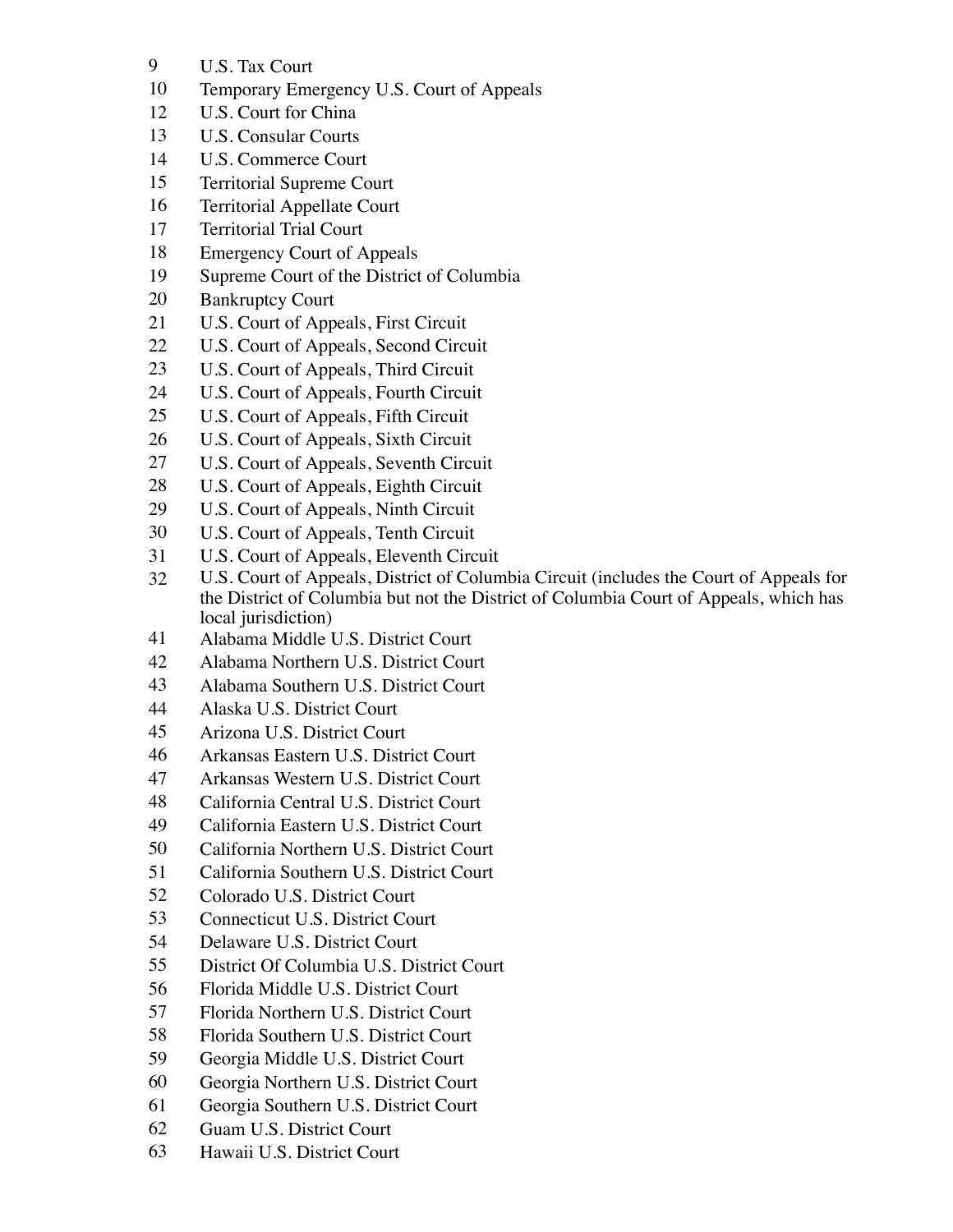- U.S. Tax Court
- Temporary Emergency U.S. Court of Appeals
- U.S. Court for China
- U.S. Consular Courts
- U.S. Commerce Court
- Territorial Supreme Court
- Territorial Appellate Court
- Territorial Trial Court
- Emergency Court of Appeals
- Supreme Court of the District of Columbia
- Bankruptcy Court
- U.S. Court of Appeals, First Circuit
- U.S. Court of Appeals, Second Circuit
- U.S. Court of Appeals, Third Circuit
- U.S. Court of Appeals, Fourth Circuit
- U.S. Court of Appeals, Fifth Circuit
- U.S. Court of Appeals, Sixth Circuit
- U.S. Court of Appeals, Seventh Circuit
- U.S. Court of Appeals, Eighth Circuit
- U.S. Court of Appeals, Ninth Circuit
- U.S. Court of Appeals, Tenth Circuit
- U.S. Court of Appeals, Eleventh Circuit
- U.S. Court of Appeals, District of Columbia Circuit (includes the Court of Appeals for the District of Columbia but not the District of Columbia Court of Appeals, which has local jurisdiction)
- Alabama Middle U.S. District Court
- Alabama Northern U.S. District Court
- Alabama Southern U.S. District Court
- Alaska U.S. District Court
- Arizona U.S. District Court
- Arkansas Eastern U.S. District Court
- Arkansas Western U.S. District Court
- California Central U.S. District Court
- California Eastern U.S. District Court
- California Northern U.S. District Court
- California Southern U.S. District Court
- Colorado U.S. District Court
- Connecticut U.S. District Court
- Delaware U.S. District Court
- District Of Columbia U.S. District Court
- Florida Middle U.S. District Court
- Florida Northern U.S. District Court
- Florida Southern U.S. District Court
- Georgia Middle U.S. District Court
- Georgia Northern U.S. District Court
- Georgia Southern U.S. District Court
- Guam U.S. District Court
- Hawaii U.S. District Court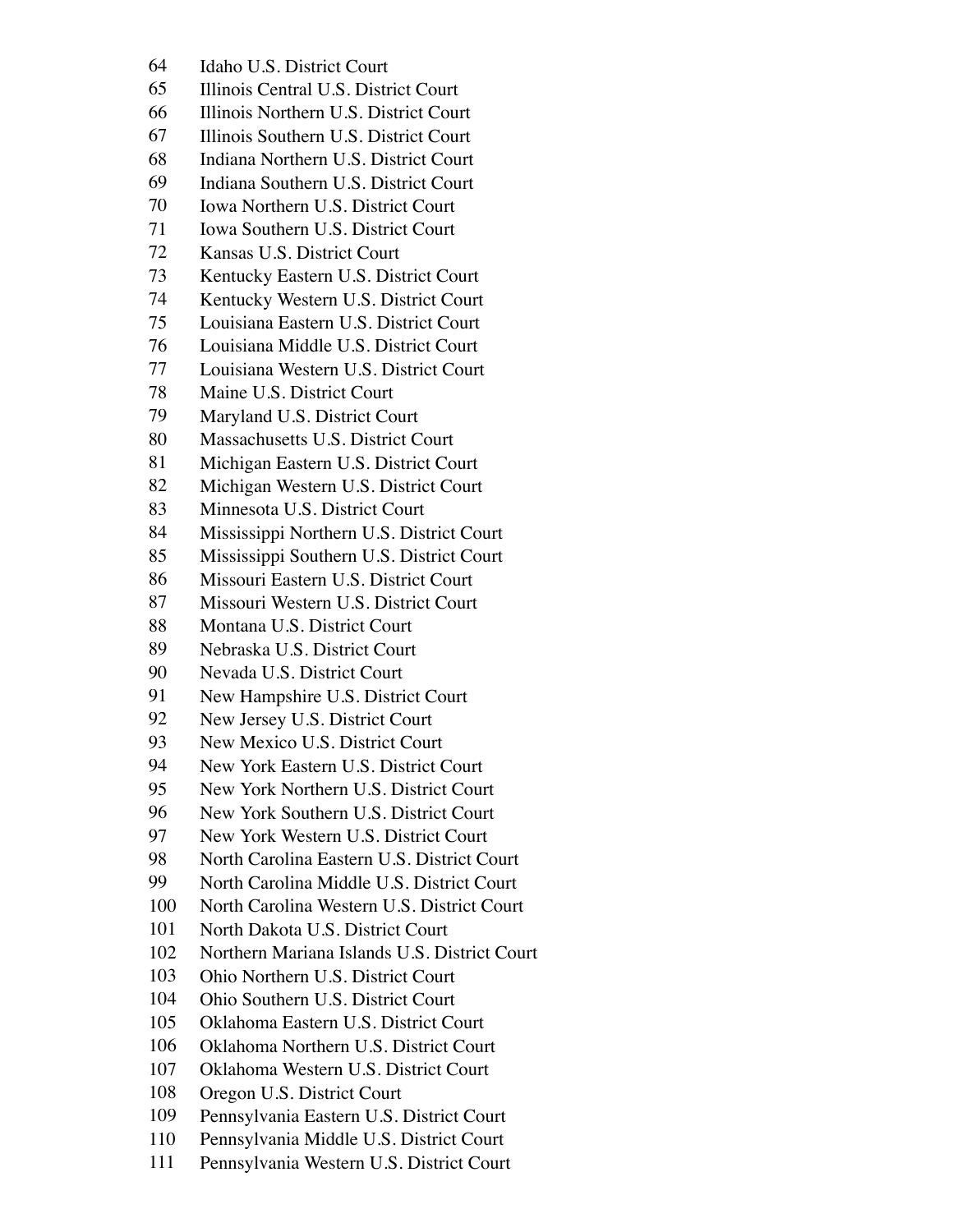- Idaho U.S. District Court
- Illinois Central U.S. District Court
- Illinois Northern U.S. District Court
- Illinois Southern U.S. District Court
- Indiana Northern U.S. District Court
- Indiana Southern U.S. District Court
- Iowa Northern U.S. District Court
- Iowa Southern U.S. District Court
- Kansas U.S. District Court
- Kentucky Eastern U.S. District Court
- Kentucky Western U.S. District Court
- Louisiana Eastern U.S. District Court
- Louisiana Middle U.S. District Court
- Louisiana Western U.S. District Court
- Maine U.S. District Court
- Maryland U.S. District Court
- Massachusetts U.S. District Court
- Michigan Eastern U.S. District Court
- Michigan Western U.S. District Court
- Minnesota U.S. District Court
- Mississippi Northern U.S. District Court
- Mississippi Southern U.S. District Court
- Missouri Eastern U.S. District Court
- Missouri Western U.S. District Court
- Montana U.S. District Court
- Nebraska U.S. District Court
- Nevada U.S. District Court
- New Hampshire U.S. District Court
- New Jersey U.S. District Court
- New Mexico U.S. District Court
- New York Eastern U.S. District Court
- New York Northern U.S. District Court
- New York Southern U.S. District Court
- New York Western U.S. District Court
- North Carolina Eastern U.S. District Court
- North Carolina Middle U.S. District Court
- North Carolina Western U.S. District Court
- North Dakota U.S. District Court
- Northern Mariana Islands U.S. District Court
- Ohio Northern U.S. District Court
- Ohio Southern U.S. District Court
- Oklahoma Eastern U.S. District Court
- Oklahoma Northern U.S. District Court
- Oklahoma Western U.S. District Court
- Oregon U.S. District Court
- Pennsylvania Eastern U.S. District Court
- Pennsylvania Middle U.S. District Court
- Pennsylvania Western U.S. District Court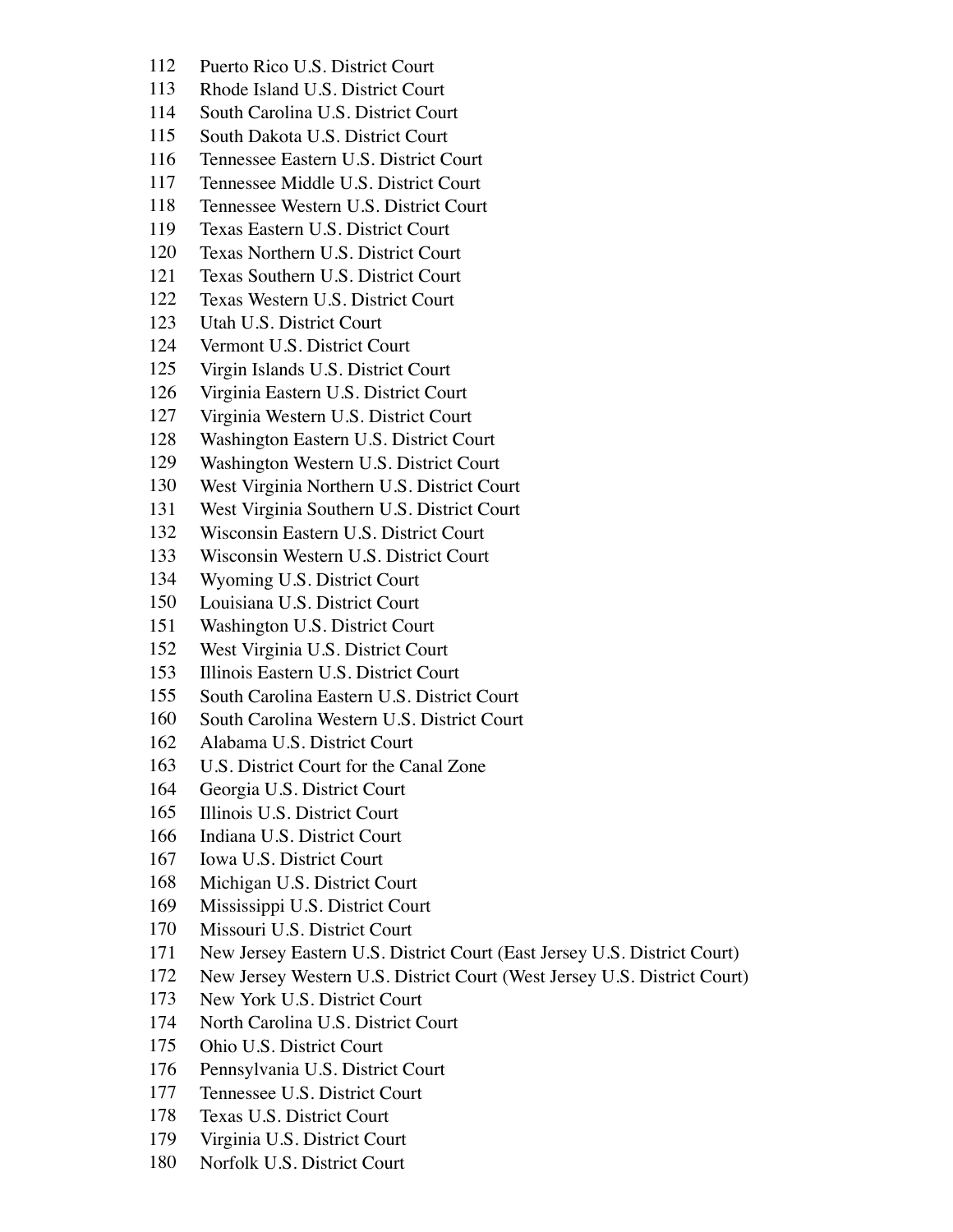- Puerto Rico U.S. District Court
- Rhode Island U.S. District Court
- South Carolina U.S. District Court
- South Dakota U.S. District Court
- Tennessee Eastern U.S. District Court
- Tennessee Middle U.S. District Court
- Tennessee Western U.S. District Court
- Texas Eastern U.S. District Court
- Texas Northern U.S. District Court
- Texas Southern U.S. District Court
- Texas Western U.S. District Court
- Utah U.S. District Court
- Vermont U.S. District Court
- Virgin Islands U.S. District Court
- Virginia Eastern U.S. District Court
- Virginia Western U.S. District Court
- Washington Eastern U.S. District Court
- Washington Western U.S. District Court
- West Virginia Northern U.S. District Court
- West Virginia Southern U.S. District Court
- Wisconsin Eastern U.S. District Court
- Wisconsin Western U.S. District Court
- Wyoming U.S. District Court
- Louisiana U.S. District Court
- Washington U.S. District Court
- West Virginia U.S. District Court
- Illinois Eastern U.S. District Court
- South Carolina Eastern U.S. District Court
- South Carolina Western U.S. District Court
- Alabama U.S. District Court
- U.S. District Court for the Canal Zone
- Georgia U.S. District Court
- Illinois U.S. District Court
- Indiana U.S. District Court
- Iowa U.S. District Court
- Michigan U.S. District Court
- Mississippi U.S. District Court
- Missouri U.S. District Court
- New Jersey Eastern U.S. District Court (East Jersey U.S. District Court)
- New Jersey Western U.S. District Court (West Jersey U.S. District Court)
- New York U.S. District Court
- North Carolina U.S. District Court
- Ohio U.S. District Court
- Pennsylvania U.S. District Court
- Tennessee U.S. District Court
- Texas U.S. District Court
- Virginia U.S. District Court
- Norfolk U.S. District Court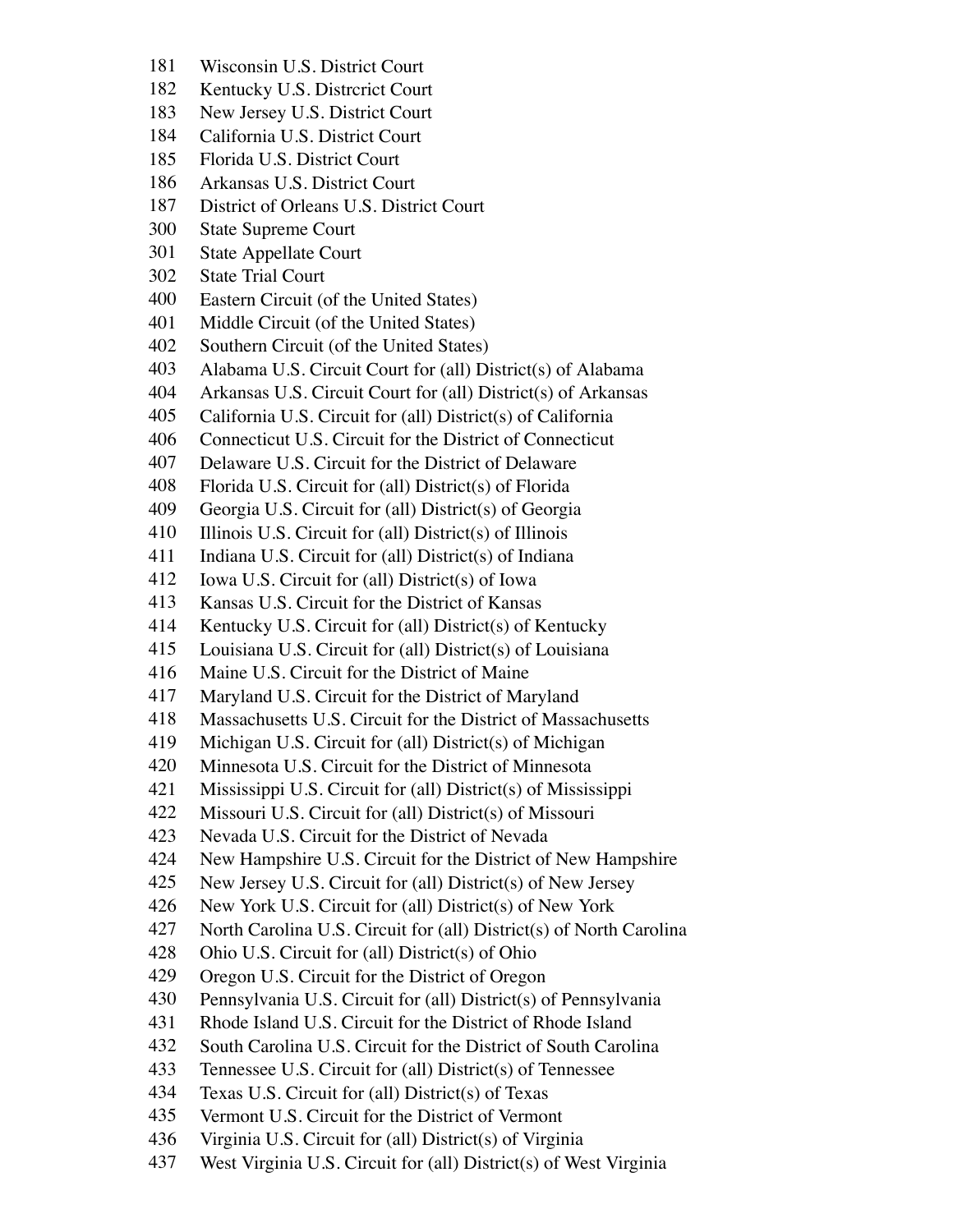- Wisconsin U.S. District Court
- Kentucky U.S. Distrcrict Court
- New Jersey U.S. District Court
- California U.S. District Court
- Florida U.S. District Court
- Arkansas U.S. District Court
- District of Orleans U.S. District Court
- State Supreme Court
- State Appellate Court
- State Trial Court
- Eastern Circuit (of the United States)
- Middle Circuit (of the United States)
- Southern Circuit (of the United States)
- Alabama U.S. Circuit Court for (all) District(s) of Alabama
- Arkansas U.S. Circuit Court for (all) District(s) of Arkansas
- California U.S. Circuit for (all) District(s) of California
- Connecticut U.S. Circuit for the District of Connecticut
- Delaware U.S. Circuit for the District of Delaware
- Florida U.S. Circuit for (all) District(s) of Florida
- Georgia U.S. Circuit for (all) District(s) of Georgia
- 410 Illinois U.S. Circuit for (all) District(s) of Illinois
- Indiana U.S. Circuit for (all) District(s) of Indiana
- Iowa U.S. Circuit for (all) District(s) of Iowa
- Kansas U.S. Circuit for the District of Kansas
- Kentucky U.S. Circuit for (all) District(s) of Kentucky
- Louisiana U.S. Circuit for (all) District(s) of Louisiana
- Maine U.S. Circuit for the District of Maine
- Maryland U.S. Circuit for the District of Maryland
- Massachusetts U.S. Circuit for the District of Massachusetts
- Michigan U.S. Circuit for (all) District(s) of Michigan
- Minnesota U.S. Circuit for the District of Minnesota
- Mississippi U.S. Circuit for (all) District(s) of Mississippi
- Missouri U.S. Circuit for (all) District(s) of Missouri
- Nevada U.S. Circuit for the District of Nevada
- New Hampshire U.S. Circuit for the District of New Hampshire
- New Jersey U.S. Circuit for (all) District(s) of New Jersey
- New York U.S. Circuit for (all) District(s) of New York
- North Carolina U.S. Circuit for (all) District(s) of North Carolina
- Ohio U.S. Circuit for (all) District(s) of Ohio
- Oregon U.S. Circuit for the District of Oregon
- Pennsylvania U.S. Circuit for (all) District(s) of Pennsylvania
- Rhode Island U.S. Circuit for the District of Rhode Island
- South Carolina U.S. Circuit for the District of South Carolina
- Tennessee U.S. Circuit for (all) District(s) of Tennessee
- Texas U.S. Circuit for (all) District(s) of Texas
- Vermont U.S. Circuit for the District of Vermont
- Virginia U.S. Circuit for (all) District(s) of Virginia
- West Virginia U.S. Circuit for (all) District(s) of West Virginia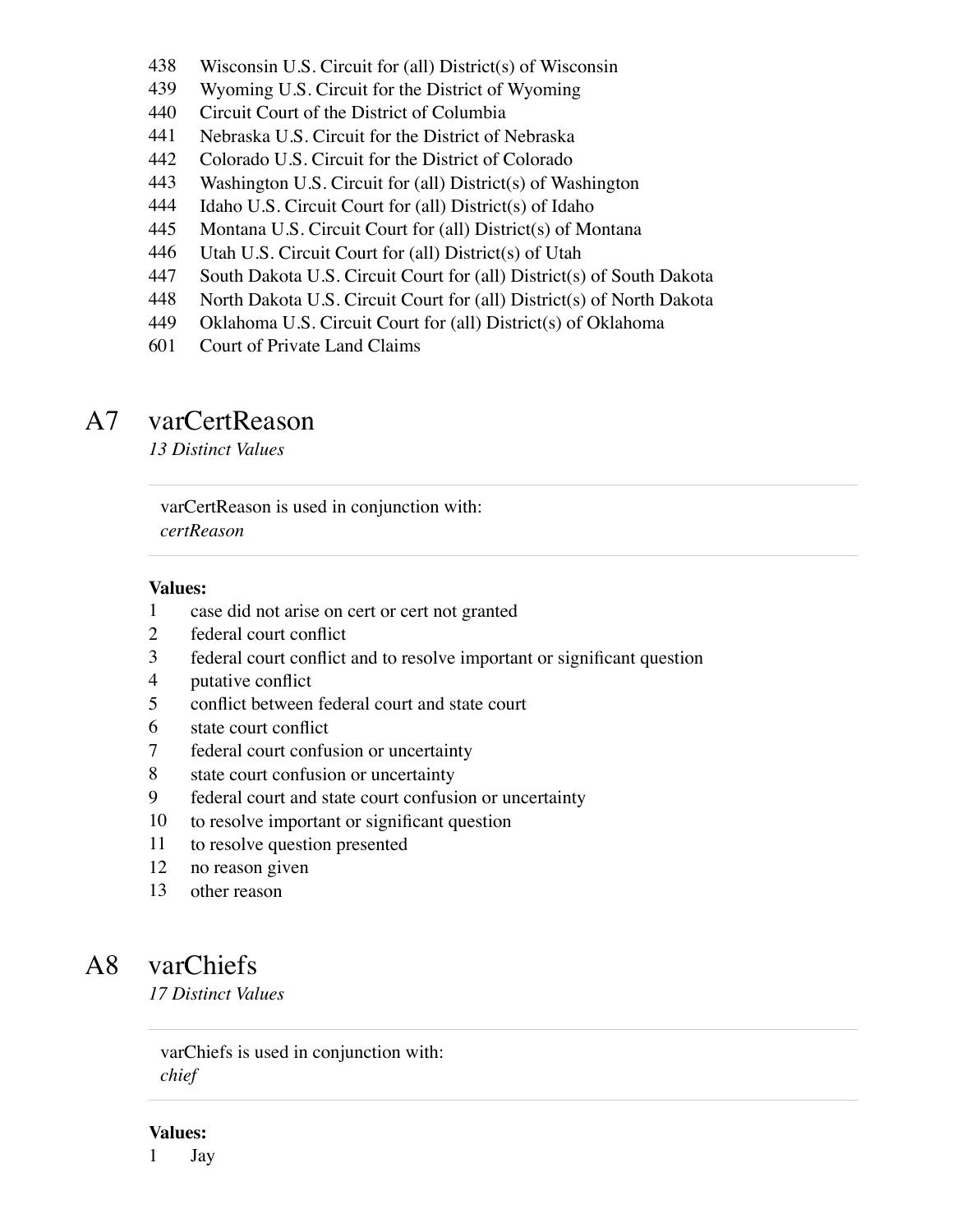- Wisconsin U.S. Circuit for (all) District(s) of Wisconsin
- Wyoming U.S. Circuit for the District of Wyoming
- Circuit Court of the District of Columbia
- Nebraska U.S. Circuit for the District of Nebraska
- Colorado U.S. Circuit for the District of Colorado
- Washington U.S. Circuit for (all) District(s) of Washington
- Idaho U.S. Circuit Court for (all) District(s) of Idaho
- Montana U.S. Circuit Court for (all) District(s) of Montana
- Utah U.S. Circuit Court for (all) District(s) of Utah
- South Dakota U.S. Circuit Court for (all) District(s) of South Dakota
- North Dakota U.S. Circuit Court for (all) District(s) of North Dakota
- Oklahoma U.S. Circuit Court for (all) District(s) of Oklahoma
- Court of Private Land Claims

## A7 varCertReason

*13 Distinct Values*

varCertReason is used in conjunction with: *certReason*

#### **Values:**

- case did not arise on cert or cert not granted
- federal court conflict
- federal court conflict and to resolve important or significant question
- putative conflict
- conflict between federal court and state court
- state court conflict
- federal court confusion or uncertainty
- state court confusion or uncertainty
- federal court and state court confusion or uncertainty
- to resolve important or significant question
- to resolve question presented
- no reason given
- other reason

### A8 varChiefs

*17 Distinct Values*

varChiefs is used in conjunction with: *chief*

#### **Values:**

Jay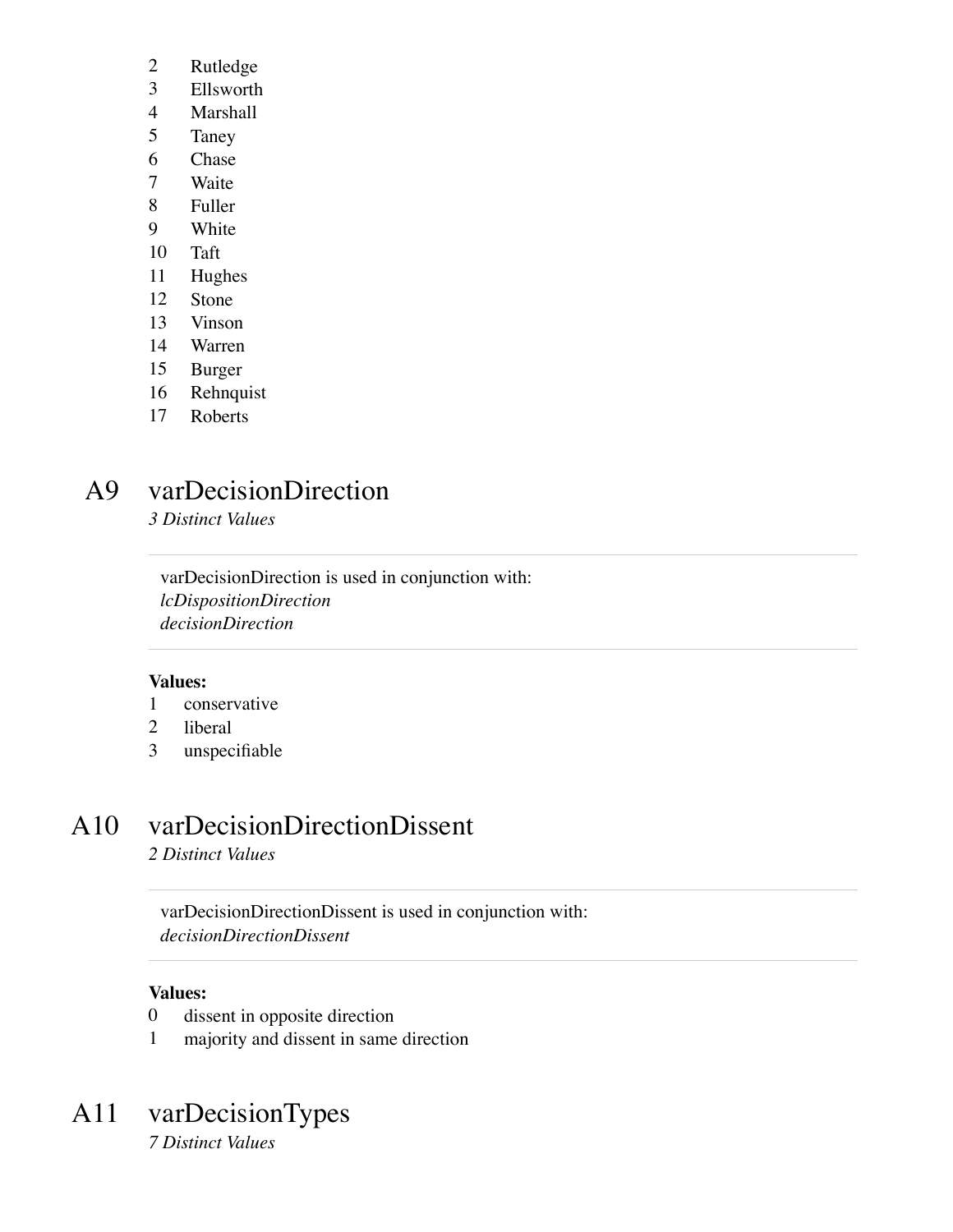- Rutledge
- Ellsworth
- Marshall
- Taney
- Chase
- Waite
- Fuller
- White
- Taft
- Hughes
- Stone
- Vinson
- Warren
- Burger
- Rehnquist
- Roberts

## A9 varDecisionDirection

*3 Distinct Values*

varDecisionDirection is used in conjunction with: *lcDispositionDirection decisionDirection*

#### **Values:**

- conservative
- liberal
- unspecifiable

### A10 varDecisionDirectionDissent

*2 Distinct Values*

varDecisionDirectionDissent is used in conjunction with: *decisionDirectionDissent*

#### **Values:**

- dissent in opposite direction
- majority and dissent in same direction

### A11 varDecisionTypes

*7 Distinct Values*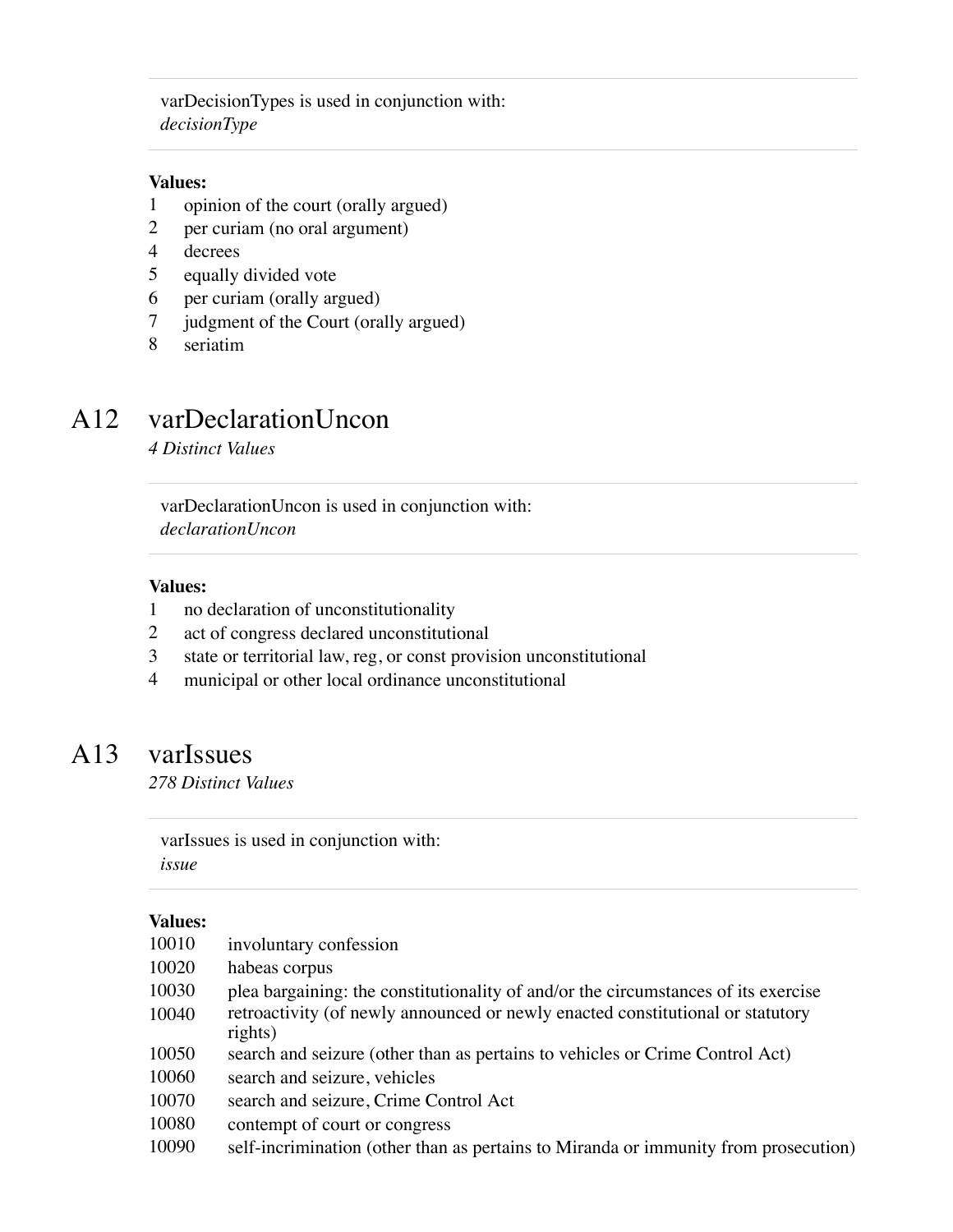varDecisionTypes is used in conjunction with: *decisionType*

#### **Values:**

- 1 opinion of the court (orally argued)
- 2 per curiam (no oral argument)
- 4 decrees
- 5 equally divided vote
- 6 per curiam (orally argued)
- 7 judgment of the Court (orally argued)
- 8 seriatim

### A12 varDeclarationUncon

*4 Distinct Values*

varDeclarationUncon is used in conjunction with: *declarationUncon*

#### **Values:**

- 1 no declaration of unconstitutionality
- 2 act of congress declared unconstitutional
- 3 state or territorial law, reg, or const provision unconstitutional
- 4 municipal or other local ordinance unconstitutional

### A13 varIssues

*278 Distinct Values*

varIssues is used in conjunction with: *issue*

| 10010 | involuntary confession                                                                    |
|-------|-------------------------------------------------------------------------------------------|
| 10020 | habeas corpus                                                                             |
| 10030 | plea bargaining: the constitutionality of and/or the circumstances of its exercise        |
| 10040 | retroactivity (of newly announced or newly enacted constitutional or statutory<br>rights) |
| 10050 | search and seizure (other than as pertains to vehicles or Crime Control Act)              |
| 10060 | search and seizure, vehicles                                                              |
| 10070 | search and seizure, Crime Control Act                                                     |
| 10080 | contempt of court or congress                                                             |
| 10090 | self-incrimination (other than as pertains to Miranda or immunity from prosecution)       |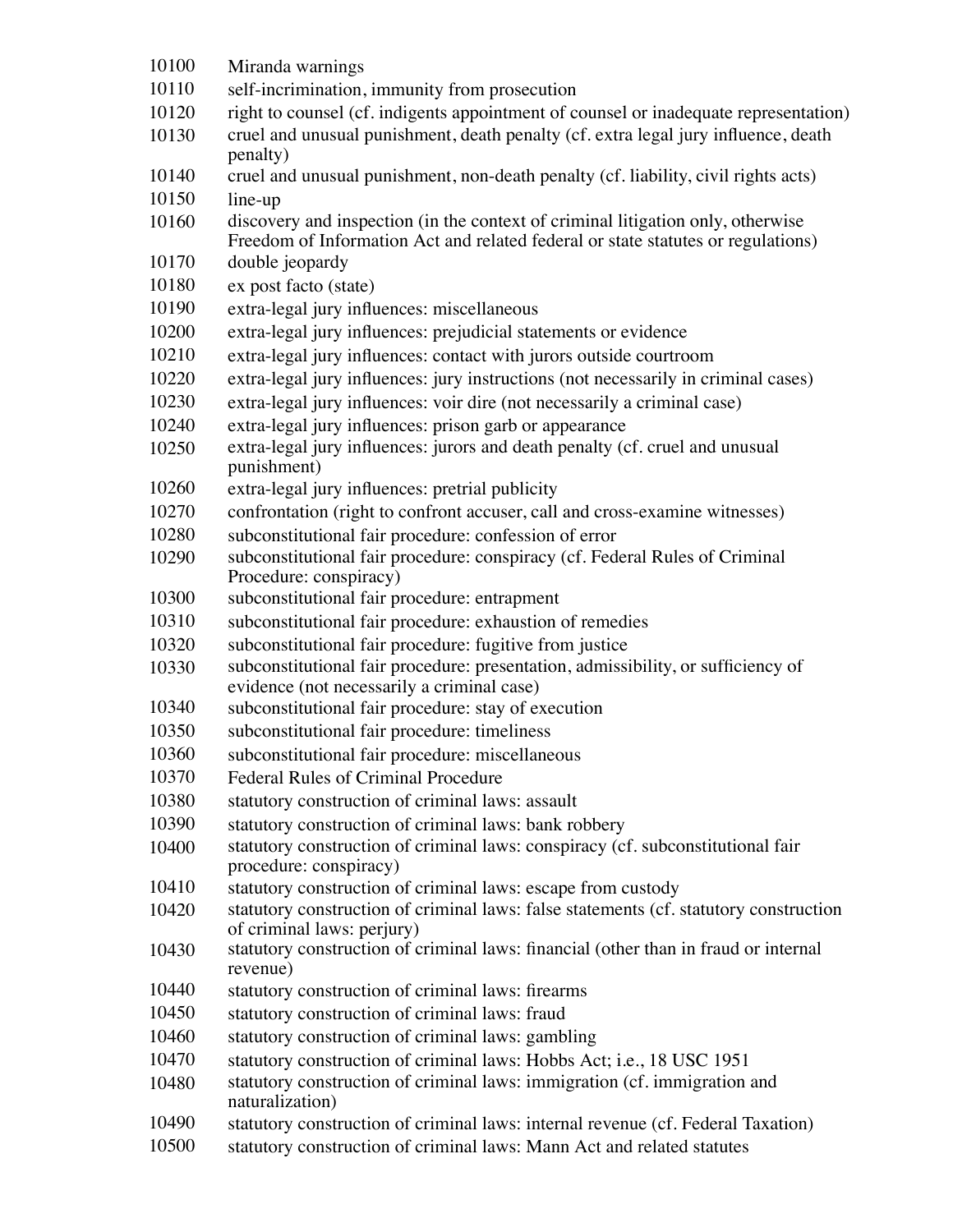Miranda warnings self-incrimination, immunity from prosecution right to counsel (cf. indigents appointment of counsel or inadequate representation) cruel and unusual punishment, death penalty (cf. extra legal jury influence, death penalty) cruel and unusual punishment, non-death penalty (cf. liability, civil rights acts) line-up discovery and inspection (in the context of criminal litigation only, otherwise Freedom of Information Act and related federal or state statutes or regulations) double jeopardy ex post facto (state) extra-legal jury influences: miscellaneous extra-legal jury influences: prejudicial statements or evidence extra-legal jury influences: contact with jurors outside courtroom extra-legal jury influences: jury instructions (not necessarily in criminal cases) extra-legal jury influences: voir dire (not necessarily a criminal case) extra-legal jury influences: prison garb or appearance extra-legal jury influences: jurors and death penalty (cf. cruel and unusual punishment) extra-legal jury influences: pretrial publicity confrontation (right to confront accuser, call and cross-examine witnesses) subconstitutional fair procedure: confession of error subconstitutional fair procedure: conspiracy (cf. Federal Rules of Criminal Procedure: conspiracy) subconstitutional fair procedure: entrapment subconstitutional fair procedure: exhaustion of remedies subconstitutional fair procedure: fugitive from justice subconstitutional fair procedure: presentation, admissibility, or sufficiency of evidence (not necessarily a criminal case) subconstitutional fair procedure: stay of execution subconstitutional fair procedure: timeliness subconstitutional fair procedure: miscellaneous Federal Rules of Criminal Procedure statutory construction of criminal laws: assault statutory construction of criminal laws: bank robbery statutory construction of criminal laws: conspiracy (cf. subconstitutional fair procedure: conspiracy) statutory construction of criminal laws: escape from custody statutory construction of criminal laws: false statements (cf. statutory construction of criminal laws: perjury) statutory construction of criminal laws: financial (other than in fraud or internal revenue) statutory construction of criminal laws: firearms statutory construction of criminal laws: fraud statutory construction of criminal laws: gambling statutory construction of criminal laws: Hobbs Act; i.e., 18 USC 1951 statutory construction of criminal laws: immigration (cf. immigration and naturalization) statutory construction of criminal laws: internal revenue (cf. Federal Taxation) statutory construction of criminal laws: Mann Act and related statutes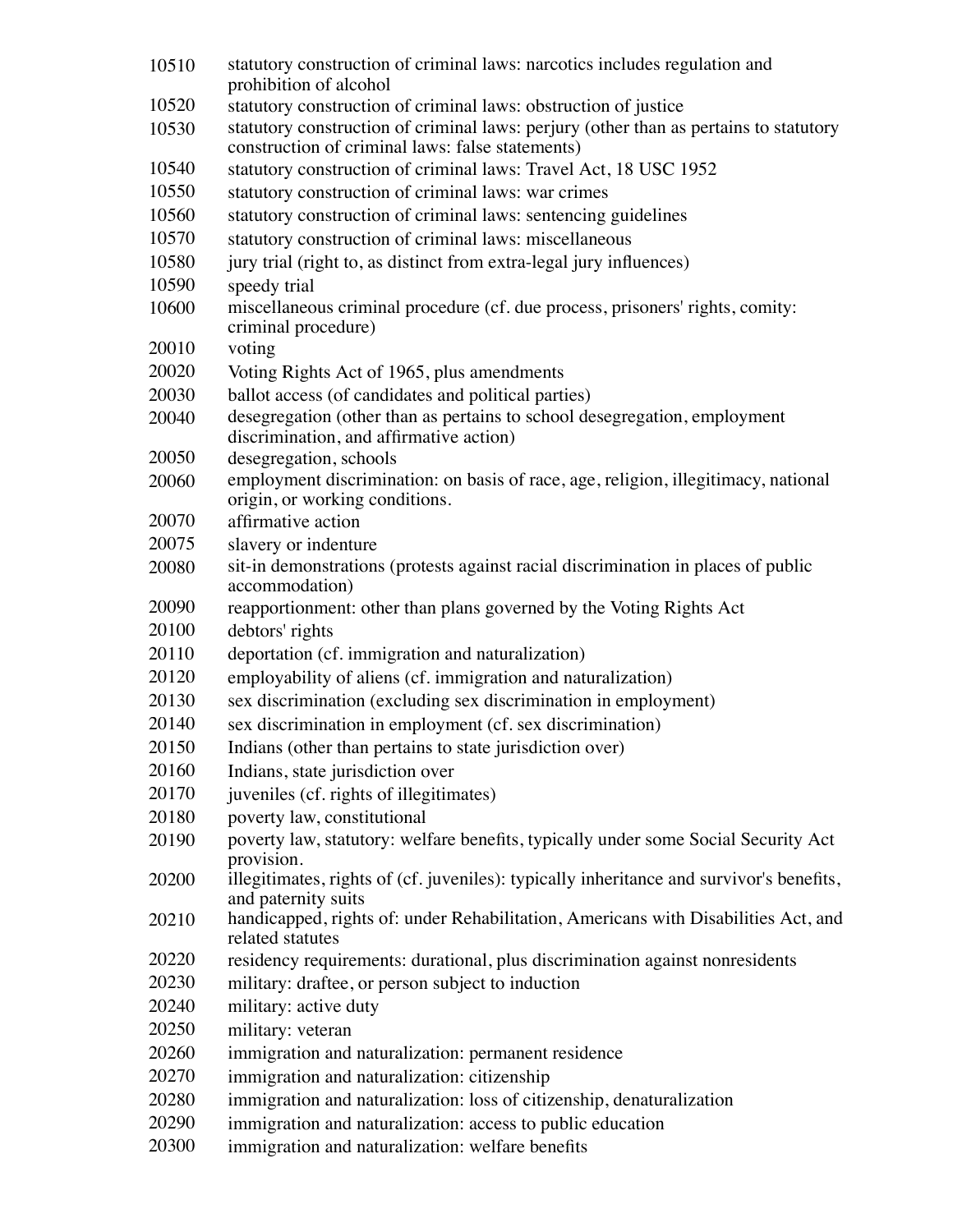| 10510 | statutory construction of criminal laws: narcotics includes regulation and<br>prohibition of alcohol                 |
|-------|----------------------------------------------------------------------------------------------------------------------|
| 10520 | statutory construction of criminal laws: obstruction of justice                                                      |
| 10530 | statutory construction of criminal laws: perjury (other than as pertains to statutory                                |
|       | construction of criminal laws: false statements)                                                                     |
| 10540 | statutory construction of criminal laws: Travel Act, 18 USC 1952                                                     |
| 10550 | statutory construction of criminal laws: war crimes                                                                  |
| 10560 | statutory construction of criminal laws: sentencing guidelines                                                       |
| 10570 | statutory construction of criminal laws: miscellaneous                                                               |
| 10580 | jury trial (right to, as distinct from extra-legal jury influences)                                                  |
| 10590 | speedy trial                                                                                                         |
| 10600 | miscellaneous criminal procedure (cf. due process, prisoners' rights, comity:                                        |
|       | criminal procedure)                                                                                                  |
| 20010 | voting                                                                                                               |
| 20020 | Voting Rights Act of 1965, plus amendments                                                                           |
| 20030 | ballot access (of candidates and political parties)                                                                  |
| 20040 | desegregation (other than as pertains to school desegregation, employment                                            |
|       | discrimination, and affirmative action)                                                                              |
| 20050 | desegregation, schools                                                                                               |
| 20060 | employment discrimination: on basis of race, age, religion, illegitimacy, national<br>origin, or working conditions. |
| 20070 | affirmative action                                                                                                   |
| 20075 | slavery or indenture                                                                                                 |
| 20080 | sit-in demonstrations (protests against racial discrimination in places of public                                    |
| 20090 | accommodation)<br>reapportionment: other than plans governed by the Voting Rights Act                                |
| 20100 | debtors' rights                                                                                                      |
| 20110 | deportation (cf. immigration and naturalization)                                                                     |
| 20120 | employability of aliens (cf. immigration and naturalization)                                                         |
| 20130 | sex discrimination (excluding sex discrimination in employment)                                                      |
| 20140 | sex discrimination in employment (cf. sex discrimination)                                                            |
| 20150 | Indians (other than pertains to state jurisdiction over)                                                             |
| 20160 | Indians, state jurisdiction over                                                                                     |
| 20170 | juveniles (cf. rights of illegitimates)                                                                              |
| 20180 | poverty law, constitutional                                                                                          |
| 20190 | poverty law, statutory: welfare benefits, typically under some Social Security Act                                   |
|       | provision.                                                                                                           |
| 20200 | illegitimates, rights of (cf. juveniles): typically inheritance and survivor's benefits,                             |
|       | and paternity suits                                                                                                  |
| 20210 | handicapped, rights of: under Rehabilitation, Americans with Disabilities Act, and<br>related statutes               |
| 20220 | residency requirements: durational, plus discrimination against nonresidents                                         |
| 20230 | military: draftee, or person subject to induction                                                                    |
| 20240 | military: active duty                                                                                                |
| 20250 | military: veteran                                                                                                    |
| 20260 | immigration and naturalization: permanent residence                                                                  |
| 20270 | immigration and naturalization: citizenship                                                                          |
| 20280 | immigration and naturalization: loss of citizenship, denaturalization                                                |
| 20290 | immigration and naturalization: access to public education                                                           |
| 20300 | immigration and naturalization: welfare benefits                                                                     |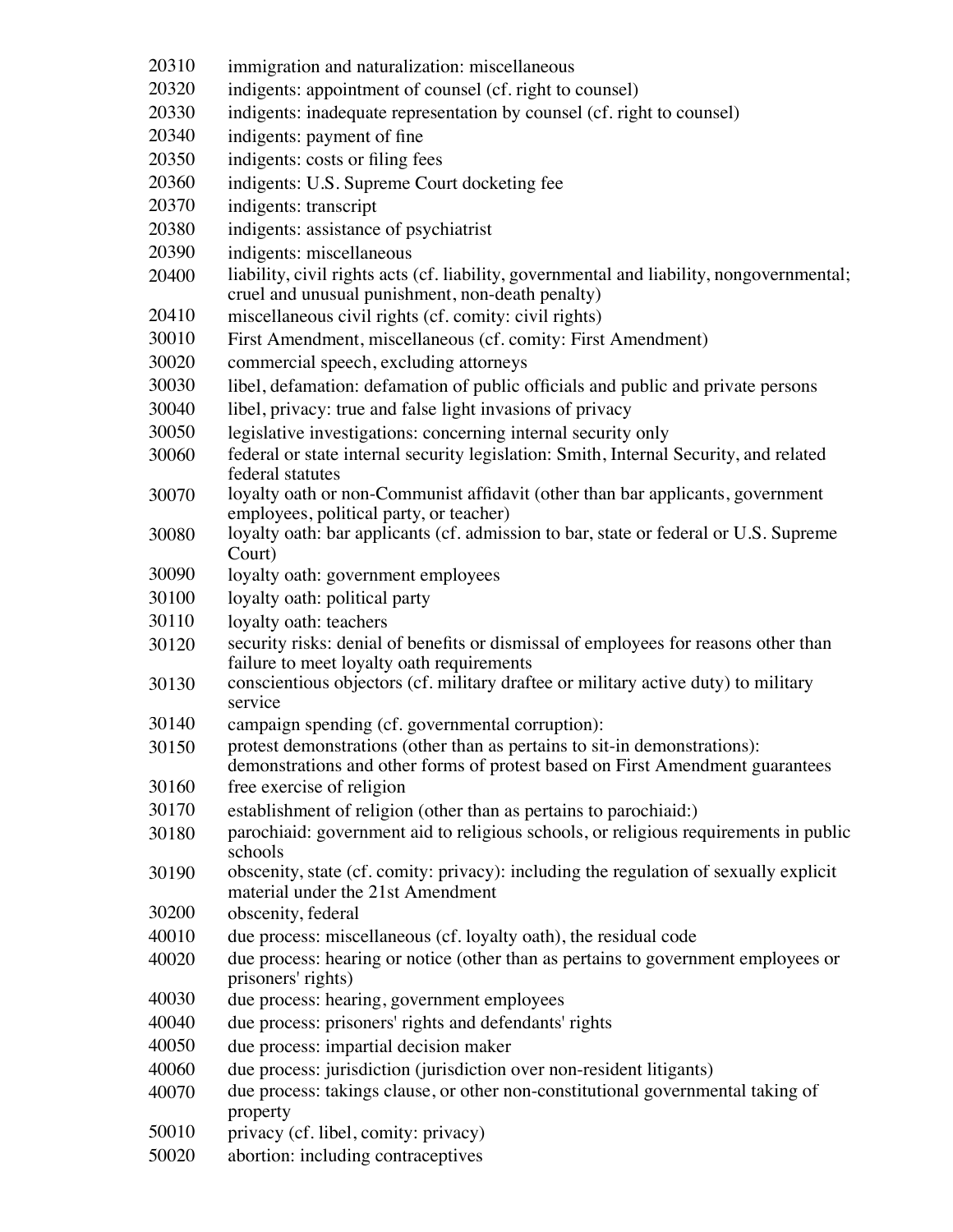- immigration and naturalization: miscellaneous
- indigents: appointment of counsel (cf. right to counsel)
- indigents: inadequate representation by counsel (cf. right to counsel)
- indigents: payment of fine
- indigents: costs or filing fees
- indigents: U.S. Supreme Court docketing fee
- indigents: transcript
- indigents: assistance of psychiatrist
- indigents: miscellaneous
- liability, civil rights acts (cf. liability, governmental and liability, nongovernmental; cruel and unusual punishment, non-death penalty)
- miscellaneous civil rights (cf. comity: civil rights)
- First Amendment, miscellaneous (cf. comity: First Amendment)
- commercial speech, excluding attorneys
- libel, defamation: defamation of public officials and public and private persons
- libel, privacy: true and false light invasions of privacy
- legislative investigations: concerning internal security only
- federal or state internal security legislation: Smith, Internal Security, and related federal statutes
- loyalty oath or non-Communist affidavit (other than bar applicants, government employees, political party, or teacher)
- loyalty oath: bar applicants (cf. admission to bar, state or federal or U.S. Supreme Court)
- loyalty oath: government employees
- loyalty oath: political party
- loyalty oath: teachers
- security risks: denial of benefits or dismissal of employees for reasons other than failure to meet loyalty oath requirements
- conscientious objectors (cf. military draftee or military active duty) to military service
- campaign spending (cf. governmental corruption):
- protest demonstrations (other than as pertains to sit-in demonstrations): demonstrations and other forms of protest based on First Amendment guarantees
- free exercise of religion
- establishment of religion (other than as pertains to parochiaid:)
- parochiaid: government aid to religious schools, or religious requirements in public schools
- obscenity, state (cf. comity: privacy): including the regulation of sexually explicit material under the 21st Amendment
- obscenity, federal
- due process: miscellaneous (cf. loyalty oath), the residual code
- due process: hearing or notice (other than as pertains to government employees or prisoners' rights)
- due process: hearing, government employees
- due process: prisoners' rights and defendants' rights
- due process: impartial decision maker
- due process: jurisdiction (jurisdiction over non-resident litigants)
- due process: takings clause, or other non-constitutional governmental taking of property
- privacy (cf. libel, comity: privacy)
- abortion: including contraceptives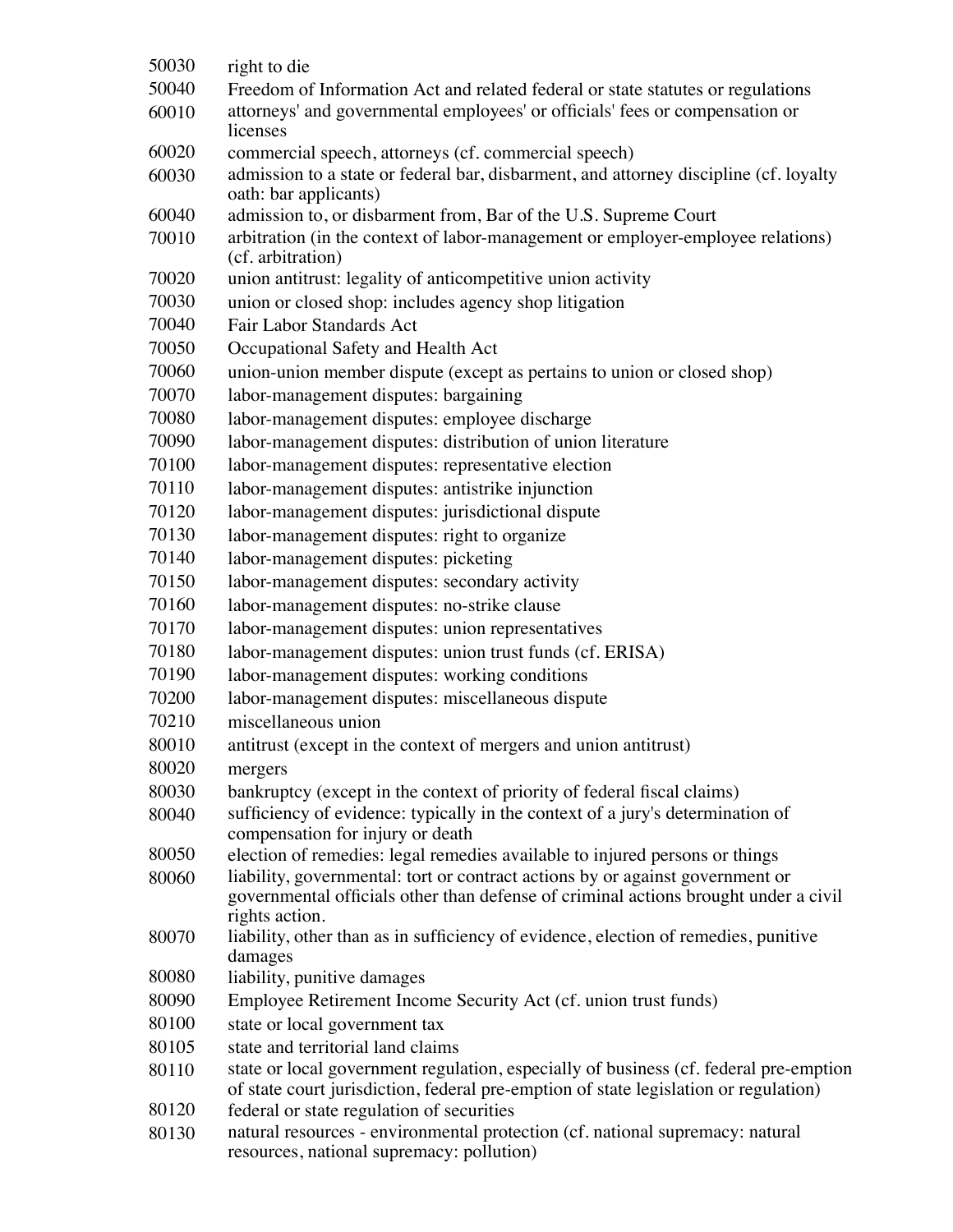| 50030 | right to die                                                                                                                                                                           |
|-------|----------------------------------------------------------------------------------------------------------------------------------------------------------------------------------------|
| 50040 | Freedom of Information Act and related federal or state statutes or regulations                                                                                                        |
| 60010 | attorneys' and governmental employees' or officials' fees or compensation or<br>licenses                                                                                               |
| 60020 | commercial speech, attorneys (cf. commercial speech)                                                                                                                                   |
| 60030 | admission to a state or federal bar, disbarment, and attorney discipline (cf. loyalty<br>oath: bar applicants)                                                                         |
| 60040 | admission to, or disbarment from, Bar of the U.S. Supreme Court                                                                                                                        |
| 70010 | arbitration (in the context of labor-management or employer-employee relations)<br>(cf. arbitration)                                                                                   |
| 70020 | union antitrust: legality of anticompetitive union activity                                                                                                                            |
| 70030 | union or closed shop: includes agency shop litigation                                                                                                                                  |
| 70040 | Fair Labor Standards Act                                                                                                                                                               |
| 70050 | Occupational Safety and Health Act                                                                                                                                                     |
| 70060 | union-union member dispute (except as pertains to union or closed shop)                                                                                                                |
| 70070 | labor-management disputes: bargaining                                                                                                                                                  |
| 70080 | labor-management disputes: employee discharge                                                                                                                                          |
| 70090 | labor-management disputes: distribution of union literature                                                                                                                            |
| 70100 | labor-management disputes: representative election                                                                                                                                     |
| 70110 | labor-management disputes: antistrike injunction                                                                                                                                       |
| 70120 | labor-management disputes: jurisdictional dispute                                                                                                                                      |
| 70130 | labor-management disputes: right to organize                                                                                                                                           |
| 70140 | labor-management disputes: picketing                                                                                                                                                   |
| 70150 | labor-management disputes: secondary activity                                                                                                                                          |
| 70160 | labor-management disputes: no-strike clause                                                                                                                                            |
| 70170 | labor-management disputes: union representatives                                                                                                                                       |
| 70180 | labor-management disputes: union trust funds (cf. ERISA)                                                                                                                               |
| 70190 |                                                                                                                                                                                        |
| 70200 | labor-management disputes: working conditions                                                                                                                                          |
| 70210 | labor-management disputes: miscellaneous dispute<br>miscellaneous union                                                                                                                |
|       |                                                                                                                                                                                        |
| 80010 | antitrust (except in the context of mergers and union antitrust)                                                                                                                       |
| 80020 | mergers                                                                                                                                                                                |
| 80030 | bankruptcy (except in the context of priority of federal fiscal claims)                                                                                                                |
| 80040 | sufficiency of evidence: typically in the context of a jury's determination of<br>compensation for injury or death                                                                     |
| 80050 | election of remedies: legal remedies available to injured persons or things                                                                                                            |
| 80060 | liability, governmental: tort or contract actions by or against government or<br>governmental officials other than defense of criminal actions brought under a civil<br>rights action. |
| 80070 | liability, other than as in sufficiency of evidence, election of remedies, punitive<br>damages                                                                                         |
| 80080 | liability, punitive damages                                                                                                                                                            |
| 80090 | Employee Retirement Income Security Act (cf. union trust funds)                                                                                                                        |
| 80100 | state or local government tax                                                                                                                                                          |
| 80105 | state and territorial land claims                                                                                                                                                      |
| 80110 | state or local government regulation, especially of business (cf. federal pre-emption                                                                                                  |
|       | of state court jurisdiction, federal pre-emption of state legislation or regulation)                                                                                                   |
| 80120 | federal or state regulation of securities                                                                                                                                              |
| 80130 | natural resources - environmental protection (cf. national supremacy: natural<br>resources, national supremacy: pollution)                                                             |
|       |                                                                                                                                                                                        |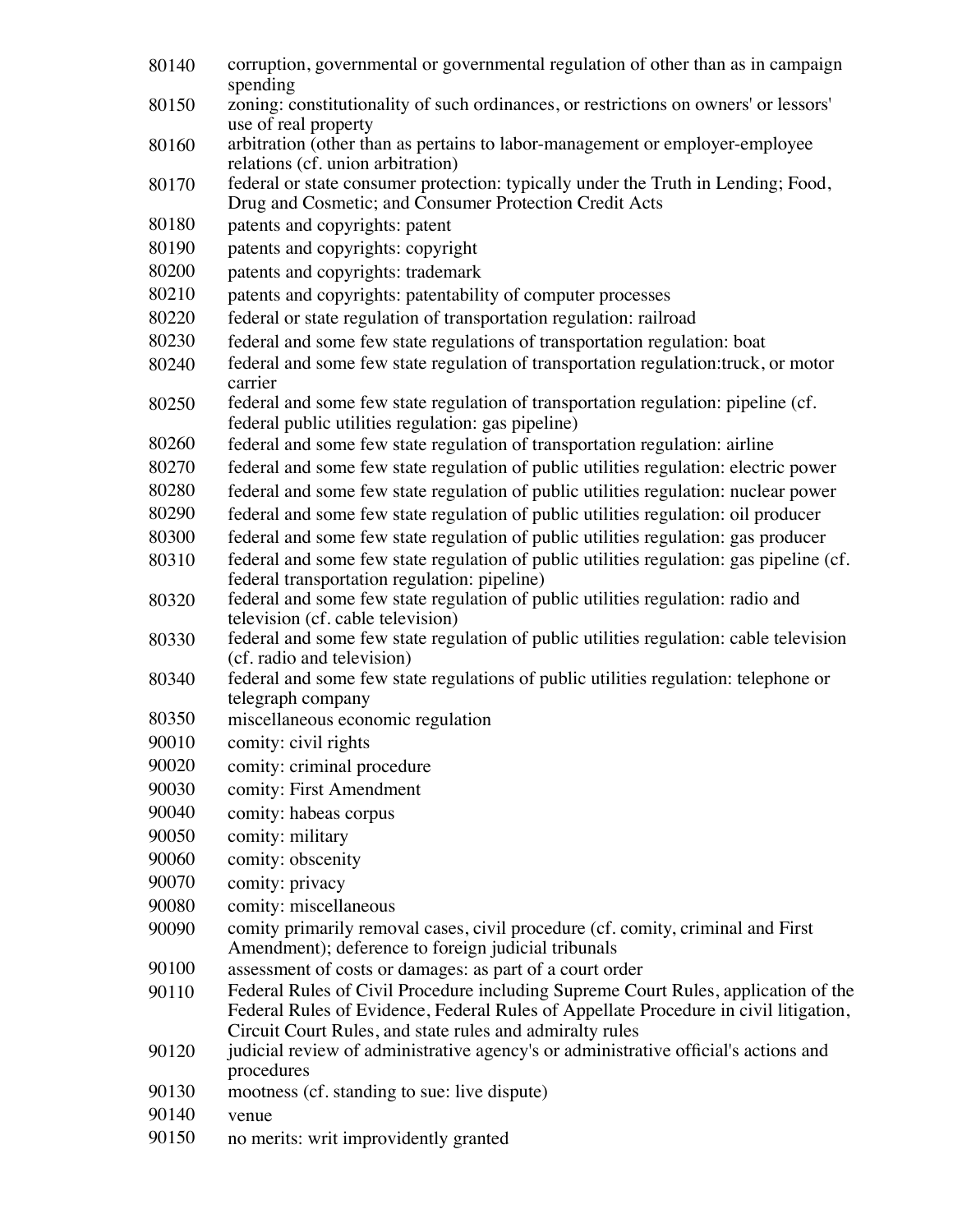- corruption, governmental or governmental regulation of other than as in campaign spending
- zoning: constitutionality of such ordinances, or restrictions on owners' or lessors' use of real property
- arbitration (other than as pertains to labor-management or employer-employee relations (cf. union arbitration)
- federal or state consumer protection: typically under the Truth in Lending; Food, Drug and Cosmetic; and Consumer Protection Credit Acts
- patents and copyrights: patent
- patents and copyrights: copyright
- patents and copyrights: trademark
- patents and copyrights: patentability of computer processes
- federal or state regulation of transportation regulation: railroad
- federal and some few state regulations of transportation regulation: boat
- federal and some few state regulation of transportation regulation:truck, or motor carrier
- federal and some few state regulation of transportation regulation: pipeline (cf. federal public utilities regulation: gas pipeline)
- federal and some few state regulation of transportation regulation: airline
- federal and some few state regulation of public utilities regulation: electric power
- federal and some few state regulation of public utilities regulation: nuclear power
- federal and some few state regulation of public utilities regulation: oil producer
- federal and some few state regulation of public utilities regulation: gas producer
- federal and some few state regulation of public utilities regulation: gas pipeline (cf. federal transportation regulation: pipeline)
- federal and some few state regulation of public utilities regulation: radio and television (cf. cable television)
- federal and some few state regulation of public utilities regulation: cable television (cf. radio and television)
- federal and some few state regulations of public utilities regulation: telephone or telegraph company
- miscellaneous economic regulation
- comity: civil rights
- comity: criminal procedure
- comity: First Amendment
- comity: habeas corpus
- comity: military
- comity: obscenity
- comity: privacy
- comity: miscellaneous
- comity primarily removal cases, civil procedure (cf. comity, criminal and First Amendment); deference to foreign judicial tribunals
- assessment of costs or damages: as part of a court order
- Federal Rules of Civil Procedure including Supreme Court Rules, application of the Federal Rules of Evidence, Federal Rules of Appellate Procedure in civil litigation, Circuit Court Rules, and state rules and admiralty rules
- judicial review of administrative agency's or administrative official's actions and procedures
- mootness (cf. standing to sue: live dispute)
- venue
- no merits: writ improvidently granted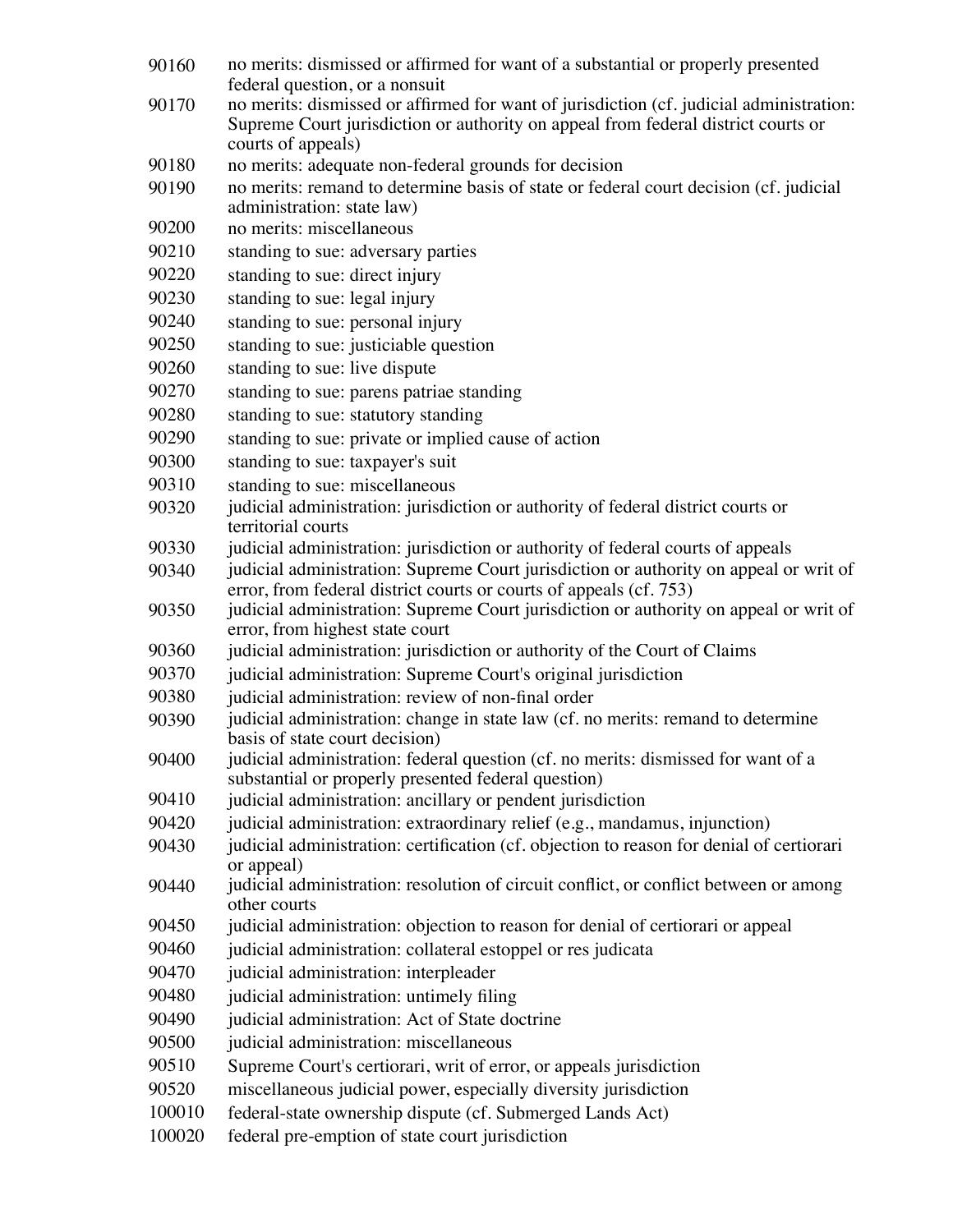- 90160 no merits: dismissed or affirmed for want of a substantial or properly presented federal question, or a nonsuit
- 90170 no merits: dismissed or affirmed for want of jurisdiction (cf. judicial administration: Supreme Court jurisdiction or authority on appeal from federal district courts or courts of appeals)
- 90180 no merits: adequate non-federal grounds for decision
- 90190 no merits: remand to determine basis of state or federal court decision (cf. judicial administration: state law)
- 90200 no merits: miscellaneous
- 90210 standing to sue: adversary parties
- 90220 standing to sue: direct injury
- 90230 standing to sue: legal injury
- 90240 standing to sue: personal injury
- 90250 standing to sue: justiciable question
- 90260 standing to sue: live dispute
- 90270 standing to sue: parens patriae standing
- 90280 standing to sue: statutory standing
- 90290 standing to sue: private or implied cause of action
- 90300 standing to sue: taxpayer's suit
- 90310 standing to sue: miscellaneous
- 90320 judicial administration: jurisdiction or authority of federal district courts or territorial courts
- 90330 judicial administration: jurisdiction or authority of federal courts of appeals
- 90340 judicial administration: Supreme Court jurisdiction or authority on appeal or writ of error, from federal district courts or courts of appeals (cf. 753)
- 90350 judicial administration: Supreme Court jurisdiction or authority on appeal or writ of error, from highest state court
- 90360 judicial administration: jurisdiction or authority of the Court of Claims
- 90370 judicial administration: Supreme Court's original jurisdiction
- 90380 judicial administration: review of non-final order
- 90390 judicial administration: change in state law (cf. no merits: remand to determine basis of state court decision)
- 90400 judicial administration: federal question (cf. no merits: dismissed for want of a substantial or properly presented federal question)
- 90410 judicial administration: ancillary or pendent jurisdiction
- 90420 judicial administration: extraordinary relief (e.g., mandamus, injunction)
- 90430 judicial administration: certification (cf. objection to reason for denial of certiorari or appeal)
- 90440 judicial administration: resolution of circuit conflict, or conflict between or among other courts
- 90450 judicial administration: objection to reason for denial of certiorari or appeal
- 90460 judicial administration: collateral estoppel or res judicata
- 90470 judicial administration: interpleader
- 90480 judicial administration: untimely filing
- 90490 judicial administration: Act of State doctrine
- 90500 judicial administration: miscellaneous
- 90510 Supreme Court's certiorari, writ of error, or appeals jurisdiction
- 90520 miscellaneous judicial power, especially diversity jurisdiction
- 100010 federal-state ownership dispute (cf. Submerged Lands Act)
- 100020 federal pre-emption of state court jurisdiction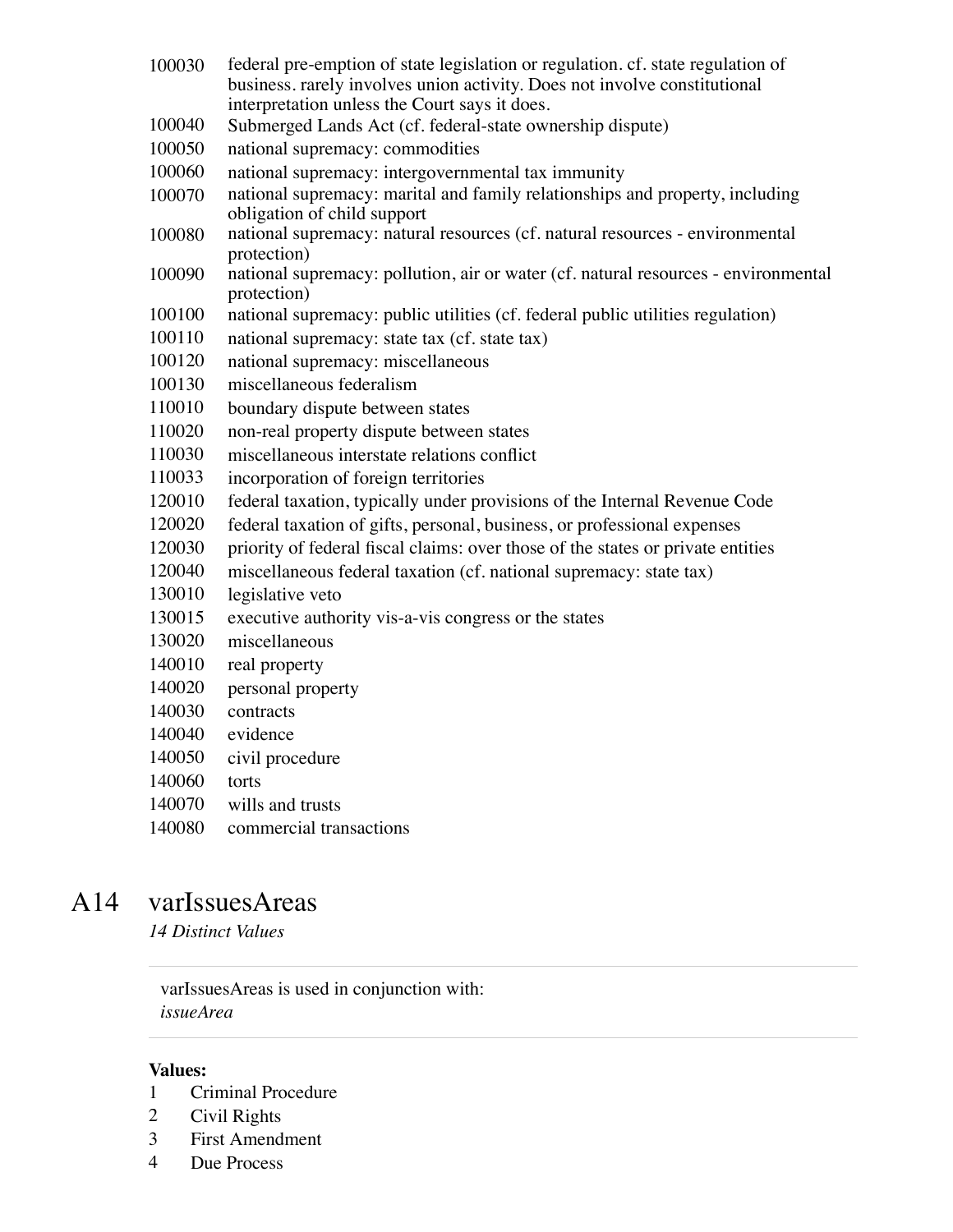- federal pre-emption of state legislation or regulation. cf. state regulation of business. rarely involves union activity. Does not involve constitutional interpretation unless the Court says it does.
- Submerged Lands Act (cf. federal-state ownership dispute)
- national supremacy: commodities
- national supremacy: intergovernmental tax immunity
- national supremacy: marital and family relationships and property, including obligation of child support
- national supremacy: natural resources (cf. natural resources environmental protection)
- national supremacy: pollution, air or water (cf. natural resources environmental protection)
- national supremacy: public utilities (cf. federal public utilities regulation)
- national supremacy: state tax (cf. state tax)
- national supremacy: miscellaneous
- miscellaneous federalism
- boundary dispute between states
- non-real property dispute between states
- miscellaneous interstate relations conflict
- incorporation of foreign territories
- federal taxation, typically under provisions of the Internal Revenue Code
- federal taxation of gifts, personal, business, or professional expenses
- priority of federal fiscal claims: over those of the states or private entities
- miscellaneous federal taxation (cf. national supremacy: state tax)
- legislative veto
- executive authority vis-a-vis congress or the states
- miscellaneous
- real property
- personal property
- contracts
- evidence
- civil procedure
- torts
- wills and trusts
- commercial transactions

### A14 varIssuesAreas

*14 Distinct Values*

#### varIssuesAreas is used in conjunction with: *issueArea*

- Criminal Procedure
- Civil Rights
- First Amendment
- Due Process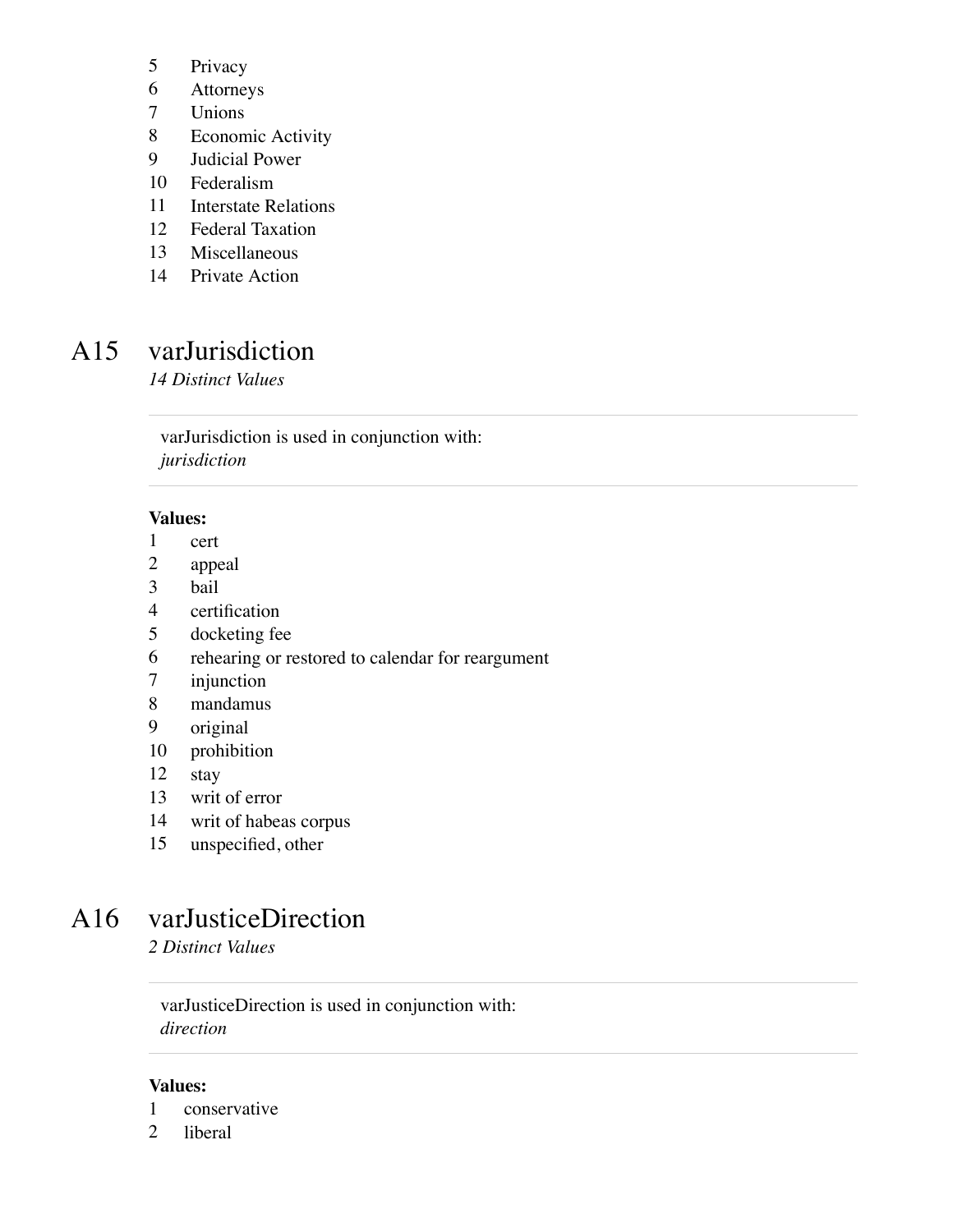- Privacy
- Attorneys
- Unions
- Economic Activity
- Judicial Power
- Federalism
- Interstate Relations
- Federal Taxation
- Miscellaneous
- Private Action

## A15 varJurisdiction

*14 Distinct Values*

varJurisdiction is used in conjunction with: *jurisdiction*

#### **Values:**

- cert
- appeal
- bail
- certification
- docketing fee
- rehearing or restored to calendar for reargument
- injunction
- mandamus
- original
- prohibition
- stay
- writ of error
- writ of habeas corpus
- unspecified, other

### A16 varJusticeDirection

*2 Distinct Values*

varJusticeDirection is used in conjunction with: *direction*

- conservative
- liberal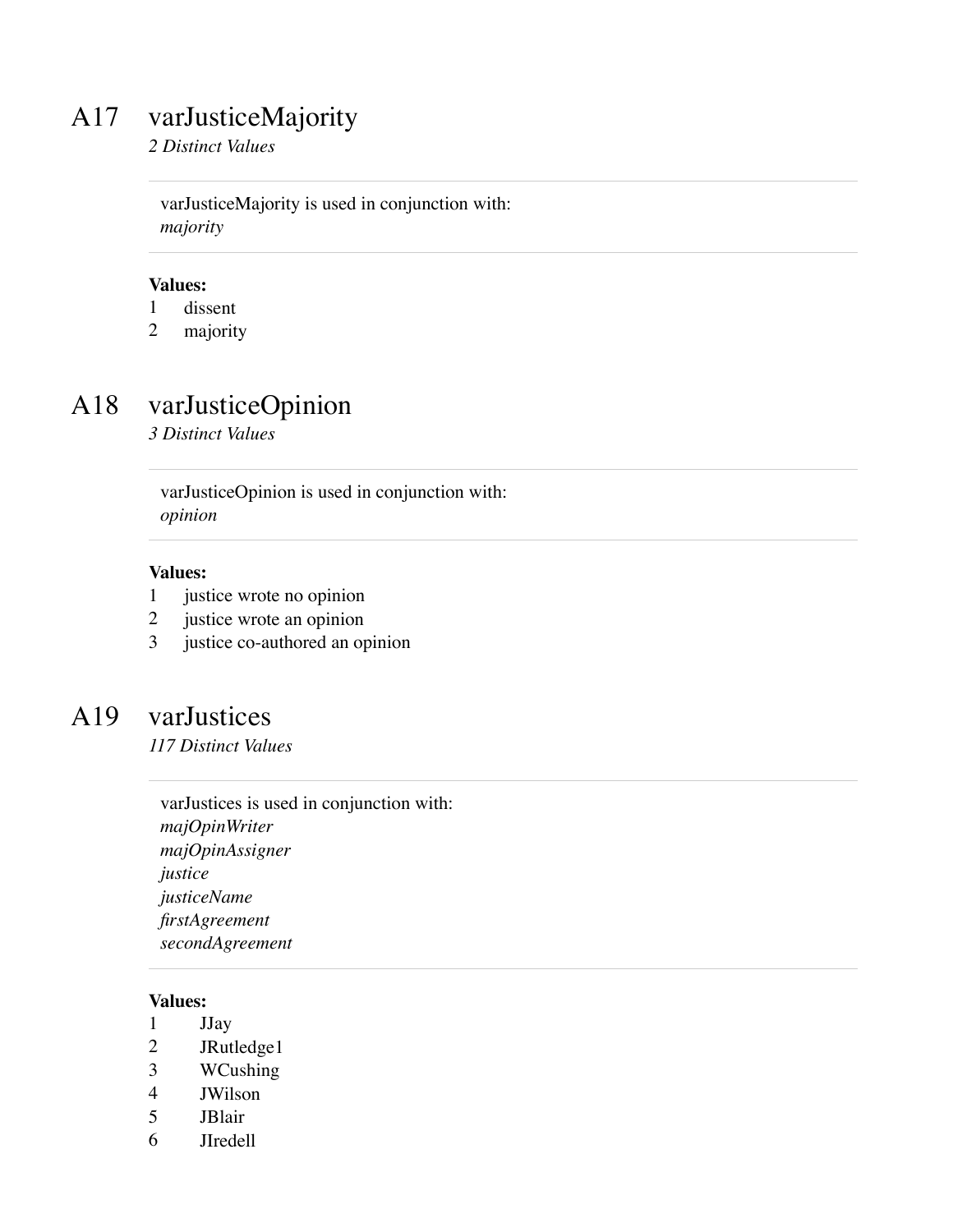## A17 varJusticeMajority

*2 Distinct Values*

varJusticeMajority is used in conjunction with: *majority*

#### **Values:**

- 1 dissent
- 2 majority

## A18 varJusticeOpinion

*3 Distinct Values*

varJusticeOpinion is used in conjunction with: *opinion*

#### **Values:**

- 1 justice wrote no opinion
- 2 justice wrote an opinion
- 3 justice co-authored an opinion

### A19 varJustices

*117 Distinct Values*

varJustices is used in conjunction with: *majOpinWriter majOpinAssigner justice justiceName firstAgreement secondAgreement*

- 1 JJay
- 2 JRutledge1
- 3 WCushing
- 4 JWilson
- 5 JBlair
- 6 JIredell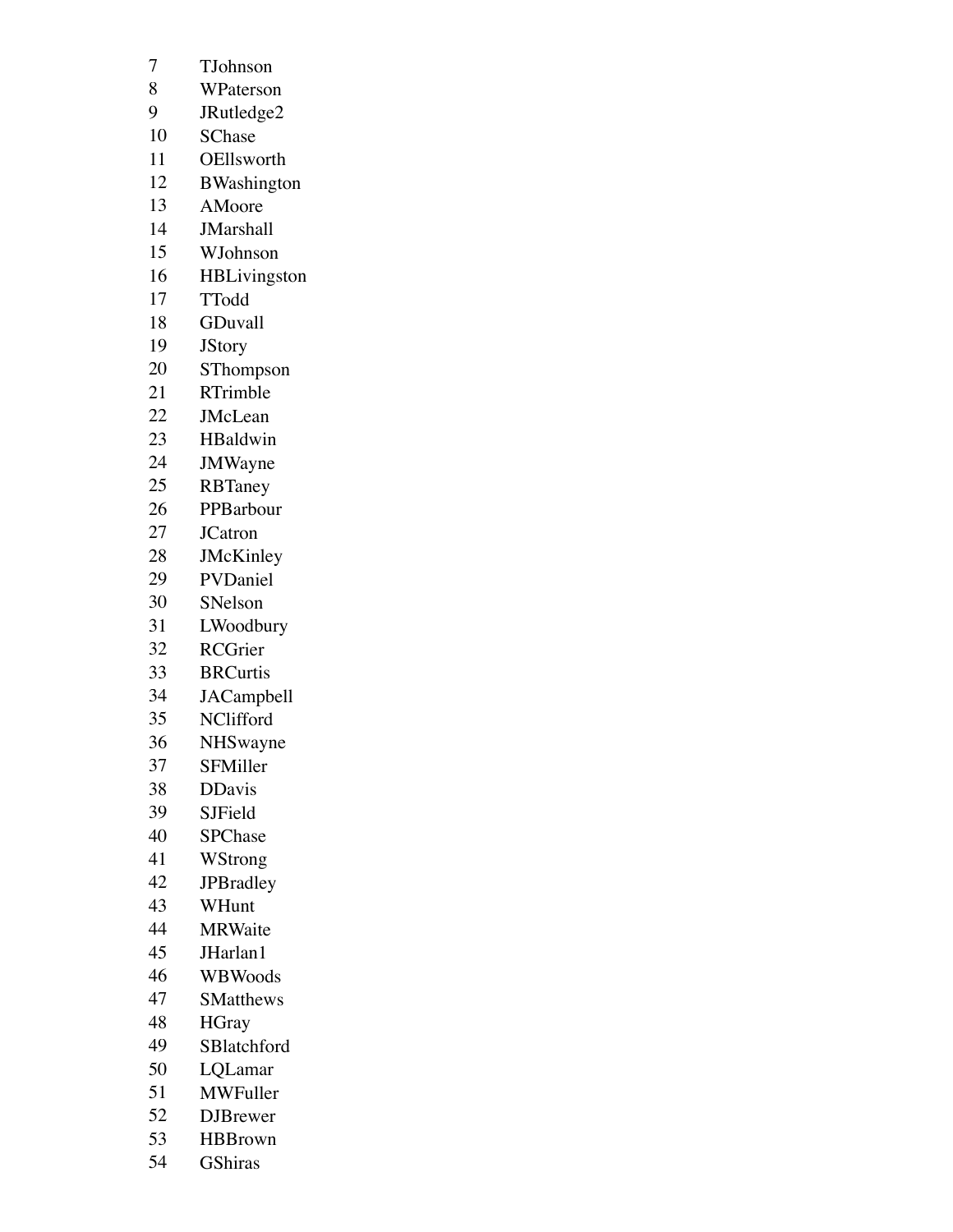- TJohnson
- WPaterson
- JRutledge2
- SChase
- OEllsworth
- BWashington
- AMoore
- JMarshall
- WJohnson
- HBLivingston
- TTodd
- GDuvall
- JStory
- SThompson
- RTrimble
- JMcLean
- HBaldwin
- JMWayne
- RBTaney
- PPBarbour
- JCatron
- JMcKinley
- PVDaniel
- SNelson
- LWoodbury
- RCGrier
- BRCurtis
- JACampbell
- NClifford
- NHSwayne
- SFMiller
- DDavis
- SJField
- SPChase
- WStrong
- JPBradley
- WHunt
- MRWaite
- JHarlan1
- WBWoods
- SMatthews
- HGray
- SBlatchford
- LQLamar
- MWFuller
- DJBrewer
- HBBrown
- GShiras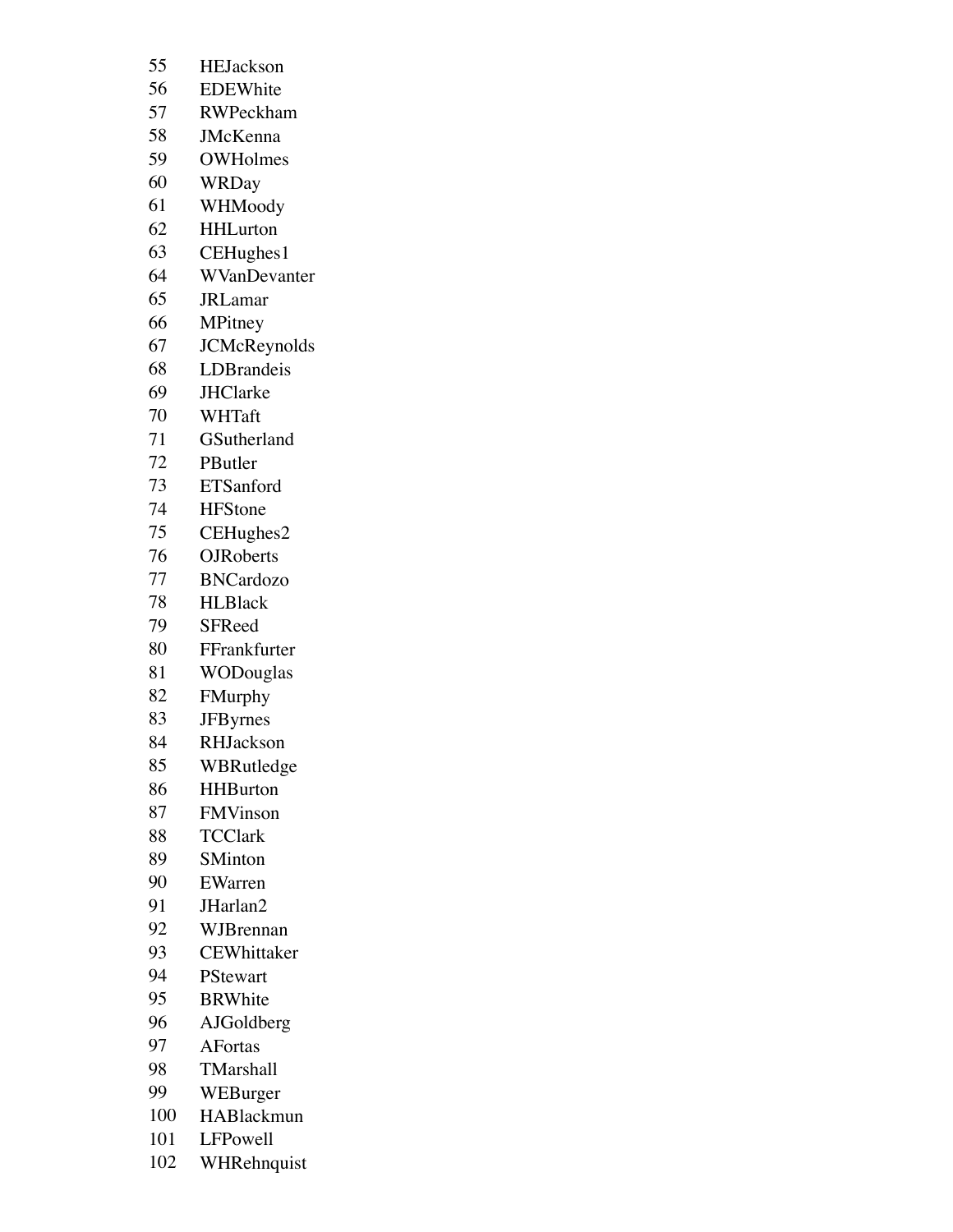- EDEWhite
- RWPeckham
- JMcKenna
- OWHolmes
- WRDay
- WHMoody
- HHLurton
- CEHughes1
- WVanDevanter
- JRLamar
- MPitney
- JCMcReynolds
- LDBrandeis
- JHClarke
- WHTaft
- GSutherland
- PButler
- ETSanford
- HFStone
- CEHughes2
- OJRoberts
- BNCardozo
- HLBlack
- SFReed
- FFrankfurter
- WODouglas
- FMurphy
- JFByrnes
- RHJackson
- WBRutledge
- HHBurton
- FMVinson
- TCClark
- SMinton
- EWarren
- JHarlan2
- WJBrennan
- CEWhittaker
- PStewart
- BRWhite
- AJGoldberg
- AFortas
- TMarshall
- WEBurger
- HABlackmun
- LFPowell
- WHRehnquist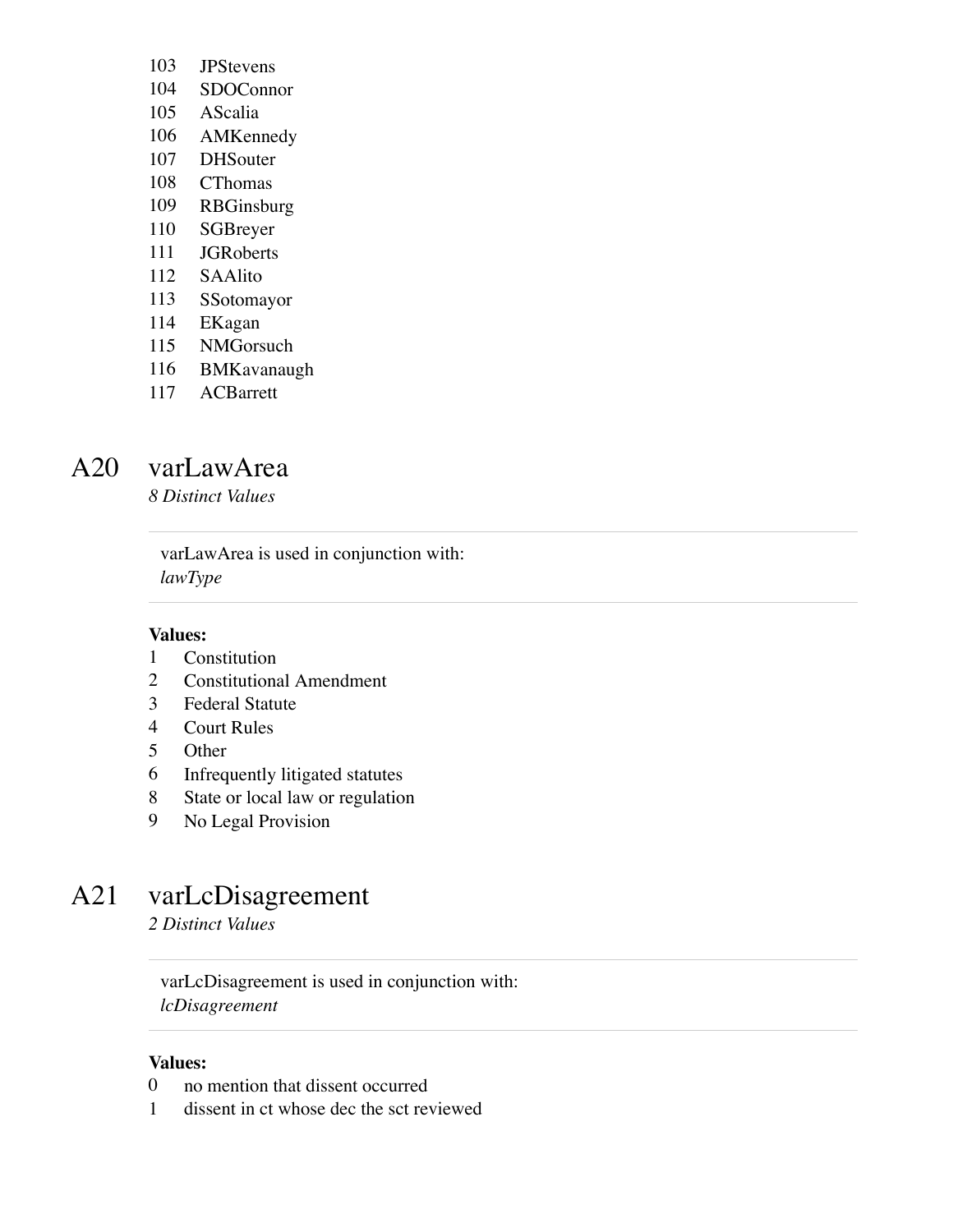- JPStevens
- SDOConnor
- AScalia
- AMKennedy
- DHSouter
- CThomas
- RBGinsburg
- SGBreyer
- JGRoberts
- SAAlito
- SSotomayor
- EKagan
- NMGorsuch
- BMKavanaugh
- ACBarrett

### A20 varLawArea

*8 Distinct Values*

varLawArea is used in conjunction with: *lawType*

#### **Values:**

- Constitution
- Constitutional Amendment
- Federal Statute
- Court Rules
- Other
- Infrequently litigated statutes
- State or local law or regulation
- No Legal Provision

## A21 varLcDisagreement

*2 Distinct Values*

varLcDisagreement is used in conjunction with: *lcDisagreement*

- no mention that dissent occurred
- dissent in ct whose dec the sct reviewed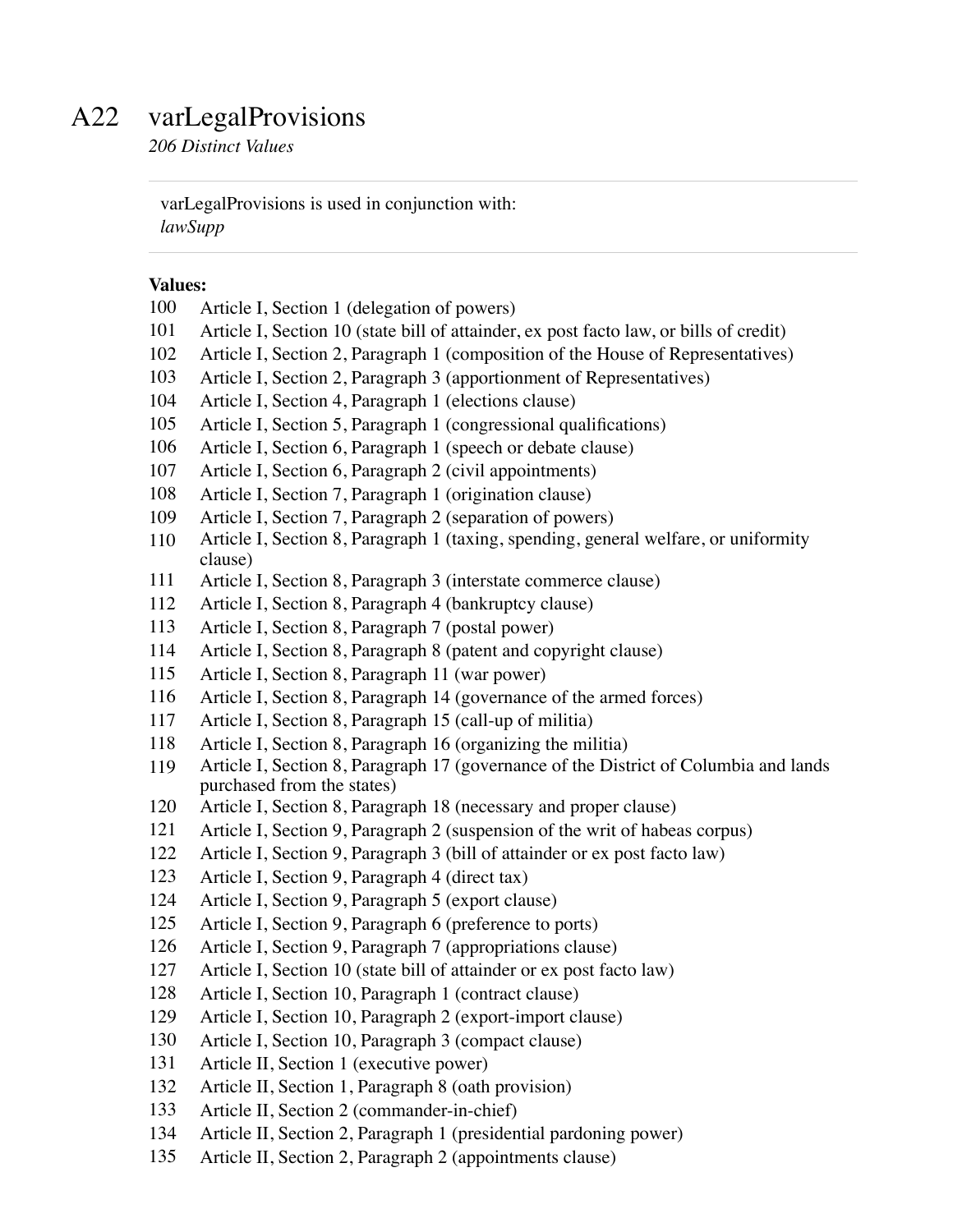### A22 varLegalProvisions

*206 Distinct Values*

varLegalProvisions is used in conjunction with: *lawSupp*

- Article I, Section 1 (delegation of powers)
- Article I, Section 10 (state bill of attainder, ex post facto law, or bills of credit)
- Article I, Section 2, Paragraph 1 (composition of the House of Representatives)
- Article I, Section 2, Paragraph 3 (apportionment of Representatives)
- Article I, Section 4, Paragraph 1 (elections clause)
- Article I, Section 5, Paragraph 1 (congressional qualifications)
- Article I, Section 6, Paragraph 1 (speech or debate clause)
- Article I, Section 6, Paragraph 2 (civil appointments)
- Article I, Section 7, Paragraph 1 (origination clause)
- Article I, Section 7, Paragraph 2 (separation of powers)
- Article I, Section 8, Paragraph 1 (taxing, spending, general welfare, or uniformity clause)
- Article I, Section 8, Paragraph 3 (interstate commerce clause)
- Article I, Section 8, Paragraph 4 (bankruptcy clause)
- Article I, Section 8, Paragraph 7 (postal power)
- Article I, Section 8, Paragraph 8 (patent and copyright clause)
- Article I, Section 8, Paragraph 11 (war power)
- Article I, Section 8, Paragraph 14 (governance of the armed forces)
- Article I, Section 8, Paragraph 15 (call-up of militia)
- Article I, Section 8, Paragraph 16 (organizing the militia)
- Article I, Section 8, Paragraph 17 (governance of the District of Columbia and lands purchased from the states)
- Article I, Section 8, Paragraph 18 (necessary and proper clause)
- Article I, Section 9, Paragraph 2 (suspension of the writ of habeas corpus)
- Article I, Section 9, Paragraph 3 (bill of attainder or ex post facto law)
- Article I, Section 9, Paragraph 4 (direct tax)
- Article I, Section 9, Paragraph 5 (export clause)
- Article I, Section 9, Paragraph 6 (preference to ports)
- Article I, Section 9, Paragraph 7 (appropriations clause)
- Article I, Section 10 (state bill of attainder or ex post facto law)
- Article I, Section 10, Paragraph 1 (contract clause)
- Article I, Section 10, Paragraph 2 (export-import clause)
- Article I, Section 10, Paragraph 3 (compact clause)
- Article II, Section 1 (executive power)
- Article II, Section 1, Paragraph 8 (oath provision)
- Article II, Section 2 (commander-in-chief)
- Article II, Section 2, Paragraph 1 (presidential pardoning power)
- Article II, Section 2, Paragraph 2 (appointments clause)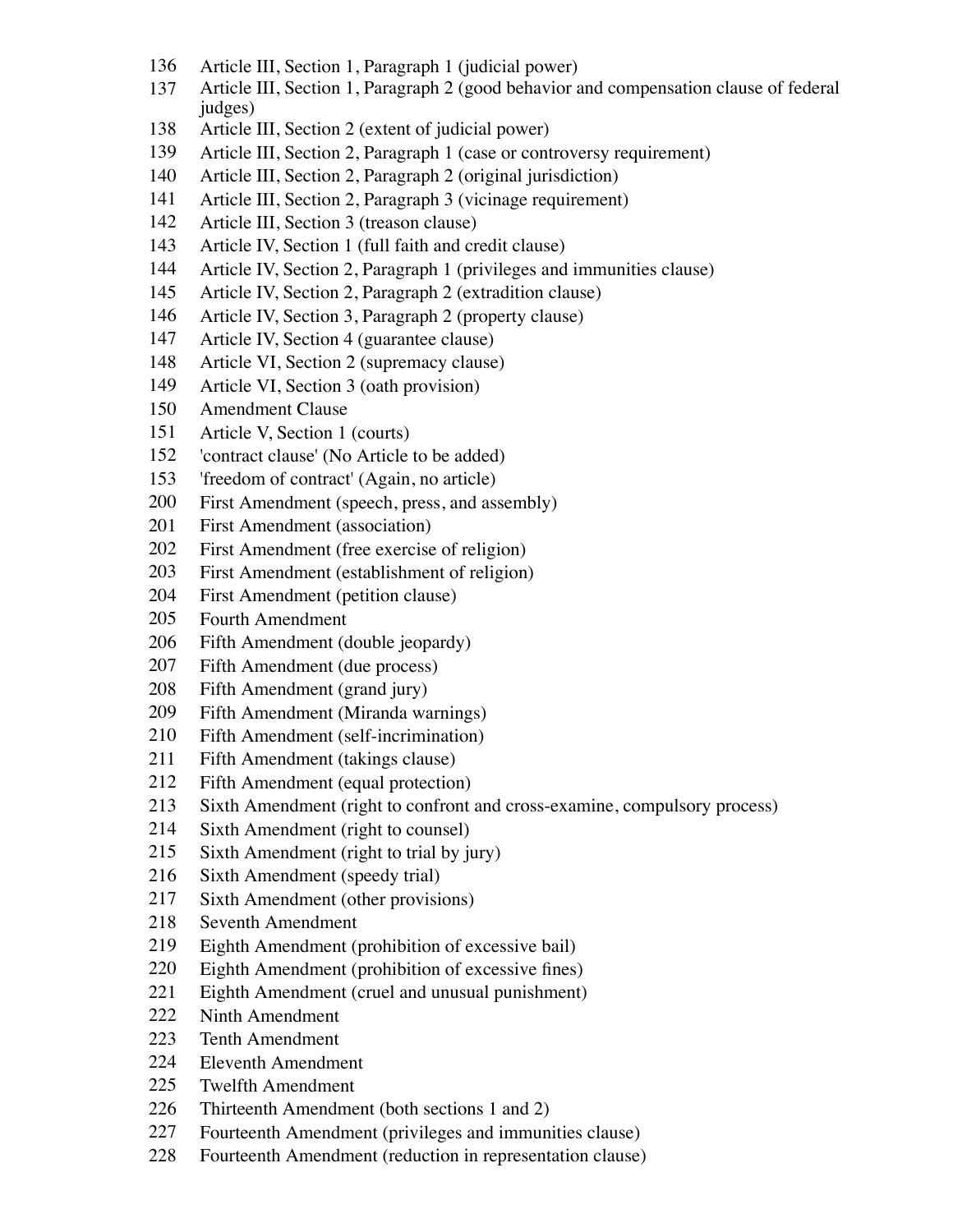- Article III, Section 1, Paragraph 1 (judicial power)
- Article III, Section 1, Paragraph 2 (good behavior and compensation clause of federal judges)
- Article III, Section 2 (extent of judicial power)
- Article III, Section 2, Paragraph 1 (case or controversy requirement)
- Article III, Section 2, Paragraph 2 (original jurisdiction)
- Article III, Section 2, Paragraph 3 (vicinage requirement)
- Article III, Section 3 (treason clause)
- Article IV, Section 1 (full faith and credit clause)
- Article IV, Section 2, Paragraph 1 (privileges and immunities clause)
- Article IV, Section 2, Paragraph 2 (extradition clause)
- Article IV, Section 3, Paragraph 2 (property clause)
- Article IV, Section 4 (guarantee clause)
- Article VI, Section 2 (supremacy clause)
- Article VI, Section 3 (oath provision)
- Amendment Clause
- Article V, Section 1 (courts)
- 'contract clause' (No Article to be added)
- 'freedom of contract' (Again, no article)
- First Amendment (speech, press, and assembly)
- First Amendment (association)
- First Amendment (free exercise of religion)
- First Amendment (establishment of religion)
- First Amendment (petition clause)
- Fourth Amendment
- Fifth Amendment (double jeopardy)
- Fifth Amendment (due process)
- Fifth Amendment (grand jury)
- Fifth Amendment (Miranda warnings)
- Fifth Amendment (self-incrimination)
- Fifth Amendment (takings clause)
- Fifth Amendment (equal protection)
- Sixth Amendment (right to confront and cross-examine, compulsory process)
- Sixth Amendment (right to counsel)
- Sixth Amendment (right to trial by jury)
- Sixth Amendment (speedy trial)
- Sixth Amendment (other provisions)
- Seventh Amendment
- Eighth Amendment (prohibition of excessive bail)
- Eighth Amendment (prohibition of excessive fines)
- Eighth Amendment (cruel and unusual punishment)
- Ninth Amendment
- Tenth Amendment
- Eleventh Amendment
- Twelfth Amendment
- Thirteenth Amendment (both sections 1 and 2)
- Fourteenth Amendment (privileges and immunities clause)
- Fourteenth Amendment (reduction in representation clause)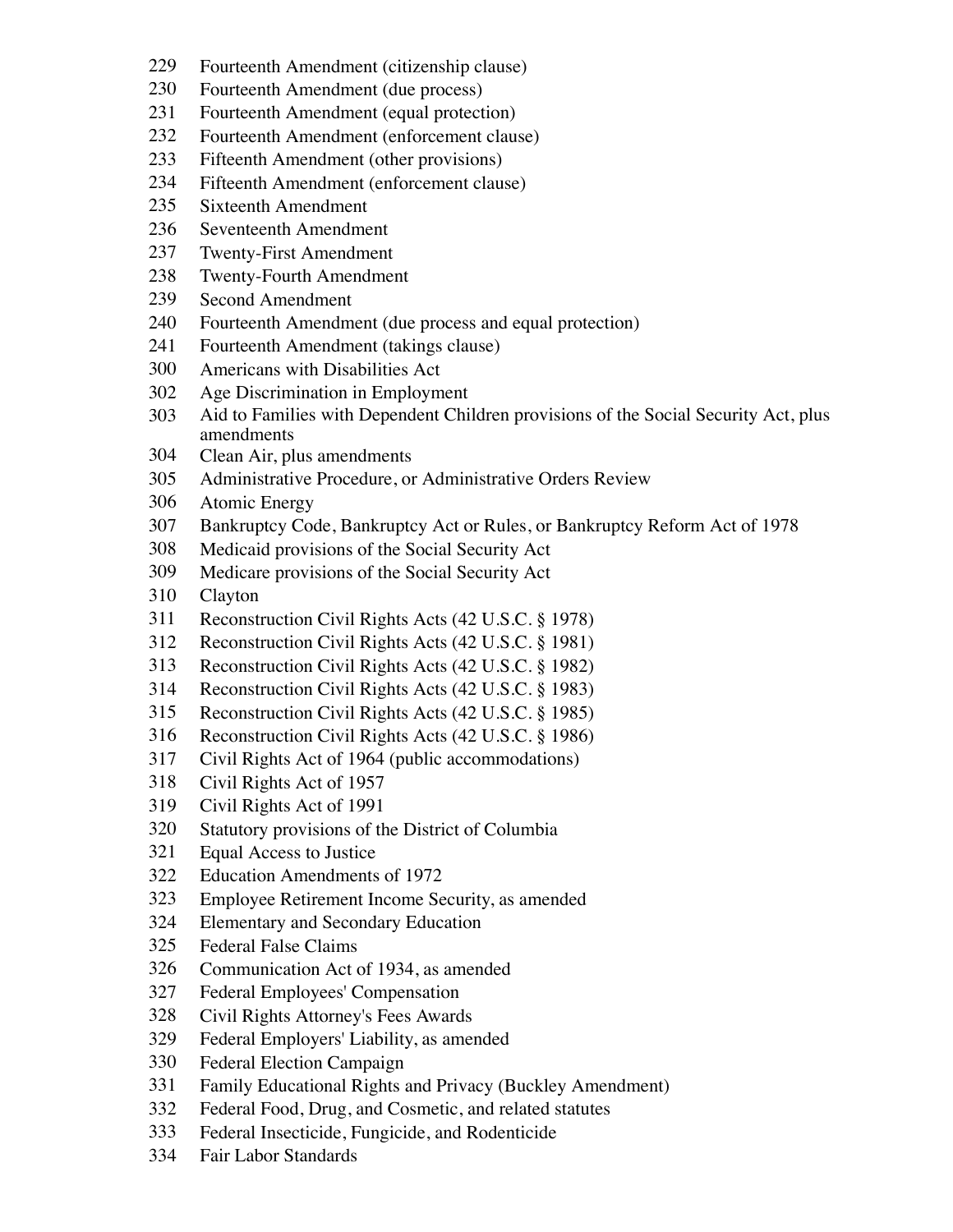- Fourteenth Amendment (citizenship clause)
- Fourteenth Amendment (due process)
- Fourteenth Amendment (equal protection)
- Fourteenth Amendment (enforcement clause)
- Fifteenth Amendment (other provisions)
- Fifteenth Amendment (enforcement clause)
- Sixteenth Amendment
- Seventeenth Amendment
- Twenty-First Amendment
- Twenty-Fourth Amendment
- Second Amendment
- Fourteenth Amendment (due process and equal protection)
- Fourteenth Amendment (takings clause)
- Americans with Disabilities Act
- Age Discrimination in Employment
- Aid to Families with Dependent Children provisions of the Social Security Act, plus amendments
- Clean Air, plus amendments
- Administrative Procedure, or Administrative Orders Review
- Atomic Energy
- Bankruptcy Code, Bankruptcy Act or Rules, or Bankruptcy Reform Act of 1978
- Medicaid provisions of the Social Security Act
- Medicare provisions of the Social Security Act
- Clayton
- Reconstruction Civil Rights Acts (42 U.S.C. § 1978)
- Reconstruction Civil Rights Acts (42 U.S.C. § 1981)
- Reconstruction Civil Rights Acts (42 U.S.C. § 1982)
- Reconstruction Civil Rights Acts (42 U.S.C. § 1983)
- Reconstruction Civil Rights Acts (42 U.S.C. § 1985)
- Reconstruction Civil Rights Acts (42 U.S.C. § 1986)
- Civil Rights Act of 1964 (public accommodations)
- Civil Rights Act of 1957
- Civil Rights Act of 1991
- Statutory provisions of the District of Columbia
- Equal Access to Justice
- Education Amendments of 1972
- Employee Retirement Income Security, as amended
- Elementary and Secondary Education
- Federal False Claims
- Communication Act of 1934, as amended
- Federal Employees' Compensation
- Civil Rights Attorney's Fees Awards
- Federal Employers' Liability, as amended
- Federal Election Campaign
- Family Educational Rights and Privacy (Buckley Amendment)
- Federal Food, Drug, and Cosmetic, and related statutes
- Federal Insecticide, Fungicide, and Rodenticide
- Fair Labor Standards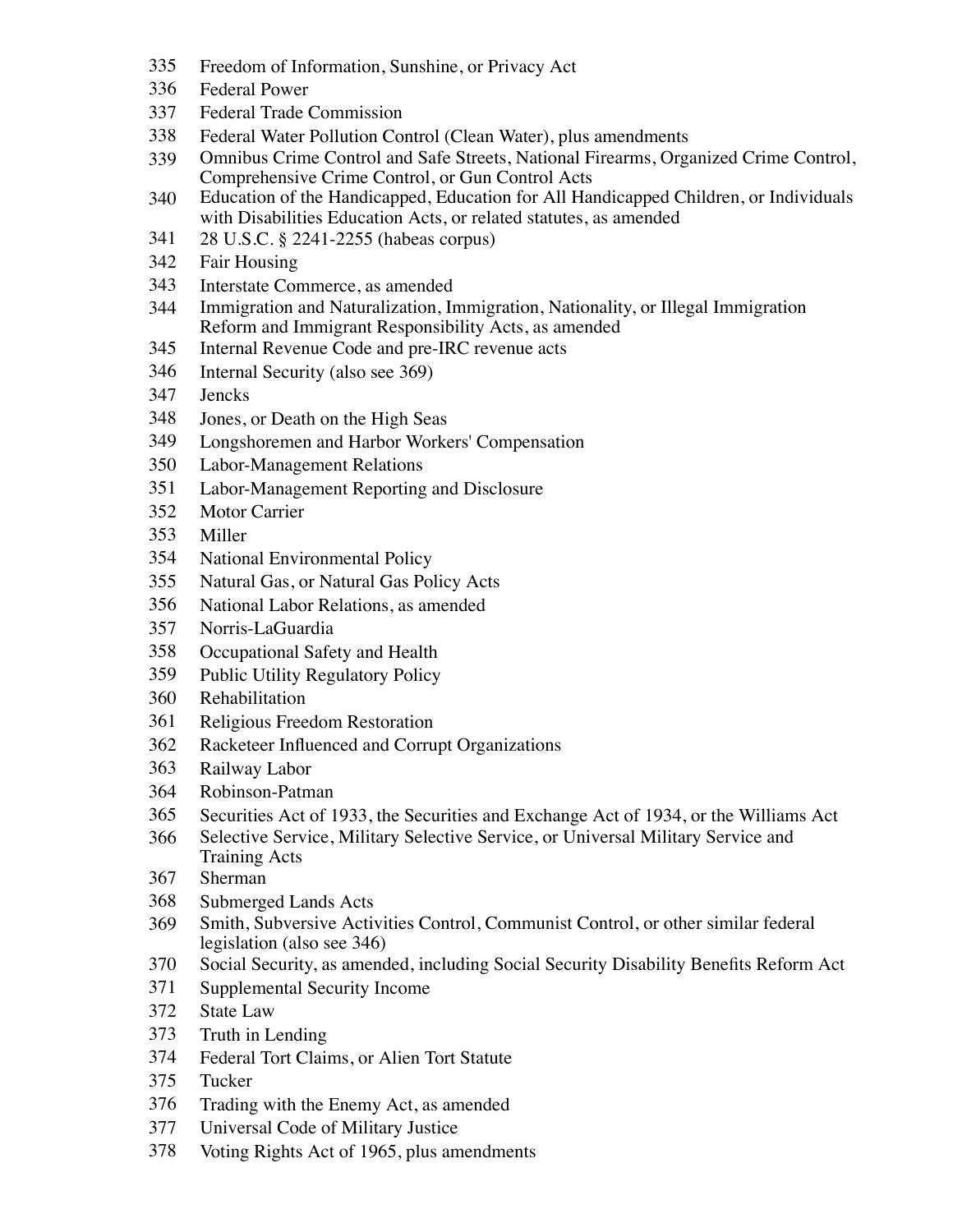- Freedom of Information, Sunshine, or Privacy Act
- Federal Power
- Federal Trade Commission
- Federal Water Pollution Control (Clean Water), plus amendments
- Omnibus Crime Control and Safe Streets, National Firearms, Organized Crime Control, Comprehensive Crime Control, or Gun Control Acts
- Education of the Handicapped, Education for All Handicapped Children, or Individuals with Disabilities Education Acts, or related statutes, as amended
- 28 U.S.C. § 2241-2255 (habeas corpus)
- Fair Housing
- Interstate Commerce, as amended
- Immigration and Naturalization, Immigration, Nationality, or Illegal Immigration Reform and Immigrant Responsibility Acts, as amended
- Internal Revenue Code and pre-IRC revenue acts
- Internal Security (also see 369)
- Jencks
- Jones, or Death on the High Seas
- Longshoremen and Harbor Workers' Compensation
- Labor-Management Relations
- Labor-Management Reporting and Disclosure
- Motor Carrier
- Miller
- National Environmental Policy
- Natural Gas, or Natural Gas Policy Acts
- National Labor Relations, as amended
- Norris-LaGuardia
- Occupational Safety and Health
- Public Utility Regulatory Policy
- Rehabilitation
- Religious Freedom Restoration
- Racketeer Influenced and Corrupt Organizations
- Railway Labor
- Robinson-Patman
- Securities Act of 1933, the Securities and Exchange Act of 1934, or the Williams Act
- Selective Service, Military Selective Service, or Universal Military Service and Training Acts
- Sherman
- Submerged Lands Acts
- Smith, Subversive Activities Control, Communist Control, or other similar federal legislation (also see 346)
- Social Security, as amended, including Social Security Disability Benefits Reform Act
- Supplemental Security Income
- State Law
- Truth in Lending
- Federal Tort Claims, or Alien Tort Statute
- Tucker
- Trading with the Enemy Act, as amended
- Universal Code of Military Justice
- Voting Rights Act of 1965, plus amendments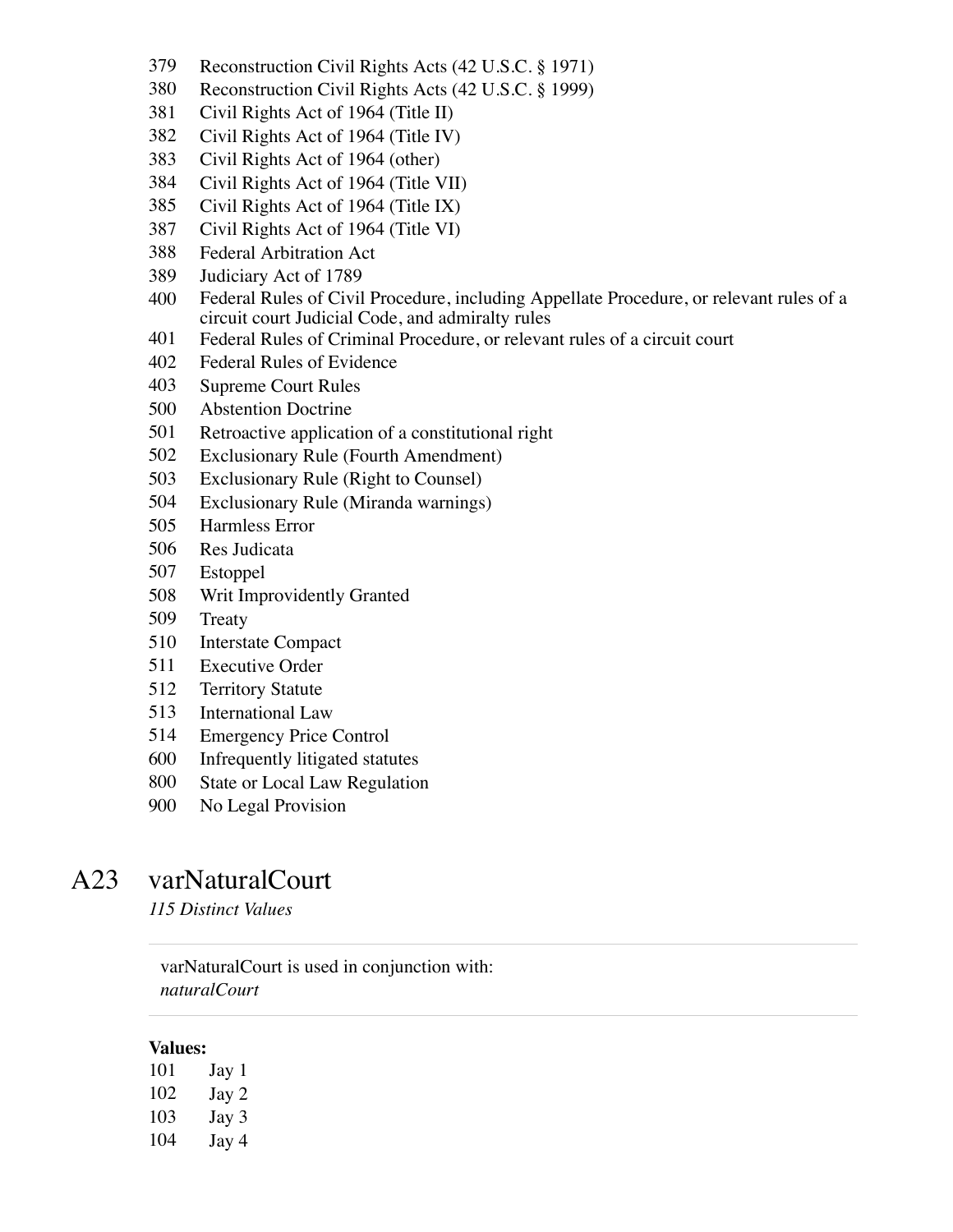- Reconstruction Civil Rights Acts (42 U.S.C. § 1971)
- Reconstruction Civil Rights Acts (42 U.S.C. § 1999)
- Civil Rights Act of 1964 (Title II)
- Civil Rights Act of 1964 (Title IV)
- Civil Rights Act of 1964 (other)
- Civil Rights Act of 1964 (Title VII)
- Civil Rights Act of 1964 (Title IX)
- Civil Rights Act of 1964 (Title VI)
- Federal Arbitration Act
- Judiciary Act of 1789
- Federal Rules of Civil Procedure, including Appellate Procedure, or relevant rules of a circuit court Judicial Code, and admiralty rules
- Federal Rules of Criminal Procedure, or relevant rules of a circuit court
- Federal Rules of Evidence
- Supreme Court Rules
- Abstention Doctrine
- Retroactive application of a constitutional right
- Exclusionary Rule (Fourth Amendment)
- Exclusionary Rule (Right to Counsel)
- Exclusionary Rule (Miranda warnings)
- Harmless Error
- Res Judicata
- Estoppel
- Writ Improvidently Granted
- Treaty
- Interstate Compact
- Executive Order
- Territory Statute
- International Law
- Emergency Price Control
- Infrequently litigated statutes
- State or Local Law Regulation
- No Legal Provision

### A23 varNaturalCourt

*115 Distinct Values*

### varNaturalCourt is used in conjunction with: *naturalCourt*

#### **Values:**

 Jay 1 Jay 2 Jay 3 Jay 4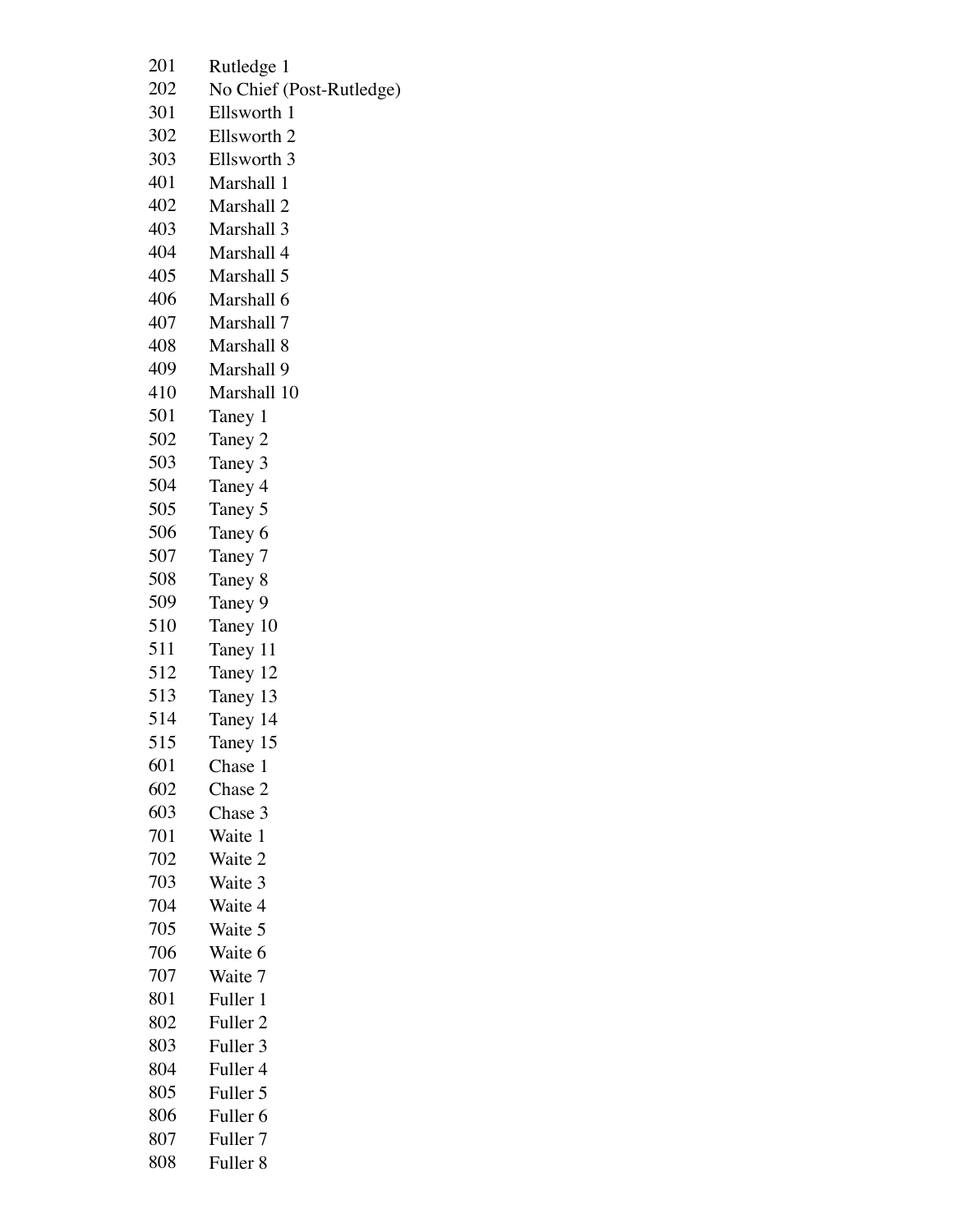- Rutledge 1
- No Chief (Post-Rutledge)
- Ellsworth 1
- Ellsworth 2
- Ellsworth 3
- Marshall 1
- Marshall 2
- Marshall 3
- Marshall 4
- Marshall 5
- Marshall 6
- Marshall 7
- Marshall 8
- Marshall 9
- Marshall 10
- Taney 1
- Taney 2
- Taney 3
- Taney 4
- Taney 5
- Taney 6
- Taney 7
- Taney 8
- Taney 9
- Taney 10
- Taney 11
- Taney 12
- Taney 13
- Taney 14
- Taney 15
- Chase 1
- Chase 2
- Chase 3
- Waite 1
- Waite 2
- Waite 3
- Waite 4
- Waite 5
- Waite 6
- Waite 7
- Fuller 1
- Fuller 2
- Fuller 3
- Fuller 4
- Fuller 5
- Fuller 6
- Fuller 7
- Fuller 8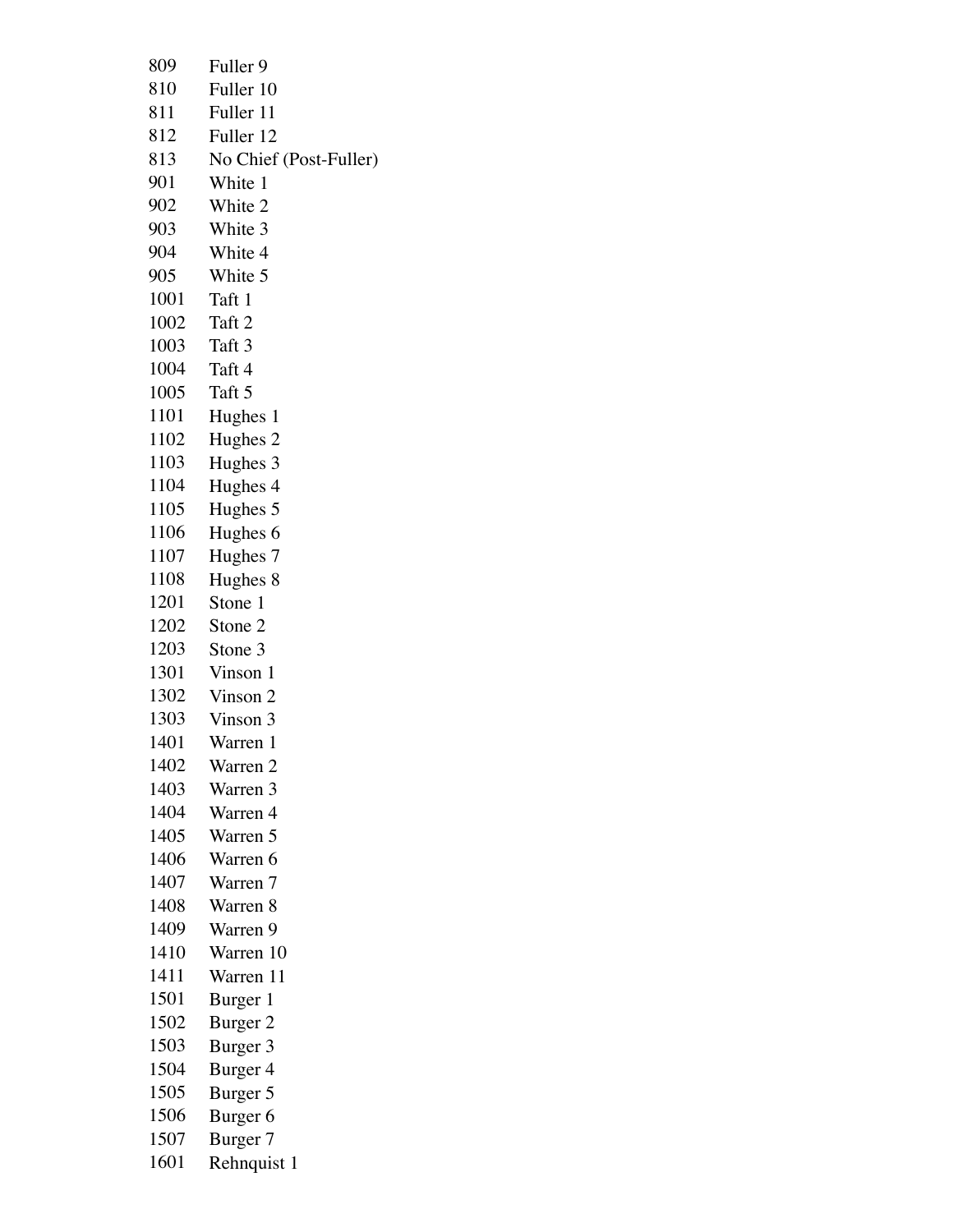| 809  | Fuller 9               |
|------|------------------------|
| 810  | Fuller 10              |
| 811  | Fuller 11              |
| 812  | Fuller 12              |
| 813  | No Chief (Post-Fuller) |
| 901  | White 1                |
| 902  | White 2                |
| 903  | White 3                |
| 904  | White 4                |
| 905  | White 5                |
| 1001 | Taft 1                 |
| 1002 | Taft 2                 |
| 1003 | Taft 3                 |
| 1004 |                        |
|      | Taft 4                 |
| 1005 | Taft 5                 |
| 1101 | Hughes 1               |
| 1102 | Hughes <sub>2</sub>    |
| 1103 | Hughes 3               |
| 1104 | Hughes 4               |
| 1105 | Hughes 5               |
| 1106 | Hughes 6               |
| 1107 | Hughes 7               |
| 1108 | Hughes 8               |
| 1201 | Stone 1                |
| 1202 | Stone 2                |
| 1203 | Stone 3                |
| 1301 | Vinson 1               |
| 1302 | Vinson 2               |
| 1303 | Vinson 3               |
| 1401 | Warren 1               |
| 1402 | Warren 2               |
| 1403 | Warren 3               |
| 1404 | Warren 4               |
| 1405 | Warren 5               |
| 1406 | Warren 6               |
| 1407 | Warren 7               |
| 1408 | Warren 8               |
| 1409 | Warren 9               |
| 1410 | Warren 10              |
| 1411 | Warren 11              |
| 1501 | Burger 1               |
| 1502 | Burger 2               |
| 1503 | Burger 3               |
| 1504 |                        |
| 1505 | Burger 4               |
|      | Burger 5               |
| 1506 | Burger <sub>6</sub>    |
| 1507 | Burger 7               |
| 1601 | Rehnquist 1            |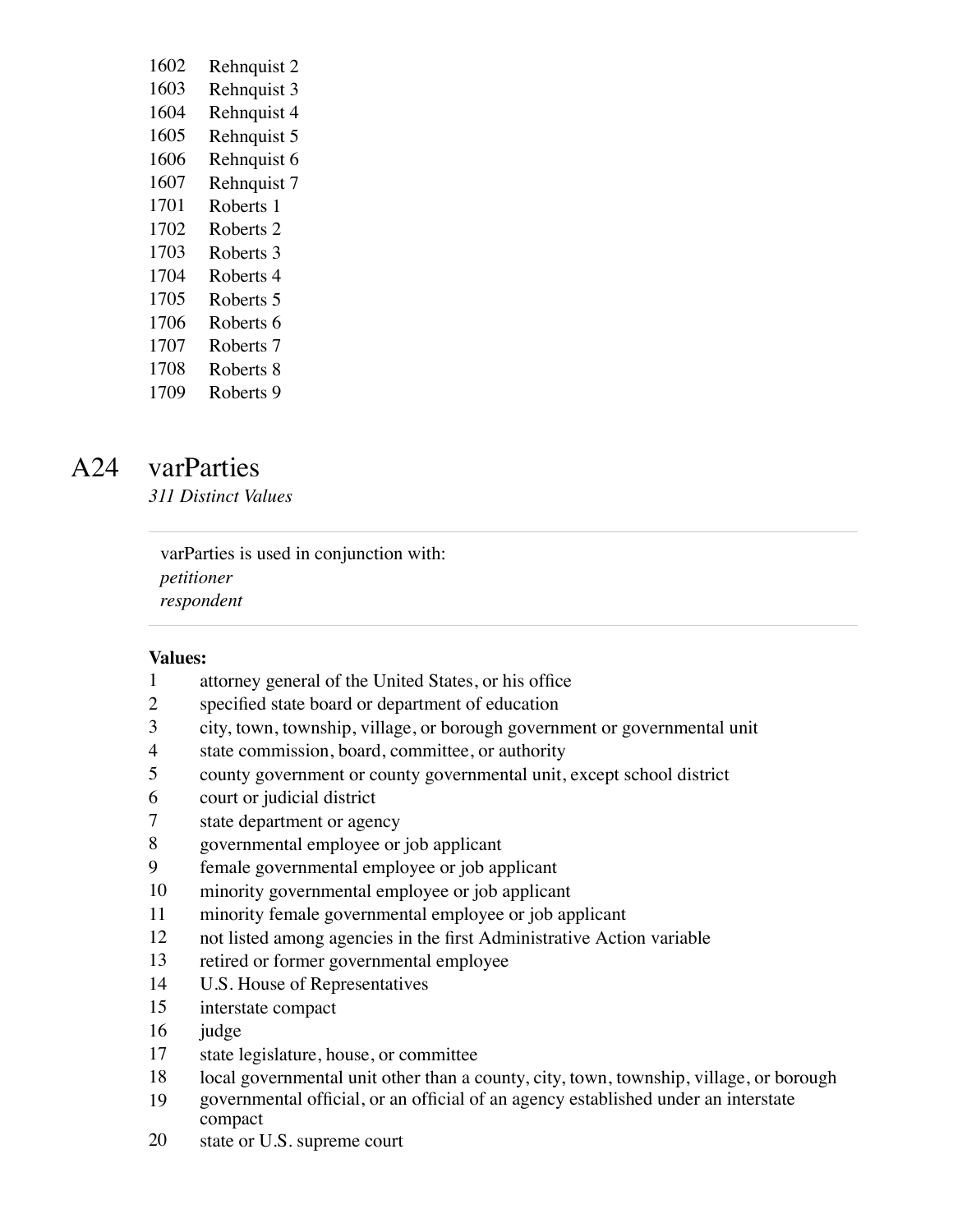| 1602 | Rehnquist 2          |
|------|----------------------|
| 1603 | Rehnquist 3          |
| 1604 | Rehnquist 4          |
| 1605 | Rehnquist 5          |
| 1606 | Rehnquist 6          |
| 1607 | Rehnquist 7          |
| 1701 | Roberts 1            |
| 1702 | Roberts <sub>2</sub> |
| 1703 | Roberts 3            |
| 1704 | Roberts 4            |
| 1705 | Roberts 5            |

- 
- Roberts 6
- Roberts 7
- Roberts 8

## Roberts 9

# A24 varParties

*311 Distinct Values*

varParties is used in conjunction with: *petitioner respondent*

### **Values:**

- attorney general of the United States, or his office
- specified state board or department of education
- city, town, township, village, or borough government or governmental unit
- state commission, board, committee, or authority
- county government or county governmental unit, except school district
- court or judicial district
- state department or agency
- governmental employee or job applicant
- female governmental employee or job applicant
- minority governmental employee or job applicant
- minority female governmental employee or job applicant
- not listed among agencies in the first Administrative Action variable
- retired or former governmental employee
- U.S. House of Representatives
- interstate compact
- judge
- state legislature, house, or committee
- 18 local governmental unit other than a county, city, town, township, village, or borough
- governmental official, or an official of an agency established under an interstate compact
- state or U.S. supreme court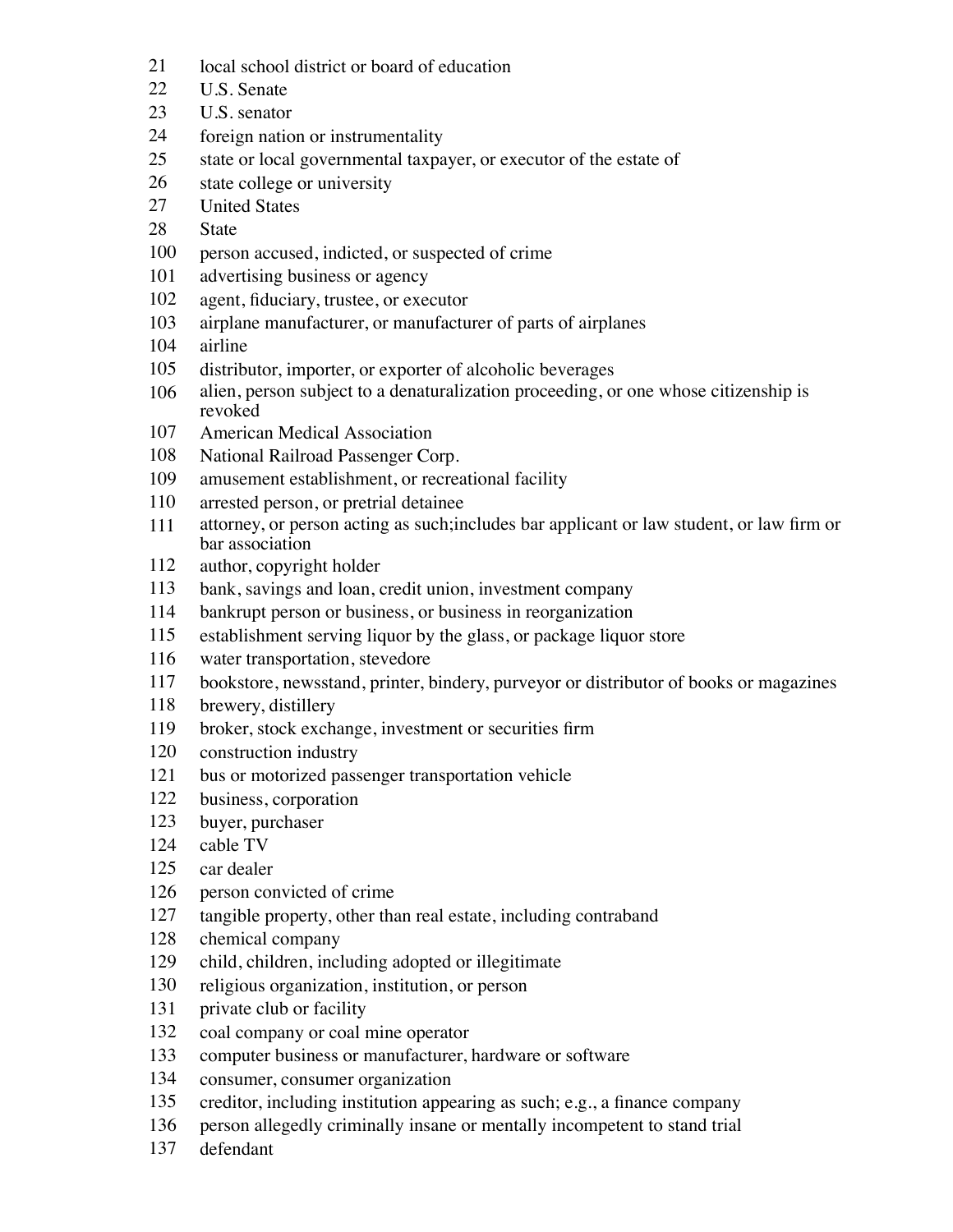- 21 local school district or board of education
- U.S. Senate
- U.S. senator
- foreign nation or instrumentality
- state or local governmental taxpayer, or executor of the estate of
- state college or university
- United States
- State
- person accused, indicted, or suspected of crime
- advertising business or agency
- agent, fiduciary, trustee, or executor
- airplane manufacturer, or manufacturer of parts of airplanes
- airline
- distributor, importer, or exporter of alcoholic beverages
- alien, person subject to a denaturalization proceeding, or one whose citizenship is revoked
- American Medical Association
- National Railroad Passenger Corp.
- amusement establishment, or recreational facility
- arrested person, or pretrial detainee
- attorney, or person acting as such;includes bar applicant or law student, or law firm or bar association
- author, copyright holder
- bank, savings and loan, credit union, investment company
- bankrupt person or business, or business in reorganization
- establishment serving liquor by the glass, or package liquor store
- water transportation, stevedore
- bookstore, newsstand, printer, bindery, purveyor or distributor of books or magazines
- brewery, distillery
- broker, stock exchange, investment or securities firm
- construction industry
- bus or motorized passenger transportation vehicle
- business, corporation
- buyer, purchaser
- cable TV
- car dealer
- person convicted of crime
- tangible property, other than real estate, including contraband
- chemical company
- child, children, including adopted or illegitimate
- religious organization, institution, or person
- 131 private club or facility
- coal company or coal mine operator
- computer business or manufacturer, hardware or software
- consumer, consumer organization
- creditor, including institution appearing as such; e.g., a finance company
- person allegedly criminally insane or mentally incompetent to stand trial
- defendant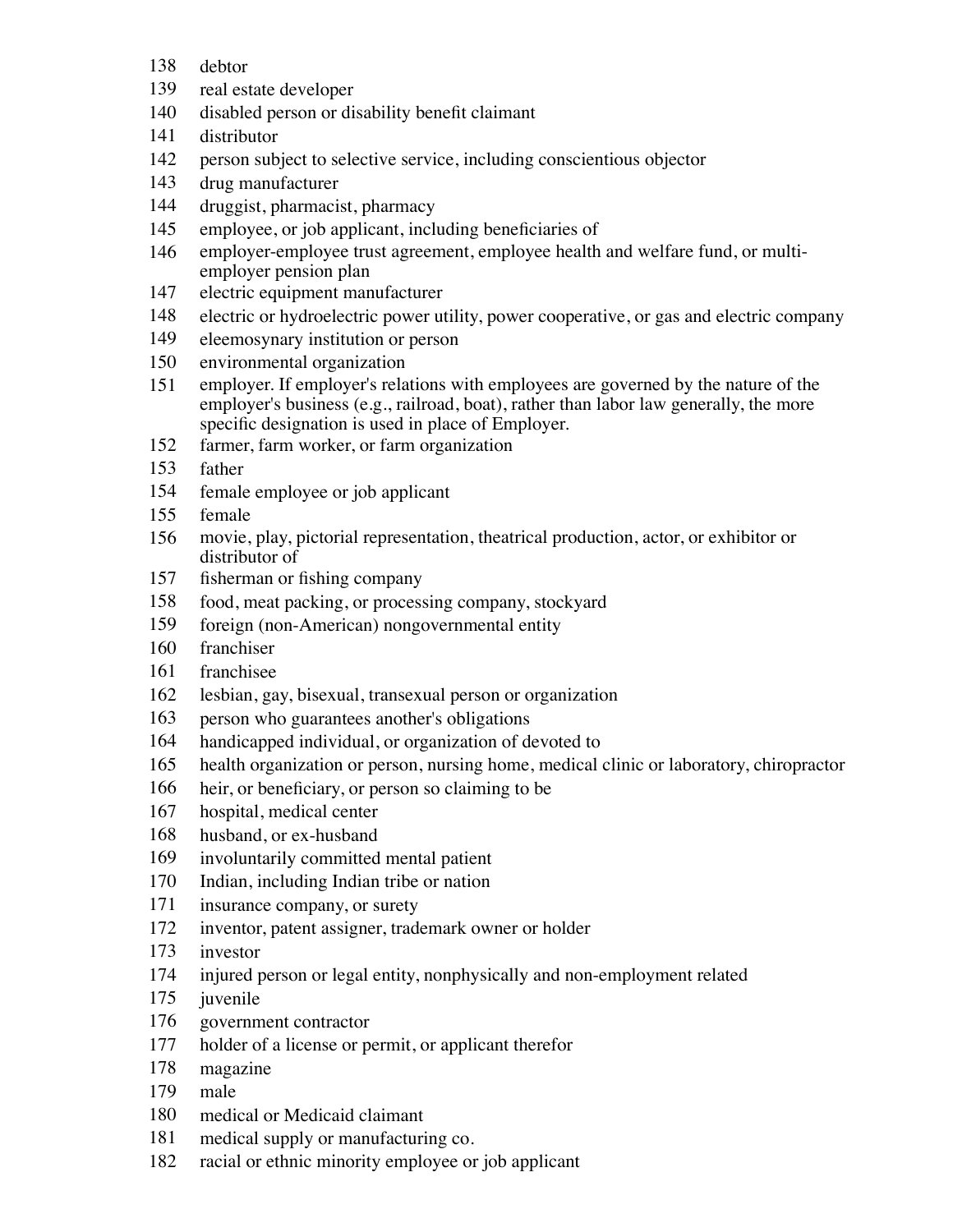- debtor
- real estate developer
- disabled person or disability benefit claimant
- distributor
- person subject to selective service, including conscientious objector
- drug manufacturer
- druggist, pharmacist, pharmacy
- employee, or job applicant, including beneficiaries of
- employer-employee trust agreement, employee health and welfare fund, or multiemployer pension plan
- electric equipment manufacturer
- electric or hydroelectric power utility, power cooperative, or gas and electric company
- eleemosynary institution or person
- environmental organization
- employer. If employer's relations with employees are governed by the nature of the employer's business (e.g., railroad, boat), rather than labor law generally, the more specific designation is used in place of Employer.
- farmer, farm worker, or farm organization
- father
- female employee or job applicant
- female
- movie, play, pictorial representation, theatrical production, actor, or exhibitor or distributor of
- fisherman or fishing company
- food, meat packing, or processing company, stockyard
- foreign (non-American) nongovernmental entity
- franchiser
- franchisee
- lesbian, gay, bisexual, transexual person or organization
- person who guarantees another's obligations
- handicapped individual, or organization of devoted to
- health organization or person, nursing home, medical clinic or laboratory, chiropractor
- heir, or beneficiary, or person so claiming to be
- hospital, medical center
- husband, or ex-husband
- involuntarily committed mental patient
- Indian, including Indian tribe or nation
- insurance company, or surety
- inventor, patent assigner, trademark owner or holder
- investor
- injured person or legal entity, nonphysically and non-employment related
- juvenile
- government contractor
- holder of a license or permit, or applicant therefor
- magazine
- male
- medical or Medicaid claimant
- medical supply or manufacturing co.
- racial or ethnic minority employee or job applicant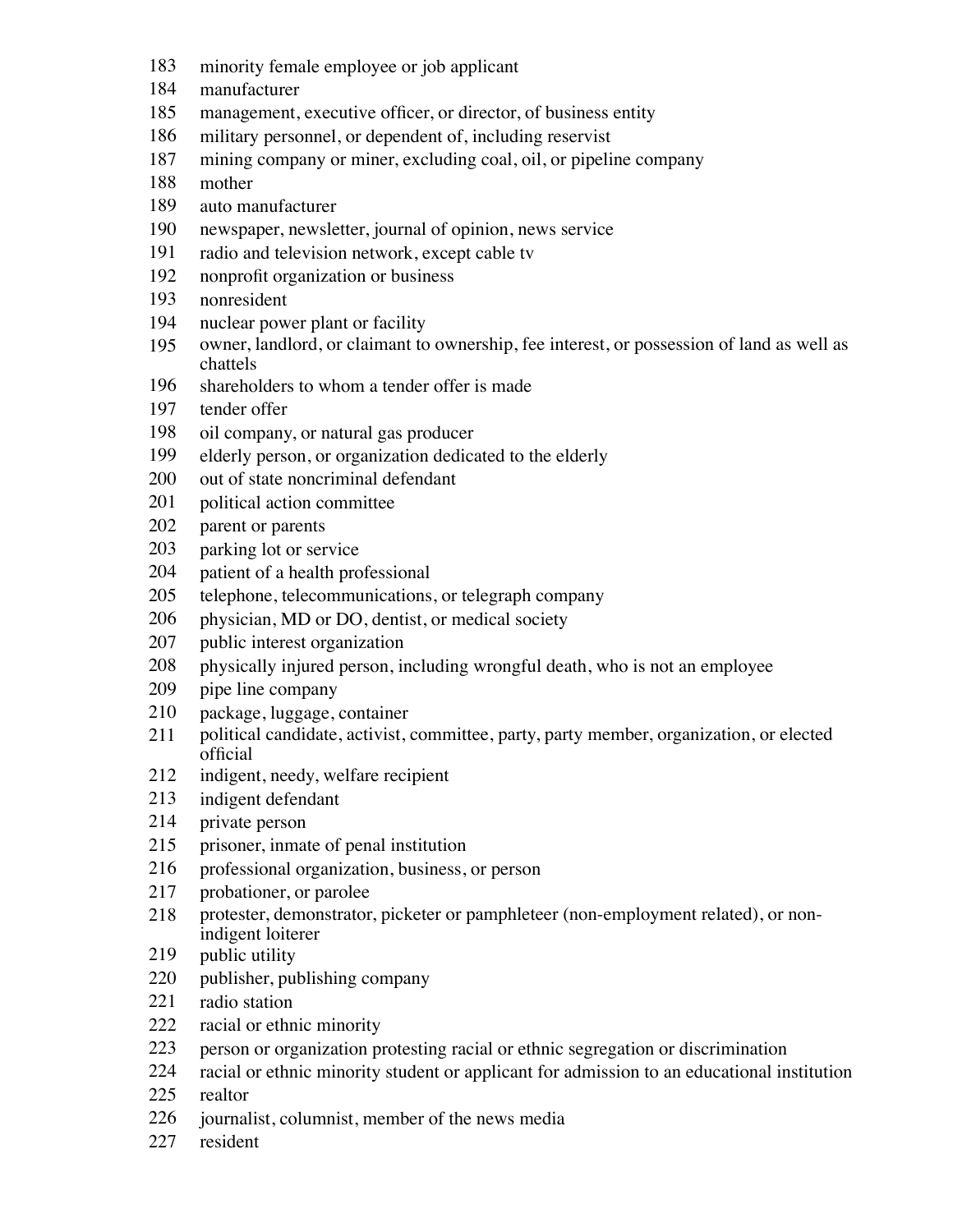- minority female employee or job applicant
- manufacturer
- management, executive officer, or director, of business entity
- military personnel, or dependent of, including reservist
- mining company or miner, excluding coal, oil, or pipeline company
- mother
- auto manufacturer
- newspaper, newsletter, journal of opinion, news service
- radio and television network, except cable tv
- nonprofit organization or business
- nonresident
- nuclear power plant or facility
- owner, landlord, or claimant to ownership, fee interest, or possession of land as well as chattels
- shareholders to whom a tender offer is made
- tender offer
- oil company, or natural gas producer
- elderly person, or organization dedicated to the elderly
- out of state noncriminal defendant
- political action committee
- parent or parents
- parking lot or service
- patient of a health professional
- telephone, telecommunications, or telegraph company
- physician, MD or DO, dentist, or medical society
- public interest organization
- physically injured person, including wrongful death, who is not an employee
- pipe line company
- package, luggage, container
- political candidate, activist, committee, party, party member, organization, or elected official
- indigent, needy, welfare recipient
- indigent defendant
- private person
- prisoner, inmate of penal institution
- professional organization, business, or person
- probationer, or parolee
- protester, demonstrator, picketer or pamphleteer (non-employment related), or nonindigent loiterer
- 219 public utility
- publisher, publishing company
- radio station
- racial or ethnic minority
- person or organization protesting racial or ethnic segregation or discrimination
- racial or ethnic minority student or applicant for admission to an educational institution
- realtor
- journalist, columnist, member of the news media
- resident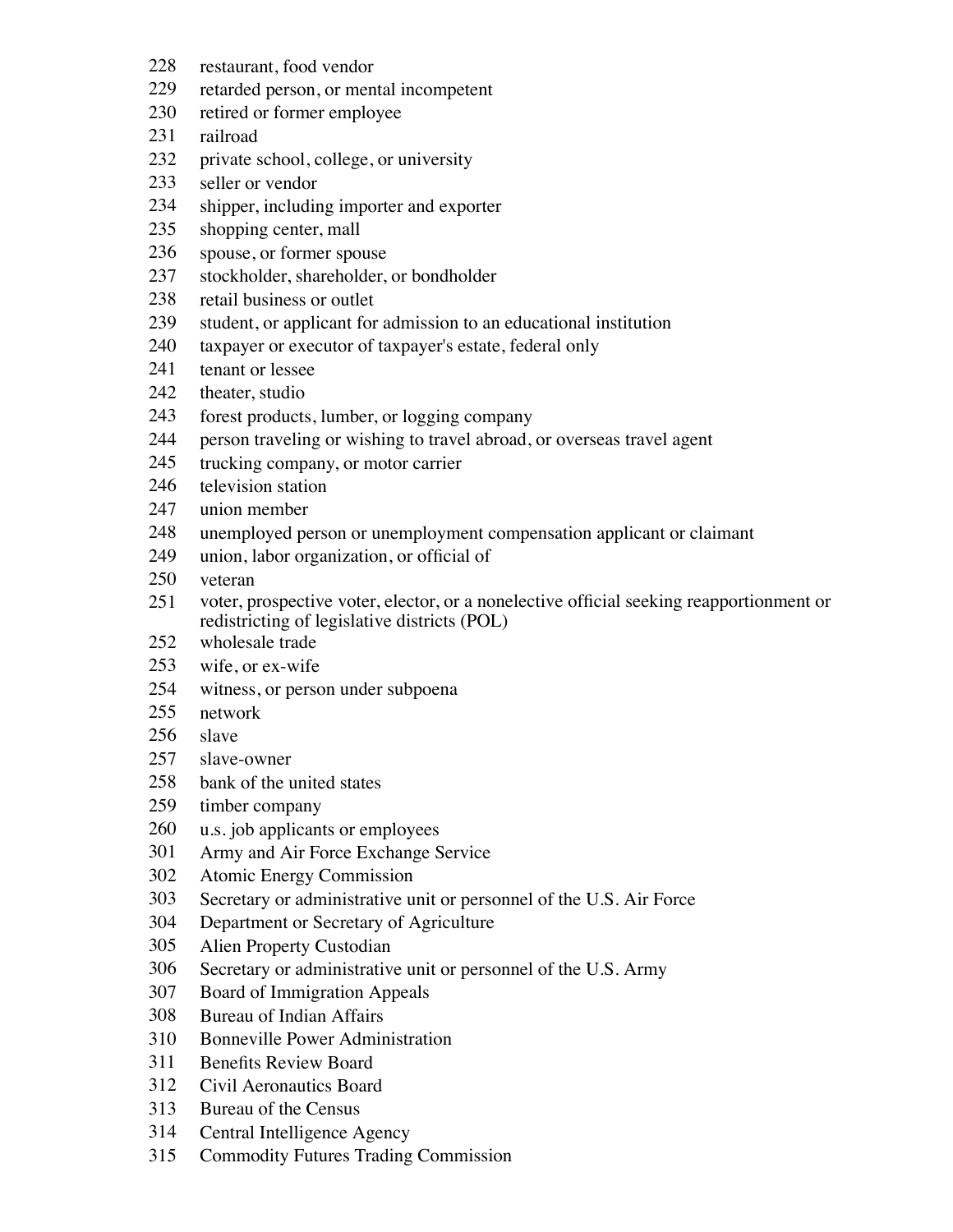- restaurant, food vendor
- retarded person, or mental incompetent
- retired or former employee
- railroad
- private school, college, or university
- seller or vendor
- shipper, including importer and exporter
- shopping center, mall
- spouse, or former spouse
- stockholder, shareholder, or bondholder
- retail business or outlet
- student, or applicant for admission to an educational institution
- taxpayer or executor of taxpayer's estate, federal only
- tenant or lessee
- theater, studio
- forest products, lumber, or logging company
- person traveling or wishing to travel abroad, or overseas travel agent
- trucking company, or motor carrier
- television station
- union member
- unemployed person or unemployment compensation applicant or claimant
- union, labor organization, or official of
- veteran
- voter, prospective voter, elector, or a nonelective official seeking reapportionment or redistricting of legislative districts (POL)
- wholesale trade
- wife, or ex-wife
- witness, or person under subpoena
- network
- slave
- slave-owner
- bank of the united states
- timber company
- u.s. job applicants or employees
- Army and Air Force Exchange Service
- Atomic Energy Commission
- Secretary or administrative unit or personnel of the U.S. Air Force
- Department or Secretary of Agriculture
- Alien Property Custodian
- Secretary or administrative unit or personnel of the U.S. Army
- Board of Immigration Appeals
- Bureau of Indian Affairs
- Bonneville Power Administration
- Benefits Review Board
- Civil Aeronautics Board
- Bureau of the Census
- Central Intelligence Agency
- Commodity Futures Trading Commission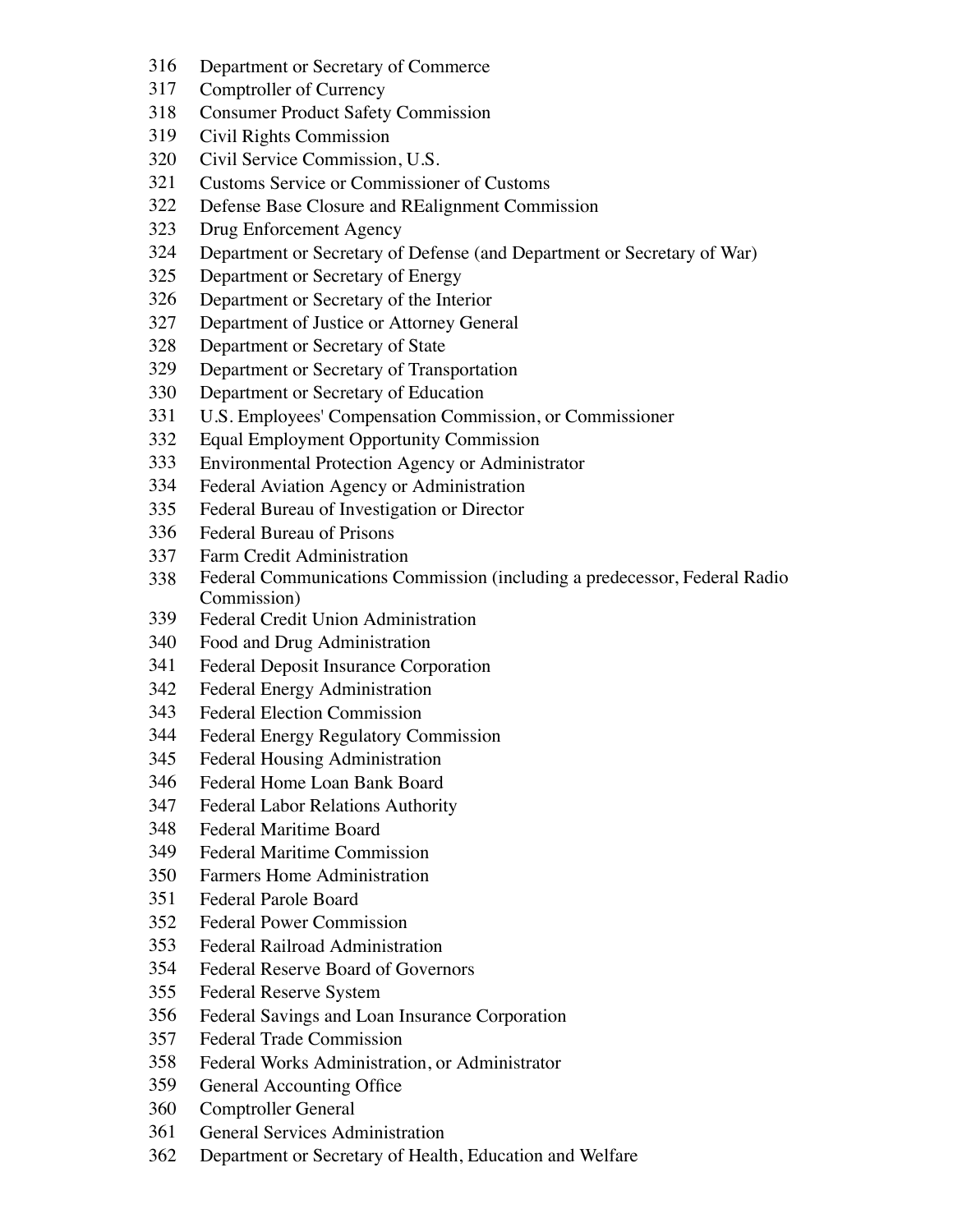- Department or Secretary of Commerce
- Comptroller of Currency
- Consumer Product Safety Commission
- Civil Rights Commission
- Civil Service Commission, U.S.
- Customs Service or Commissioner of Customs
- Defense Base Closure and REalignment Commission
- Drug Enforcement Agency
- Department or Secretary of Defense (and Department or Secretary of War)
- Department or Secretary of Energy
- Department or Secretary of the Interior
- Department of Justice or Attorney General
- Department or Secretary of State
- Department or Secretary of Transportation
- Department or Secretary of Education
- U.S. Employees' Compensation Commission, or Commissioner
- Equal Employment Opportunity Commission
- Environmental Protection Agency or Administrator
- Federal Aviation Agency or Administration
- Federal Bureau of Investigation or Director
- Federal Bureau of Prisons
- Farm Credit Administration
- Federal Communications Commission (including a predecessor, Federal Radio Commission)
- Federal Credit Union Administration
- Food and Drug Administration
- Federal Deposit Insurance Corporation
- Federal Energy Administration
- Federal Election Commission
- Federal Energy Regulatory Commission
- Federal Housing Administration
- Federal Home Loan Bank Board
- Federal Labor Relations Authority
- Federal Maritime Board
- Federal Maritime Commission
- Farmers Home Administration
- Federal Parole Board
- Federal Power Commission
- Federal Railroad Administration
- Federal Reserve Board of Governors
- Federal Reserve System
- Federal Savings and Loan Insurance Corporation
- Federal Trade Commission
- Federal Works Administration, or Administrator
- General Accounting Office
- Comptroller General
- General Services Administration
- Department or Secretary of Health, Education and Welfare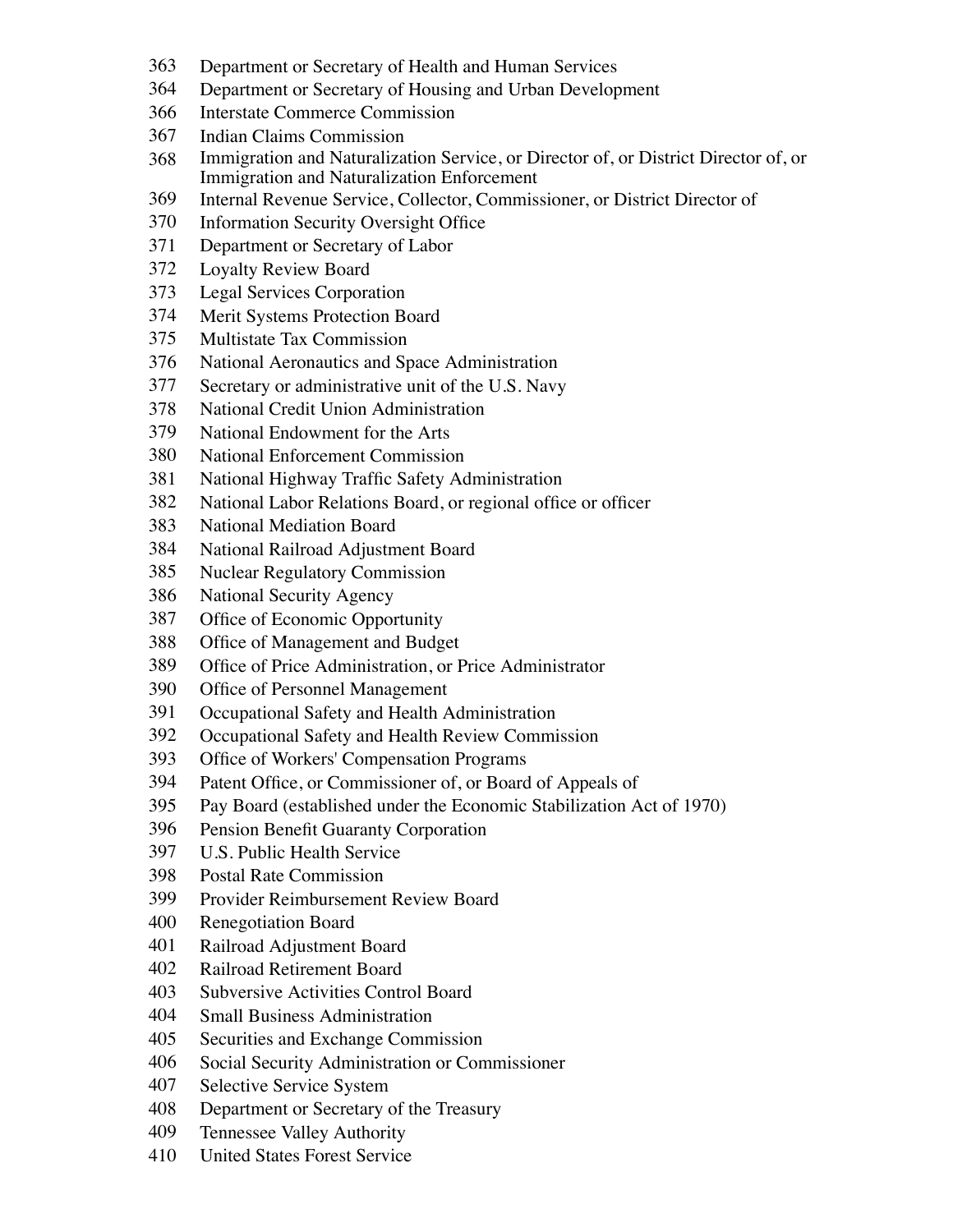- Department or Secretary of Health and Human Services
- Department or Secretary of Housing and Urban Development
- Interstate Commerce Commission
- Indian Claims Commission
- Immigration and Naturalization Service, or Director of, or District Director of, or Immigration and Naturalization Enforcement
- Internal Revenue Service, Collector, Commissioner, or District Director of
- Information Security Oversight Office
- Department or Secretary of Labor
- Loyalty Review Board
- Legal Services Corporation
- Merit Systems Protection Board
- Multistate Tax Commission
- National Aeronautics and Space Administration
- Secretary or administrative unit of the U.S. Navy
- National Credit Union Administration
- National Endowment for the Arts
- National Enforcement Commission
- National Highway Traffic Safety Administration
- National Labor Relations Board, or regional office or officer
- National Mediation Board
- National Railroad Adjustment Board
- Nuclear Regulatory Commission
- National Security Agency
- Office of Economic Opportunity
- Office of Management and Budget
- Office of Price Administration, or Price Administrator
- Office of Personnel Management
- Occupational Safety and Health Administration
- Occupational Safety and Health Review Commission
- Office of Workers' Compensation Programs
- Patent Office, or Commissioner of, or Board of Appeals of
- Pay Board (established under the Economic Stabilization Act of 1970)
- Pension Benefit Guaranty Corporation
- U.S. Public Health Service
- Postal Rate Commission
- Provider Reimbursement Review Board
- Renegotiation Board
- Railroad Adjustment Board
- Railroad Retirement Board
- Subversive Activities Control Board
- Small Business Administration
- Securities and Exchange Commission
- Social Security Administration or Commissioner
- Selective Service System
- Department or Secretary of the Treasury
- Tennessee Valley Authority
- United States Forest Service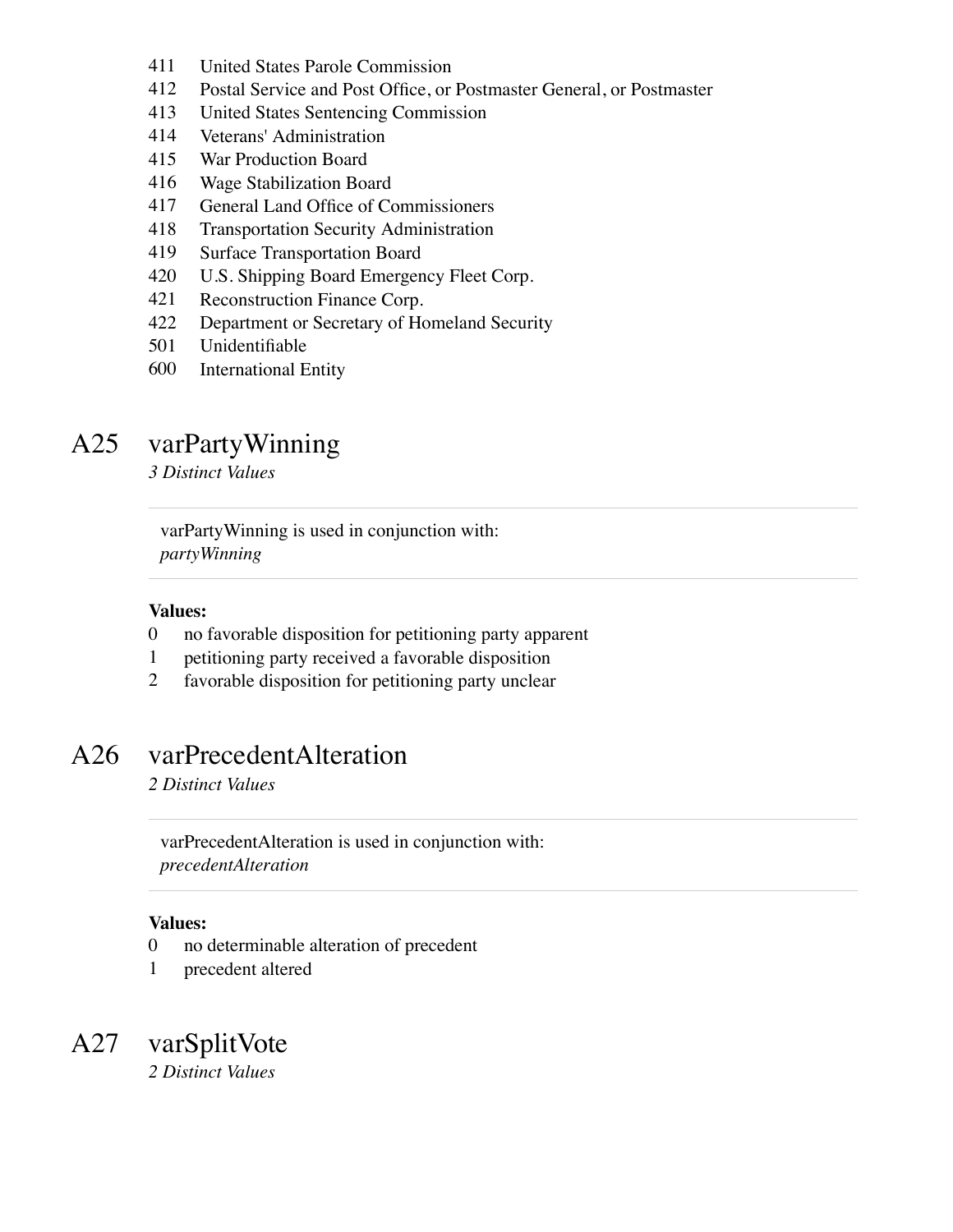- United States Parole Commission
- Postal Service and Post Office, or Postmaster General, or Postmaster
- United States Sentencing Commission
- Veterans' Administration
- War Production Board
- Wage Stabilization Board
- General Land Office of Commissioners
- Transportation Security Administration
- Surface Transportation Board
- U.S. Shipping Board Emergency Fleet Corp.
- Reconstruction Finance Corp.
- Department or Secretary of Homeland Security
- Unidentifiable
- International Entity

# A25 varPartyWinning

*3 Distinct Values*

varPartyWinning is used in conjunction with: *partyWinning*

#### **Values:**

- no favorable disposition for petitioning party apparent
- petitioning party received a favorable disposition
- favorable disposition for petitioning party unclear

### A26 varPrecedentAlteration

*2 Distinct Values*

varPrecedentAlteration is used in conjunction with: *precedentAlteration*

#### **Values:**

- no determinable alteration of precedent
- precedent altered

A27 varSplitVote *2 Distinct Values*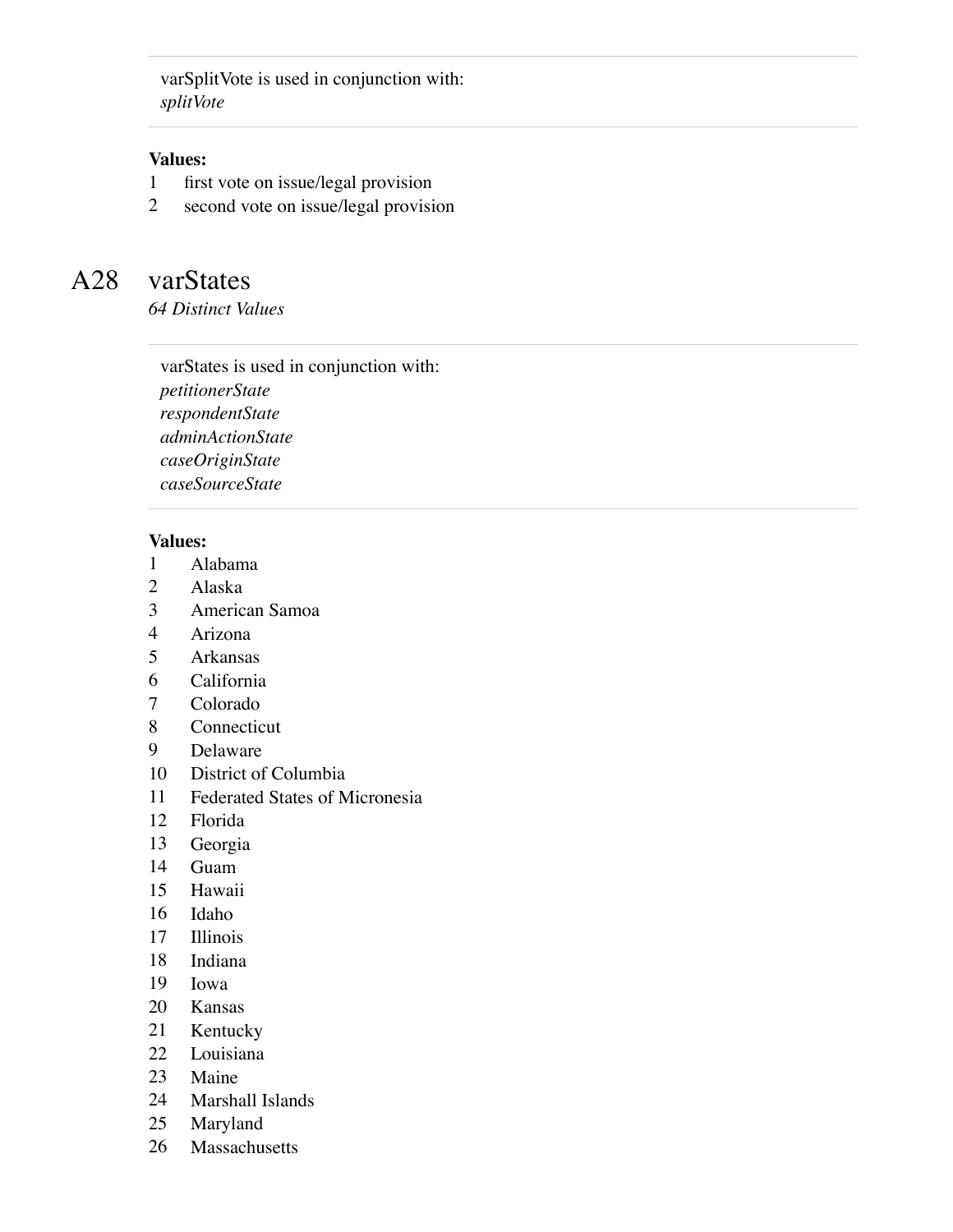varSplitVote is used in conjunction with: *splitVote*

#### **Values:**

- first vote on issue/legal provision
- second vote on issue/legal provision

## A28 varStates

*64 Distinct Values*

varStates is used in conjunction with: *petitionerState respondentState adminActionState caseOriginState caseSourceState*

#### **Values:**

- Alabama
- Alaska
- American Samoa
- Arizona
- Arkansas
- California
- Colorado
- Connecticut
- Delaware
- District of Columbia
- Federated States of Micronesia
- Florida
- Georgia
- Guam
- Hawaii
- Idaho
- Illinois
- Indiana
- Iowa
- Kansas
- Kentucky
- Louisiana
- Maine
- Marshall Islands
- Maryland
- Massachusetts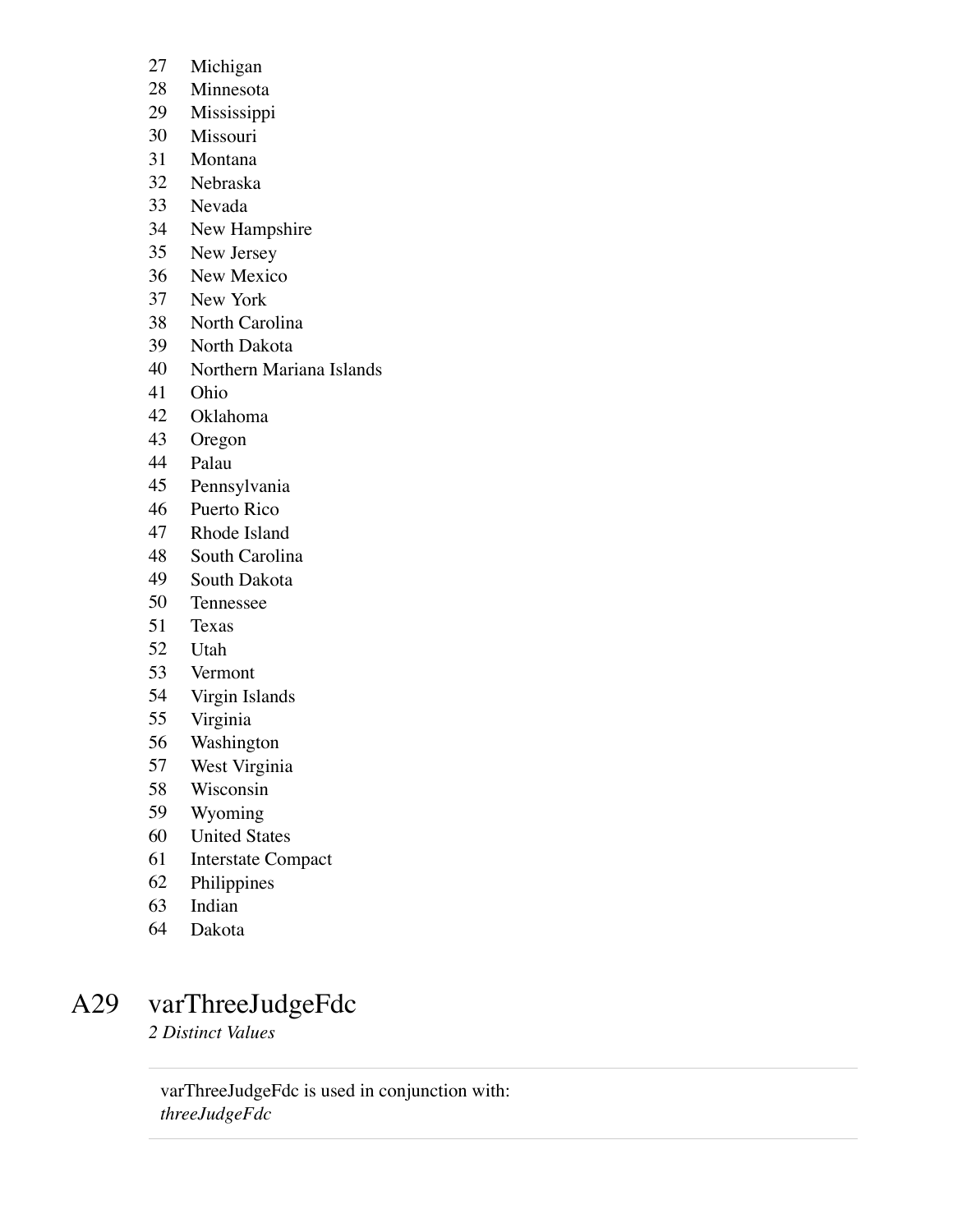- Michigan
- Minnesota
- Mississippi
- Missouri
- Montana
- Nebraska
- Nevada
- New Hampshire
- New Jersey
- New Mexico
- New York
- North Carolina
- North Dakota
- Northern Mariana Islands
- Ohio
- Oklahoma
- Oregon
- Palau
- Pennsylvania
- Puerto Rico
- Rhode Island
- South Carolina
- South Dakota
- Tennessee
- Texas
- Utah
- Vermont
- Virgin Islands
- Virginia
- Washington
- West Virginia
- Wisconsin
- Wyoming
- United States
- Interstate Compact
- Philippines
- Indian
- Dakota

# A29 varThreeJudgeFdc

*2 Distinct Values*

varThreeJudgeFdc is used in conjunction with: *threeJudgeFdc*